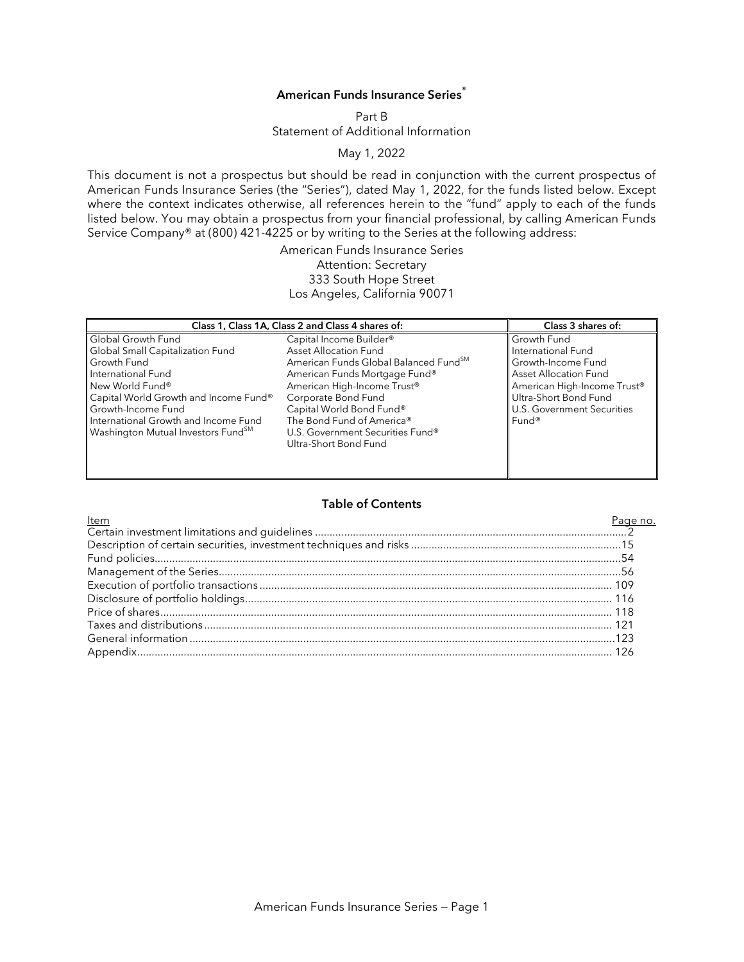# **American Funds Insurance Series®**

Part B Statement of Additional Information

May 1, 2022

This document is not a prospectus but should be read in conjunction with the current prospectus of American Funds Insurance Series (the "Series"), dated May 1, 2022, for the funds listed below. Except where the context indicates otherwise, all references herein to the "fund" apply to each of the funds listed below. You may obtain a prospectus from your financial professional, by calling American Funds Service Company® at (800) 421-4225 or by writing to the Series at the following address:

> American Funds Insurance Series Attention: Secretary 333 South Hope Street Los Angeles, California 90071

| Class 1, Class 1A, Class 2 and Class 4 shares of: |                                       | Class 3 shares of:           |
|---------------------------------------------------|---------------------------------------|------------------------------|
| Global Growth Fund                                | Capital Income Builder <sup>®</sup>   | Growth Fund                  |
| Global Small Capitalization Fund                  | <b>Asset Allocation Fund</b>          | International Fund           |
| Growth Fund                                       | American Funds Global Balanced FundSM | Growth-Income Fund           |
| International Fund                                | American Funds Mortgage Fund®         | <b>Asset Allocation Fund</b> |
| New World Fund®                                   | American High-Income Trust®           | American High-Income Trust®  |
| Capital World Growth and Income Fund®             | Corporate Bond Fund                   | Ultra-Short Bond Fund        |
| Growth-Income Fund                                | Capital World Bond Fund®              | U.S. Government Securities   |
| International Growth and Income Fund              | The Bond Fund of America®             | Fund <sup>®</sup>            |
| Washington Mutual Investors Fund <sup>SM</sup>    | U.S. Government Securities Fund®      |                              |
|                                                   | Ultra-Short Bond Fund                 |                              |
|                                                   |                                       |                              |
|                                                   |                                       |                              |
|                                                   |                                       |                              |

### **Table of Contents**

<u>Item et al. Alexander in the set of the set of the set of the set of the set of the set of the set of the set o</u> Certain investment limitations and guidelines ...........................................................................................................2 Description of certain securities, investment techniques and risks ........................................................................15 Fund policies................................................................................................................................................................54 Management of the Series..........................................................................................................................................56 Execution of portfolio transactions ......................................................................................................................... 109 Disclosure of portfolio holdings.............................................................................................................................. 116 Price of shares........................................................................................................................................................... 118 Taxes and distributions............................................................................................................................................ 121 General information ..................................................................................................................................................123 Appendix................................................................................................................................................................... 126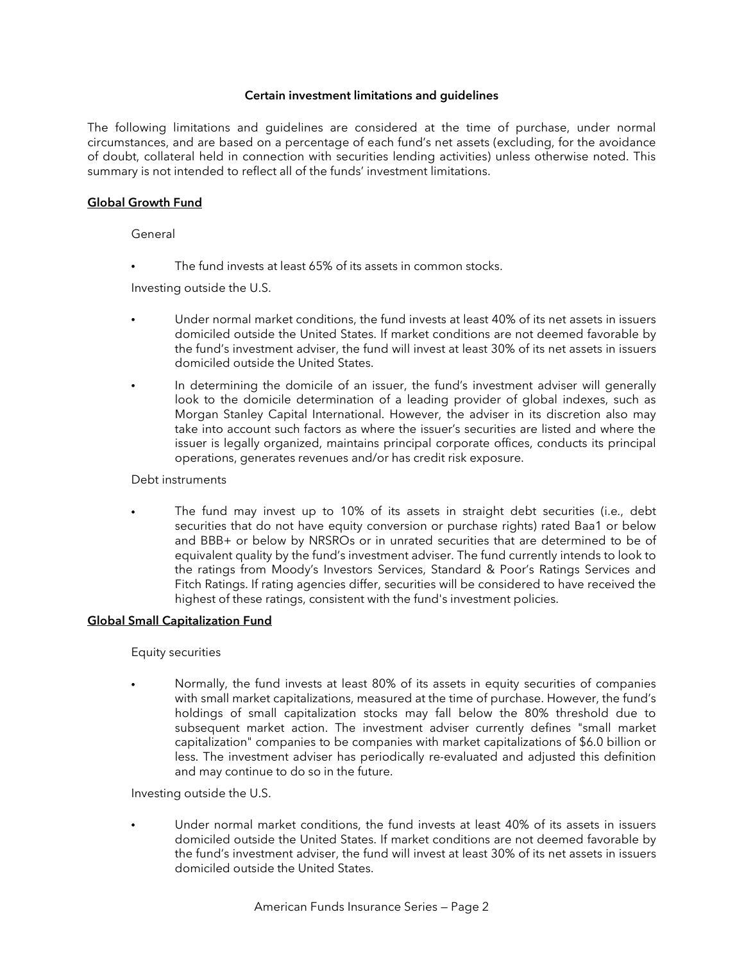### **Certain investment limitations and guidelines**

The following limitations and guidelines are considered at the time of purchase, under normal circumstances, and are based on a percentage of each fund's net assets (excluding, for the avoidance of doubt, collateral held in connection with securities lending activities) unless otherwise noted. This summary is not intended to reflect all of the funds' investment limitations.

# **Global Growth Fund**

General

The fund invests at least 65% of its assets in common stocks.

Investing outside the U.S.

- Under normal market conditions, the fund invests at least 40% of its net assets in issuers domiciled outside the United States. If market conditions are not deemed favorable by the fund's investment adviser, the fund will invest at least 30% of its net assets in issuers domiciled outside the United States.
- In determining the domicile of an issuer, the fund's investment adviser will generally look to the domicile determination of a leading provider of global indexes, such as Morgan Stanley Capital International. However, the adviser in its discretion also may take into account such factors as where the issuer's securities are listed and where the issuer is legally organized, maintains principal corporate offices, conducts its principal operations, generates revenues and/or has credit risk exposure.

### Debt instruments

The fund may invest up to 10% of its assets in straight debt securities (i.e., debt securities that do not have equity conversion or purchase rights) rated Baa1 or below and BBB+ or below by NRSROs or in unrated securities that are determined to be of equivalent quality by the fund's investment adviser. The fund currently intends to look to the ratings from Moody's Investors Services, Standard & Poor's Ratings Services and Fitch Ratings. If rating agencies differ, securities will be considered to have received the highest of these ratings, consistent with the fund's investment policies.

# **Global Small Capitalization Fund**

Equity securities

• Normally, the fund invests at least 80% of its assets in equity securities of companies with small market capitalizations, measured at the time of purchase. However, the fund's holdings of small capitalization stocks may fall below the 80% threshold due to subsequent market action. The investment adviser currently defines "small market capitalization" companies to be companies with market capitalizations of \$6.0 billion or less. The investment adviser has periodically re-evaluated and adjusted this definition and may continue to do so in the future.

Investing outside the U.S.

• Under normal market conditions, the fund invests at least 40% of its assets in issuers domiciled outside the United States. If market conditions are not deemed favorable by the fund's investment adviser, the fund will invest at least 30% of its net assets in issuers domiciled outside the United States.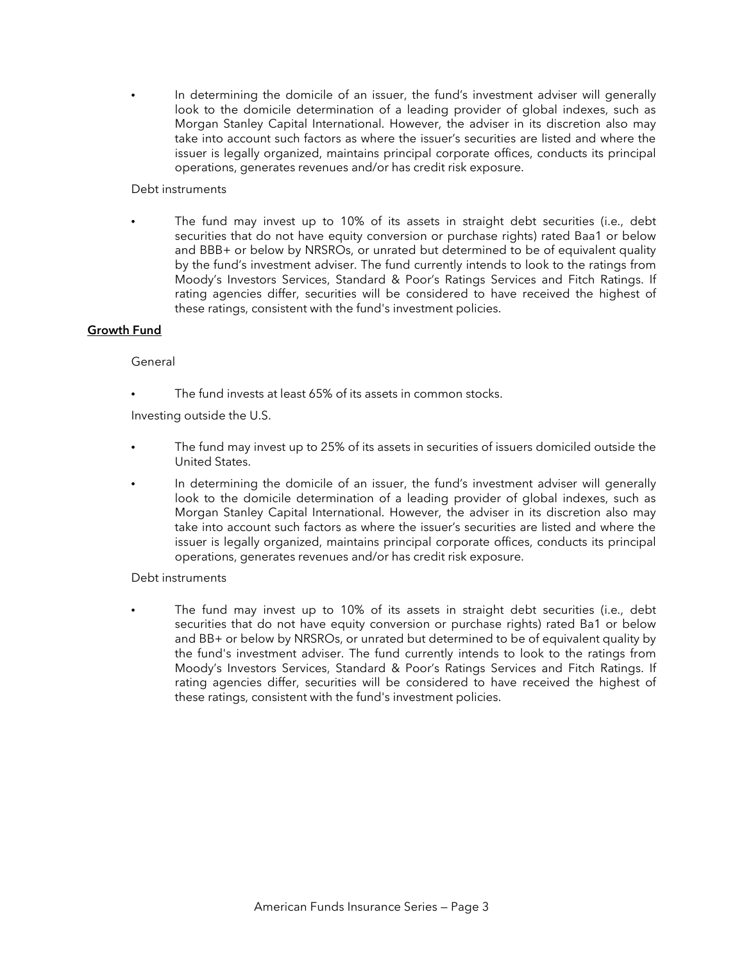In determining the domicile of an issuer, the fund's investment adviser will generally look to the domicile determination of a leading provider of global indexes, such as Morgan Stanley Capital International. However, the adviser in its discretion also may take into account such factors as where the issuer's securities are listed and where the issuer is legally organized, maintains principal corporate offices, conducts its principal operations, generates revenues and/or has credit risk exposure.

### Debt instruments

• The fund may invest up to 10% of its assets in straight debt securities (i.e., debt securities that do not have equity conversion or purchase rights) rated Baa1 or below and BBB+ or below by NRSROs, or unrated but determined to be of equivalent quality by the fund's investment adviser. The fund currently intends to look to the ratings from Moody's Investors Services, Standard & Poor's Ratings Services and Fitch Ratings. If rating agencies differ, securities will be considered to have received the highest of these ratings, consistent with the fund's investment policies.

# **Growth Fund**

## General

The fund invests at least 65% of its assets in common stocks.

Investing outside the U.S.

- The fund may invest up to 25% of its assets in securities of issuers domiciled outside the United States.
- In determining the domicile of an issuer, the fund's investment adviser will generally look to the domicile determination of a leading provider of global indexes, such as Morgan Stanley Capital International. However, the adviser in its discretion also may take into account such factors as where the issuer's securities are listed and where the issuer is legally organized, maintains principal corporate offices, conducts its principal operations, generates revenues and/or has credit risk exposure.

# Debt instruments

The fund may invest up to 10% of its assets in straight debt securities (i.e., debt securities that do not have equity conversion or purchase rights) rated Ba1 or below and BB+ or below by NRSROs, or unrated but determined to be of equivalent quality by the fund's investment adviser. The fund currently intends to look to the ratings from Moody's Investors Services, Standard & Poor's Ratings Services and Fitch Ratings. If rating agencies differ, securities will be considered to have received the highest of these ratings, consistent with the fund's investment policies.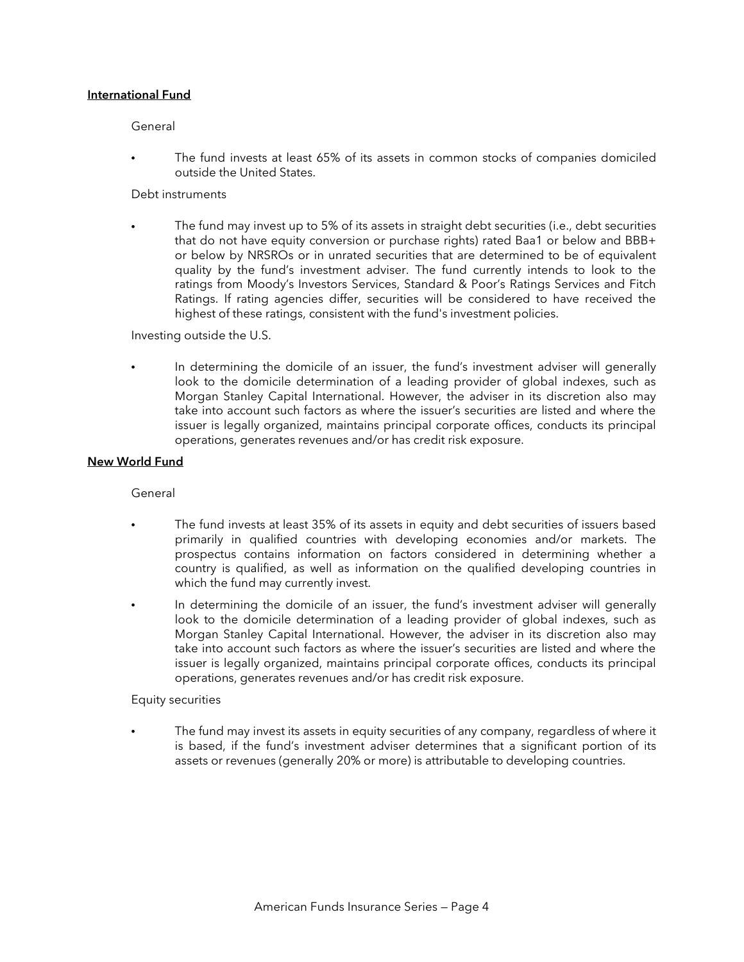## **International Fund**

#### General

• The fund invests at least 65% of its assets in common stocks of companies domiciled outside the United States.

# Debt instruments

• The fund may invest up to 5% of its assets in straight debt securities (i.e., debt securities that do not have equity conversion or purchase rights) rated Baa1 or below and BBB+ or below by NRSROs or in unrated securities that are determined to be of equivalent quality by the fund's investment adviser. The fund currently intends to look to the ratings from Moody's Investors Services, Standard & Poor's Ratings Services and Fitch Ratings. If rating agencies differ, securities will be considered to have received the highest of these ratings, consistent with the fund's investment policies.

Investing outside the U.S.

In determining the domicile of an issuer, the fund's investment adviser will generally look to the domicile determination of a leading provider of global indexes, such as Morgan Stanley Capital International. However, the adviser in its discretion also may take into account such factors as where the issuer's securities are listed and where the issuer is legally organized, maintains principal corporate offices, conducts its principal operations, generates revenues and/or has credit risk exposure.

# **New World Fund**

**General** 

- The fund invests at least 35% of its assets in equity and debt securities of issuers based primarily in qualified countries with developing economies and/or markets. The prospectus contains information on factors considered in determining whether a country is qualified, as well as information on the qualified developing countries in which the fund may currently invest.
- In determining the domicile of an issuer, the fund's investment adviser will generally look to the domicile determination of a leading provider of global indexes, such as Morgan Stanley Capital International. However, the adviser in its discretion also may take into account such factors as where the issuer's securities are listed and where the issuer is legally organized, maintains principal corporate offices, conducts its principal operations, generates revenues and/or has credit risk exposure.

#### Equity securities

• The fund may invest its assets in equity securities of any company, regardless of where it is based, if the fund's investment adviser determines that a significant portion of its assets or revenues (generally 20% or more) is attributable to developing countries.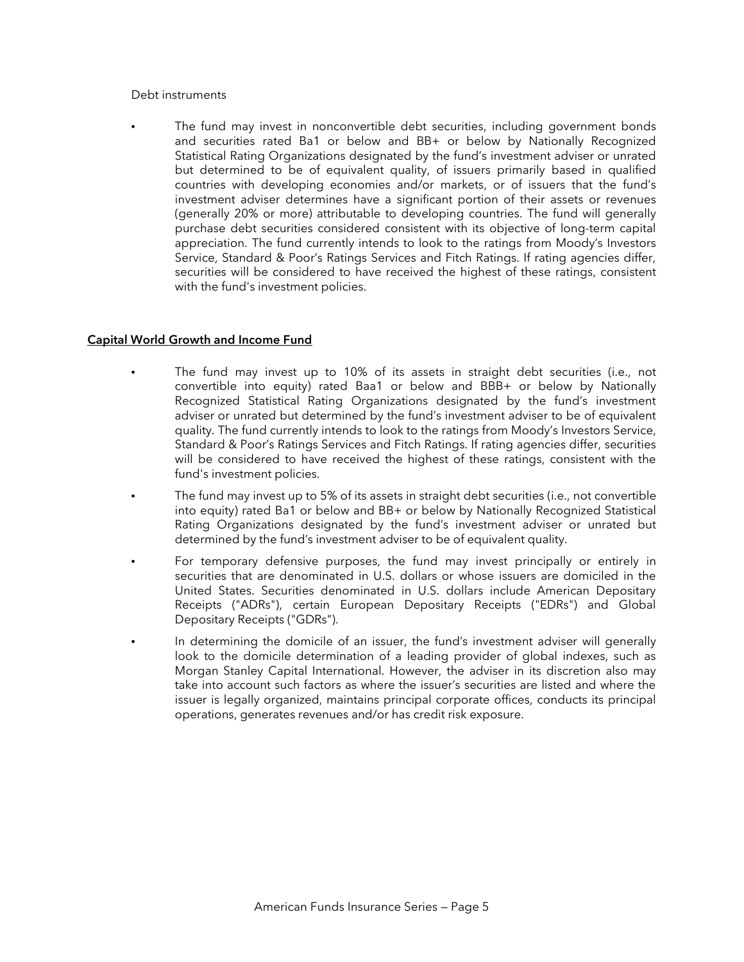#### Debt instruments

The fund may invest in nonconvertible debt securities, including government bonds and securities rated Ba1 or below and BB+ or below by Nationally Recognized Statistical Rating Organizations designated by the fund's investment adviser or unrated but determined to be of equivalent quality, of issuers primarily based in qualified countries with developing economies and/or markets, or of issuers that the fund's investment adviser determines have a significant portion of their assets or revenues (generally 20% or more) attributable to developing countries. The fund will generally purchase debt securities considered consistent with its objective of long-term capital appreciation. The fund currently intends to look to the ratings from Moody's Investors Service, Standard & Poor's Ratings Services and Fitch Ratings. If rating agencies differ, securities will be considered to have received the highest of these ratings, consistent with the fund's investment policies.

## **Capital World Growth and Income Fund**

- The fund may invest up to 10% of its assets in straight debt securities (i.e., not convertible into equity) rated Baa1 or below and BBB+ or below by Nationally Recognized Statistical Rating Organizations designated by the fund's investment adviser or unrated but determined by the fund's investment adviser to be of equivalent quality. The fund currently intends to look to the ratings from Moody's Investors Service, Standard & Poor's Ratings Services and Fitch Ratings. If rating agencies differ, securities will be considered to have received the highest of these ratings, consistent with the fund's investment policies.
- The fund may invest up to 5% of its assets in straight debt securities (i.e., not convertible into equity) rated Ba1 or below and BB+ or below by Nationally Recognized Statistical Rating Organizations designated by the fund's investment adviser or unrated but determined by the fund's investment adviser to be of equivalent quality.
- For temporary defensive purposes, the fund may invest principally or entirely in securities that are denominated in U.S. dollars or whose issuers are domiciled in the United States. Securities denominated in U.S. dollars include American Depositary Receipts ("ADRs"), certain European Depositary Receipts ("EDRs") and Global Depositary Receipts ("GDRs").
- In determining the domicile of an issuer, the fund's investment adviser will generally look to the domicile determination of a leading provider of global indexes, such as Morgan Stanley Capital International. However, the adviser in its discretion also may take into account such factors as where the issuer's securities are listed and where the issuer is legally organized, maintains principal corporate offices, conducts its principal operations, generates revenues and/or has credit risk exposure.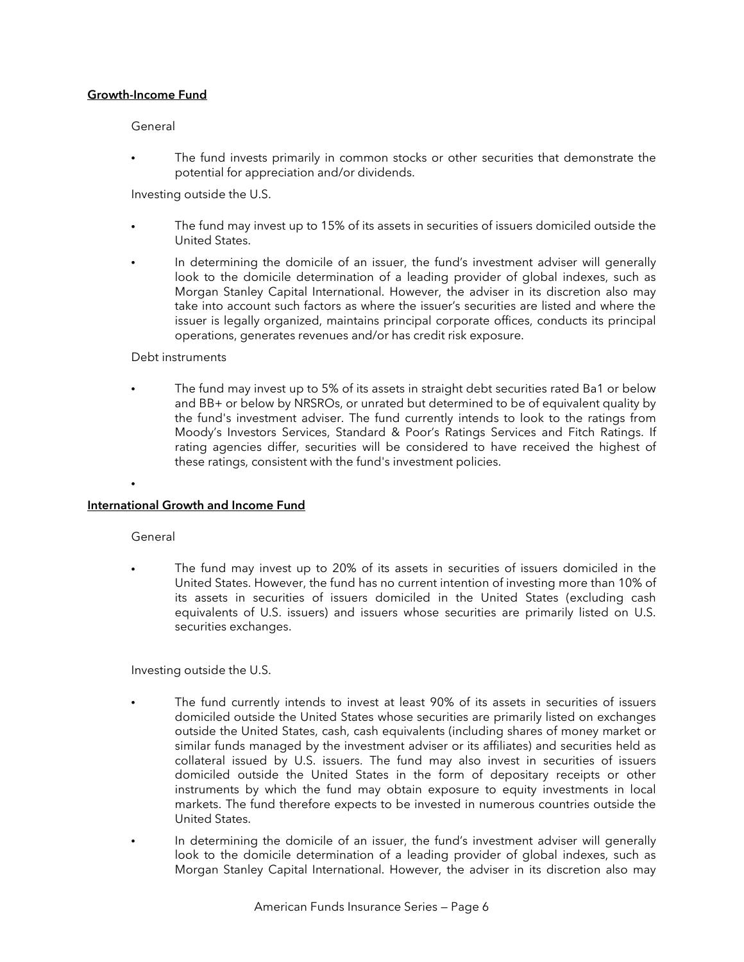## **Growth-Income Fund**

General

The fund invests primarily in common stocks or other securities that demonstrate the potential for appreciation and/or dividends.

Investing outside the U.S.

- The fund may invest up to 15% of its assets in securities of issuers domiciled outside the United States.
- In determining the domicile of an issuer, the fund's investment adviser will generally look to the domicile determination of a leading provider of global indexes, such as Morgan Stanley Capital International. However, the adviser in its discretion also may take into account such factors as where the issuer's securities are listed and where the issuer is legally organized, maintains principal corporate offices, conducts its principal operations, generates revenues and/or has credit risk exposure.

### Debt instruments

• The fund may invest up to 5% of its assets in straight debt securities rated Ba1 or below and BB+ or below by NRSROs, or unrated but determined to be of equivalent quality by the fund's investment adviser. The fund currently intends to look to the ratings from Moody's Investors Services, Standard & Poor's Ratings Services and Fitch Ratings. If rating agencies differ, securities will be considered to have received the highest of these ratings, consistent with the fund's investment policies.

### **International Growth and Income Fund**

### General

•

The fund may invest up to 20% of its assets in securities of issuers domiciled in the United States. However, the fund has no current intention of investing more than 10% of its assets in securities of issuers domiciled in the United States (excluding cash equivalents of U.S. issuers) and issuers whose securities are primarily listed on U.S. securities exchanges.

Investing outside the U.S.

- The fund currently intends to invest at least 90% of its assets in securities of issuers domiciled outside the United States whose securities are primarily listed on exchanges outside the United States, cash, cash equivalents (including shares of money market or similar funds managed by the investment adviser or its affiliates) and securities held as collateral issued by U.S. issuers. The fund may also invest in securities of issuers domiciled outside the United States in the form of depositary receipts or other instruments by which the fund may obtain exposure to equity investments in local markets. The fund therefore expects to be invested in numerous countries outside the United States.
- In determining the domicile of an issuer, the fund's investment adviser will generally look to the domicile determination of a leading provider of global indexes, such as Morgan Stanley Capital International. However, the adviser in its discretion also may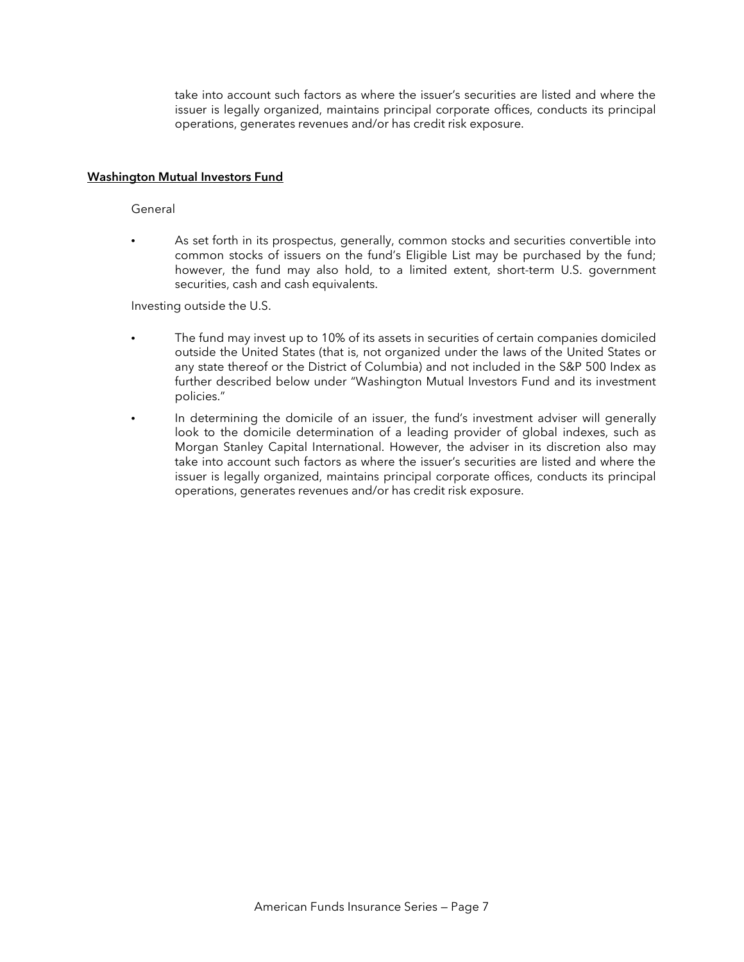take into account such factors as where the issuer's securities are listed and where the issuer is legally organized, maintains principal corporate offices, conducts its principal operations, generates revenues and/or has credit risk exposure.

## **Washington Mutual Investors Fund**

#### General

• As set forth in its prospectus, generally, common stocks and securities convertible into common stocks of issuers on the fund's Eligible List may be purchased by the fund; however, the fund may also hold, to a limited extent, short-term U.S. government securities, cash and cash equivalents.

Investing outside the U.S.

- The fund may invest up to 10% of its assets in securities of certain companies domiciled outside the United States (that is, not organized under the laws of the United States or any state thereof or the District of Columbia) and not included in the S&P 500 Index as further described below under "Washington Mutual Investors Fund and its investment policies."
- In determining the domicile of an issuer, the fund's investment adviser will generally look to the domicile determination of a leading provider of global indexes, such as Morgan Stanley Capital International. However, the adviser in its discretion also may take into account such factors as where the issuer's securities are listed and where the issuer is legally organized, maintains principal corporate offices, conducts its principal operations, generates revenues and/or has credit risk exposure.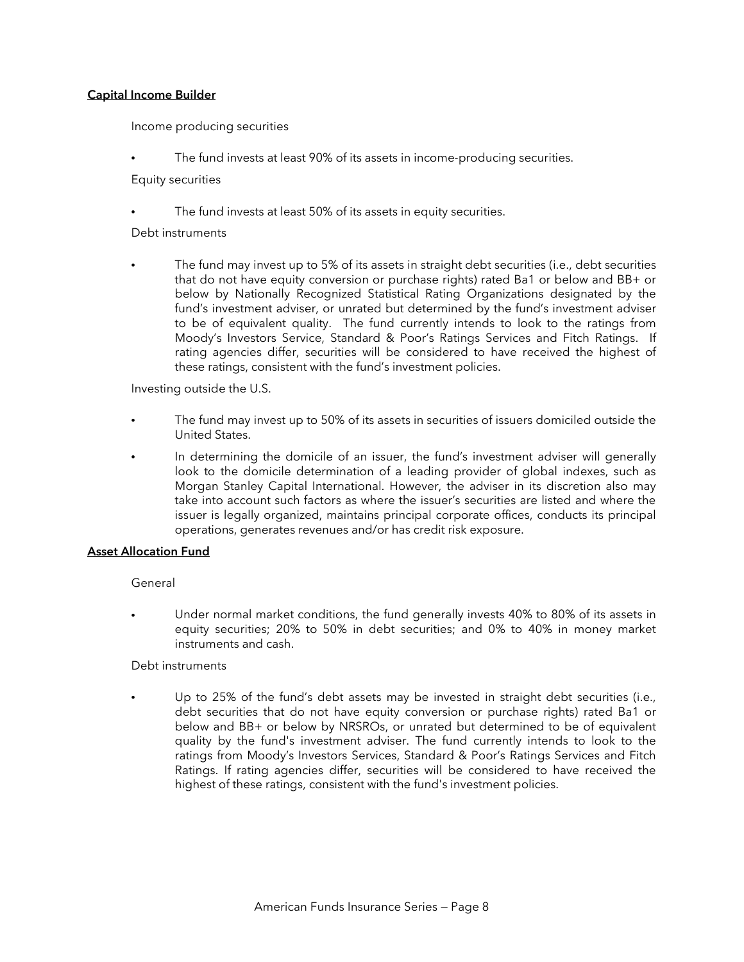## **Capital Income Builder**

Income producing securities

The fund invests at least 90% of its assets in income-producing securities.

Equity securities

The fund invests at least 50% of its assets in equity securities.

Debt instruments

The fund may invest up to 5% of its assets in straight debt securities (i.e., debt securities that do not have equity conversion or purchase rights) rated Ba1 or below and BB+ or below by Nationally Recognized Statistical Rating Organizations designated by the fund's investment adviser, or unrated but determined by the fund's investment adviser to be of equivalent quality. The fund currently intends to look to the ratings from Moody's Investors Service, Standard & Poor's Ratings Services and Fitch Ratings. If rating agencies differ, securities will be considered to have received the highest of these ratings, consistent with the fund's investment policies.

Investing outside the U.S.

- The fund may invest up to 50% of its assets in securities of issuers domiciled outside the United States.
- In determining the domicile of an issuer, the fund's investment adviser will generally look to the domicile determination of a leading provider of global indexes, such as Morgan Stanley Capital International. However, the adviser in its discretion also may take into account such factors as where the issuer's securities are listed and where the issuer is legally organized, maintains principal corporate offices, conducts its principal operations, generates revenues and/or has credit risk exposure.

### **Asset Allocation Fund**

General

• Under normal market conditions, the fund generally invests 40% to 80% of its assets in equity securities; 20% to 50% in debt securities; and 0% to 40% in money market instruments and cash.

## Debt instruments

• Up to 25% of the fund's debt assets may be invested in straight debt securities (i.e., debt securities that do not have equity conversion or purchase rights) rated Ba1 or below and BB+ or below by NRSROs, or unrated but determined to be of equivalent quality by the fund's investment adviser. The fund currently intends to look to the ratings from Moody's Investors Services, Standard & Poor's Ratings Services and Fitch Ratings. If rating agencies differ, securities will be considered to have received the highest of these ratings, consistent with the fund's investment policies.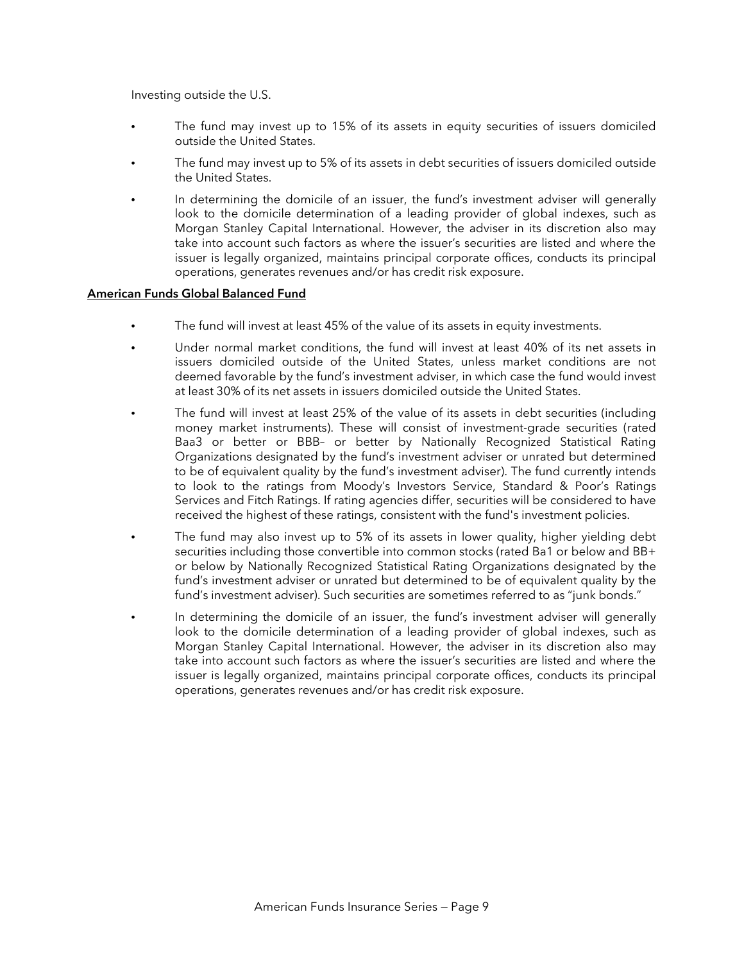Investing outside the U.S.

- The fund may invest up to 15% of its assets in equity securities of issuers domiciled outside the United States.
- The fund may invest up to 5% of its assets in debt securities of issuers domiciled outside the United States.
- In determining the domicile of an issuer, the fund's investment adviser will generally look to the domicile determination of a leading provider of global indexes, such as Morgan Stanley Capital International. However, the adviser in its discretion also may take into account such factors as where the issuer's securities are listed and where the issuer is legally organized, maintains principal corporate offices, conducts its principal operations, generates revenues and/or has credit risk exposure.

# **American Funds Global Balanced Fund**

- The fund will invest at least 45% of the value of its assets in equity investments.
- Under normal market conditions, the fund will invest at least 40% of its net assets in issuers domiciled outside of the United States, unless market conditions are not deemed favorable by the fund's investment adviser, in which case the fund would invest at least 30% of its net assets in issuers domiciled outside the United States.
- The fund will invest at least 25% of the value of its assets in debt securities (including money market instruments). These will consist of investment-grade securities (rated Baa3 or better or BBB– or better by Nationally Recognized Statistical Rating Organizations designated by the fund's investment adviser or unrated but determined to be of equivalent quality by the fund's investment adviser). The fund currently intends to look to the ratings from Moody's Investors Service, Standard & Poor's Ratings Services and Fitch Ratings. If rating agencies differ, securities will be considered to have received the highest of these ratings, consistent with the fund's investment policies.
- The fund may also invest up to 5% of its assets in lower quality, higher yielding debt securities including those convertible into common stocks (rated Ba1 or below and BB+ or below by Nationally Recognized Statistical Rating Organizations designated by the fund's investment adviser or unrated but determined to be of equivalent quality by the fund's investment adviser). Such securities are sometimes referred to as "junk bonds."
- In determining the domicile of an issuer, the fund's investment adviser will generally look to the domicile determination of a leading provider of global indexes, such as Morgan Stanley Capital International. However, the adviser in its discretion also may take into account such factors as where the issuer's securities are listed and where the issuer is legally organized, maintains principal corporate offices, conducts its principal operations, generates revenues and/or has credit risk exposure.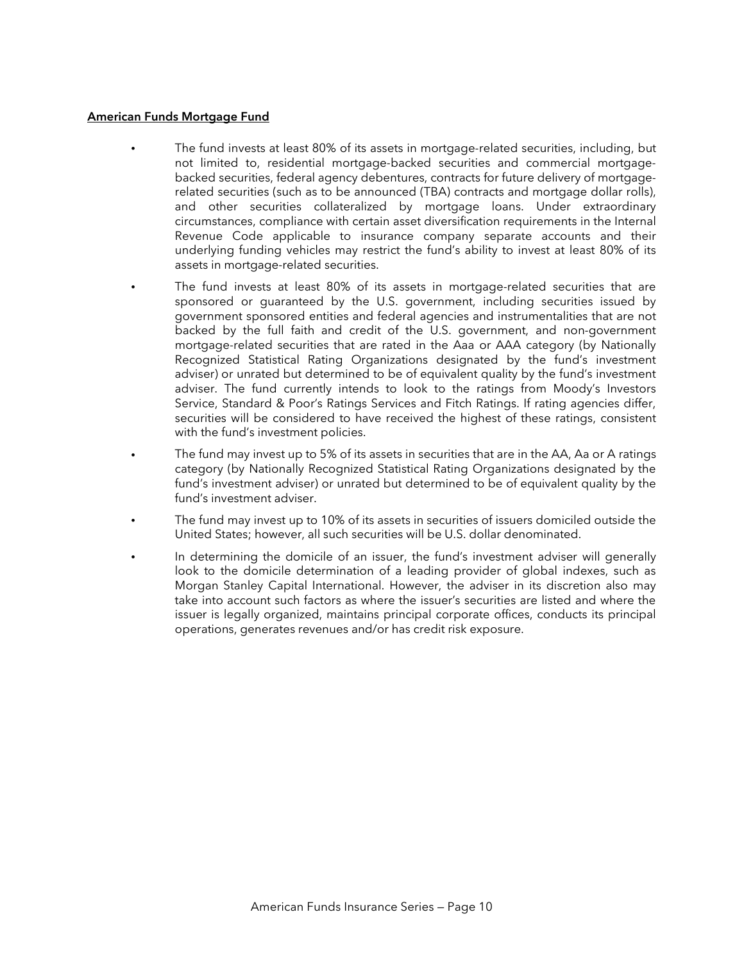## **American Funds Mortgage Fund**

- The fund invests at least 80% of its assets in mortgage-related securities, including, but not limited to, residential mortgage-backed securities and commercial mortgagebacked securities, federal agency debentures, contracts for future delivery of mortgagerelated securities (such as to be announced (TBA) contracts and mortgage dollar rolls), and other securities collateralized by mortgage loans. Under extraordinary circumstances, compliance with certain asset diversification requirements in the Internal Revenue Code applicable to insurance company separate accounts and their underlying funding vehicles may restrict the fund's ability to invest at least 80% of its assets in mortgage-related securities.
- The fund invests at least 80% of its assets in mortgage-related securities that are sponsored or guaranteed by the U.S. government, including securities issued by government sponsored entities and federal agencies and instrumentalities that are not backed by the full faith and credit of the U.S. government, and non-government mortgage-related securities that are rated in the Aaa or AAA category (by Nationally Recognized Statistical Rating Organizations designated by the fund's investment adviser) or unrated but determined to be of equivalent quality by the fund's investment adviser. The fund currently intends to look to the ratings from Moody's Investors Service, Standard & Poor's Ratings Services and Fitch Ratings. If rating agencies differ, securities will be considered to have received the highest of these ratings, consistent with the fund's investment policies.
- The fund may invest up to 5% of its assets in securities that are in the AA, Aa or A ratings category (by Nationally Recognized Statistical Rating Organizations designated by the fund's investment adviser) or unrated but determined to be of equivalent quality by the fund's investment adviser.
- The fund may invest up to 10% of its assets in securities of issuers domiciled outside the United States; however, all such securities will be U.S. dollar denominated.
- In determining the domicile of an issuer, the fund's investment adviser will generally look to the domicile determination of a leading provider of global indexes, such as Morgan Stanley Capital International. However, the adviser in its discretion also may take into account such factors as where the issuer's securities are listed and where the issuer is legally organized, maintains principal corporate offices, conducts its principal operations, generates revenues and/or has credit risk exposure.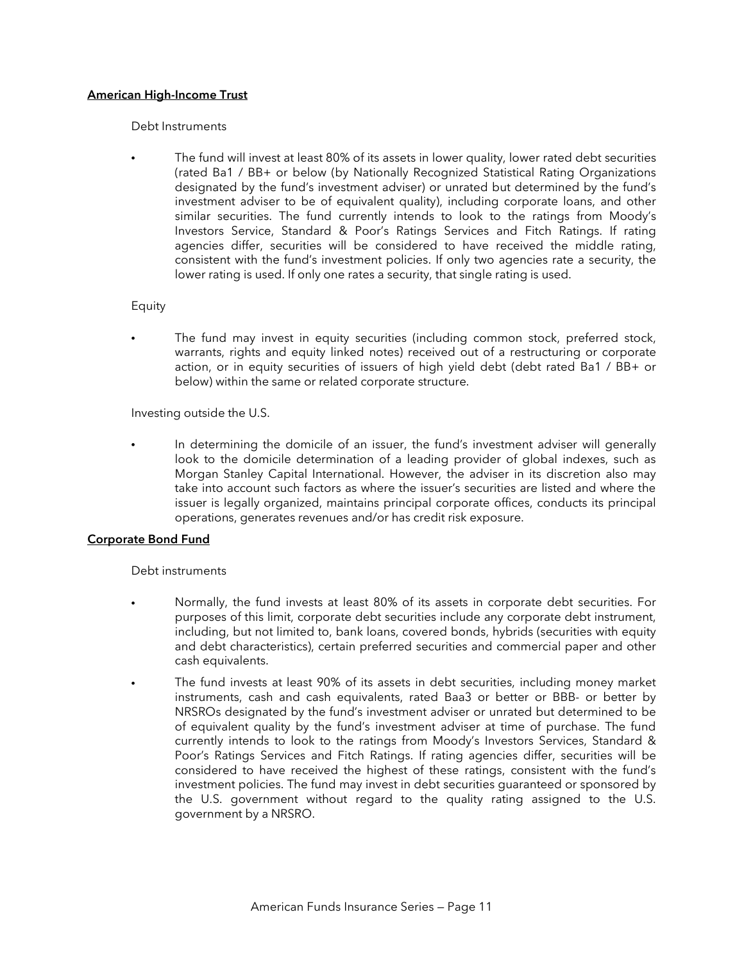## **American High-Income Trust**

#### Debt Instruments

• The fund will invest at least 80% of its assets in lower quality, lower rated debt securities (rated Ba1 / BB+ or below (by Nationally Recognized Statistical Rating Organizations designated by the fund's investment adviser) or unrated but determined by the fund's investment adviser to be of equivalent quality), including corporate loans, and other similar securities. The fund currently intends to look to the ratings from Moody's Investors Service, Standard & Poor's Ratings Services and Fitch Ratings. If rating agencies differ, securities will be considered to have received the middle rating, consistent with the fund's investment policies. If only two agencies rate a security, the lower rating is used. If only one rates a security, that single rating is used.

#### Equity

The fund may invest in equity securities (including common stock, preferred stock, warrants, rights and equity linked notes) received out of a restructuring or corporate action, or in equity securities of issuers of high yield debt (debt rated Ba1 / BB+ or below) within the same or related corporate structure.

Investing outside the U.S.

In determining the domicile of an issuer, the fund's investment adviser will generally look to the domicile determination of a leading provider of global indexes, such as Morgan Stanley Capital International. However, the adviser in its discretion also may take into account such factors as where the issuer's securities are listed and where the issuer is legally organized, maintains principal corporate offices, conducts its principal operations, generates revenues and/or has credit risk exposure.

### **Corporate Bond Fund**

### Debt instruments

- Normally, the fund invests at least 80% of its assets in corporate debt securities. For purposes of this limit, corporate debt securities include any corporate debt instrument, including, but not limited to, bank loans, covered bonds, hybrids (securities with equity and debt characteristics), certain preferred securities and commercial paper and other cash equivalents.
- The fund invests at least 90% of its assets in debt securities, including money market instruments, cash and cash equivalents, rated Baa3 or better or BBB- or better by NRSROs designated by the fund's investment adviser or unrated but determined to be of equivalent quality by the fund's investment adviser at time of purchase. The fund currently intends to look to the ratings from Moody's Investors Services, Standard & Poor's Ratings Services and Fitch Ratings. If rating agencies differ, securities will be considered to have received the highest of these ratings, consistent with the fund's investment policies. The fund may invest in debt securities guaranteed or sponsored by the U.S. government without regard to the quality rating assigned to the U.S. government by a NRSRO.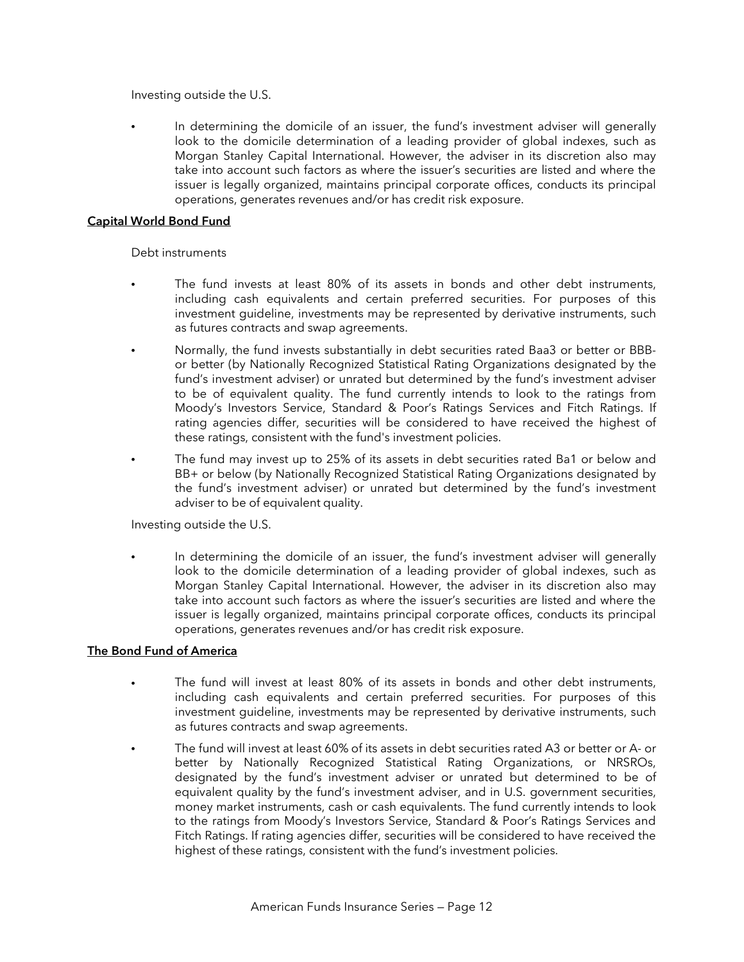Investing outside the U.S.

In determining the domicile of an issuer, the fund's investment adviser will generally look to the domicile determination of a leading provider of global indexes, such as Morgan Stanley Capital International. However, the adviser in its discretion also may take into account such factors as where the issuer's securities are listed and where the issuer is legally organized, maintains principal corporate offices, conducts its principal operations, generates revenues and/or has credit risk exposure.

# **Capital World Bond Fund**

## Debt instruments

- The fund invests at least 80% of its assets in bonds and other debt instruments, including cash equivalents and certain preferred securities. For purposes of this investment guideline, investments may be represented by derivative instruments, such as futures contracts and swap agreements.
- Normally, the fund invests substantially in debt securities rated Baa3 or better or BBBor better (by Nationally Recognized Statistical Rating Organizations designated by the fund's investment adviser) or unrated but determined by the fund's investment adviser to be of equivalent quality. The fund currently intends to look to the ratings from Moody's Investors Service, Standard & Poor's Ratings Services and Fitch Ratings. If rating agencies differ, securities will be considered to have received the highest of these ratings, consistent with the fund's investment policies.
- The fund may invest up to 25% of its assets in debt securities rated Ba1 or below and BB+ or below (by Nationally Recognized Statistical Rating Organizations designated by the fund's investment adviser) or unrated but determined by the fund's investment adviser to be of equivalent quality.

Investing outside the U.S.

In determining the domicile of an issuer, the fund's investment adviser will generally look to the domicile determination of a leading provider of global indexes, such as Morgan Stanley Capital International. However, the adviser in its discretion also may take into account such factors as where the issuer's securities are listed and where the issuer is legally organized, maintains principal corporate offices, conducts its principal operations, generates revenues and/or has credit risk exposure.

# **The Bond Fund of America**

- The fund will invest at least 80% of its assets in bonds and other debt instruments, including cash equivalents and certain preferred securities. For purposes of this investment guideline, investments may be represented by derivative instruments, such as futures contracts and swap agreements.
- The fund will invest at least 60% of its assets in debt securities rated A3 or better or A- or better by Nationally Recognized Statistical Rating Organizations, or NRSROs, designated by the fund's investment adviser or unrated but determined to be of equivalent quality by the fund's investment adviser, and in U.S. government securities, money market instruments, cash or cash equivalents. The fund currently intends to look to the ratings from Moody's Investors Service, Standard & Poor's Ratings Services and Fitch Ratings. If rating agencies differ, securities will be considered to have received the highest of these ratings, consistent with the fund's investment policies.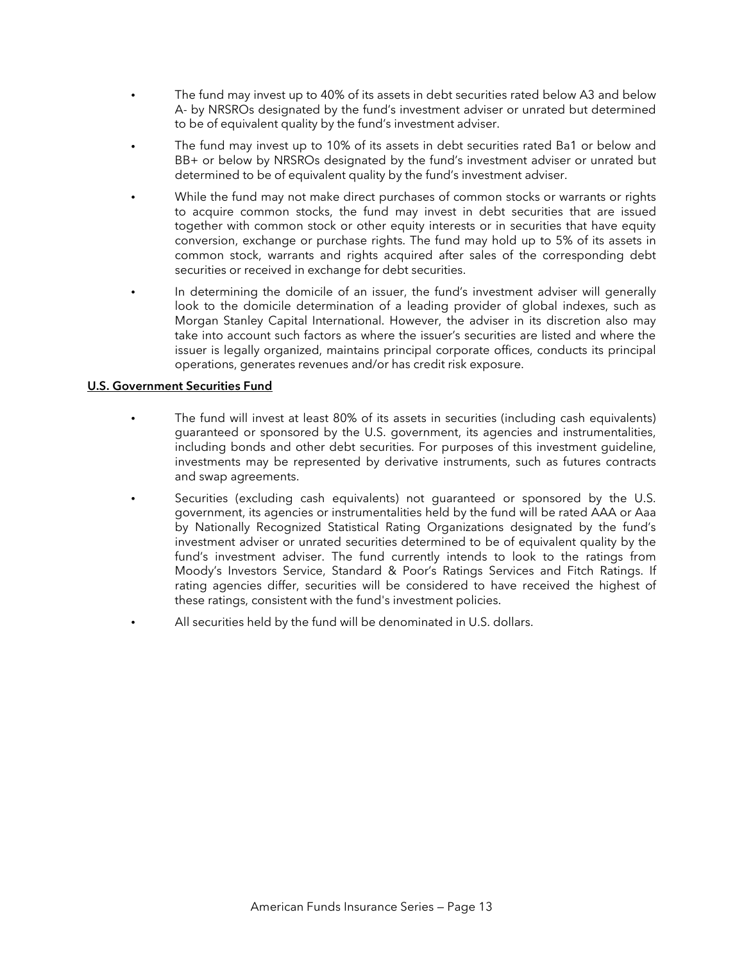- The fund may invest up to 40% of its assets in debt securities rated below A3 and below A- by NRSROs designated by the fund's investment adviser or unrated but determined to be of equivalent quality by the fund's investment adviser.
- The fund may invest up to 10% of its assets in debt securities rated Ba1 or below and BB+ or below by NRSROs designated by the fund's investment adviser or unrated but determined to be of equivalent quality by the fund's investment adviser.
- While the fund may not make direct purchases of common stocks or warrants or rights to acquire common stocks, the fund may invest in debt securities that are issued together with common stock or other equity interests or in securities that have equity conversion, exchange or purchase rights. The fund may hold up to 5% of its assets in common stock, warrants and rights acquired after sales of the corresponding debt securities or received in exchange for debt securities.
- In determining the domicile of an issuer, the fund's investment adviser will generally look to the domicile determination of a leading provider of global indexes, such as Morgan Stanley Capital International. However, the adviser in its discretion also may take into account such factors as where the issuer's securities are listed and where the issuer is legally organized, maintains principal corporate offices, conducts its principal operations, generates revenues and/or has credit risk exposure.

# **U.S. Government Securities Fund**

- The fund will invest at least 80% of its assets in securities (including cash equivalents) guaranteed or sponsored by the U.S. government, its agencies and instrumentalities, including bonds and other debt securities. For purposes of this investment guideline, investments may be represented by derivative instruments, such as futures contracts and swap agreements.
- Securities (excluding cash equivalents) not guaranteed or sponsored by the U.S. government, its agencies or instrumentalities held by the fund will be rated AAA or Aaa by Nationally Recognized Statistical Rating Organizations designated by the fund's investment adviser or unrated securities determined to be of equivalent quality by the fund's investment adviser. The fund currently intends to look to the ratings from Moody's Investors Service, Standard & Poor's Ratings Services and Fitch Ratings. If rating agencies differ, securities will be considered to have received the highest of these ratings, consistent with the fund's investment policies.
- All securities held by the fund will be denominated in U.S. dollars.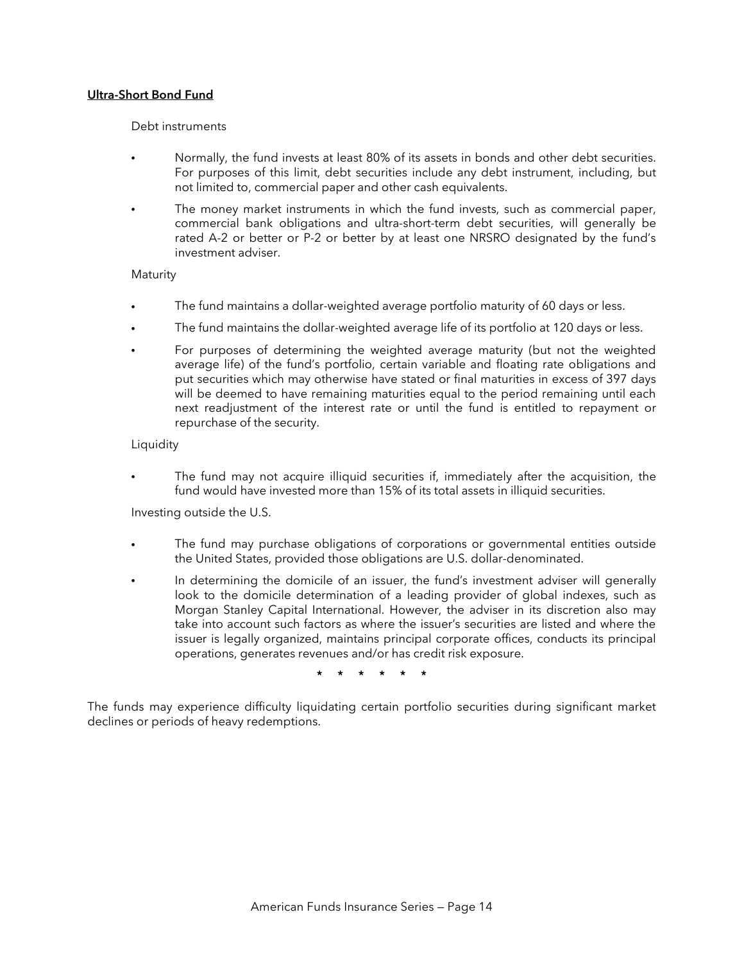## **Ultra-Short Bond Fund**

### Debt instruments

- Normally, the fund invests at least 80% of its assets in bonds and other debt securities. For purposes of this limit, debt securities include any debt instrument, including, but not limited to, commercial paper and other cash equivalents.
- The money market instruments in which the fund invests, such as commercial paper, commercial bank obligations and ultra-short-term debt securities, will generally be rated A-2 or better or P-2 or better by at least one NRSRO designated by the fund's investment adviser.

## Maturity

- The fund maintains a dollar-weighted average portfolio maturity of 60 days or less.
- The fund maintains the dollar-weighted average life of its portfolio at 120 days or less.
- For purposes of determining the weighted average maturity (but not the weighted average life) of the fund's portfolio, certain variable and floating rate obligations and put securities which may otherwise have stated or final maturities in excess of 397 days will be deemed to have remaining maturities equal to the period remaining until each next readjustment of the interest rate or until the fund is entitled to repayment or repurchase of the security.

## **Liquidity**

• The fund may not acquire illiquid securities if, immediately after the acquisition, the fund would have invested more than 15% of its total assets in illiquid securities.

Investing outside the U.S.

- The fund may purchase obligations of corporations or governmental entities outside the United States, provided those obligations are U.S. dollar-denominated.
- In determining the domicile of an issuer, the fund's investment adviser will generally look to the domicile determination of a leading provider of global indexes, such as Morgan Stanley Capital International. However, the adviser in its discretion also may take into account such factors as where the issuer's securities are listed and where the issuer is legally organized, maintains principal corporate offices, conducts its principal operations, generates revenues and/or has credit risk exposure.

**\* \* \* \* \* \*** 

The funds may experience difficulty liquidating certain portfolio securities during significant market declines or periods of heavy redemptions.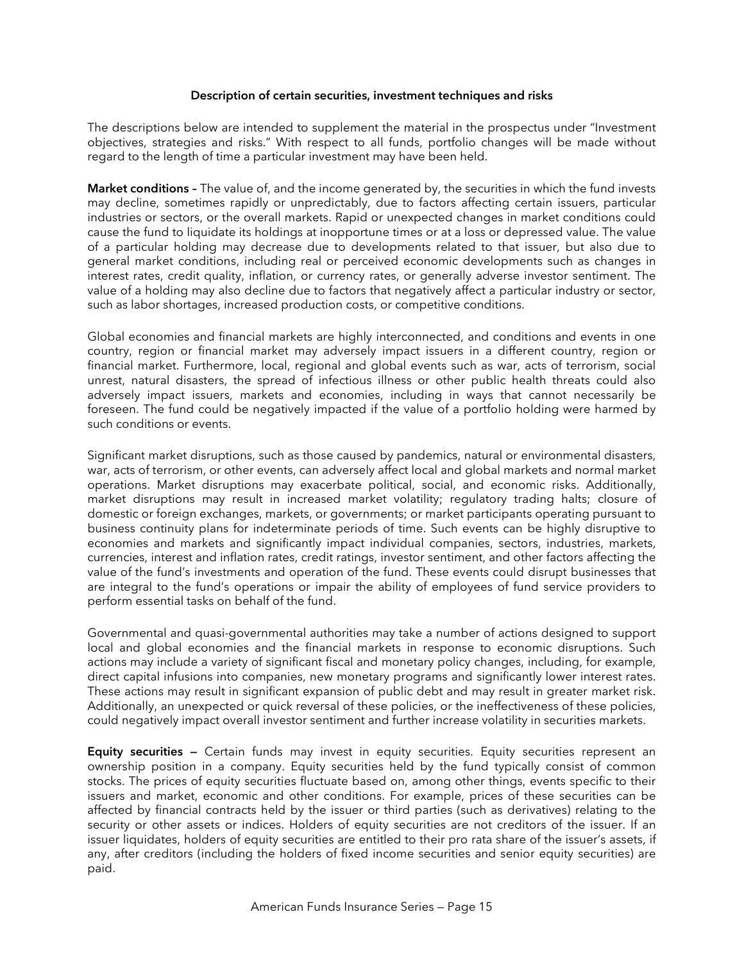#### **Description of certain securities, investment techniques and risks**

The descriptions below are intended to supplement the material in the prospectus under "Investment objectives, strategies and risks." With respect to all funds, portfolio changes will be made without regard to the length of time a particular investment may have been held.

**Market conditions –** The value of, and the income generated by, the securities in which the fund invests may decline, sometimes rapidly or unpredictably, due to factors affecting certain issuers, particular industries or sectors, or the overall markets. Rapid or unexpected changes in market conditions could cause the fund to liquidate its holdings at inopportune times or at a loss or depressed value. The value of a particular holding may decrease due to developments related to that issuer, but also due to general market conditions, including real or perceived economic developments such as changes in interest rates, credit quality, inflation, or currency rates, or generally adverse investor sentiment. The value of a holding may also decline due to factors that negatively affect a particular industry or sector, such as labor shortages, increased production costs, or competitive conditions.

Global economies and financial markets are highly interconnected, and conditions and events in one country, region or financial market may adversely impact issuers in a different country, region or financial market. Furthermore, local, regional and global events such as war, acts of terrorism, social unrest, natural disasters, the spread of infectious illness or other public health threats could also adversely impact issuers, markets and economies, including in ways that cannot necessarily be foreseen. The fund could be negatively impacted if the value of a portfolio holding were harmed by such conditions or events.

Significant market disruptions, such as those caused by pandemics, natural or environmental disasters, war, acts of terrorism, or other events, can adversely affect local and global markets and normal market operations. Market disruptions may exacerbate political, social, and economic risks. Additionally, market disruptions may result in increased market volatility; regulatory trading halts; closure of domestic or foreign exchanges, markets, or governments; or market participants operating pursuant to business continuity plans for indeterminate periods of time. Such events can be highly disruptive to economies and markets and significantly impact individual companies, sectors, industries, markets, currencies, interest and inflation rates, credit ratings, investor sentiment, and other factors affecting the value of the fund's investments and operation of the fund. These events could disrupt businesses that are integral to the fund's operations or impair the ability of employees of fund service providers to perform essential tasks on behalf of the fund.

Governmental and quasi-governmental authorities may take a number of actions designed to support local and global economies and the financial markets in response to economic disruptions. Such actions may include a variety of significant fiscal and monetary policy changes, including, for example, direct capital infusions into companies, new monetary programs and significantly lower interest rates. These actions may result in significant expansion of public debt and may result in greater market risk. Additionally, an unexpected or quick reversal of these policies, or the ineffectiveness of these policies, could negatively impact overall investor sentiment and further increase volatility in securities markets.

**Equity securities –** Certain funds may invest in equity securities. Equity securities represent an ownership position in a company. Equity securities held by the fund typically consist of common stocks. The prices of equity securities fluctuate based on, among other things, events specific to their issuers and market, economic and other conditions. For example, prices of these securities can be affected by financial contracts held by the issuer or third parties (such as derivatives) relating to the security or other assets or indices. Holders of equity securities are not creditors of the issuer. If an issuer liquidates, holders of equity securities are entitled to their pro rata share of the issuer's assets, if any, after creditors (including the holders of fixed income securities and senior equity securities) are paid.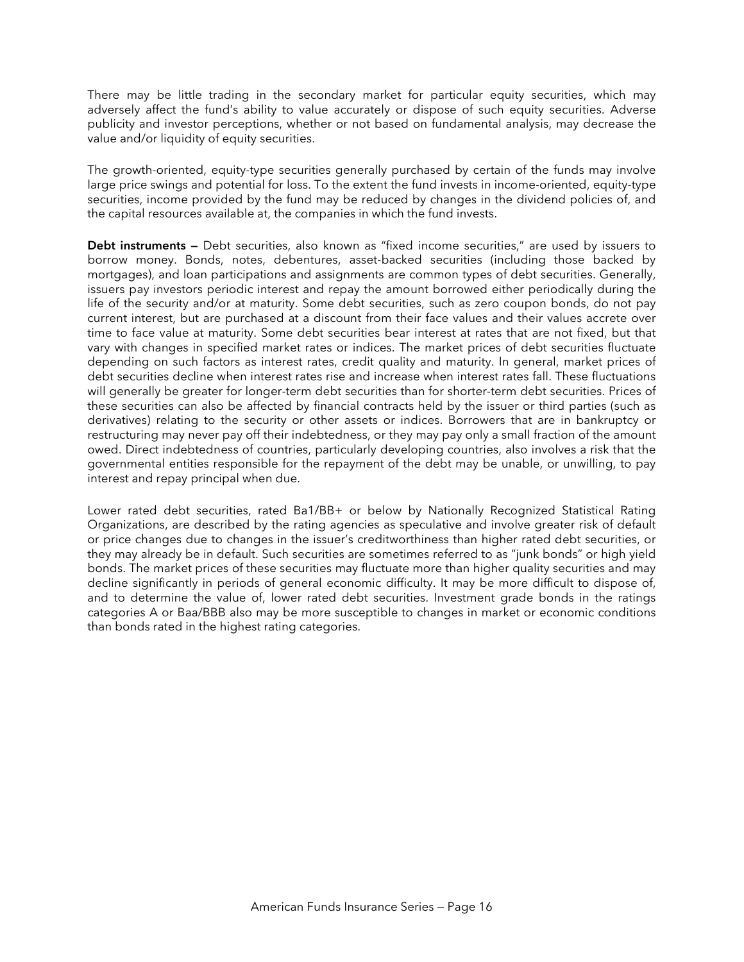There may be little trading in the secondary market for particular equity securities, which may adversely affect the fund's ability to value accurately or dispose of such equity securities. Adverse publicity and investor perceptions, whether or not based on fundamental analysis, may decrease the value and/or liquidity of equity securities.

The growth-oriented, equity-type securities generally purchased by certain of the funds may involve large price swings and potential for loss. To the extent the fund invests in income-oriented, equity-type securities, income provided by the fund may be reduced by changes in the dividend policies of, and the capital resources available at, the companies in which the fund invests.

**Debt instruments —** Debt securities, also known as "fixed income securities," are used by issuers to borrow money. Bonds, notes, debentures, asset-backed securities (including those backed by mortgages), and loan participations and assignments are common types of debt securities. Generally, issuers pay investors periodic interest and repay the amount borrowed either periodically during the life of the security and/or at maturity. Some debt securities, such as zero coupon bonds, do not pay current interest, but are purchased at a discount from their face values and their values accrete over time to face value at maturity. Some debt securities bear interest at rates that are not fixed, but that vary with changes in specified market rates or indices. The market prices of debt securities fluctuate depending on such factors as interest rates, credit quality and maturity. In general, market prices of debt securities decline when interest rates rise and increase when interest rates fall. These fluctuations will generally be greater for longer-term debt securities than for shorter-term debt securities. Prices of these securities can also be affected by financial contracts held by the issuer or third parties (such as derivatives) relating to the security or other assets or indices. Borrowers that are in bankruptcy or restructuring may never pay off their indebtedness, or they may pay only a small fraction of the amount owed. Direct indebtedness of countries, particularly developing countries, also involves a risk that the governmental entities responsible for the repayment of the debt may be unable, or unwilling, to pay interest and repay principal when due.

Lower rated debt securities, rated Ba1/BB+ or below by Nationally Recognized Statistical Rating Organizations, are described by the rating agencies as speculative and involve greater risk of default or price changes due to changes in the issuer's creditworthiness than higher rated debt securities, or they may already be in default. Such securities are sometimes referred to as "junk bonds" or high yield bonds. The market prices of these securities may fluctuate more than higher quality securities and may decline significantly in periods of general economic difficulty. It may be more difficult to dispose of, and to determine the value of, lower rated debt securities. Investment grade bonds in the ratings categories A or Baa/BBB also may be more susceptible to changes in market or economic conditions than bonds rated in the highest rating categories.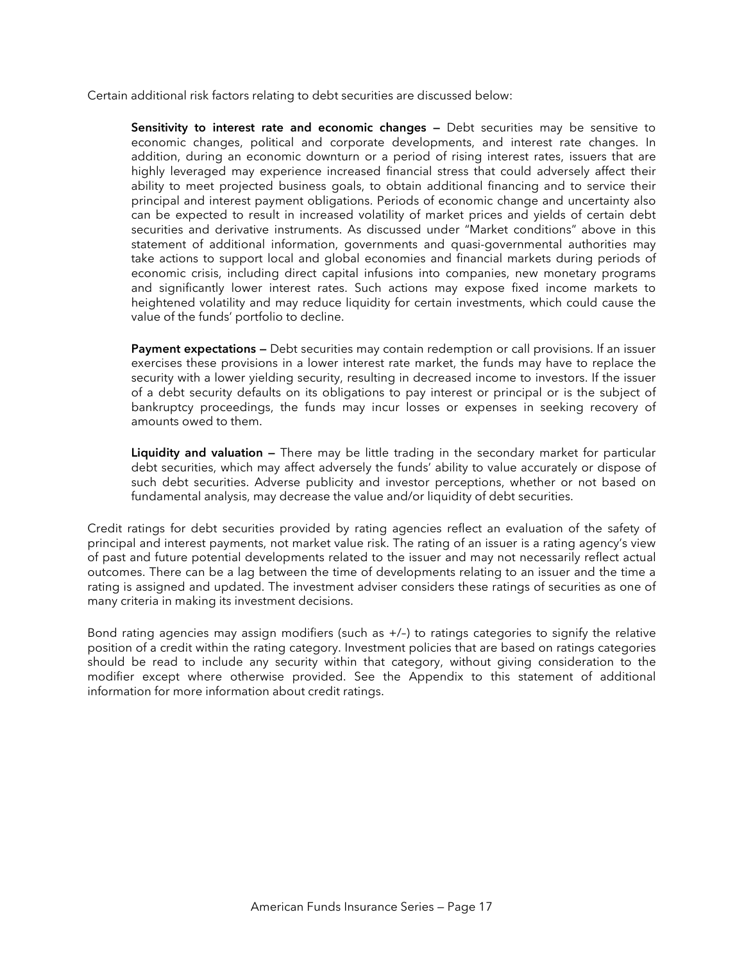Certain additional risk factors relating to debt securities are discussed below:

**Sensitivity to interest rate and economic changes —** Debt securities may be sensitive to economic changes, political and corporate developments, and interest rate changes. In addition, during an economic downturn or a period of rising interest rates, issuers that are highly leveraged may experience increased financial stress that could adversely affect their ability to meet projected business goals, to obtain additional financing and to service their principal and interest payment obligations. Periods of economic change and uncertainty also can be expected to result in increased volatility of market prices and yields of certain debt securities and derivative instruments. As discussed under "Market conditions" above in this statement of additional information, governments and quasi-governmental authorities may take actions to support local and global economies and financial markets during periods of economic crisis, including direct capital infusions into companies, new monetary programs and significantly lower interest rates. Such actions may expose fixed income markets to heightened volatility and may reduce liquidity for certain investments, which could cause the value of the funds' portfolio to decline.

**Payment expectations —** Debt securities may contain redemption or call provisions. If an issuer exercises these provisions in a lower interest rate market, the funds may have to replace the security with a lower yielding security, resulting in decreased income to investors. If the issuer of a debt security defaults on its obligations to pay interest or principal or is the subject of bankruptcy proceedings, the funds may incur losses or expenses in seeking recovery of amounts owed to them.

**Liquidity and valuation —** There may be little trading in the secondary market for particular debt securities, which may affect adversely the funds' ability to value accurately or dispose of such debt securities. Adverse publicity and investor perceptions, whether or not based on fundamental analysis, may decrease the value and/or liquidity of debt securities.

Credit ratings for debt securities provided by rating agencies reflect an evaluation of the safety of principal and interest payments, not market value risk. The rating of an issuer is a rating agency's view of past and future potential developments related to the issuer and may not necessarily reflect actual outcomes. There can be a lag between the time of developments relating to an issuer and the time a rating is assigned and updated. The investment adviser considers these ratings of securities as one of many criteria in making its investment decisions.

Bond rating agencies may assign modifiers (such as +/–) to ratings categories to signify the relative position of a credit within the rating category. Investment policies that are based on ratings categories should be read to include any security within that category, without giving consideration to the modifier except where otherwise provided. See the Appendix to this statement of additional information for more information about credit ratings.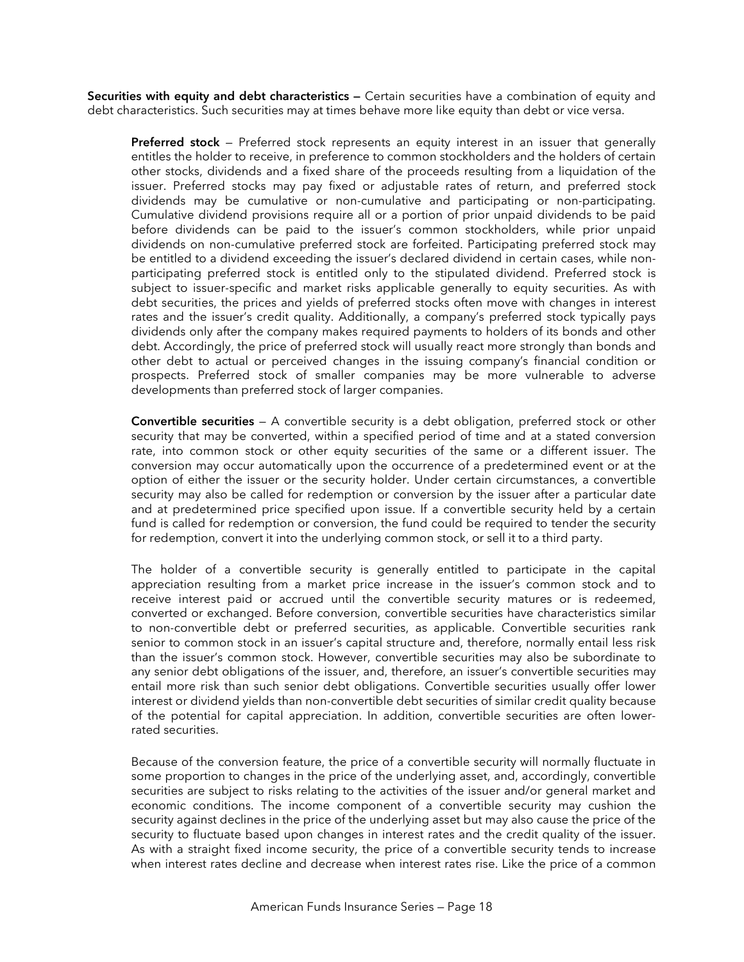**Securities with equity and debt characteristics —** Certain securities have a combination of equity and debt characteristics. Such securities may at times behave more like equity than debt or vice versa.

**Preferred stock** — Preferred stock represents an equity interest in an issuer that generally entitles the holder to receive, in preference to common stockholders and the holders of certain other stocks, dividends and a fixed share of the proceeds resulting from a liquidation of the issuer. Preferred stocks may pay fixed or adjustable rates of return, and preferred stock dividends may be cumulative or non-cumulative and participating or non-participating. Cumulative dividend provisions require all or a portion of prior unpaid dividends to be paid before dividends can be paid to the issuer's common stockholders, while prior unpaid dividends on non-cumulative preferred stock are forfeited. Participating preferred stock may be entitled to a dividend exceeding the issuer's declared dividend in certain cases, while nonparticipating preferred stock is entitled only to the stipulated dividend. Preferred stock is subject to issuer-specific and market risks applicable generally to equity securities. As with debt securities, the prices and yields of preferred stocks often move with changes in interest rates and the issuer's credit quality. Additionally, a company's preferred stock typically pays dividends only after the company makes required payments to holders of its bonds and other debt. Accordingly, the price of preferred stock will usually react more strongly than bonds and other debt to actual or perceived changes in the issuing company's financial condition or prospects. Preferred stock of smaller companies may be more vulnerable to adverse developments than preferred stock of larger companies.

**Convertible securities** — A convertible security is a debt obligation, preferred stock or other security that may be converted, within a specified period of time and at a stated conversion rate, into common stock or other equity securities of the same or a different issuer. The conversion may occur automatically upon the occurrence of a predetermined event or at the option of either the issuer or the security holder. Under certain circumstances, a convertible security may also be called for redemption or conversion by the issuer after a particular date and at predetermined price specified upon issue. If a convertible security held by a certain fund is called for redemption or conversion, the fund could be required to tender the security for redemption, convert it into the underlying common stock, or sell it to a third party.

The holder of a convertible security is generally entitled to participate in the capital appreciation resulting from a market price increase in the issuer's common stock and to receive interest paid or accrued until the convertible security matures or is redeemed, converted or exchanged. Before conversion, convertible securities have characteristics similar to non-convertible debt or preferred securities, as applicable. Convertible securities rank senior to common stock in an issuer's capital structure and, therefore, normally entail less risk than the issuer's common stock. However, convertible securities may also be subordinate to any senior debt obligations of the issuer, and, therefore, an issuer's convertible securities may entail more risk than such senior debt obligations. Convertible securities usually offer lower interest or dividend yields than non-convertible debt securities of similar credit quality because of the potential for capital appreciation. In addition, convertible securities are often lowerrated securities.

Because of the conversion feature, the price of a convertible security will normally fluctuate in some proportion to changes in the price of the underlying asset, and, accordingly, convertible securities are subject to risks relating to the activities of the issuer and/or general market and economic conditions. The income component of a convertible security may cushion the security against declines in the price of the underlying asset but may also cause the price of the security to fluctuate based upon changes in interest rates and the credit quality of the issuer. As with a straight fixed income security, the price of a convertible security tends to increase when interest rates decline and decrease when interest rates rise. Like the price of a common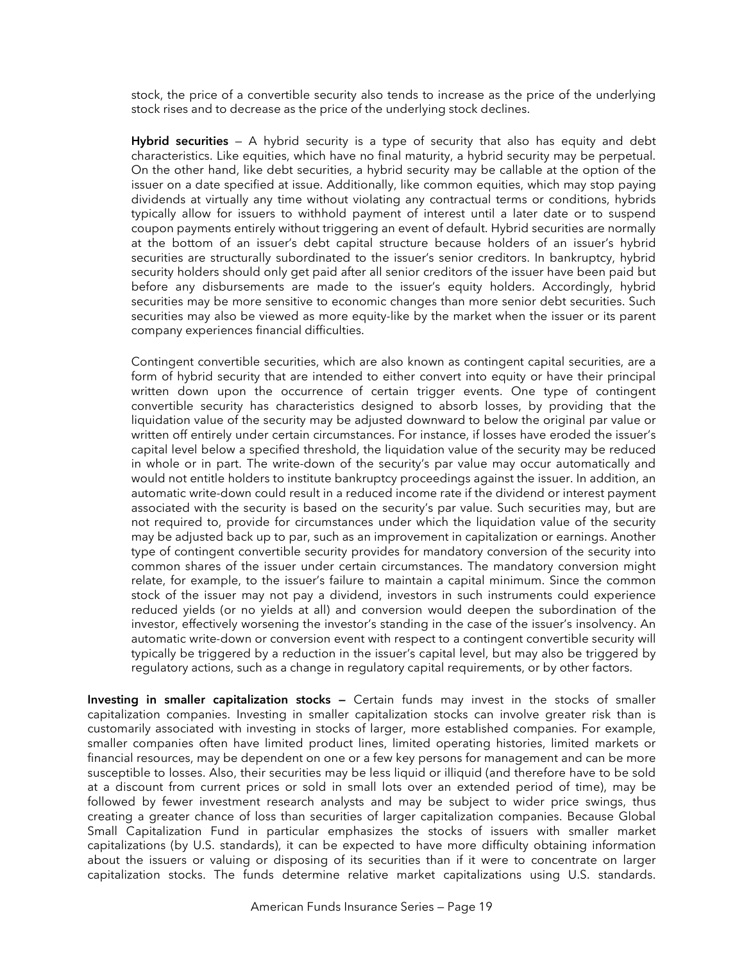stock, the price of a convertible security also tends to increase as the price of the underlying stock rises and to decrease as the price of the underlying stock declines.

**Hybrid securities** — A hybrid security is a type of security that also has equity and debt characteristics. Like equities, which have no final maturity, a hybrid security may be perpetual. On the other hand, like debt securities, a hybrid security may be callable at the option of the issuer on a date specified at issue. Additionally, like common equities, which may stop paying dividends at virtually any time without violating any contractual terms or conditions, hybrids typically allow for issuers to withhold payment of interest until a later date or to suspend coupon payments entirely without triggering an event of default. Hybrid securities are normally at the bottom of an issuer's debt capital structure because holders of an issuer's hybrid securities are structurally subordinated to the issuer's senior creditors. In bankruptcy, hybrid security holders should only get paid after all senior creditors of the issuer have been paid but before any disbursements are made to the issuer's equity holders. Accordingly, hybrid securities may be more sensitive to economic changes than more senior debt securities. Such securities may also be viewed as more equity-like by the market when the issuer or its parent company experiences financial difficulties.

Contingent convertible securities, which are also known as contingent capital securities, are a form of hybrid security that are intended to either convert into equity or have their principal written down upon the occurrence of certain trigger events. One type of contingent convertible security has characteristics designed to absorb losses, by providing that the liquidation value of the security may be adjusted downward to below the original par value or written off entirely under certain circumstances. For instance, if losses have eroded the issuer's capital level below a specified threshold, the liquidation value of the security may be reduced in whole or in part. The write-down of the security's par value may occur automatically and would not entitle holders to institute bankruptcy proceedings against the issuer. In addition, an automatic write-down could result in a reduced income rate if the dividend or interest payment associated with the security is based on the security's par value. Such securities may, but are not required to, provide for circumstances under which the liquidation value of the security may be adjusted back up to par, such as an improvement in capitalization or earnings. Another type of contingent convertible security provides for mandatory conversion of the security into common shares of the issuer under certain circumstances. The mandatory conversion might relate, for example, to the issuer's failure to maintain a capital minimum. Since the common stock of the issuer may not pay a dividend, investors in such instruments could experience reduced yields (or no yields at all) and conversion would deepen the subordination of the investor, effectively worsening the investor's standing in the case of the issuer's insolvency. An automatic write-down or conversion event with respect to a contingent convertible security will typically be triggered by a reduction in the issuer's capital level, but may also be triggered by regulatory actions, such as a change in regulatory capital requirements, or by other factors.

**Investing in smaller capitalization stocks —** Certain funds may invest in the stocks of smaller capitalization companies. Investing in smaller capitalization stocks can involve greater risk than is customarily associated with investing in stocks of larger, more established companies. For example, smaller companies often have limited product lines, limited operating histories, limited markets or financial resources, may be dependent on one or a few key persons for management and can be more susceptible to losses. Also, their securities may be less liquid or illiquid (and therefore have to be sold at a discount from current prices or sold in small lots over an extended period of time), may be followed by fewer investment research analysts and may be subject to wider price swings, thus creating a greater chance of loss than securities of larger capitalization companies. Because Global Small Capitalization Fund in particular emphasizes the stocks of issuers with smaller market capitalizations (by U.S. standards), it can be expected to have more difficulty obtaining information about the issuers or valuing or disposing of its securities than if it were to concentrate on larger capitalization stocks. The funds determine relative market capitalizations using U.S. standards.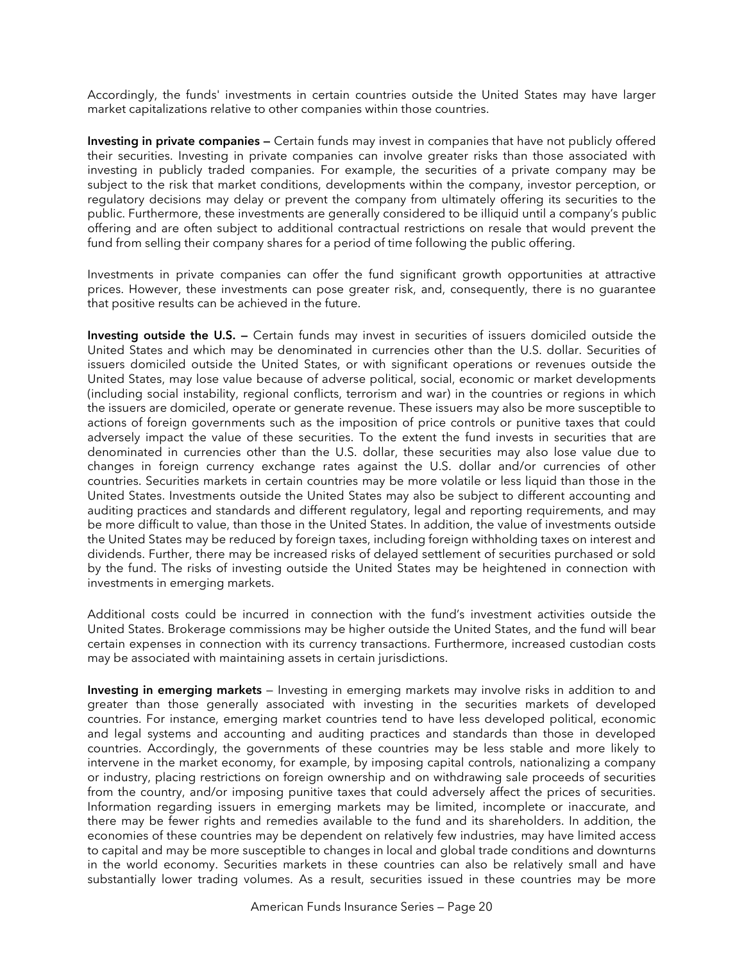Accordingly, the funds' investments in certain countries outside the United States may have larger market capitalizations relative to other companies within those countries.

**Investing in private companies —** Certain funds may invest in companies that have not publicly offered their securities. Investing in private companies can involve greater risks than those associated with investing in publicly traded companies. For example, the securities of a private company may be subject to the risk that market conditions, developments within the company, investor perception, or regulatory decisions may delay or prevent the company from ultimately offering its securities to the public. Furthermore, these investments are generally considered to be illiquid until a company's public offering and are often subject to additional contractual restrictions on resale that would prevent the fund from selling their company shares for a period of time following the public offering.

Investments in private companies can offer the fund significant growth opportunities at attractive prices. However, these investments can pose greater risk, and, consequently, there is no guarantee that positive results can be achieved in the future.

**Investing outside the U.S. —** Certain funds may invest in securities of issuers domiciled outside the United States and which may be denominated in currencies other than the U.S. dollar. Securities of issuers domiciled outside the United States, or with significant operations or revenues outside the United States, may lose value because of adverse political, social, economic or market developments (including social instability, regional conflicts, terrorism and war) in the countries or regions in which the issuers are domiciled, operate or generate revenue. These issuers may also be more susceptible to actions of foreign governments such as the imposition of price controls or punitive taxes that could adversely impact the value of these securities. To the extent the fund invests in securities that are denominated in currencies other than the U.S. dollar, these securities may also lose value due to changes in foreign currency exchange rates against the U.S. dollar and/or currencies of other countries. Securities markets in certain countries may be more volatile or less liquid than those in the United States. Investments outside the United States may also be subject to different accounting and auditing practices and standards and different regulatory, legal and reporting requirements, and may be more difficult to value, than those in the United States. In addition, the value of investments outside the United States may be reduced by foreign taxes, including foreign withholding taxes on interest and dividends. Further, there may be increased risks of delayed settlement of securities purchased or sold by the fund. The risks of investing outside the United States may be heightened in connection with investments in emerging markets.

Additional costs could be incurred in connection with the fund's investment activities outside the United States. Brokerage commissions may be higher outside the United States, and the fund will bear certain expenses in connection with its currency transactions. Furthermore, increased custodian costs may be associated with maintaining assets in certain jurisdictions.

**Investing in emerging markets** — Investing in emerging markets may involve risks in addition to and greater than those generally associated with investing in the securities markets of developed countries. For instance, emerging market countries tend to have less developed political, economic and legal systems and accounting and auditing practices and standards than those in developed countries. Accordingly, the governments of these countries may be less stable and more likely to intervene in the market economy, for example, by imposing capital controls, nationalizing a company or industry, placing restrictions on foreign ownership and on withdrawing sale proceeds of securities from the country, and/or imposing punitive taxes that could adversely affect the prices of securities. Information regarding issuers in emerging markets may be limited, incomplete or inaccurate, and there may be fewer rights and remedies available to the fund and its shareholders. In addition, the economies of these countries may be dependent on relatively few industries, may have limited access to capital and may be more susceptible to changes in local and global trade conditions and downturns in the world economy. Securities markets in these countries can also be relatively small and have substantially lower trading volumes. As a result, securities issued in these countries may be more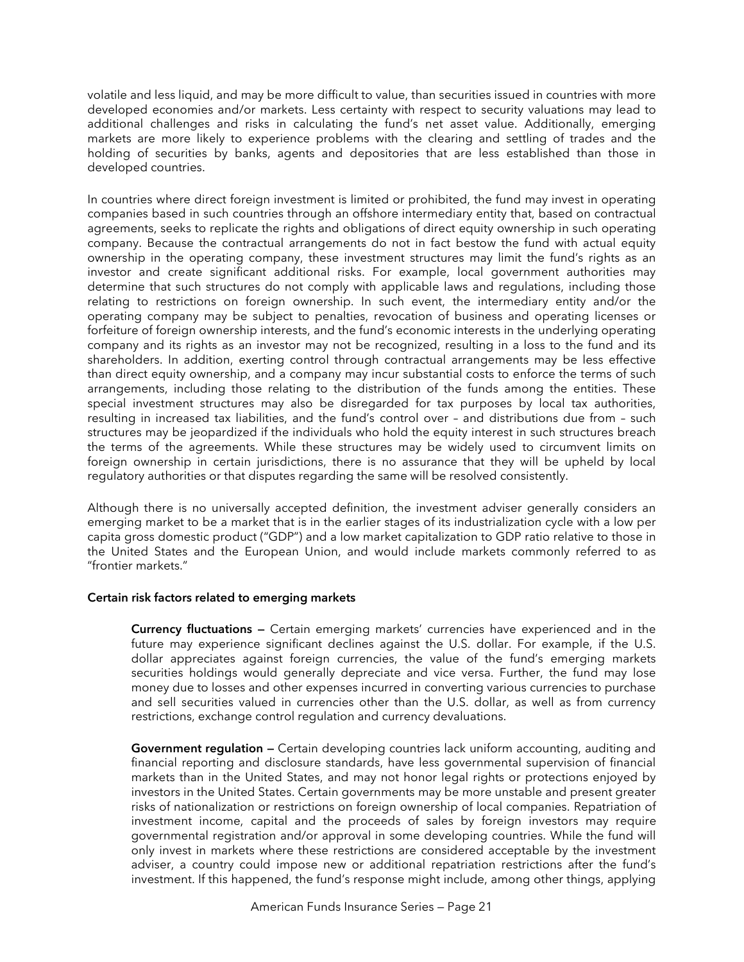volatile and less liquid, and may be more difficult to value, than securities issued in countries with more developed economies and/or markets. Less certainty with respect to security valuations may lead to additional challenges and risks in calculating the fund's net asset value. Additionally, emerging markets are more likely to experience problems with the clearing and settling of trades and the holding of securities by banks, agents and depositories that are less established than those in developed countries.

In countries where direct foreign investment is limited or prohibited, the fund may invest in operating companies based in such countries through an offshore intermediary entity that, based on contractual agreements, seeks to replicate the rights and obligations of direct equity ownership in such operating company. Because the contractual arrangements do not in fact bestow the fund with actual equity ownership in the operating company, these investment structures may limit the fund's rights as an investor and create significant additional risks. For example, local government authorities may determine that such structures do not comply with applicable laws and regulations, including those relating to restrictions on foreign ownership. In such event, the intermediary entity and/or the operating company may be subject to penalties, revocation of business and operating licenses or forfeiture of foreign ownership interests, and the fund's economic interests in the underlying operating company and its rights as an investor may not be recognized, resulting in a loss to the fund and its shareholders. In addition, exerting control through contractual arrangements may be less effective than direct equity ownership, and a company may incur substantial costs to enforce the terms of such arrangements, including those relating to the distribution of the funds among the entities. These special investment structures may also be disregarded for tax purposes by local tax authorities, resulting in increased tax liabilities, and the fund's control over – and distributions due from – such structures may be jeopardized if the individuals who hold the equity interest in such structures breach the terms of the agreements. While these structures may be widely used to circumvent limits on foreign ownership in certain jurisdictions, there is no assurance that they will be upheld by local regulatory authorities or that disputes regarding the same will be resolved consistently.

Although there is no universally accepted definition, the investment adviser generally considers an emerging market to be a market that is in the earlier stages of its industrialization cycle with a low per capita gross domestic product ("GDP") and a low market capitalization to GDP ratio relative to those in the United States and the European Union, and would include markets commonly referred to as "frontier markets."

# **Certain risk factors related to emerging markets**

**Currency fluctuations —** Certain emerging markets' currencies have experienced and in the future may experience significant declines against the U.S. dollar. For example, if the U.S. dollar appreciates against foreign currencies, the value of the fund's emerging markets securities holdings would generally depreciate and vice versa. Further, the fund may lose money due to losses and other expenses incurred in converting various currencies to purchase and sell securities valued in currencies other than the U.S. dollar, as well as from currency restrictions, exchange control regulation and currency devaluations.

**Government regulation —** Certain developing countries lack uniform accounting, auditing and financial reporting and disclosure standards, have less governmental supervision of financial markets than in the United States, and may not honor legal rights or protections enjoyed by investors in the United States. Certain governments may be more unstable and present greater risks of nationalization or restrictions on foreign ownership of local companies. Repatriation of investment income, capital and the proceeds of sales by foreign investors may require governmental registration and/or approval in some developing countries. While the fund will only invest in markets where these restrictions are considered acceptable by the investment adviser, a country could impose new or additional repatriation restrictions after the fund's investment. If this happened, the fund's response might include, among other things, applying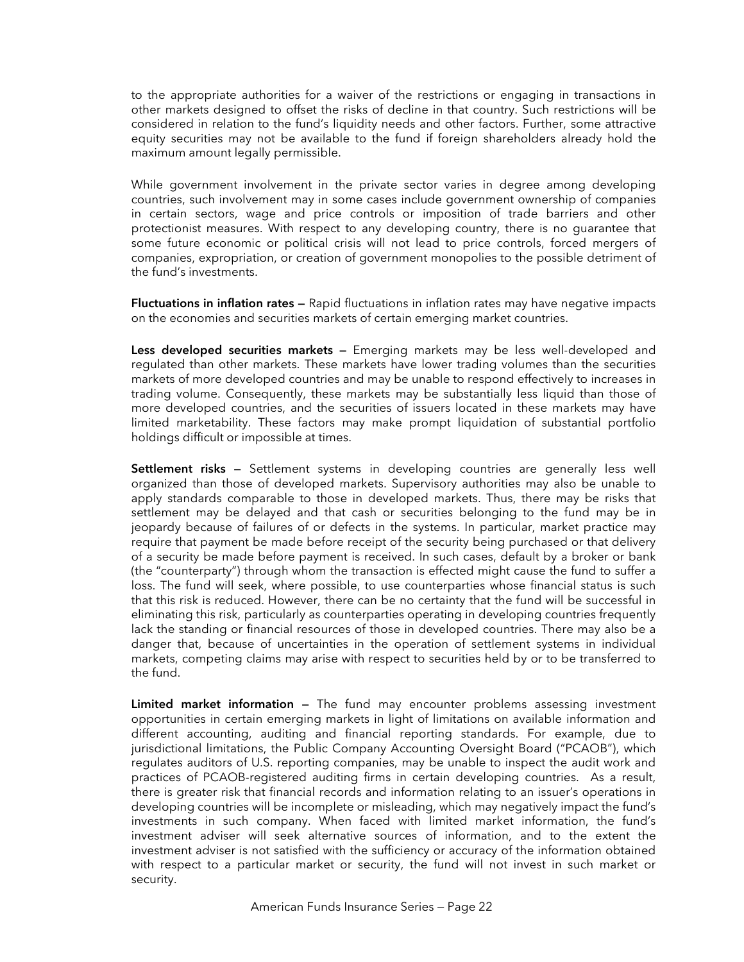to the appropriate authorities for a waiver of the restrictions or engaging in transactions in other markets designed to offset the risks of decline in that country. Such restrictions will be considered in relation to the fund's liquidity needs and other factors. Further, some attractive equity securities may not be available to the fund if foreign shareholders already hold the maximum amount legally permissible.

While government involvement in the private sector varies in degree among developing countries, such involvement may in some cases include government ownership of companies in certain sectors, wage and price controls or imposition of trade barriers and other protectionist measures. With respect to any developing country, there is no guarantee that some future economic or political crisis will not lead to price controls, forced mergers of companies, expropriation, or creation of government monopolies to the possible detriment of the fund's investments.

**Fluctuations in inflation rates —** Rapid fluctuations in inflation rates may have negative impacts on the economies and securities markets of certain emerging market countries.

**Less developed securities markets —** Emerging markets may be less well-developed and regulated than other markets. These markets have lower trading volumes than the securities markets of more developed countries and may be unable to respond effectively to increases in trading volume. Consequently, these markets may be substantially less liquid than those of more developed countries, and the securities of issuers located in these markets may have limited marketability. These factors may make prompt liquidation of substantial portfolio holdings difficult or impossible at times.

**Settlement risks —** Settlement systems in developing countries are generally less well organized than those of developed markets. Supervisory authorities may also be unable to apply standards comparable to those in developed markets. Thus, there may be risks that settlement may be delayed and that cash or securities belonging to the fund may be in jeopardy because of failures of or defects in the systems. In particular, market practice may require that payment be made before receipt of the security being purchased or that delivery of a security be made before payment is received. In such cases, default by a broker or bank (the "counterparty") through whom the transaction is effected might cause the fund to suffer a loss. The fund will seek, where possible, to use counterparties whose financial status is such that this risk is reduced. However, there can be no certainty that the fund will be successful in eliminating this risk, particularly as counterparties operating in developing countries frequently lack the standing or financial resources of those in developed countries. There may also be a danger that, because of uncertainties in the operation of settlement systems in individual markets, competing claims may arise with respect to securities held by or to be transferred to the fund.

**Limited market information —** The fund may encounter problems assessing investment opportunities in certain emerging markets in light of limitations on available information and different accounting, auditing and financial reporting standards. For example, due to jurisdictional limitations, the Public Company Accounting Oversight Board ("PCAOB"), which regulates auditors of U.S. reporting companies, may be unable to inspect the audit work and practices of PCAOB-registered auditing firms in certain developing countries. As a result, there is greater risk that financial records and information relating to an issuer's operations in developing countries will be incomplete or misleading, which may negatively impact the fund's investments in such company. When faced with limited market information, the fund's investment adviser will seek alternative sources of information, and to the extent the investment adviser is not satisfied with the sufficiency or accuracy of the information obtained with respect to a particular market or security, the fund will not invest in such market or security.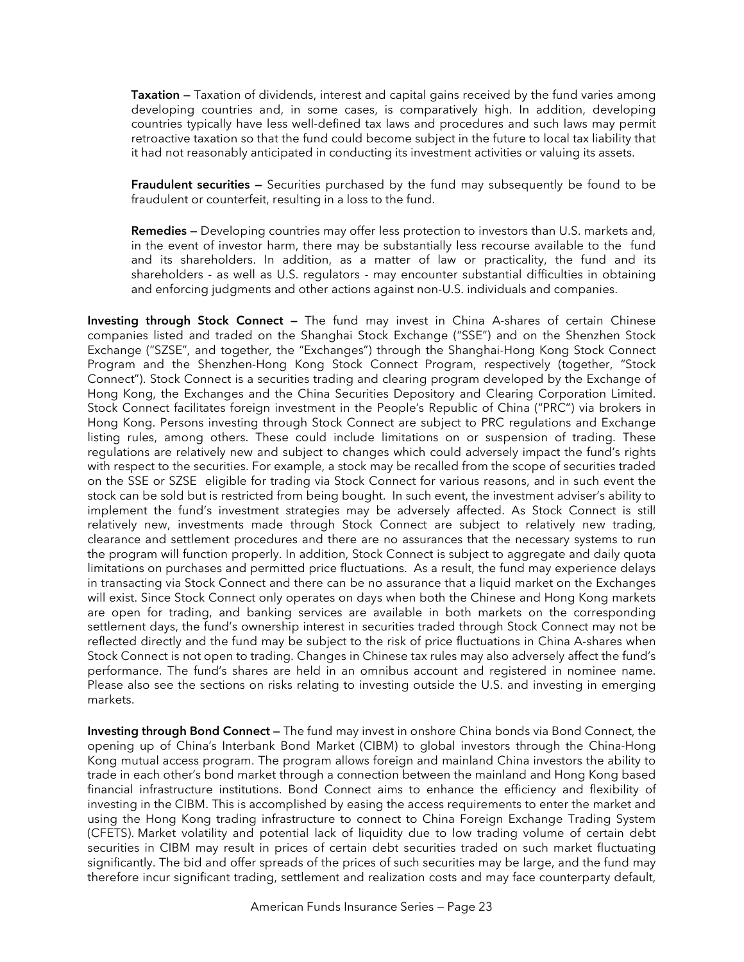**Taxation —** Taxation of dividends, interest and capital gains received by the fund varies among developing countries and, in some cases, is comparatively high. In addition, developing countries typically have less well-defined tax laws and procedures and such laws may permit retroactive taxation so that the fund could become subject in the future to local tax liability that it had not reasonably anticipated in conducting its investment activities or valuing its assets.

**Fraudulent securities —** Securities purchased by the fund may subsequently be found to be fraudulent or counterfeit, resulting in a loss to the fund.

**Remedies —** Developing countries may offer less protection to investors than U.S. markets and, in the event of investor harm, there may be substantially less recourse available to the fund and its shareholders. In addition, as a matter of law or practicality, the fund and its shareholders - as well as U.S. regulators - may encounter substantial difficulties in obtaining and enforcing judgments and other actions against non-U.S. individuals and companies.

**Investing through Stock Connect —** The fund may invest in China A-shares of certain Chinese companies listed and traded on the Shanghai Stock Exchange ("SSE") and on the Shenzhen Stock Exchange ("SZSE", and together, the "Exchanges") through the Shanghai-Hong Kong Stock Connect Program and the Shenzhen-Hong Kong Stock Connect Program, respectively (together, "Stock Connect"). Stock Connect is a securities trading and clearing program developed by the Exchange of Hong Kong, the Exchanges and the China Securities Depository and Clearing Corporation Limited. Stock Connect facilitates foreign investment in the People's Republic of China ("PRC") via brokers in Hong Kong. Persons investing through Stock Connect are subject to PRC regulations and Exchange listing rules, among others. These could include limitations on or suspension of trading. These regulations are relatively new and subject to changes which could adversely impact the fund's rights with respect to the securities. For example, a stock may be recalled from the scope of securities traded on the SSE or SZSE eligible for trading via Stock Connect for various reasons, and in such event the stock can be sold but is restricted from being bought. In such event, the investment adviser's ability to implement the fund's investment strategies may be adversely affected. As Stock Connect is still relatively new, investments made through Stock Connect are subject to relatively new trading, clearance and settlement procedures and there are no assurances that the necessary systems to run the program will function properly. In addition, Stock Connect is subject to aggregate and daily quota limitations on purchases and permitted price fluctuations. As a result, the fund may experience delays in transacting via Stock Connect and there can be no assurance that a liquid market on the Exchanges will exist. Since Stock Connect only operates on days when both the Chinese and Hong Kong markets are open for trading, and banking services are available in both markets on the corresponding settlement days, the fund's ownership interest in securities traded through Stock Connect may not be reflected directly and the fund may be subject to the risk of price fluctuations in China A-shares when Stock Connect is not open to trading. Changes in Chinese tax rules may also adversely affect the fund's performance. The fund's shares are held in an omnibus account and registered in nominee name. Please also see the sections on risks relating to investing outside the U.S. and investing in emerging markets.

**Investing through Bond Connect —** The fund may invest in onshore China bonds via Bond Connect, the opening up of China's Interbank Bond Market (CIBM) to global investors through the China-Hong Kong mutual access program. The program allows foreign and mainland China investors the ability to trade in each other's bond market through a connection between the mainland and Hong Kong based financial infrastructure institutions. Bond Connect aims to enhance the efficiency and flexibility of investing in the CIBM. This is accomplished by easing the access requirements to enter the market and using the Hong Kong trading infrastructure to connect to China Foreign Exchange Trading System (CFETS). Market volatility and potential lack of liquidity due to low trading volume of certain debt securities in CIBM may result in prices of certain debt securities traded on such market fluctuating significantly. The bid and offer spreads of the prices of such securities may be large, and the fund may therefore incur significant trading, settlement and realization costs and may face counterparty default,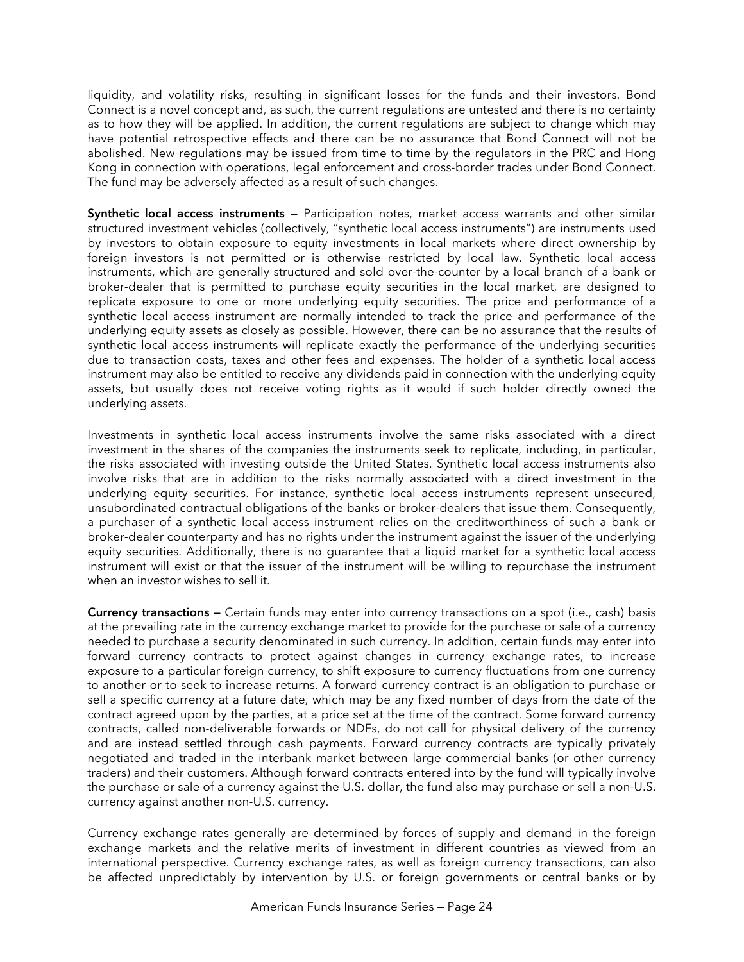liquidity, and volatility risks, resulting in significant losses for the funds and their investors. Bond Connect is a novel concept and, as such, the current regulations are untested and there is no certainty as to how they will be applied. In addition, the current regulations are subject to change which may have potential retrospective effects and there can be no assurance that Bond Connect will not be abolished. New regulations may be issued from time to time by the regulators in the PRC and Hong Kong in connection with operations, legal enforcement and cross-border trades under Bond Connect. The fund may be adversely affected as a result of such changes.

**Synthetic local access instruments** — Participation notes, market access warrants and other similar structured investment vehicles (collectively, "synthetic local access instruments") are instruments used by investors to obtain exposure to equity investments in local markets where direct ownership by foreign investors is not permitted or is otherwise restricted by local law. Synthetic local access instruments, which are generally structured and sold over-the-counter by a local branch of a bank or broker-dealer that is permitted to purchase equity securities in the local market, are designed to replicate exposure to one or more underlying equity securities. The price and performance of a synthetic local access instrument are normally intended to track the price and performance of the underlying equity assets as closely as possible. However, there can be no assurance that the results of synthetic local access instruments will replicate exactly the performance of the underlying securities due to transaction costs, taxes and other fees and expenses. The holder of a synthetic local access instrument may also be entitled to receive any dividends paid in connection with the underlying equity assets, but usually does not receive voting rights as it would if such holder directly owned the underlying assets.

Investments in synthetic local access instruments involve the same risks associated with a direct investment in the shares of the companies the instruments seek to replicate, including, in particular, the risks associated with investing outside the United States. Synthetic local access instruments also involve risks that are in addition to the risks normally associated with a direct investment in the underlying equity securities. For instance, synthetic local access instruments represent unsecured, unsubordinated contractual obligations of the banks or broker-dealers that issue them. Consequently, a purchaser of a synthetic local access instrument relies on the creditworthiness of such a bank or broker-dealer counterparty and has no rights under the instrument against the issuer of the underlying equity securities. Additionally, there is no guarantee that a liquid market for a synthetic local access instrument will exist or that the issuer of the instrument will be willing to repurchase the instrument when an investor wishes to sell it.

**Currency transactions —** Certain funds may enter into currency transactions on a spot (i.e., cash) basis at the prevailing rate in the currency exchange market to provide for the purchase or sale of a currency needed to purchase a security denominated in such currency. In addition, certain funds may enter into forward currency contracts to protect against changes in currency exchange rates, to increase exposure to a particular foreign currency, to shift exposure to currency fluctuations from one currency to another or to seek to increase returns. A forward currency contract is an obligation to purchase or sell a specific currency at a future date, which may be any fixed number of days from the date of the contract agreed upon by the parties, at a price set at the time of the contract. Some forward currency contracts, called non-deliverable forwards or NDFs, do not call for physical delivery of the currency and are instead settled through cash payments. Forward currency contracts are typically privately negotiated and traded in the interbank market between large commercial banks (or other currency traders) and their customers. Although forward contracts entered into by the fund will typically involve the purchase or sale of a currency against the U.S. dollar, the fund also may purchase or sell a non-U.S. currency against another non-U.S. currency.

Currency exchange rates generally are determined by forces of supply and demand in the foreign exchange markets and the relative merits of investment in different countries as viewed from an international perspective. Currency exchange rates, as well as foreign currency transactions, can also be affected unpredictably by intervention by U.S. or foreign governments or central banks or by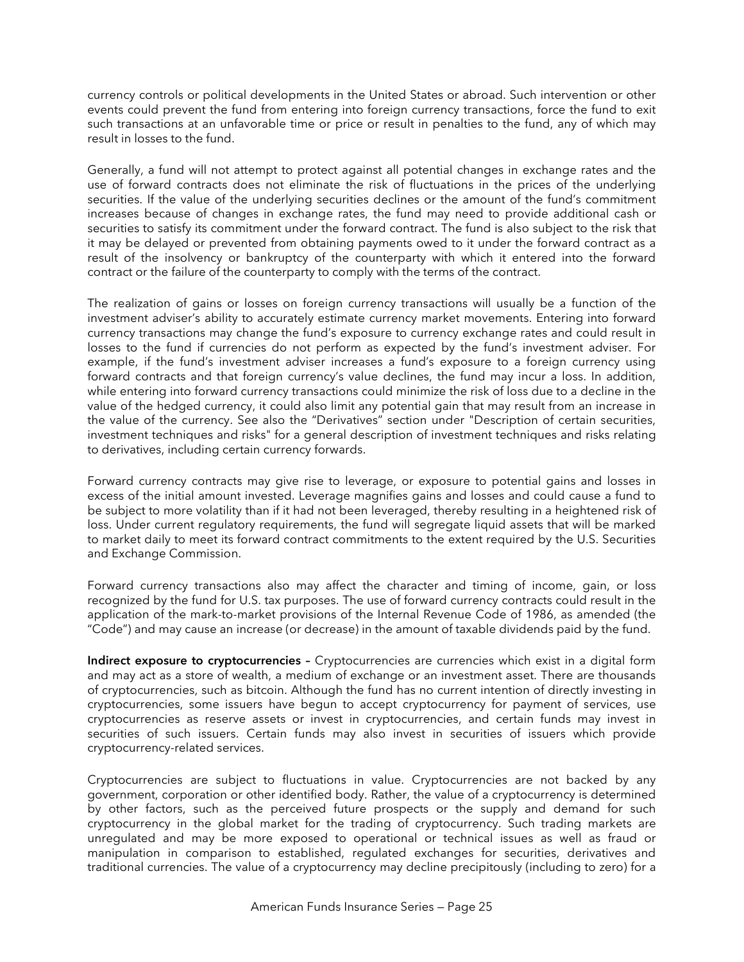currency controls or political developments in the United States or abroad. Such intervention or other events could prevent the fund from entering into foreign currency transactions, force the fund to exit such transactions at an unfavorable time or price or result in penalties to the fund, any of which may result in losses to the fund.

Generally, a fund will not attempt to protect against all potential changes in exchange rates and the use of forward contracts does not eliminate the risk of fluctuations in the prices of the underlying securities. If the value of the underlying securities declines or the amount of the fund's commitment increases because of changes in exchange rates, the fund may need to provide additional cash or securities to satisfy its commitment under the forward contract. The fund is also subject to the risk that it may be delayed or prevented from obtaining payments owed to it under the forward contract as a result of the insolvency or bankruptcy of the counterparty with which it entered into the forward contract or the failure of the counterparty to comply with the terms of the contract.

The realization of gains or losses on foreign currency transactions will usually be a function of the investment adviser's ability to accurately estimate currency market movements. Entering into forward currency transactions may change the fund's exposure to currency exchange rates and could result in losses to the fund if currencies do not perform as expected by the fund's investment adviser. For example, if the fund's investment adviser increases a fund's exposure to a foreign currency using forward contracts and that foreign currency's value declines, the fund may incur a loss. In addition, while entering into forward currency transactions could minimize the risk of loss due to a decline in the value of the hedged currency, it could also limit any potential gain that may result from an increase in the value of the currency. See also the "Derivatives" section under "Description of certain securities, investment techniques and risks" for a general description of investment techniques and risks relating to derivatives, including certain currency forwards.

Forward currency contracts may give rise to leverage, or exposure to potential gains and losses in excess of the initial amount invested. Leverage magnifies gains and losses and could cause a fund to be subject to more volatility than if it had not been leveraged, thereby resulting in a heightened risk of loss. Under current regulatory requirements, the fund will segregate liquid assets that will be marked to market daily to meet its forward contract commitments to the extent required by the U.S. Securities and Exchange Commission.

Forward currency transactions also may affect the character and timing of income, gain, or loss recognized by the fund for U.S. tax purposes. The use of forward currency contracts could result in the application of the mark-to-market provisions of the Internal Revenue Code of 1986, as amended (the "Code") and may cause an increase (or decrease) in the amount of taxable dividends paid by the fund.

**Indirect exposure to cryptocurrencies –** Cryptocurrencies are currencies which exist in a digital form and may act as a store of wealth, a medium of exchange or an investment asset. There are thousands of cryptocurrencies, such as bitcoin. Although the fund has no current intention of directly investing in cryptocurrencies, some issuers have begun to accept cryptocurrency for payment of services, use cryptocurrencies as reserve assets or invest in cryptocurrencies, and certain funds may invest in securities of such issuers. Certain funds may also invest in securities of issuers which provide cryptocurrency-related services.

Cryptocurrencies are subject to fluctuations in value. Cryptocurrencies are not backed by any government, corporation or other identified body. Rather, the value of a cryptocurrency is determined by other factors, such as the perceived future prospects or the supply and demand for such cryptocurrency in the global market for the trading of cryptocurrency. Such trading markets are unregulated and may be more exposed to operational or technical issues as well as fraud or manipulation in comparison to established, regulated exchanges for securities, derivatives and traditional currencies. The value of a cryptocurrency may decline precipitously (including to zero) for a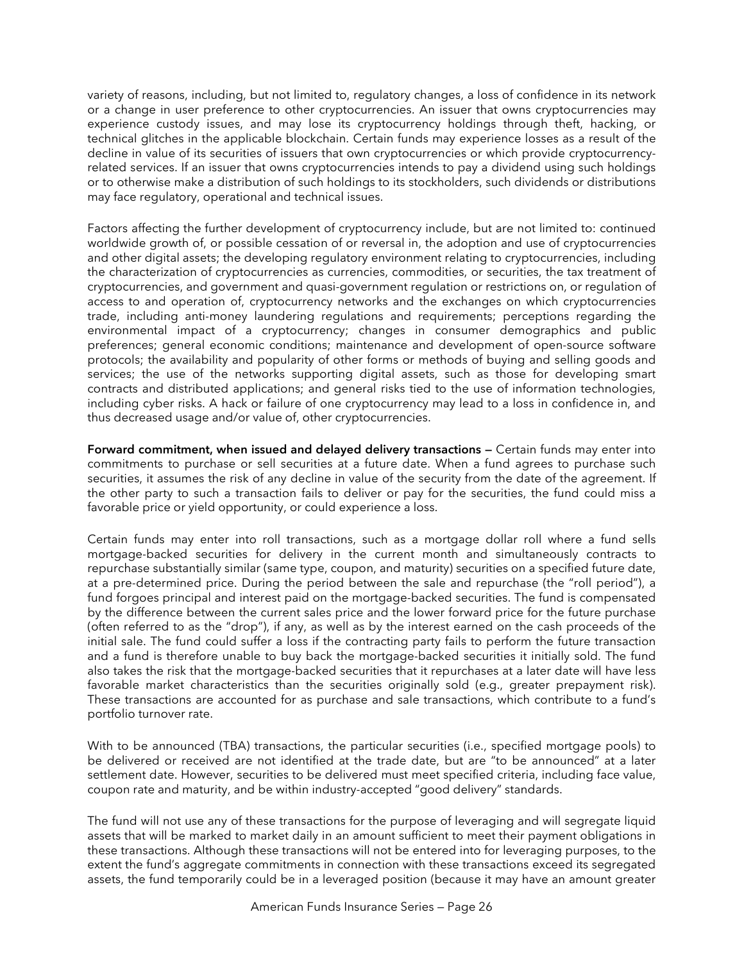variety of reasons, including, but not limited to, regulatory changes, a loss of confidence in its network or a change in user preference to other cryptocurrencies. An issuer that owns cryptocurrencies may experience custody issues, and may lose its cryptocurrency holdings through theft, hacking, or technical glitches in the applicable blockchain. Certain funds may experience losses as a result of the decline in value of its securities of issuers that own cryptocurrencies or which provide cryptocurrencyrelated services. If an issuer that owns cryptocurrencies intends to pay a dividend using such holdings or to otherwise make a distribution of such holdings to its stockholders, such dividends or distributions may face regulatory, operational and technical issues.

Factors affecting the further development of cryptocurrency include, but are not limited to: continued worldwide growth of, or possible cessation of or reversal in, the adoption and use of cryptocurrencies and other digital assets; the developing regulatory environment relating to cryptocurrencies, including the characterization of cryptocurrencies as currencies, commodities, or securities, the tax treatment of cryptocurrencies, and government and quasi-government regulation or restrictions on, or regulation of access to and operation of, cryptocurrency networks and the exchanges on which cryptocurrencies trade, including anti-money laundering regulations and requirements; perceptions regarding the environmental impact of a cryptocurrency; changes in consumer demographics and public preferences; general economic conditions; maintenance and development of open-source software protocols; the availability and popularity of other forms or methods of buying and selling goods and services; the use of the networks supporting digital assets, such as those for developing smart contracts and distributed applications; and general risks tied to the use of information technologies, including cyber risks. A hack or failure of one cryptocurrency may lead to a loss in confidence in, and thus decreased usage and/or value of, other cryptocurrencies.

**Forward commitment, when issued and delayed delivery transactions —** Certain funds may enter into commitments to purchase or sell securities at a future date. When a fund agrees to purchase such securities, it assumes the risk of any decline in value of the security from the date of the agreement. If the other party to such a transaction fails to deliver or pay for the securities, the fund could miss a favorable price or yield opportunity, or could experience a loss.

Certain funds may enter into roll transactions, such as a mortgage dollar roll where a fund sells mortgage-backed securities for delivery in the current month and simultaneously contracts to repurchase substantially similar (same type, coupon, and maturity) securities on a specified future date, at a pre-determined price. During the period between the sale and repurchase (the "roll period"), a fund forgoes principal and interest paid on the mortgage-backed securities. The fund is compensated by the difference between the current sales price and the lower forward price for the future purchase (often referred to as the "drop"), if any, as well as by the interest earned on the cash proceeds of the initial sale. The fund could suffer a loss if the contracting party fails to perform the future transaction and a fund is therefore unable to buy back the mortgage-backed securities it initially sold. The fund also takes the risk that the mortgage-backed securities that it repurchases at a later date will have less favorable market characteristics than the securities originally sold (e.g., greater prepayment risk). These transactions are accounted for as purchase and sale transactions, which contribute to a fund's portfolio turnover rate.

With to be announced (TBA) transactions, the particular securities (i.e., specified mortgage pools) to be delivered or received are not identified at the trade date, but are "to be announced" at a later settlement date. However, securities to be delivered must meet specified criteria, including face value, coupon rate and maturity, and be within industry-accepted "good delivery" standards.

The fund will not use any of these transactions for the purpose of leveraging and will segregate liquid assets that will be marked to market daily in an amount sufficient to meet their payment obligations in these transactions. Although these transactions will not be entered into for leveraging purposes, to the extent the fund's aggregate commitments in connection with these transactions exceed its segregated assets, the fund temporarily could be in a leveraged position (because it may have an amount greater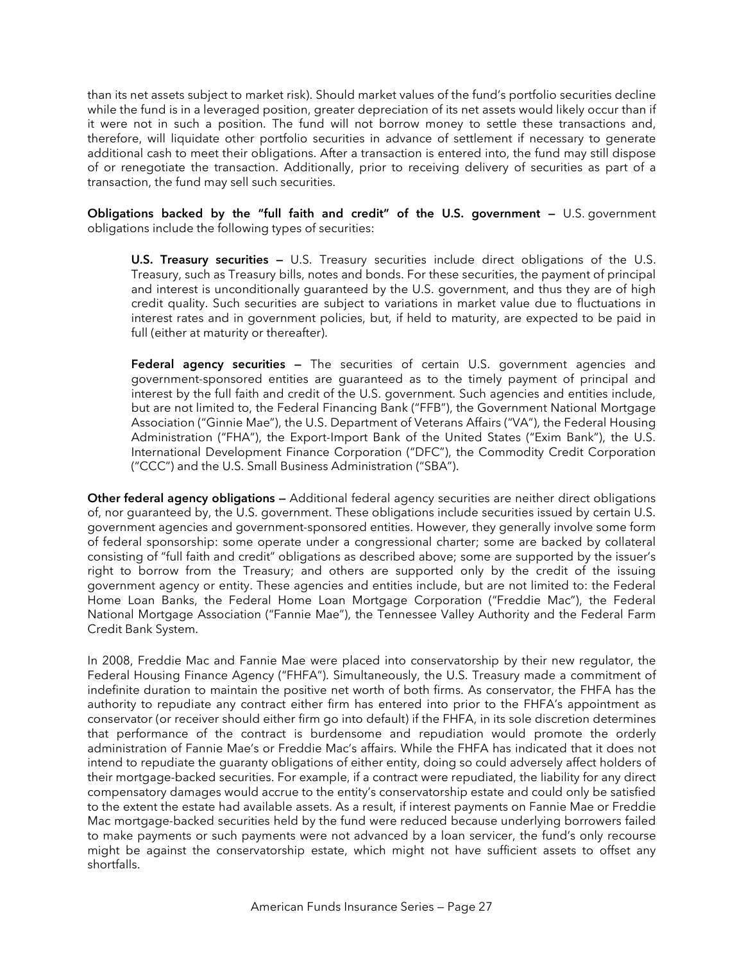than its net assets subject to market risk). Should market values of the fund's portfolio securities decline while the fund is in a leveraged position, greater depreciation of its net assets would likely occur than if it were not in such a position. The fund will not borrow money to settle these transactions and, therefore, will liquidate other portfolio securities in advance of settlement if necessary to generate additional cash to meet their obligations. After a transaction is entered into, the fund may still dispose of or renegotiate the transaction. Additionally, prior to receiving delivery of securities as part of a transaction, the fund may sell such securities.

**Obligations backed by the "full faith and credit" of the U.S. government —** U.S. government obligations include the following types of securities:

**U.S. Treasury securities —** U.S. Treasury securities include direct obligations of the U.S. Treasury, such as Treasury bills, notes and bonds. For these securities, the payment of principal and interest is unconditionally guaranteed by the U.S. government, and thus they are of high credit quality. Such securities are subject to variations in market value due to fluctuations in interest rates and in government policies, but, if held to maturity, are expected to be paid in full (either at maturity or thereafter).

**Federal agency securities —** The securities of certain U.S. government agencies and government-sponsored entities are guaranteed as to the timely payment of principal and interest by the full faith and credit of the U.S. government. Such agencies and entities include, but are not limited to, the Federal Financing Bank ("FFB"), the Government National Mortgage Association ("Ginnie Mae"), the U.S. Department of Veterans Affairs ("VA"), the Federal Housing Administration ("FHA"), the Export-Import Bank of the United States ("Exim Bank"), the U.S. International Development Finance Corporation ("DFC"), the Commodity Credit Corporation ("CCC") and the U.S. Small Business Administration ("SBA").

**Other federal agency obligations —** Additional federal agency securities are neither direct obligations of, nor guaranteed by, the U.S. government. These obligations include securities issued by certain U.S. government agencies and government-sponsored entities. However, they generally involve some form of federal sponsorship: some operate under a congressional charter; some are backed by collateral consisting of "full faith and credit" obligations as described above; some are supported by the issuer's right to borrow from the Treasury; and others are supported only by the credit of the issuing government agency or entity. These agencies and entities include, but are not limited to: the Federal Home Loan Banks, the Federal Home Loan Mortgage Corporation ("Freddie Mac"), the Federal National Mortgage Association ("Fannie Mae"), the Tennessee Valley Authority and the Federal Farm Credit Bank System.

In 2008, Freddie Mac and Fannie Mae were placed into conservatorship by their new regulator, the Federal Housing Finance Agency ("FHFA"). Simultaneously, the U.S. Treasury made a commitment of indefinite duration to maintain the positive net worth of both firms. As conservator, the FHFA has the authority to repudiate any contract either firm has entered into prior to the FHFA's appointment as conservator (or receiver should either firm go into default) if the FHFA, in its sole discretion determines that performance of the contract is burdensome and repudiation would promote the orderly administration of Fannie Mae's or Freddie Mac's affairs. While the FHFA has indicated that it does not intend to repudiate the guaranty obligations of either entity, doing so could adversely affect holders of their mortgage-backed securities. For example, if a contract were repudiated, the liability for any direct compensatory damages would accrue to the entity's conservatorship estate and could only be satisfied to the extent the estate had available assets. As a result, if interest payments on Fannie Mae or Freddie Mac mortgage-backed securities held by the fund were reduced because underlying borrowers failed to make payments or such payments were not advanced by a loan servicer, the fund's only recourse might be against the conservatorship estate, which might not have sufficient assets to offset any shortfalls.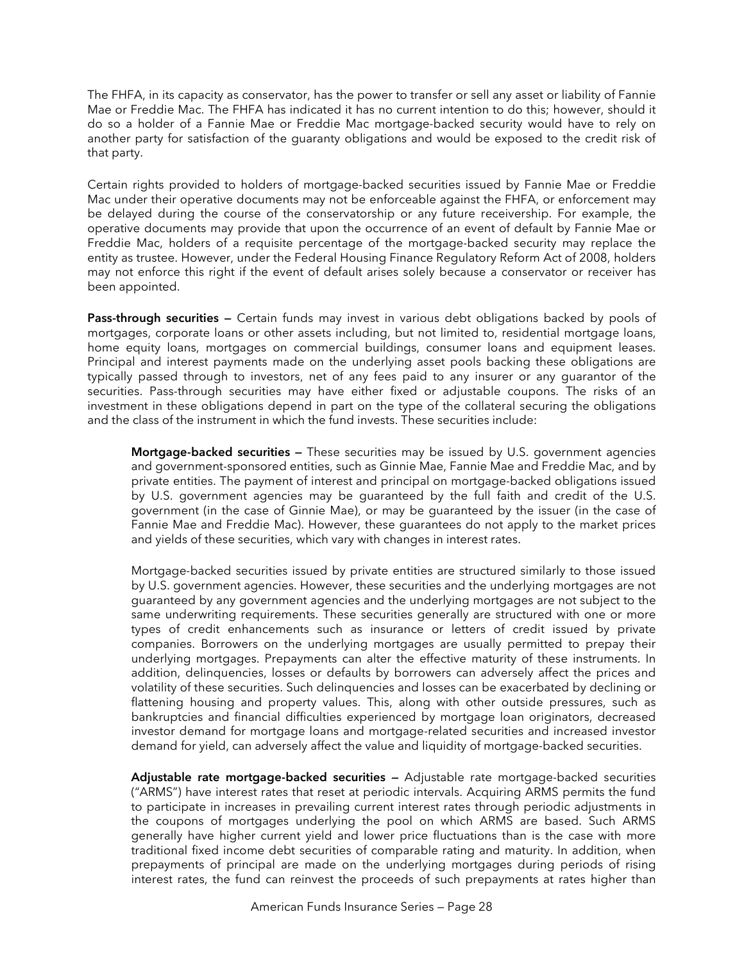The FHFA, in its capacity as conservator, has the power to transfer or sell any asset or liability of Fannie Mae or Freddie Mac. The FHFA has indicated it has no current intention to do this; however, should it do so a holder of a Fannie Mae or Freddie Mac mortgage-backed security would have to rely on another party for satisfaction of the guaranty obligations and would be exposed to the credit risk of that party.

Certain rights provided to holders of mortgage-backed securities issued by Fannie Mae or Freddie Mac under their operative documents may not be enforceable against the FHFA, or enforcement may be delayed during the course of the conservatorship or any future receivership. For example, the operative documents may provide that upon the occurrence of an event of default by Fannie Mae or Freddie Mac, holders of a requisite percentage of the mortgage-backed security may replace the entity as trustee. However, under the Federal Housing Finance Regulatory Reform Act of 2008, holders may not enforce this right if the event of default arises solely because a conservator or receiver has been appointed.

**Pass-through securities —** Certain funds may invest in various debt obligations backed by pools of mortgages, corporate loans or other assets including, but not limited to, residential mortgage loans, home equity loans, mortgages on commercial buildings, consumer loans and equipment leases. Principal and interest payments made on the underlying asset pools backing these obligations are typically passed through to investors, net of any fees paid to any insurer or any guarantor of the securities. Pass-through securities may have either fixed or adjustable coupons. The risks of an investment in these obligations depend in part on the type of the collateral securing the obligations and the class of the instrument in which the fund invests. These securities include:

**Mortgage-backed securities —** These securities may be issued by U.S. government agencies and government-sponsored entities, such as Ginnie Mae, Fannie Mae and Freddie Mac, and by private entities. The payment of interest and principal on mortgage-backed obligations issued by U.S. government agencies may be guaranteed by the full faith and credit of the U.S. government (in the case of Ginnie Mae), or may be guaranteed by the issuer (in the case of Fannie Mae and Freddie Mac). However, these guarantees do not apply to the market prices and yields of these securities, which vary with changes in interest rates.

Mortgage-backed securities issued by private entities are structured similarly to those issued by U.S. government agencies. However, these securities and the underlying mortgages are not guaranteed by any government agencies and the underlying mortgages are not subject to the same underwriting requirements. These securities generally are structured with one or more types of credit enhancements such as insurance or letters of credit issued by private companies. Borrowers on the underlying mortgages are usually permitted to prepay their underlying mortgages. Prepayments can alter the effective maturity of these instruments. In addition, delinquencies, losses or defaults by borrowers can adversely affect the prices and volatility of these securities. Such delinquencies and losses can be exacerbated by declining or flattening housing and property values. This, along with other outside pressures, such as bankruptcies and financial difficulties experienced by mortgage loan originators, decreased investor demand for mortgage loans and mortgage-related securities and increased investor demand for yield, can adversely affect the value and liquidity of mortgage-backed securities.

**Adjustable rate mortgage-backed securities —** Adjustable rate mortgage-backed securities ("ARMS") have interest rates that reset at periodic intervals. Acquiring ARMS permits the fund to participate in increases in prevailing current interest rates through periodic adjustments in the coupons of mortgages underlying the pool on which ARMS are based. Such ARMS generally have higher current yield and lower price fluctuations than is the case with more traditional fixed income debt securities of comparable rating and maturity. In addition, when prepayments of principal are made on the underlying mortgages during periods of rising interest rates, the fund can reinvest the proceeds of such prepayments at rates higher than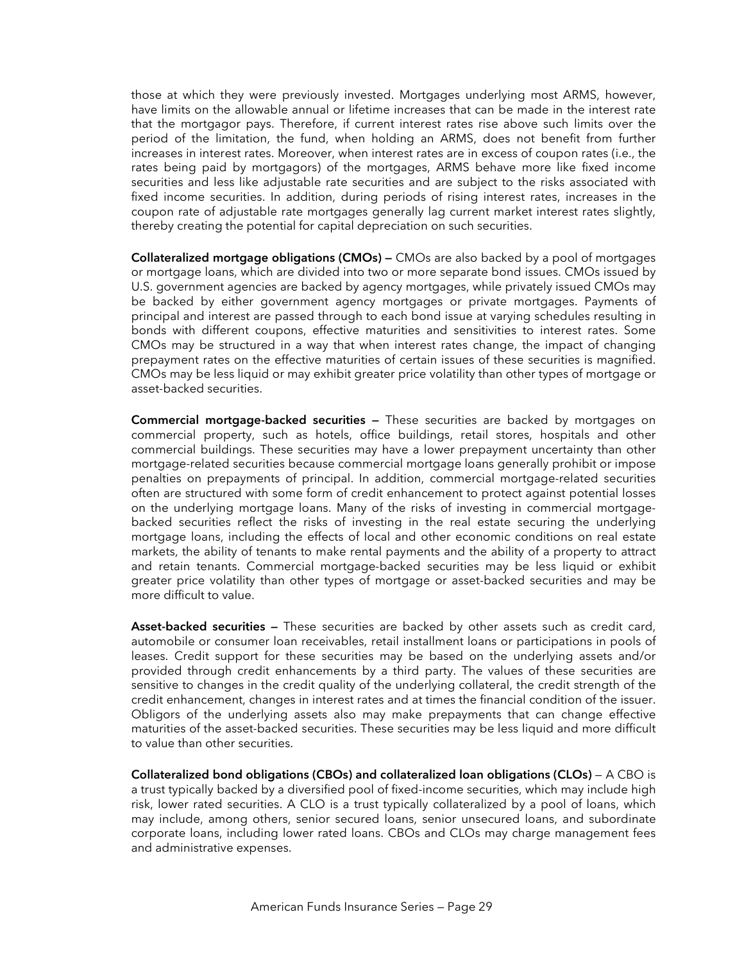those at which they were previously invested. Mortgages underlying most ARMS, however, have limits on the allowable annual or lifetime increases that can be made in the interest rate that the mortgagor pays. Therefore, if current interest rates rise above such limits over the period of the limitation, the fund, when holding an ARMS, does not benefit from further increases in interest rates. Moreover, when interest rates are in excess of coupon rates (i.e., the rates being paid by mortgagors) of the mortgages, ARMS behave more like fixed income securities and less like adjustable rate securities and are subject to the risks associated with fixed income securities. In addition, during periods of rising interest rates, increases in the coupon rate of adjustable rate mortgages generally lag current market interest rates slightly, thereby creating the potential for capital depreciation on such securities.

**Collateralized mortgage obligations (CMOs) —** CMOs are also backed by a pool of mortgages or mortgage loans, which are divided into two or more separate bond issues. CMOs issued by U.S. government agencies are backed by agency mortgages, while privately issued CMOs may be backed by either government agency mortgages or private mortgages. Payments of principal and interest are passed through to each bond issue at varying schedules resulting in bonds with different coupons, effective maturities and sensitivities to interest rates. Some CMOs may be structured in a way that when interest rates change, the impact of changing prepayment rates on the effective maturities of certain issues of these securities is magnified. CMOs may be less liquid or may exhibit greater price volatility than other types of mortgage or asset-backed securities.

**Commercial mortgage-backed securities —** These securities are backed by mortgages on commercial property, such as hotels, office buildings, retail stores, hospitals and other commercial buildings. These securities may have a lower prepayment uncertainty than other mortgage-related securities because commercial mortgage loans generally prohibit or impose penalties on prepayments of principal. In addition, commercial mortgage-related securities often are structured with some form of credit enhancement to protect against potential losses on the underlying mortgage loans. Many of the risks of investing in commercial mortgagebacked securities reflect the risks of investing in the real estate securing the underlying mortgage loans, including the effects of local and other economic conditions on real estate markets, the ability of tenants to make rental payments and the ability of a property to attract and retain tenants. Commercial mortgage-backed securities may be less liquid or exhibit greater price volatility than other types of mortgage or asset-backed securities and may be more difficult to value.

**Asset-backed securities —** These securities are backed by other assets such as credit card, automobile or consumer loan receivables, retail installment loans or participations in pools of leases. Credit support for these securities may be based on the underlying assets and/or provided through credit enhancements by a third party. The values of these securities are sensitive to changes in the credit quality of the underlying collateral, the credit strength of the credit enhancement, changes in interest rates and at times the financial condition of the issuer. Obligors of the underlying assets also may make prepayments that can change effective maturities of the asset-backed securities. These securities may be less liquid and more difficult to value than other securities.

**Collateralized bond obligations (CBOs) and collateralized loan obligations (CLOs)** — A CBO is a trust typically backed by a diversified pool of fixed-income securities, which may include high risk, lower rated securities. A CLO is a trust typically collateralized by a pool of loans, which may include, among others, senior secured loans, senior unsecured loans, and subordinate corporate loans, including lower rated loans. CBOs and CLOs may charge management fees and administrative expenses.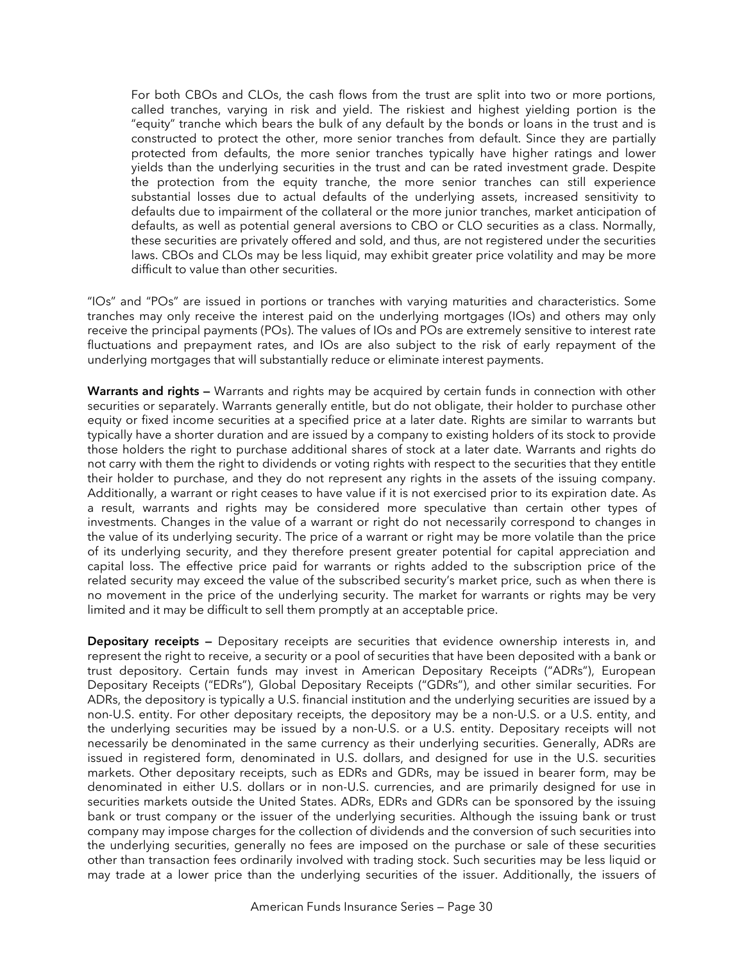For both CBOs and CLOs, the cash flows from the trust are split into two or more portions, called tranches, varying in risk and yield. The riskiest and highest yielding portion is the "equity" tranche which bears the bulk of any default by the bonds or loans in the trust and is constructed to protect the other, more senior tranches from default. Since they are partially protected from defaults, the more senior tranches typically have higher ratings and lower yields than the underlying securities in the trust and can be rated investment grade. Despite the protection from the equity tranche, the more senior tranches can still experience substantial losses due to actual defaults of the underlying assets, increased sensitivity to defaults due to impairment of the collateral or the more junior tranches, market anticipation of defaults, as well as potential general aversions to CBO or CLO securities as a class. Normally, these securities are privately offered and sold, and thus, are not registered under the securities laws. CBOs and CLOs may be less liquid, may exhibit greater price volatility and may be more difficult to value than other securities.

"IOs" and "POs" are issued in portions or tranches with varying maturities and characteristics. Some tranches may only receive the interest paid on the underlying mortgages (IOs) and others may only receive the principal payments (POs). The values of IOs and POs are extremely sensitive to interest rate fluctuations and prepayment rates, and IOs are also subject to the risk of early repayment of the underlying mortgages that will substantially reduce or eliminate interest payments.

**Warrants and rights —** Warrants and rights may be acquired by certain funds in connection with other securities or separately. Warrants generally entitle, but do not obligate, their holder to purchase other equity or fixed income securities at a specified price at a later date. Rights are similar to warrants but typically have a shorter duration and are issued by a company to existing holders of its stock to provide those holders the right to purchase additional shares of stock at a later date. Warrants and rights do not carry with them the right to dividends or voting rights with respect to the securities that they entitle their holder to purchase, and they do not represent any rights in the assets of the issuing company. Additionally, a warrant or right ceases to have value if it is not exercised prior to its expiration date. As a result, warrants and rights may be considered more speculative than certain other types of investments. Changes in the value of a warrant or right do not necessarily correspond to changes in the value of its underlying security. The price of a warrant or right may be more volatile than the price of its underlying security, and they therefore present greater potential for capital appreciation and capital loss. The effective price paid for warrants or rights added to the subscription price of the related security may exceed the value of the subscribed security's market price, such as when there is no movement in the price of the underlying security. The market for warrants or rights may be very limited and it may be difficult to sell them promptly at an acceptable price.

**Depositary receipts —** Depositary receipts are securities that evidence ownership interests in, and represent the right to receive, a security or a pool of securities that have been deposited with a bank or trust depository. Certain funds may invest in American Depositary Receipts ("ADRs"), European Depositary Receipts ("EDRs"), Global Depositary Receipts ("GDRs"), and other similar securities. For ADRs, the depository is typically a U.S. financial institution and the underlying securities are issued by a non-U.S. entity. For other depositary receipts, the depository may be a non-U.S. or a U.S. entity, and the underlying securities may be issued by a non-U.S. or a U.S. entity. Depositary receipts will not necessarily be denominated in the same currency as their underlying securities. Generally, ADRs are issued in registered form, denominated in U.S. dollars, and designed for use in the U.S. securities markets. Other depositary receipts, such as EDRs and GDRs, may be issued in bearer form, may be denominated in either U.S. dollars or in non-U.S. currencies, and are primarily designed for use in securities markets outside the United States. ADRs, EDRs and GDRs can be sponsored by the issuing bank or trust company or the issuer of the underlying securities. Although the issuing bank or trust company may impose charges for the collection of dividends and the conversion of such securities into the underlying securities, generally no fees are imposed on the purchase or sale of these securities other than transaction fees ordinarily involved with trading stock. Such securities may be less liquid or may trade at a lower price than the underlying securities of the issuer. Additionally, the issuers of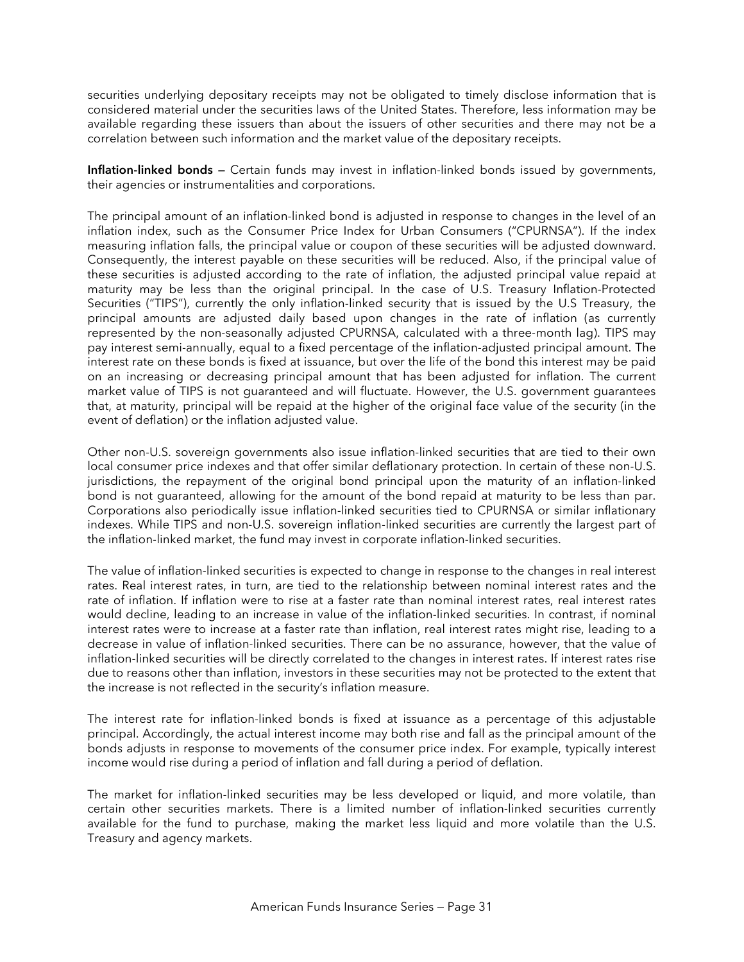securities underlying depositary receipts may not be obligated to timely disclose information that is considered material under the securities laws of the United States. Therefore, less information may be available regarding these issuers than about the issuers of other securities and there may not be a correlation between such information and the market value of the depositary receipts.

**Inflation-linked bonds —** Certain funds may invest in inflation-linked bonds issued by governments, their agencies or instrumentalities and corporations.

The principal amount of an inflation-linked bond is adjusted in response to changes in the level of an inflation index, such as the Consumer Price Index for Urban Consumers ("CPURNSA"). If the index measuring inflation falls, the principal value or coupon of these securities will be adjusted downward. Consequently, the interest payable on these securities will be reduced. Also, if the principal value of these securities is adjusted according to the rate of inflation, the adjusted principal value repaid at maturity may be less than the original principal. In the case of U.S. Treasury Inflation-Protected Securities ("TIPS"), currently the only inflation-linked security that is issued by the U.S Treasury, the principal amounts are adjusted daily based upon changes in the rate of inflation (as currently represented by the non-seasonally adjusted CPURNSA, calculated with a three-month lag). TIPS may pay interest semi-annually, equal to a fixed percentage of the inflation-adjusted principal amount. The interest rate on these bonds is fixed at issuance, but over the life of the bond this interest may be paid on an increasing or decreasing principal amount that has been adjusted for inflation. The current market value of TIPS is not guaranteed and will fluctuate. However, the U.S. government guarantees that, at maturity, principal will be repaid at the higher of the original face value of the security (in the event of deflation) or the inflation adjusted value.

Other non-U.S. sovereign governments also issue inflation-linked securities that are tied to their own local consumer price indexes and that offer similar deflationary protection. In certain of these non-U.S. jurisdictions, the repayment of the original bond principal upon the maturity of an inflation-linked bond is not guaranteed, allowing for the amount of the bond repaid at maturity to be less than par. Corporations also periodically issue inflation-linked securities tied to CPURNSA or similar inflationary indexes. While TIPS and non-U.S. sovereign inflation-linked securities are currently the largest part of the inflation-linked market, the fund may invest in corporate inflation-linked securities.

The value of inflation-linked securities is expected to change in response to the changes in real interest rates. Real interest rates, in turn, are tied to the relationship between nominal interest rates and the rate of inflation. If inflation were to rise at a faster rate than nominal interest rates, real interest rates would decline, leading to an increase in value of the inflation-linked securities. In contrast, if nominal interest rates were to increase at a faster rate than inflation, real interest rates might rise, leading to a decrease in value of inflation-linked securities. There can be no assurance, however, that the value of inflation-linked securities will be directly correlated to the changes in interest rates. If interest rates rise due to reasons other than inflation, investors in these securities may not be protected to the extent that the increase is not reflected in the security's inflation measure.

The interest rate for inflation-linked bonds is fixed at issuance as a percentage of this adjustable principal. Accordingly, the actual interest income may both rise and fall as the principal amount of the bonds adjusts in response to movements of the consumer price index. For example, typically interest income would rise during a period of inflation and fall during a period of deflation.

The market for inflation-linked securities may be less developed or liquid, and more volatile, than certain other securities markets. There is a limited number of inflation-linked securities currently available for the fund to purchase, making the market less liquid and more volatile than the U.S. Treasury and agency markets.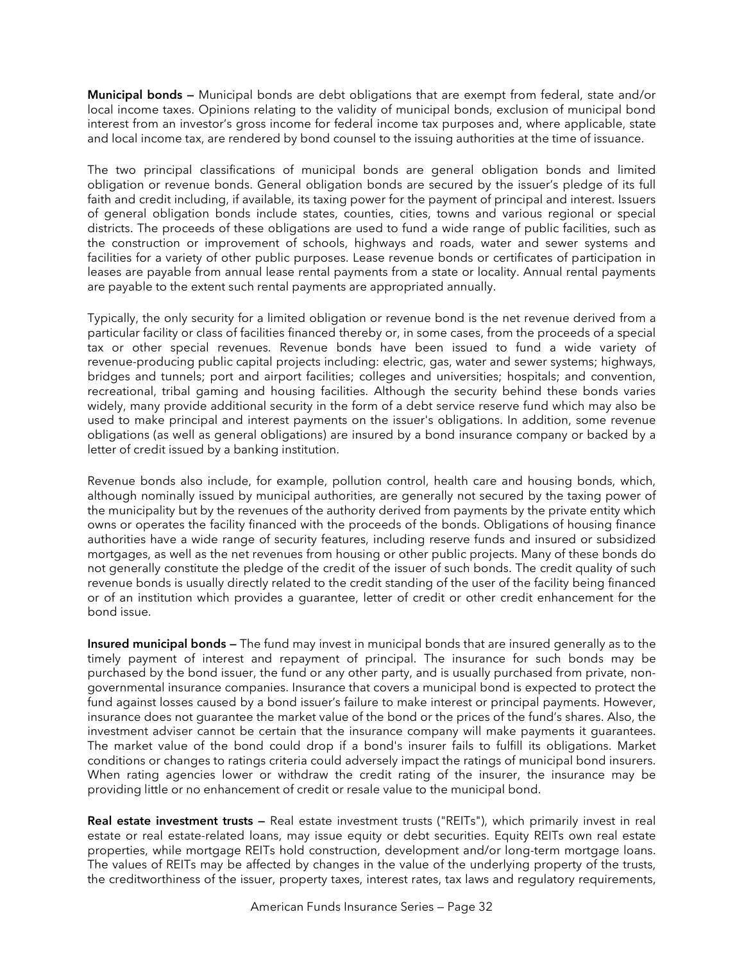**Municipal bonds —** Municipal bonds are debt obligations that are exempt from federal, state and/or local income taxes. Opinions relating to the validity of municipal bonds, exclusion of municipal bond interest from an investor's gross income for federal income tax purposes and, where applicable, state and local income tax, are rendered by bond counsel to the issuing authorities at the time of issuance.

The two principal classifications of municipal bonds are general obligation bonds and limited obligation or revenue bonds. General obligation bonds are secured by the issuer's pledge of its full faith and credit including, if available, its taxing power for the payment of principal and interest. Issuers of general obligation bonds include states, counties, cities, towns and various regional or special districts. The proceeds of these obligations are used to fund a wide range of public facilities, such as the construction or improvement of schools, highways and roads, water and sewer systems and facilities for a variety of other public purposes. Lease revenue bonds or certificates of participation in leases are payable from annual lease rental payments from a state or locality. Annual rental payments are payable to the extent such rental payments are appropriated annually.

Typically, the only security for a limited obligation or revenue bond is the net revenue derived from a particular facility or class of facilities financed thereby or, in some cases, from the proceeds of a special tax or other special revenues. Revenue bonds have been issued to fund a wide variety of revenue-producing public capital projects including: electric, gas, water and sewer systems; highways, bridges and tunnels; port and airport facilities; colleges and universities; hospitals; and convention, recreational, tribal gaming and housing facilities. Although the security behind these bonds varies widely, many provide additional security in the form of a debt service reserve fund which may also be used to make principal and interest payments on the issuer's obligations. In addition, some revenue obligations (as well as general obligations) are insured by a bond insurance company or backed by a letter of credit issued by a banking institution.

Revenue bonds also include, for example, pollution control, health care and housing bonds, which, although nominally issued by municipal authorities, are generally not secured by the taxing power of the municipality but by the revenues of the authority derived from payments by the private entity which owns or operates the facility financed with the proceeds of the bonds. Obligations of housing finance authorities have a wide range of security features, including reserve funds and insured or subsidized mortgages, as well as the net revenues from housing or other public projects. Many of these bonds do not generally constitute the pledge of the credit of the issuer of such bonds. The credit quality of such revenue bonds is usually directly related to the credit standing of the user of the facility being financed or of an institution which provides a guarantee, letter of credit or other credit enhancement for the bond issue.

**Insured municipal bonds —** The fund may invest in municipal bonds that are insured generally as to the timely payment of interest and repayment of principal. The insurance for such bonds may be purchased by the bond issuer, the fund or any other party, and is usually purchased from private, nongovernmental insurance companies. Insurance that covers a municipal bond is expected to protect the fund against losses caused by a bond issuer's failure to make interest or principal payments. However, insurance does not guarantee the market value of the bond or the prices of the fund's shares. Also, the investment adviser cannot be certain that the insurance company will make payments it guarantees. The market value of the bond could drop if a bond's insurer fails to fulfill its obligations. Market conditions or changes to ratings criteria could adversely impact the ratings of municipal bond insurers. When rating agencies lower or withdraw the credit rating of the insurer, the insurance may be providing little or no enhancement of credit or resale value to the municipal bond.

**Real estate investment trusts —** Real estate investment trusts ("REITs"), which primarily invest in real estate or real estate-related loans, may issue equity or debt securities. Equity REITs own real estate properties, while mortgage REITs hold construction, development and/or long-term mortgage loans. The values of REITs may be affected by changes in the value of the underlying property of the trusts, the creditworthiness of the issuer, property taxes, interest rates, tax laws and regulatory requirements,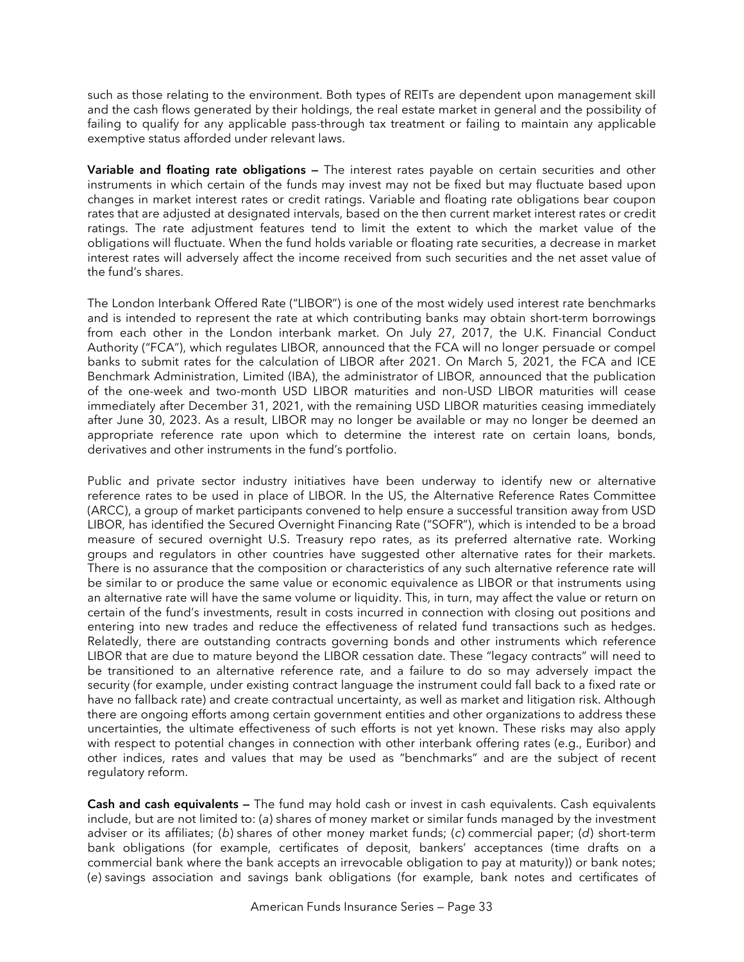such as those relating to the environment. Both types of REITs are dependent upon management skill and the cash flows generated by their holdings, the real estate market in general and the possibility of failing to qualify for any applicable pass-through tax treatment or failing to maintain any applicable exemptive status afforded under relevant laws.

**Variable and floating rate obligations —** The interest rates payable on certain securities and other instruments in which certain of the funds may invest may not be fixed but may fluctuate based upon changes in market interest rates or credit ratings. Variable and floating rate obligations bear coupon rates that are adjusted at designated intervals, based on the then current market interest rates or credit ratings. The rate adjustment features tend to limit the extent to which the market value of the obligations will fluctuate. When the fund holds variable or floating rate securities, a decrease in market interest rates will adversely affect the income received from such securities and the net asset value of the fund's shares.

The London Interbank Offered Rate ("LIBOR") is one of the most widely used interest rate benchmarks and is intended to represent the rate at which contributing banks may obtain short-term borrowings from each other in the London interbank market. On July 27, 2017, the U.K. Financial Conduct Authority ("FCA"), which regulates LIBOR, announced that the FCA will no longer persuade or compel banks to submit rates for the calculation of LIBOR after 2021. On March 5, 2021, the FCA and ICE Benchmark Administration, Limited (IBA), the administrator of LIBOR, announced that the publication of the one-week and two-month USD LIBOR maturities and non-USD LIBOR maturities will cease immediately after December 31, 2021, with the remaining USD LIBOR maturities ceasing immediately after June 30, 2023. As a result, LIBOR may no longer be available or may no longer be deemed an appropriate reference rate upon which to determine the interest rate on certain loans, bonds, derivatives and other instruments in the fund's portfolio.

Public and private sector industry initiatives have been underway to identify new or alternative reference rates to be used in place of LIBOR. In the US, the Alternative Reference Rates Committee (ARCC), a group of market participants convened to help ensure a successful transition away from USD LIBOR, has identified the Secured Overnight Financing Rate ("SOFR"), which is intended to be a broad measure of secured overnight U.S. Treasury repo rates, as its preferred alternative rate. Working groups and regulators in other countries have suggested other alternative rates for their markets. There is no assurance that the composition or characteristics of any such alternative reference rate will be similar to or produce the same value or economic equivalence as LIBOR or that instruments using an alternative rate will have the same volume or liquidity. This, in turn, may affect the value or return on certain of the fund's investments, result in costs incurred in connection with closing out positions and entering into new trades and reduce the effectiveness of related fund transactions such as hedges. Relatedly, there are outstanding contracts governing bonds and other instruments which reference LIBOR that are due to mature beyond the LIBOR cessation date. These "legacy contracts" will need to be transitioned to an alternative reference rate, and a failure to do so may adversely impact the security (for example, under existing contract language the instrument could fall back to a fixed rate or have no fallback rate) and create contractual uncertainty, as well as market and litigation risk. Although there are ongoing efforts among certain government entities and other organizations to address these uncertainties, the ultimate effectiveness of such efforts is not yet known. These risks may also apply with respect to potential changes in connection with other interbank offering rates (e.g., Euribor) and other indices, rates and values that may be used as "benchmarks" and are the subject of recent regulatory reform.

**Cash and cash equivalents —** The fund may hold cash or invest in cash equivalents. Cash equivalents include, but are not limited to: (*a*) shares of money market or similar funds managed by the investment adviser or its affiliates; (*b*) shares of other money market funds; (*c*) commercial paper; (*d*) short-term bank obligations (for example, certificates of deposit, bankers' acceptances (time drafts on a commercial bank where the bank accepts an irrevocable obligation to pay at maturity)) or bank notes; (*e*) savings association and savings bank obligations (for example, bank notes and certificates of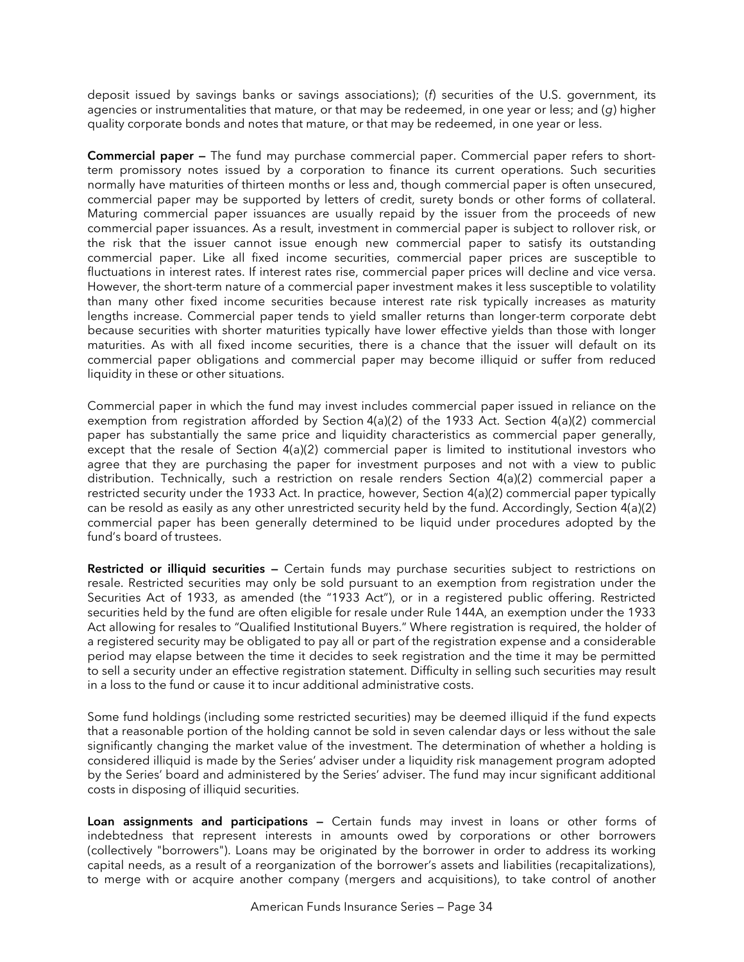deposit issued by savings banks or savings associations); (*f*) securities of the U.S. government, its agencies or instrumentalities that mature, or that may be redeemed, in one year or less; and (*g*) higher quality corporate bonds and notes that mature, or that may be redeemed, in one year or less.

**Commercial paper —** The fund may purchase commercial paper. Commercial paper refers to shortterm promissory notes issued by a corporation to finance its current operations. Such securities normally have maturities of thirteen months or less and, though commercial paper is often unsecured, commercial paper may be supported by letters of credit, surety bonds or other forms of collateral. Maturing commercial paper issuances are usually repaid by the issuer from the proceeds of new commercial paper issuances. As a result, investment in commercial paper is subject to rollover risk, or the risk that the issuer cannot issue enough new commercial paper to satisfy its outstanding commercial paper. Like all fixed income securities, commercial paper prices are susceptible to fluctuations in interest rates. If interest rates rise, commercial paper prices will decline and vice versa. However, the short-term nature of a commercial paper investment makes it less susceptible to volatility than many other fixed income securities because interest rate risk typically increases as maturity lengths increase. Commercial paper tends to yield smaller returns than longer-term corporate debt because securities with shorter maturities typically have lower effective yields than those with longer maturities. As with all fixed income securities, there is a chance that the issuer will default on its commercial paper obligations and commercial paper may become illiquid or suffer from reduced liquidity in these or other situations.

Commercial paper in which the fund may invest includes commercial paper issued in reliance on the exemption from registration afforded by Section 4(a)(2) of the 1933 Act. Section 4(a)(2) commercial paper has substantially the same price and liquidity characteristics as commercial paper generally, except that the resale of Section 4(a)(2) commercial paper is limited to institutional investors who agree that they are purchasing the paper for investment purposes and not with a view to public distribution. Technically, such a restriction on resale renders Section 4(a)(2) commercial paper a restricted security under the 1933 Act. In practice, however, Section 4(a)(2) commercial paper typically can be resold as easily as any other unrestricted security held by the fund. Accordingly, Section 4(a)(2) commercial paper has been generally determined to be liquid under procedures adopted by the fund's board of trustees.

**Restricted or illiquid securities —** Certain funds may purchase securities subject to restrictions on resale. Restricted securities may only be sold pursuant to an exemption from registration under the Securities Act of 1933, as amended (the "1933 Act"), or in a registered public offering. Restricted securities held by the fund are often eligible for resale under Rule 144A, an exemption under the 1933 Act allowing for resales to "Qualified Institutional Buyers." Where registration is required, the holder of a registered security may be obligated to pay all or part of the registration expense and a considerable period may elapse between the time it decides to seek registration and the time it may be permitted to sell a security under an effective registration statement. Difficulty in selling such securities may result in a loss to the fund or cause it to incur additional administrative costs.

Some fund holdings (including some restricted securities) may be deemed illiquid if the fund expects that a reasonable portion of the holding cannot be sold in seven calendar days or less without the sale significantly changing the market value of the investment. The determination of whether a holding is considered illiquid is made by the Series' adviser under a liquidity risk management program adopted by the Series' board and administered by the Series' adviser. The fund may incur significant additional costs in disposing of illiquid securities.

**Loan assignments and participations —** Certain funds may invest in loans or other forms of indebtedness that represent interests in amounts owed by corporations or other borrowers (collectively "borrowers"). Loans may be originated by the borrower in order to address its working capital needs, as a result of a reorganization of the borrower's assets and liabilities (recapitalizations), to merge with or acquire another company (mergers and acquisitions), to take control of another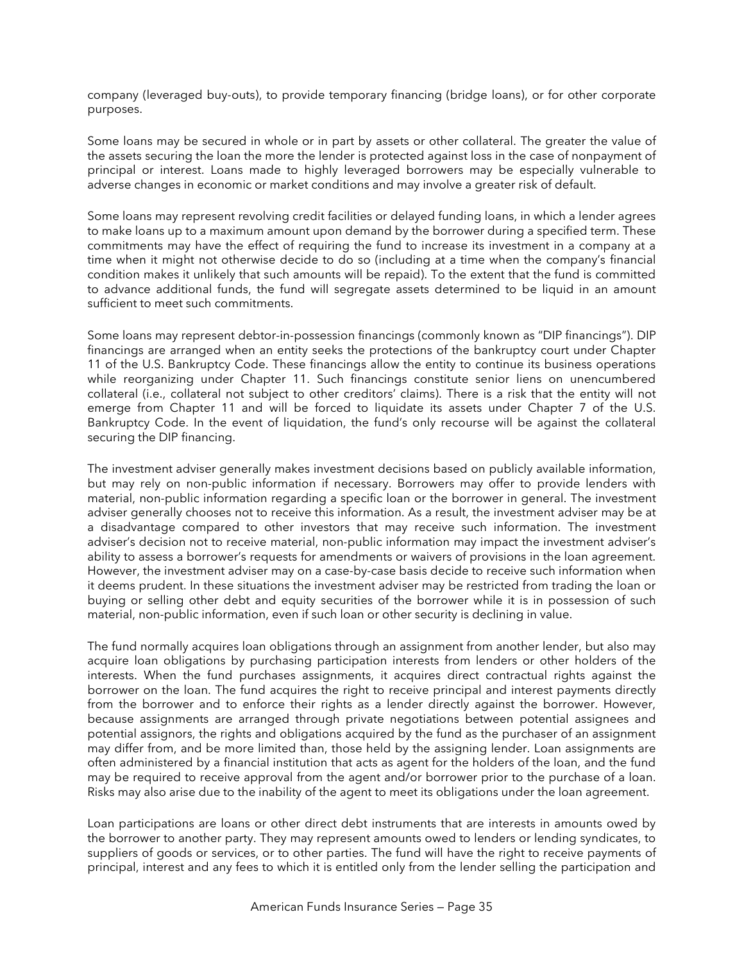company (leveraged buy-outs), to provide temporary financing (bridge loans), or for other corporate purposes.

Some loans may be secured in whole or in part by assets or other collateral. The greater the value of the assets securing the loan the more the lender is protected against loss in the case of nonpayment of principal or interest. Loans made to highly leveraged borrowers may be especially vulnerable to adverse changes in economic or market conditions and may involve a greater risk of default.

Some loans may represent revolving credit facilities or delayed funding loans, in which a lender agrees to make loans up to a maximum amount upon demand by the borrower during a specified term. These commitments may have the effect of requiring the fund to increase its investment in a company at a time when it might not otherwise decide to do so (including at a time when the company's financial condition makes it unlikely that such amounts will be repaid). To the extent that the fund is committed to advance additional funds, the fund will segregate assets determined to be liquid in an amount sufficient to meet such commitments.

Some loans may represent debtor-in-possession financings (commonly known as "DIP financings"). DIP financings are arranged when an entity seeks the protections of the bankruptcy court under Chapter 11 of the U.S. Bankruptcy Code. These financings allow the entity to continue its business operations while reorganizing under Chapter 11. Such financings constitute senior liens on unencumbered collateral (i.e., collateral not subject to other creditors' claims). There is a risk that the entity will not emerge from Chapter 11 and will be forced to liquidate its assets under Chapter 7 of the U.S. Bankruptcy Code. In the event of liquidation, the fund's only recourse will be against the collateral securing the DIP financing.

The investment adviser generally makes investment decisions based on publicly available information, but may rely on non-public information if necessary. Borrowers may offer to provide lenders with material, non-public information regarding a specific loan or the borrower in general. The investment adviser generally chooses not to receive this information. As a result, the investment adviser may be at a disadvantage compared to other investors that may receive such information. The investment adviser's decision not to receive material, non-public information may impact the investment adviser's ability to assess a borrower's requests for amendments or waivers of provisions in the loan agreement. However, the investment adviser may on a case-by-case basis decide to receive such information when it deems prudent. In these situations the investment adviser may be restricted from trading the loan or buying or selling other debt and equity securities of the borrower while it is in possession of such material, non-public information, even if such loan or other security is declining in value.

The fund normally acquires loan obligations through an assignment from another lender, but also may acquire loan obligations by purchasing participation interests from lenders or other holders of the interests. When the fund purchases assignments, it acquires direct contractual rights against the borrower on the loan. The fund acquires the right to receive principal and interest payments directly from the borrower and to enforce their rights as a lender directly against the borrower. However, because assignments are arranged through private negotiations between potential assignees and potential assignors, the rights and obligations acquired by the fund as the purchaser of an assignment may differ from, and be more limited than, those held by the assigning lender. Loan assignments are often administered by a financial institution that acts as agent for the holders of the loan, and the fund may be required to receive approval from the agent and/or borrower prior to the purchase of a loan. Risks may also arise due to the inability of the agent to meet its obligations under the loan agreement.

Loan participations are loans or other direct debt instruments that are interests in amounts owed by the borrower to another party. They may represent amounts owed to lenders or lending syndicates, to suppliers of goods or services, or to other parties. The fund will have the right to receive payments of principal, interest and any fees to which it is entitled only from the lender selling the participation and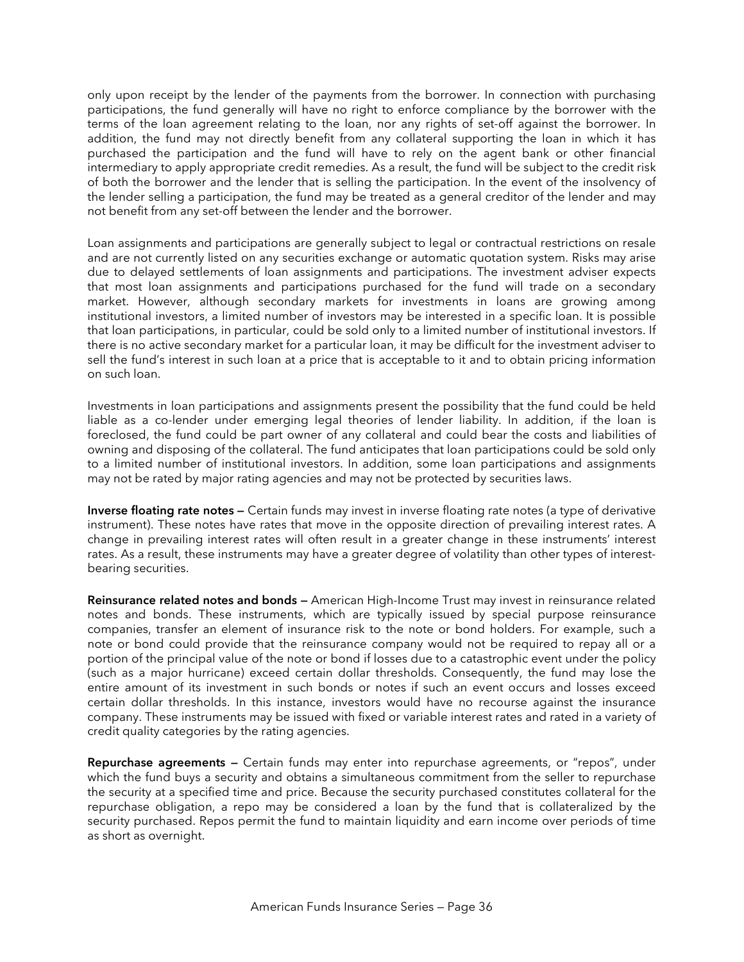only upon receipt by the lender of the payments from the borrower. In connection with purchasing participations, the fund generally will have no right to enforce compliance by the borrower with the terms of the loan agreement relating to the loan, nor any rights of set-off against the borrower. In addition, the fund may not directly benefit from any collateral supporting the loan in which it has purchased the participation and the fund will have to rely on the agent bank or other financial intermediary to apply appropriate credit remedies. As a result, the fund will be subject to the credit risk of both the borrower and the lender that is selling the participation. In the event of the insolvency of the lender selling a participation, the fund may be treated as a general creditor of the lender and may not benefit from any set-off between the lender and the borrower.

Loan assignments and participations are generally subject to legal or contractual restrictions on resale and are not currently listed on any securities exchange or automatic quotation system. Risks may arise due to delayed settlements of loan assignments and participations. The investment adviser expects that most loan assignments and participations purchased for the fund will trade on a secondary market. However, although secondary markets for investments in loans are growing among institutional investors, a limited number of investors may be interested in a specific loan. It is possible that loan participations, in particular, could be sold only to a limited number of institutional investors. If there is no active secondary market for a particular loan, it may be difficult for the investment adviser to sell the fund's interest in such loan at a price that is acceptable to it and to obtain pricing information on such loan.

Investments in loan participations and assignments present the possibility that the fund could be held liable as a co-lender under emerging legal theories of lender liability. In addition, if the loan is foreclosed, the fund could be part owner of any collateral and could bear the costs and liabilities of owning and disposing of the collateral. The fund anticipates that loan participations could be sold only to a limited number of institutional investors. In addition, some loan participations and assignments may not be rated by major rating agencies and may not be protected by securities laws.

**Inverse floating rate notes —** Certain funds may invest in inverse floating rate notes (a type of derivative instrument). These notes have rates that move in the opposite direction of prevailing interest rates. A change in prevailing interest rates will often result in a greater change in these instruments' interest rates. As a result, these instruments may have a greater degree of volatility than other types of interestbearing securities.

**Reinsurance related notes and bonds —** American High-Income Trust may invest in reinsurance related notes and bonds. These instruments, which are typically issued by special purpose reinsurance companies, transfer an element of insurance risk to the note or bond holders. For example, such a note or bond could provide that the reinsurance company would not be required to repay all or a portion of the principal value of the note or bond if losses due to a catastrophic event under the policy (such as a major hurricane) exceed certain dollar thresholds. Consequently, the fund may lose the entire amount of its investment in such bonds or notes if such an event occurs and losses exceed certain dollar thresholds. In this instance, investors would have no recourse against the insurance company. These instruments may be issued with fixed or variable interest rates and rated in a variety of credit quality categories by the rating agencies.

**Repurchase agreements —** Certain funds may enter into repurchase agreements, or "repos", under which the fund buys a security and obtains a simultaneous commitment from the seller to repurchase the security at a specified time and price. Because the security purchased constitutes collateral for the repurchase obligation, a repo may be considered a loan by the fund that is collateralized by the security purchased. Repos permit the fund to maintain liquidity and earn income over periods of time as short as overnight.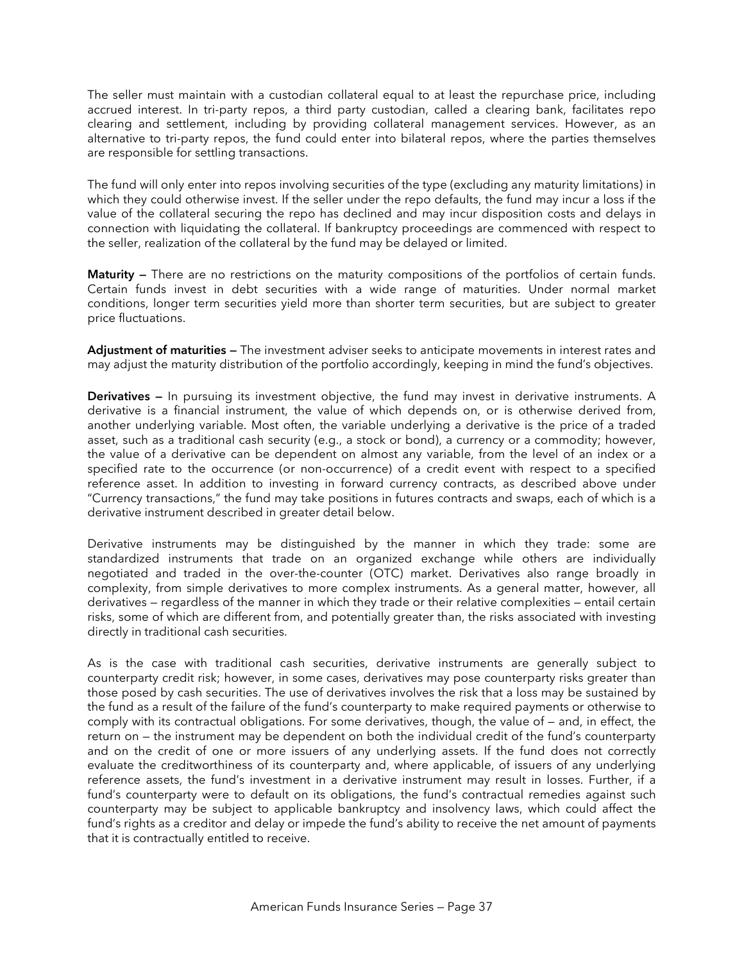The seller must maintain with a custodian collateral equal to at least the repurchase price, including accrued interest. In tri-party repos, a third party custodian, called a clearing bank, facilitates repo clearing and settlement, including by providing collateral management services. However, as an alternative to tri-party repos, the fund could enter into bilateral repos, where the parties themselves are responsible for settling transactions.

The fund will only enter into repos involving securities of the type (excluding any maturity limitations) in which they could otherwise invest. If the seller under the repo defaults, the fund may incur a loss if the value of the collateral securing the repo has declined and may incur disposition costs and delays in connection with liquidating the collateral. If bankruptcy proceedings are commenced with respect to the seller, realization of the collateral by the fund may be delayed or limited.

**Maturity —** There are no restrictions on the maturity compositions of the portfolios of certain funds. Certain funds invest in debt securities with a wide range of maturities. Under normal market conditions, longer term securities yield more than shorter term securities, but are subject to greater price fluctuations.

**Adjustment of maturities —** The investment adviser seeks to anticipate movements in interest rates and may adjust the maturity distribution of the portfolio accordingly, keeping in mind the fund's objectives.

**Derivatives —** In pursuing its investment objective, the fund may invest in derivative instruments. A derivative is a financial instrument, the value of which depends on, or is otherwise derived from, another underlying variable. Most often, the variable underlying a derivative is the price of a traded asset, such as a traditional cash security (e.g., a stock or bond), a currency or a commodity; however, the value of a derivative can be dependent on almost any variable, from the level of an index or a specified rate to the occurrence (or non-occurrence) of a credit event with respect to a specified reference asset. In addition to investing in forward currency contracts, as described above under "Currency transactions," the fund may take positions in futures contracts and swaps, each of which is a derivative instrument described in greater detail below.

Derivative instruments may be distinguished by the manner in which they trade: some are standardized instruments that trade on an organized exchange while others are individually negotiated and traded in the over-the-counter (OTC) market. Derivatives also range broadly in complexity, from simple derivatives to more complex instruments. As a general matter, however, all derivatives — regardless of the manner in which they trade or their relative complexities — entail certain risks, some of which are different from, and potentially greater than, the risks associated with investing directly in traditional cash securities.

As is the case with traditional cash securities, derivative instruments are generally subject to counterparty credit risk; however, in some cases, derivatives may pose counterparty risks greater than those posed by cash securities. The use of derivatives involves the risk that a loss may be sustained by the fund as a result of the failure of the fund's counterparty to make required payments or otherwise to comply with its contractual obligations. For some derivatives, though, the value of — and, in effect, the return on — the instrument may be dependent on both the individual credit of the fund's counterparty and on the credit of one or more issuers of any underlying assets. If the fund does not correctly evaluate the creditworthiness of its counterparty and, where applicable, of issuers of any underlying reference assets, the fund's investment in a derivative instrument may result in losses. Further, if a fund's counterparty were to default on its obligations, the fund's contractual remedies against such counterparty may be subject to applicable bankruptcy and insolvency laws, which could affect the fund's rights as a creditor and delay or impede the fund's ability to receive the net amount of payments that it is contractually entitled to receive.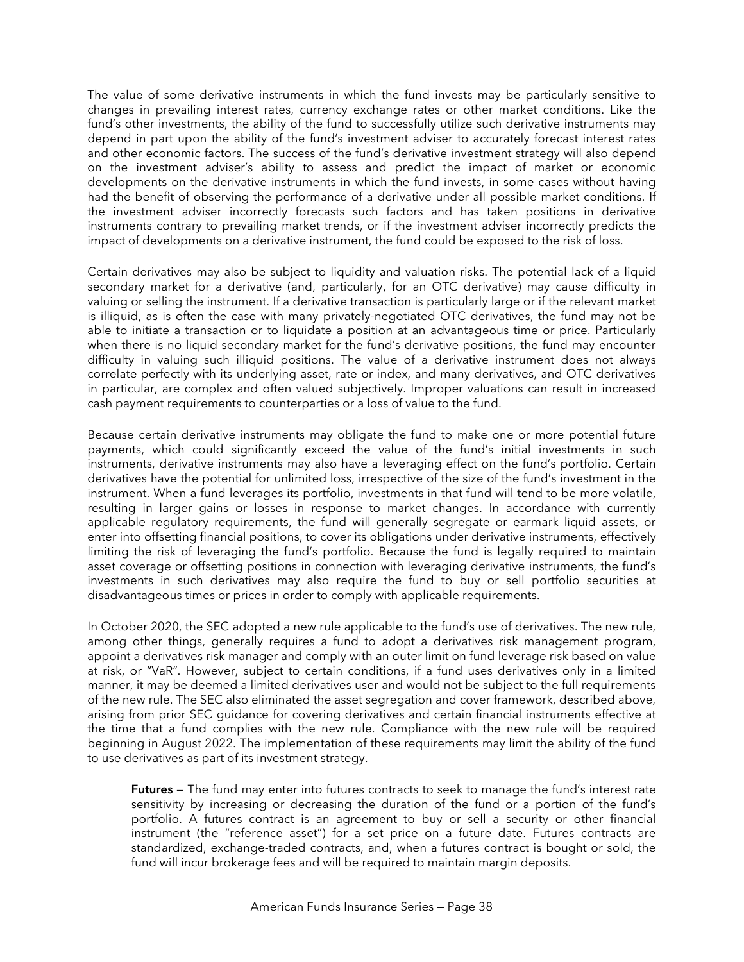The value of some derivative instruments in which the fund invests may be particularly sensitive to changes in prevailing interest rates, currency exchange rates or other market conditions. Like the fund's other investments, the ability of the fund to successfully utilize such derivative instruments may depend in part upon the ability of the fund's investment adviser to accurately forecast interest rates and other economic factors. The success of the fund's derivative investment strategy will also depend on the investment adviser's ability to assess and predict the impact of market or economic developments on the derivative instruments in which the fund invests, in some cases without having had the benefit of observing the performance of a derivative under all possible market conditions. If the investment adviser incorrectly forecasts such factors and has taken positions in derivative instruments contrary to prevailing market trends, or if the investment adviser incorrectly predicts the impact of developments on a derivative instrument, the fund could be exposed to the risk of loss.

Certain derivatives may also be subject to liquidity and valuation risks. The potential lack of a liquid secondary market for a derivative (and, particularly, for an OTC derivative) may cause difficulty in valuing or selling the instrument. If a derivative transaction is particularly large or if the relevant market is illiquid, as is often the case with many privately-negotiated OTC derivatives, the fund may not be able to initiate a transaction or to liquidate a position at an advantageous time or price. Particularly when there is no liquid secondary market for the fund's derivative positions, the fund may encounter difficulty in valuing such illiquid positions. The value of a derivative instrument does not always correlate perfectly with its underlying asset, rate or index, and many derivatives, and OTC derivatives in particular, are complex and often valued subjectively. Improper valuations can result in increased cash payment requirements to counterparties or a loss of value to the fund.

Because certain derivative instruments may obligate the fund to make one or more potential future payments, which could significantly exceed the value of the fund's initial investments in such instruments, derivative instruments may also have a leveraging effect on the fund's portfolio. Certain derivatives have the potential for unlimited loss, irrespective of the size of the fund's investment in the instrument. When a fund leverages its portfolio, investments in that fund will tend to be more volatile, resulting in larger gains or losses in response to market changes. In accordance with currently applicable regulatory requirements, the fund will generally segregate or earmark liquid assets, or enter into offsetting financial positions, to cover its obligations under derivative instruments, effectively limiting the risk of leveraging the fund's portfolio. Because the fund is legally required to maintain asset coverage or offsetting positions in connection with leveraging derivative instruments, the fund's investments in such derivatives may also require the fund to buy or sell portfolio securities at disadvantageous times or prices in order to comply with applicable requirements.

In October 2020, the SEC adopted a new rule applicable to the fund's use of derivatives. The new rule, among other things, generally requires a fund to adopt a derivatives risk management program, appoint a derivatives risk manager and comply with an outer limit on fund leverage risk based on value at risk, or "VaR". However, subject to certain conditions, if a fund uses derivatives only in a limited manner, it may be deemed a limited derivatives user and would not be subject to the full requirements of the new rule. The SEC also eliminated the asset segregation and cover framework, described above, arising from prior SEC guidance for covering derivatives and certain financial instruments effective at the time that a fund complies with the new rule. Compliance with the new rule will be required beginning in August 2022. The implementation of these requirements may limit the ability of the fund to use derivatives as part of its investment strategy.

**Futures** — The fund may enter into futures contracts to seek to manage the fund's interest rate sensitivity by increasing or decreasing the duration of the fund or a portion of the fund's portfolio. A futures contract is an agreement to buy or sell a security or other financial instrument (the "reference asset") for a set price on a future date. Futures contracts are standardized, exchange-traded contracts, and, when a futures contract is bought or sold, the fund will incur brokerage fees and will be required to maintain margin deposits.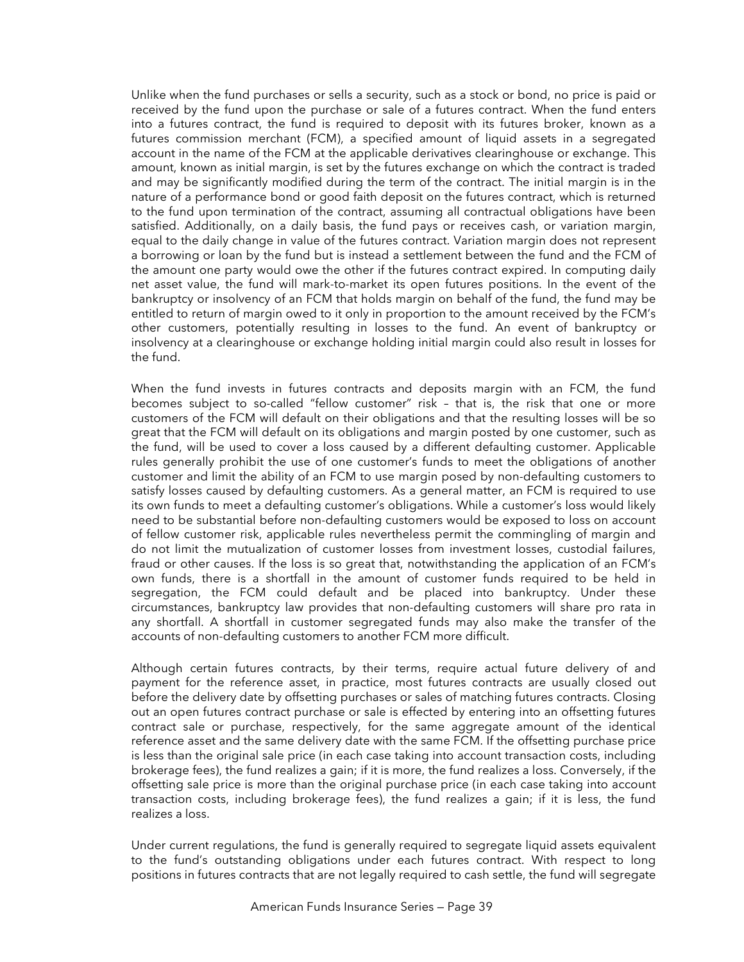Unlike when the fund purchases or sells a security, such as a stock or bond, no price is paid or received by the fund upon the purchase or sale of a futures contract. When the fund enters into a futures contract, the fund is required to deposit with its futures broker, known as a futures commission merchant (FCM), a specified amount of liquid assets in a segregated account in the name of the FCM at the applicable derivatives clearinghouse or exchange. This amount, known as initial margin, is set by the futures exchange on which the contract is traded and may be significantly modified during the term of the contract. The initial margin is in the nature of a performance bond or good faith deposit on the futures contract, which is returned to the fund upon termination of the contract, assuming all contractual obligations have been satisfied. Additionally, on a daily basis, the fund pays or receives cash, or variation margin, equal to the daily change in value of the futures contract. Variation margin does not represent a borrowing or loan by the fund but is instead a settlement between the fund and the FCM of the amount one party would owe the other if the futures contract expired. In computing daily net asset value, the fund will mark-to-market its open futures positions. In the event of the bankruptcy or insolvency of an FCM that holds margin on behalf of the fund, the fund may be entitled to return of margin owed to it only in proportion to the amount received by the FCM's other customers, potentially resulting in losses to the fund. An event of bankruptcy or insolvency at a clearinghouse or exchange holding initial margin could also result in losses for the fund.

When the fund invests in futures contracts and deposits margin with an FCM, the fund becomes subject to so-called "fellow customer" risk – that is, the risk that one or more customers of the FCM will default on their obligations and that the resulting losses will be so great that the FCM will default on its obligations and margin posted by one customer, such as the fund, will be used to cover a loss caused by a different defaulting customer. Applicable rules generally prohibit the use of one customer's funds to meet the obligations of another customer and limit the ability of an FCM to use margin posed by non-defaulting customers to satisfy losses caused by defaulting customers. As a general matter, an FCM is required to use its own funds to meet a defaulting customer's obligations. While a customer's loss would likely need to be substantial before non-defaulting customers would be exposed to loss on account of fellow customer risk, applicable rules nevertheless permit the commingling of margin and do not limit the mutualization of customer losses from investment losses, custodial failures, fraud or other causes. If the loss is so great that, notwithstanding the application of an FCM's own funds, there is a shortfall in the amount of customer funds required to be held in segregation, the FCM could default and be placed into bankruptcy. Under these circumstances, bankruptcy law provides that non-defaulting customers will share pro rata in any shortfall. A shortfall in customer segregated funds may also make the transfer of the accounts of non-defaulting customers to another FCM more difficult.

Although certain futures contracts, by their terms, require actual future delivery of and payment for the reference asset, in practice, most futures contracts are usually closed out before the delivery date by offsetting purchases or sales of matching futures contracts. Closing out an open futures contract purchase or sale is effected by entering into an offsetting futures contract sale or purchase, respectively, for the same aggregate amount of the identical reference asset and the same delivery date with the same FCM. If the offsetting purchase price is less than the original sale price (in each case taking into account transaction costs, including brokerage fees), the fund realizes a gain; if it is more, the fund realizes a loss. Conversely, if the offsetting sale price is more than the original purchase price (in each case taking into account transaction costs, including brokerage fees), the fund realizes a gain; if it is less, the fund realizes a loss.

Under current regulations, the fund is generally required to segregate liquid assets equivalent to the fund's outstanding obligations under each futures contract. With respect to long positions in futures contracts that are not legally required to cash settle, the fund will segregate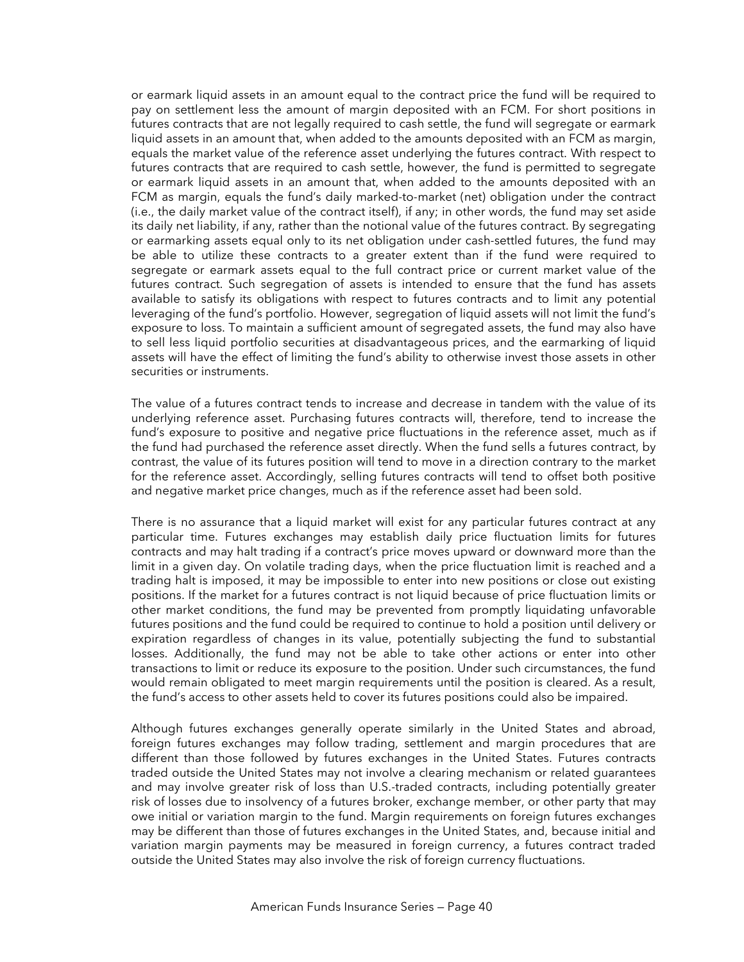or earmark liquid assets in an amount equal to the contract price the fund will be required to pay on settlement less the amount of margin deposited with an FCM. For short positions in futures contracts that are not legally required to cash settle, the fund will segregate or earmark liquid assets in an amount that, when added to the amounts deposited with an FCM as margin, equals the market value of the reference asset underlying the futures contract. With respect to futures contracts that are required to cash settle, however, the fund is permitted to segregate or earmark liquid assets in an amount that, when added to the amounts deposited with an FCM as margin, equals the fund's daily marked-to-market (net) obligation under the contract (i.e., the daily market value of the contract itself), if any; in other words, the fund may set aside its daily net liability, if any, rather than the notional value of the futures contract. By segregating or earmarking assets equal only to its net obligation under cash-settled futures, the fund may be able to utilize these contracts to a greater extent than if the fund were required to segregate or earmark assets equal to the full contract price or current market value of the futures contract. Such segregation of assets is intended to ensure that the fund has assets available to satisfy its obligations with respect to futures contracts and to limit any potential leveraging of the fund's portfolio. However, segregation of liquid assets will not limit the fund's exposure to loss. To maintain a sufficient amount of segregated assets, the fund may also have to sell less liquid portfolio securities at disadvantageous prices, and the earmarking of liquid assets will have the effect of limiting the fund's ability to otherwise invest those assets in other securities or instruments.

The value of a futures contract tends to increase and decrease in tandem with the value of its underlying reference asset. Purchasing futures contracts will, therefore, tend to increase the fund's exposure to positive and negative price fluctuations in the reference asset, much as if the fund had purchased the reference asset directly. When the fund sells a futures contract, by contrast, the value of its futures position will tend to move in a direction contrary to the market for the reference asset. Accordingly, selling futures contracts will tend to offset both positive and negative market price changes, much as if the reference asset had been sold.

There is no assurance that a liquid market will exist for any particular futures contract at any particular time. Futures exchanges may establish daily price fluctuation limits for futures contracts and may halt trading if a contract's price moves upward or downward more than the limit in a given day. On volatile trading days, when the price fluctuation limit is reached and a trading halt is imposed, it may be impossible to enter into new positions or close out existing positions. If the market for a futures contract is not liquid because of price fluctuation limits or other market conditions, the fund may be prevented from promptly liquidating unfavorable futures positions and the fund could be required to continue to hold a position until delivery or expiration regardless of changes in its value, potentially subjecting the fund to substantial losses. Additionally, the fund may not be able to take other actions or enter into other transactions to limit or reduce its exposure to the position. Under such circumstances, the fund would remain obligated to meet margin requirements until the position is cleared. As a result, the fund's access to other assets held to cover its futures positions could also be impaired.

Although futures exchanges generally operate similarly in the United States and abroad, foreign futures exchanges may follow trading, settlement and margin procedures that are different than those followed by futures exchanges in the United States. Futures contracts traded outside the United States may not involve a clearing mechanism or related guarantees and may involve greater risk of loss than U.S.-traded contracts, including potentially greater risk of losses due to insolvency of a futures broker, exchange member, or other party that may owe initial or variation margin to the fund. Margin requirements on foreign futures exchanges may be different than those of futures exchanges in the United States, and, because initial and variation margin payments may be measured in foreign currency, a futures contract traded outside the United States may also involve the risk of foreign currency fluctuations.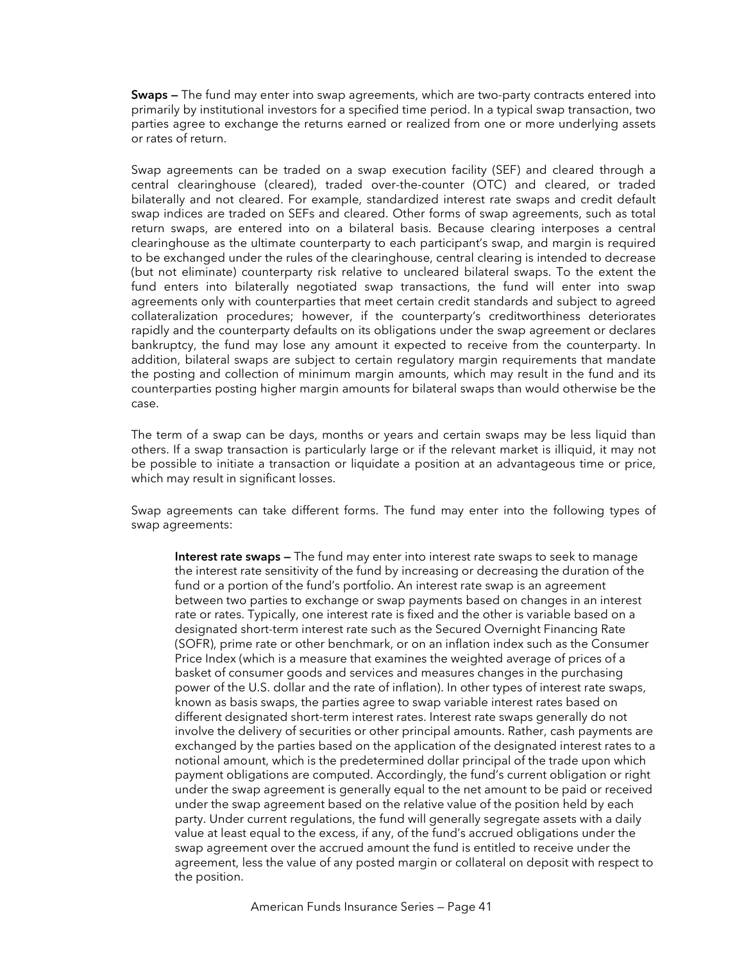**Swaps —** The fund may enter into swap agreements, which are two-party contracts entered into primarily by institutional investors for a specified time period. In a typical swap transaction, two parties agree to exchange the returns earned or realized from one or more underlying assets or rates of return.

Swap agreements can be traded on a swap execution facility (SEF) and cleared through a central clearinghouse (cleared), traded over-the-counter (OTC) and cleared, or traded bilaterally and not cleared. For example, standardized interest rate swaps and credit default swap indices are traded on SEFs and cleared. Other forms of swap agreements, such as total return swaps, are entered into on a bilateral basis. Because clearing interposes a central clearinghouse as the ultimate counterparty to each participant's swap, and margin is required to be exchanged under the rules of the clearinghouse, central clearing is intended to decrease (but not eliminate) counterparty risk relative to uncleared bilateral swaps. To the extent the fund enters into bilaterally negotiated swap transactions, the fund will enter into swap agreements only with counterparties that meet certain credit standards and subject to agreed collateralization procedures; however, if the counterparty's creditworthiness deteriorates rapidly and the counterparty defaults on its obligations under the swap agreement or declares bankruptcy, the fund may lose any amount it expected to receive from the counterparty. In addition, bilateral swaps are subject to certain regulatory margin requirements that mandate the posting and collection of minimum margin amounts, which may result in the fund and its counterparties posting higher margin amounts for bilateral swaps than would otherwise be the case.

The term of a swap can be days, months or years and certain swaps may be less liquid than others. If a swap transaction is particularly large or if the relevant market is illiquid, it may not be possible to initiate a transaction or liquidate a position at an advantageous time or price, which may result in significant losses.

Swap agreements can take different forms. The fund may enter into the following types of swap agreements:

**Interest rate swaps —** The fund may enter into interest rate swaps to seek to manage the interest rate sensitivity of the fund by increasing or decreasing the duration of the fund or a portion of the fund's portfolio. An interest rate swap is an agreement between two parties to exchange or swap payments based on changes in an interest rate or rates. Typically, one interest rate is fixed and the other is variable based on a designated short-term interest rate such as the Secured Overnight Financing Rate (SOFR), prime rate or other benchmark, or on an inflation index such as the Consumer Price Index (which is a measure that examines the weighted average of prices of a basket of consumer goods and services and measures changes in the purchasing power of the U.S. dollar and the rate of inflation). In other types of interest rate swaps, known as basis swaps, the parties agree to swap variable interest rates based on different designated short-term interest rates. Interest rate swaps generally do not involve the delivery of securities or other principal amounts. Rather, cash payments are exchanged by the parties based on the application of the designated interest rates to a notional amount, which is the predetermined dollar principal of the trade upon which payment obligations are computed. Accordingly, the fund's current obligation or right under the swap agreement is generally equal to the net amount to be paid or received under the swap agreement based on the relative value of the position held by each party. Under current regulations, the fund will generally segregate assets with a daily value at least equal to the excess, if any, of the fund's accrued obligations under the swap agreement over the accrued amount the fund is entitled to receive under the agreement, less the value of any posted margin or collateral on deposit with respect to the position.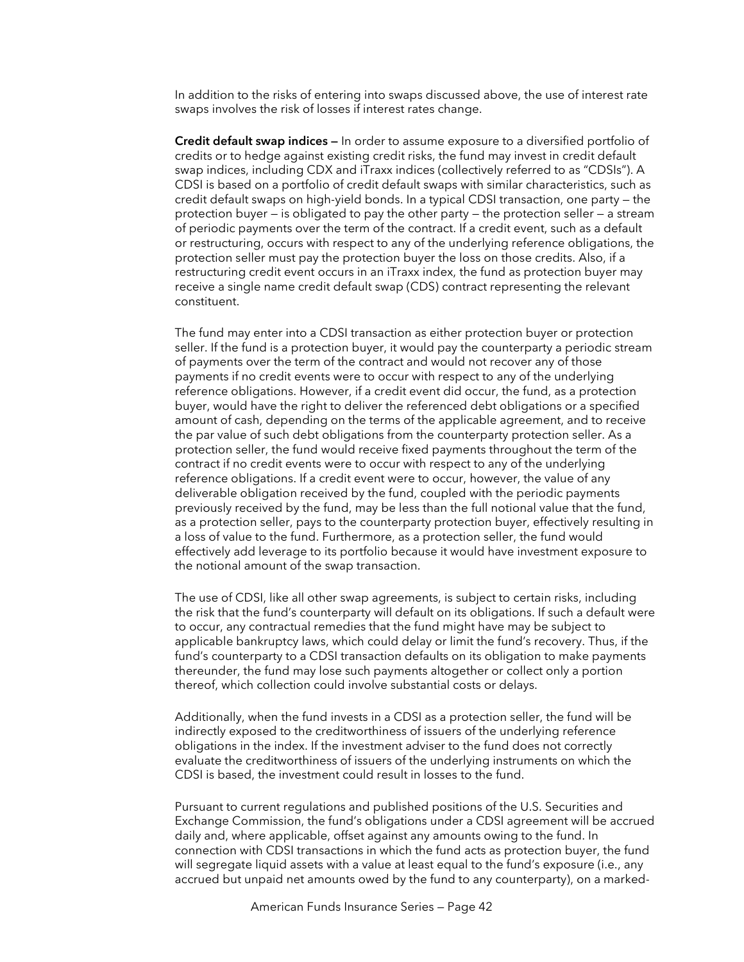In addition to the risks of entering into swaps discussed above, the use of interest rate swaps involves the risk of losses if interest rates change.

**Credit default swap indices —** In order to assume exposure to a diversified portfolio of credits or to hedge against existing credit risks, the fund may invest in credit default swap indices, including CDX and iTraxx indices (collectively referred to as "CDSIs"). A CDSI is based on a portfolio of credit default swaps with similar characteristics, such as credit default swaps on high-yield bonds. In a typical CDSI transaction, one party — the protection buyer — is obligated to pay the other party — the protection seller — a stream of periodic payments over the term of the contract. If a credit event, such as a default or restructuring, occurs with respect to any of the underlying reference obligations, the protection seller must pay the protection buyer the loss on those credits. Also, if a restructuring credit event occurs in an iTraxx index, the fund as protection buyer may receive a single name credit default swap (CDS) contract representing the relevant constituent.

The fund may enter into a CDSI transaction as either protection buyer or protection seller. If the fund is a protection buyer, it would pay the counterparty a periodic stream of payments over the term of the contract and would not recover any of those payments if no credit events were to occur with respect to any of the underlying reference obligations. However, if a credit event did occur, the fund, as a protection buyer, would have the right to deliver the referenced debt obligations or a specified amount of cash, depending on the terms of the applicable agreement, and to receive the par value of such debt obligations from the counterparty protection seller. As a protection seller, the fund would receive fixed payments throughout the term of the contract if no credit events were to occur with respect to any of the underlying reference obligations. If a credit event were to occur, however, the value of any deliverable obligation received by the fund, coupled with the periodic payments previously received by the fund, may be less than the full notional value that the fund, as a protection seller, pays to the counterparty protection buyer, effectively resulting in a loss of value to the fund. Furthermore, as a protection seller, the fund would effectively add leverage to its portfolio because it would have investment exposure to the notional amount of the swap transaction.

The use of CDSI, like all other swap agreements, is subject to certain risks, including the risk that the fund's counterparty will default on its obligations. If such a default were to occur, any contractual remedies that the fund might have may be subject to applicable bankruptcy laws, which could delay or limit the fund's recovery. Thus, if the fund's counterparty to a CDSI transaction defaults on its obligation to make payments thereunder, the fund may lose such payments altogether or collect only a portion thereof, which collection could involve substantial costs or delays.

Additionally, when the fund invests in a CDSI as a protection seller, the fund will be indirectly exposed to the creditworthiness of issuers of the underlying reference obligations in the index. If the investment adviser to the fund does not correctly evaluate the creditworthiness of issuers of the underlying instruments on which the CDSI is based, the investment could result in losses to the fund.

Pursuant to current regulations and published positions of the U.S. Securities and Exchange Commission, the fund's obligations under a CDSI agreement will be accrued daily and, where applicable, offset against any amounts owing to the fund. In connection with CDSI transactions in which the fund acts as protection buyer, the fund will segregate liquid assets with a value at least equal to the fund's exposure (i.e., any accrued but unpaid net amounts owed by the fund to any counterparty), on a marked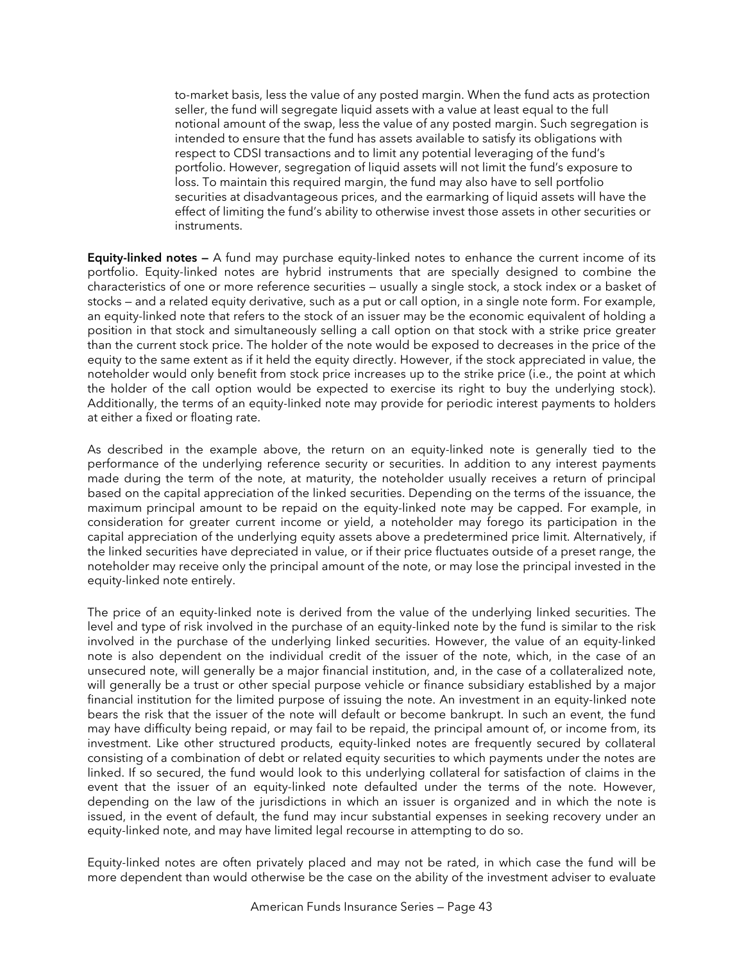to-market basis, less the value of any posted margin. When the fund acts as protection seller, the fund will segregate liquid assets with a value at least equal to the full notional amount of the swap, less the value of any posted margin. Such segregation is intended to ensure that the fund has assets available to satisfy its obligations with respect to CDSI transactions and to limit any potential leveraging of the fund's portfolio. However, segregation of liquid assets will not limit the fund's exposure to loss. To maintain this required margin, the fund may also have to sell portfolio securities at disadvantageous prices, and the earmarking of liquid assets will have the effect of limiting the fund's ability to otherwise invest those assets in other securities or instruments.

**Equity-linked notes —** A fund may purchase equity-linked notes to enhance the current income of its portfolio. Equity-linked notes are hybrid instruments that are specially designed to combine the characteristics of one or more reference securities — usually a single stock, a stock index or a basket of stocks — and a related equity derivative, such as a put or call option, in a single note form. For example, an equity-linked note that refers to the stock of an issuer may be the economic equivalent of holding a position in that stock and simultaneously selling a call option on that stock with a strike price greater than the current stock price. The holder of the note would be exposed to decreases in the price of the equity to the same extent as if it held the equity directly. However, if the stock appreciated in value, the noteholder would only benefit from stock price increases up to the strike price (i.e., the point at which the holder of the call option would be expected to exercise its right to buy the underlying stock). Additionally, the terms of an equity-linked note may provide for periodic interest payments to holders at either a fixed or floating rate.

As described in the example above, the return on an equity-linked note is generally tied to the performance of the underlying reference security or securities. In addition to any interest payments made during the term of the note, at maturity, the noteholder usually receives a return of principal based on the capital appreciation of the linked securities. Depending on the terms of the issuance, the maximum principal amount to be repaid on the equity-linked note may be capped. For example, in consideration for greater current income or yield, a noteholder may forego its participation in the capital appreciation of the underlying equity assets above a predetermined price limit. Alternatively, if the linked securities have depreciated in value, or if their price fluctuates outside of a preset range, the noteholder may receive only the principal amount of the note, or may lose the principal invested in the equity-linked note entirely.

The price of an equity-linked note is derived from the value of the underlying linked securities. The level and type of risk involved in the purchase of an equity-linked note by the fund is similar to the risk involved in the purchase of the underlying linked securities. However, the value of an equity-linked note is also dependent on the individual credit of the issuer of the note, which, in the case of an unsecured note, will generally be a major financial institution, and, in the case of a collateralized note, will generally be a trust or other special purpose vehicle or finance subsidiary established by a major financial institution for the limited purpose of issuing the note. An investment in an equity-linked note bears the risk that the issuer of the note will default or become bankrupt. In such an event, the fund may have difficulty being repaid, or may fail to be repaid, the principal amount of, or income from, its investment. Like other structured products, equity-linked notes are frequently secured by collateral consisting of a combination of debt or related equity securities to which payments under the notes are linked. If so secured, the fund would look to this underlying collateral for satisfaction of claims in the event that the issuer of an equity-linked note defaulted under the terms of the note. However, depending on the law of the jurisdictions in which an issuer is organized and in which the note is issued, in the event of default, the fund may incur substantial expenses in seeking recovery under an equity-linked note, and may have limited legal recourse in attempting to do so.

Equity-linked notes are often privately placed and may not be rated, in which case the fund will be more dependent than would otherwise be the case on the ability of the investment adviser to evaluate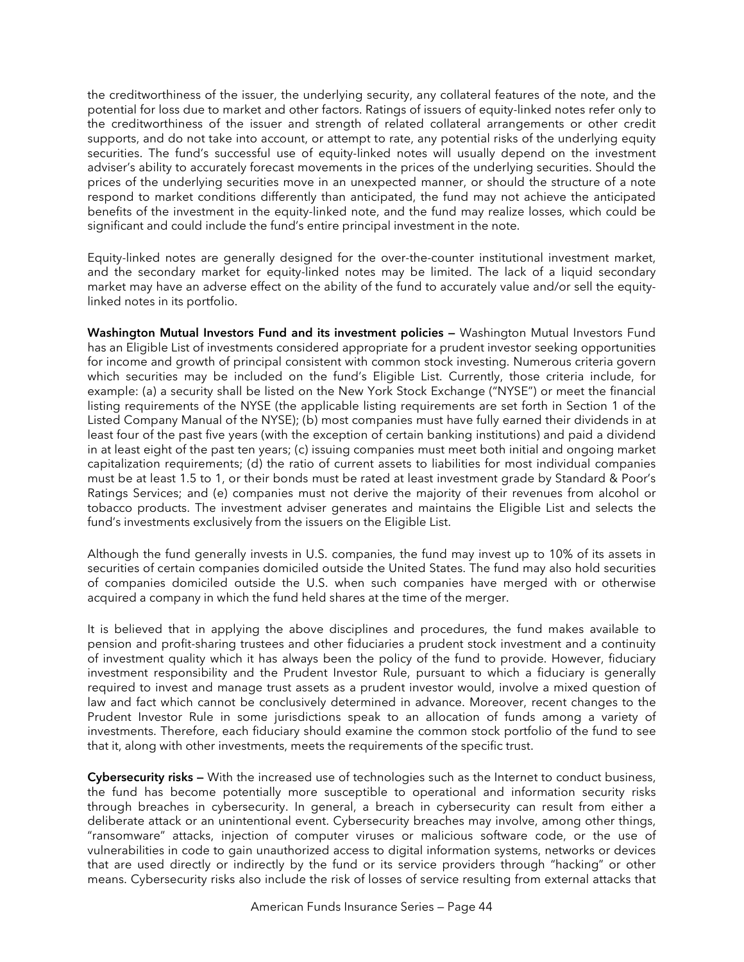the creditworthiness of the issuer, the underlying security, any collateral features of the note, and the potential for loss due to market and other factors. Ratings of issuers of equity-linked notes refer only to the creditworthiness of the issuer and strength of related collateral arrangements or other credit supports, and do not take into account, or attempt to rate, any potential risks of the underlying equity securities. The fund's successful use of equity-linked notes will usually depend on the investment adviser's ability to accurately forecast movements in the prices of the underlying securities. Should the prices of the underlying securities move in an unexpected manner, or should the structure of a note respond to market conditions differently than anticipated, the fund may not achieve the anticipated benefits of the investment in the equity-linked note, and the fund may realize losses, which could be significant and could include the fund's entire principal investment in the note.

Equity-linked notes are generally designed for the over-the-counter institutional investment market, and the secondary market for equity-linked notes may be limited. The lack of a liquid secondary market may have an adverse effect on the ability of the fund to accurately value and/or sell the equitylinked notes in its portfolio.

**Washington Mutual Investors Fund and its investment policies —** Washington Mutual Investors Fund has an Eligible List of investments considered appropriate for a prudent investor seeking opportunities for income and growth of principal consistent with common stock investing. Numerous criteria govern which securities may be included on the fund's Eligible List. Currently, those criteria include, for example: (a) a security shall be listed on the New York Stock Exchange ("NYSE") or meet the financial listing requirements of the NYSE (the applicable listing requirements are set forth in Section 1 of the Listed Company Manual of the NYSE); (b) most companies must have fully earned their dividends in at least four of the past five years (with the exception of certain banking institutions) and paid a dividend in at least eight of the past ten years; (c) issuing companies must meet both initial and ongoing market capitalization requirements; (d) the ratio of current assets to liabilities for most individual companies must be at least 1.5 to 1, or their bonds must be rated at least investment grade by Standard & Poor's Ratings Services; and (e) companies must not derive the majority of their revenues from alcohol or tobacco products. The investment adviser generates and maintains the Eligible List and selects the fund's investments exclusively from the issuers on the Eligible List.

Although the fund generally invests in U.S. companies, the fund may invest up to 10% of its assets in securities of certain companies domiciled outside the United States. The fund may also hold securities of companies domiciled outside the U.S. when such companies have merged with or otherwise acquired a company in which the fund held shares at the time of the merger.

It is believed that in applying the above disciplines and procedures, the fund makes available to pension and profit-sharing trustees and other fiduciaries a prudent stock investment and a continuity of investment quality which it has always been the policy of the fund to provide. However, fiduciary investment responsibility and the Prudent Investor Rule, pursuant to which a fiduciary is generally required to invest and manage trust assets as a prudent investor would, involve a mixed question of law and fact which cannot be conclusively determined in advance. Moreover, recent changes to the Prudent Investor Rule in some jurisdictions speak to an allocation of funds among a variety of investments. Therefore, each fiduciary should examine the common stock portfolio of the fund to see that it, along with other investments, meets the requirements of the specific trust.

**Cybersecurity risks —** With the increased use of technologies such as the Internet to conduct business, the fund has become potentially more susceptible to operational and information security risks through breaches in cybersecurity. In general, a breach in cybersecurity can result from either a deliberate attack or an unintentional event. Cybersecurity breaches may involve, among other things, "ransomware" attacks, injection of computer viruses or malicious software code, or the use of vulnerabilities in code to gain unauthorized access to digital information systems, networks or devices that are used directly or indirectly by the fund or its service providers through "hacking" or other means. Cybersecurity risks also include the risk of losses of service resulting from external attacks that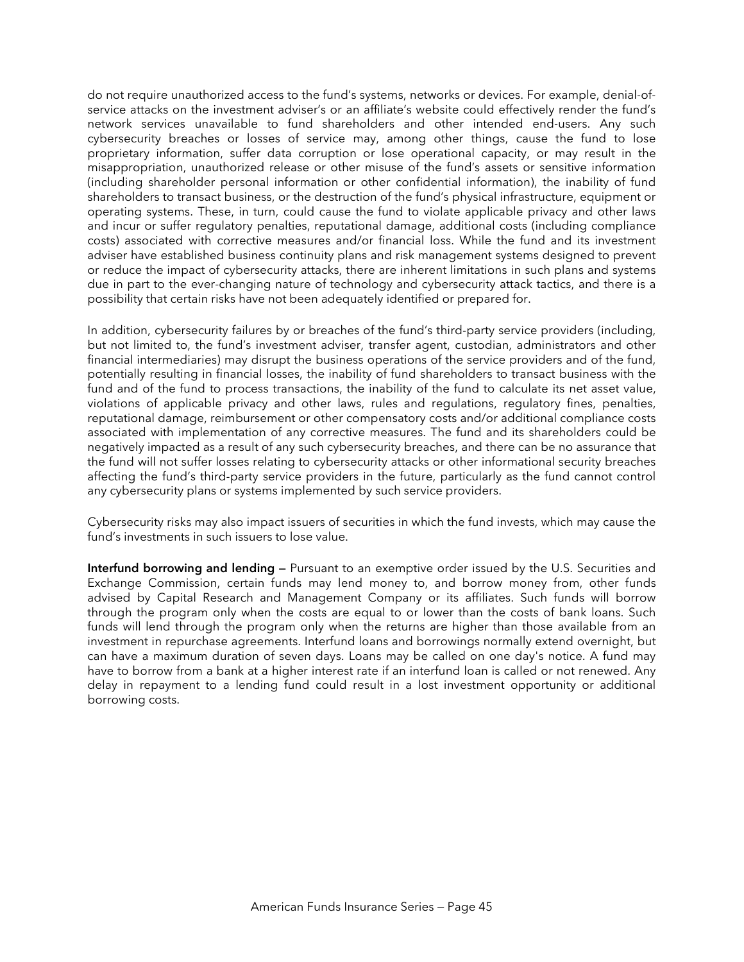do not require unauthorized access to the fund's systems, networks or devices. For example, denial-ofservice attacks on the investment adviser's or an affiliate's website could effectively render the fund's network services unavailable to fund shareholders and other intended end-users. Any such cybersecurity breaches or losses of service may, among other things, cause the fund to lose proprietary information, suffer data corruption or lose operational capacity, or may result in the misappropriation, unauthorized release or other misuse of the fund's assets or sensitive information (including shareholder personal information or other confidential information), the inability of fund shareholders to transact business, or the destruction of the fund's physical infrastructure, equipment or operating systems. These, in turn, could cause the fund to violate applicable privacy and other laws and incur or suffer regulatory penalties, reputational damage, additional costs (including compliance costs) associated with corrective measures and/or financial loss. While the fund and its investment adviser have established business continuity plans and risk management systems designed to prevent or reduce the impact of cybersecurity attacks, there are inherent limitations in such plans and systems due in part to the ever-changing nature of technology and cybersecurity attack tactics, and there is a possibility that certain risks have not been adequately identified or prepared for.

In addition, cybersecurity failures by or breaches of the fund's third-party service providers (including, but not limited to, the fund's investment adviser, transfer agent, custodian, administrators and other financial intermediaries) may disrupt the business operations of the service providers and of the fund, potentially resulting in financial losses, the inability of fund shareholders to transact business with the fund and of the fund to process transactions, the inability of the fund to calculate its net asset value, violations of applicable privacy and other laws, rules and regulations, regulatory fines, penalties, reputational damage, reimbursement or other compensatory costs and/or additional compliance costs associated with implementation of any corrective measures. The fund and its shareholders could be negatively impacted as a result of any such cybersecurity breaches, and there can be no assurance that the fund will not suffer losses relating to cybersecurity attacks or other informational security breaches affecting the fund's third-party service providers in the future, particularly as the fund cannot control any cybersecurity plans or systems implemented by such service providers.

Cybersecurity risks may also impact issuers of securities in which the fund invests, which may cause the fund's investments in such issuers to lose value.

**Interfund borrowing and lending —** Pursuant to an exemptive order issued by the U.S. Securities and Exchange Commission, certain funds may lend money to, and borrow money from, other funds advised by Capital Research and Management Company or its affiliates. Such funds will borrow through the program only when the costs are equal to or lower than the costs of bank loans. Such funds will lend through the program only when the returns are higher than those available from an investment in repurchase agreements. Interfund loans and borrowings normally extend overnight, but can have a maximum duration of seven days. Loans may be called on one day's notice. A fund may have to borrow from a bank at a higher interest rate if an interfund loan is called or not renewed. Any delay in repayment to a lending fund could result in a lost investment opportunity or additional borrowing costs.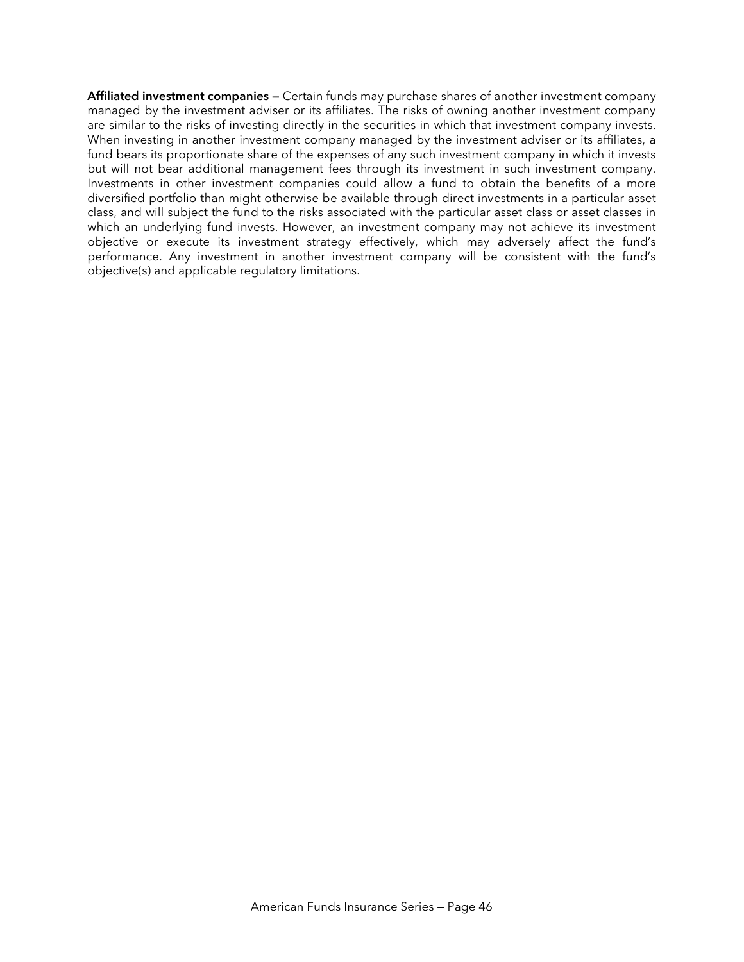**Affiliated investment companies —** Certain funds may purchase shares of another investment company managed by the investment adviser or its affiliates. The risks of owning another investment company are similar to the risks of investing directly in the securities in which that investment company invests. When investing in another investment company managed by the investment adviser or its affiliates, a fund bears its proportionate share of the expenses of any such investment company in which it invests but will not bear additional management fees through its investment in such investment company. Investments in other investment companies could allow a fund to obtain the benefits of a more diversified portfolio than might otherwise be available through direct investments in a particular asset class, and will subject the fund to the risks associated with the particular asset class or asset classes in which an underlying fund invests. However, an investment company may not achieve its investment objective or execute its investment strategy effectively, which may adversely affect the fund's performance. Any investment in another investment company will be consistent with the fund's objective(s) and applicable regulatory limitations.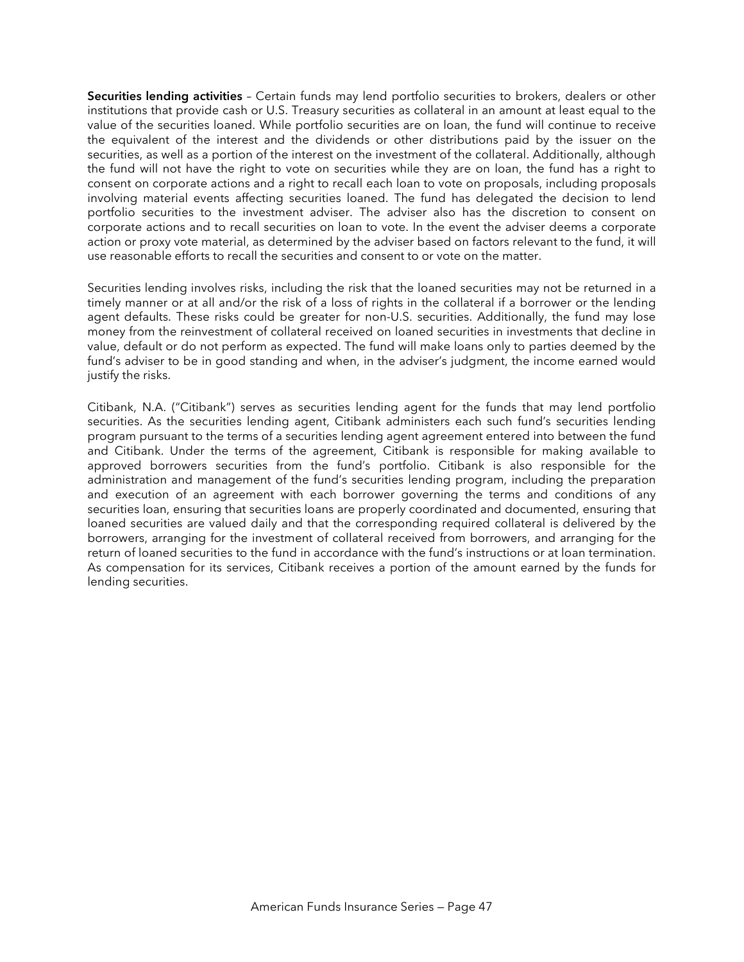**Securities lending activities** – Certain funds may lend portfolio securities to brokers, dealers or other institutions that provide cash or U.S. Treasury securities as collateral in an amount at least equal to the value of the securities loaned. While portfolio securities are on loan, the fund will continue to receive the equivalent of the interest and the dividends or other distributions paid by the issuer on the securities, as well as a portion of the interest on the investment of the collateral. Additionally, although the fund will not have the right to vote on securities while they are on loan, the fund has a right to consent on corporate actions and a right to recall each loan to vote on proposals, including proposals involving material events affecting securities loaned. The fund has delegated the decision to lend portfolio securities to the investment adviser. The adviser also has the discretion to consent on corporate actions and to recall securities on loan to vote. In the event the adviser deems a corporate action or proxy vote material, as determined by the adviser based on factors relevant to the fund, it will use reasonable efforts to recall the securities and consent to or vote on the matter.

Securities lending involves risks, including the risk that the loaned securities may not be returned in a timely manner or at all and/or the risk of a loss of rights in the collateral if a borrower or the lending agent defaults. These risks could be greater for non-U.S. securities. Additionally, the fund may lose money from the reinvestment of collateral received on loaned securities in investments that decline in value, default or do not perform as expected. The fund will make loans only to parties deemed by the fund's adviser to be in good standing and when, in the adviser's judgment, the income earned would justify the risks.

Citibank, N.A. ("Citibank") serves as securities lending agent for the funds that may lend portfolio securities. As the securities lending agent, Citibank administers each such fund's securities lending program pursuant to the terms of a securities lending agent agreement entered into between the fund and Citibank. Under the terms of the agreement, Citibank is responsible for making available to approved borrowers securities from the fund's portfolio. Citibank is also responsible for the administration and management of the fund's securities lending program, including the preparation and execution of an agreement with each borrower governing the terms and conditions of any securities loan, ensuring that securities loans are properly coordinated and documented, ensuring that loaned securities are valued daily and that the corresponding required collateral is delivered by the borrowers, arranging for the investment of collateral received from borrowers, and arranging for the return of loaned securities to the fund in accordance with the fund's instructions or at loan termination. As compensation for its services, Citibank receives a portion of the amount earned by the funds for lending securities.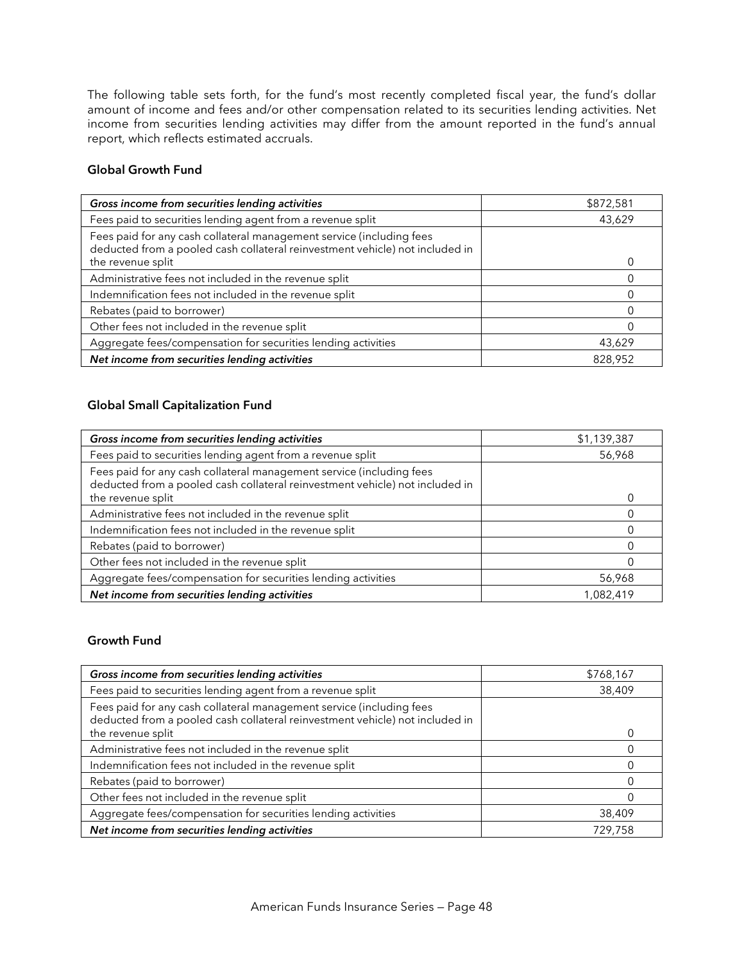The following table sets forth, for the fund's most recently completed fiscal year, the fund's dollar amount of income and fees and/or other compensation related to its securities lending activities. Net income from securities lending activities may differ from the amount reported in the fund's annual report, which reflects estimated accruals.

#### **Global Growth Fund**

| Gross income from securities lending activities                                                                                                      | \$872,581 |
|------------------------------------------------------------------------------------------------------------------------------------------------------|-----------|
| Fees paid to securities lending agent from a revenue split                                                                                           | 43,629    |
| Fees paid for any cash collateral management service (including fees<br>deducted from a pooled cash collateral reinvestment vehicle) not included in |           |
| the revenue split                                                                                                                                    |           |
| Administrative fees not included in the revenue split                                                                                                |           |
| Indemnification fees not included in the revenue split                                                                                               |           |
| Rebates (paid to borrower)                                                                                                                           |           |
| Other fees not included in the revenue split                                                                                                         |           |
| Aggregate fees/compensation for securities lending activities                                                                                        | 43,629    |
| Net income from securities lending activities                                                                                                        | 828,952   |

#### **Global Small Capitalization Fund**

| Gross income from securities lending activities                                                                                                      | \$1,139,387 |
|------------------------------------------------------------------------------------------------------------------------------------------------------|-------------|
| Fees paid to securities lending agent from a revenue split                                                                                           | 56,968      |
| Fees paid for any cash collateral management service (including fees<br>deducted from a pooled cash collateral reinvestment vehicle) not included in |             |
| the revenue split                                                                                                                                    |             |
| Administrative fees not included in the revenue split                                                                                                |             |
| Indemnification fees not included in the revenue split                                                                                               |             |
| Rebates (paid to borrower)                                                                                                                           |             |
| Other fees not included in the revenue split                                                                                                         |             |
| Aggregate fees/compensation for securities lending activities                                                                                        | 56,968      |
| Net income from securities lending activities                                                                                                        | 1,082,419   |

## **Growth Fund**

| Gross income from securities lending activities                                                                                                      | \$768,167 |
|------------------------------------------------------------------------------------------------------------------------------------------------------|-----------|
| Fees paid to securities lending agent from a revenue split                                                                                           | 38,409    |
| Fees paid for any cash collateral management service (including fees<br>deducted from a pooled cash collateral reinvestment vehicle) not included in |           |
| the revenue split                                                                                                                                    |           |
| Administrative fees not included in the revenue split                                                                                                |           |
| Indemnification fees not included in the revenue split                                                                                               |           |
| Rebates (paid to borrower)                                                                                                                           |           |
| Other fees not included in the revenue split                                                                                                         |           |
| Aggregate fees/compensation for securities lending activities                                                                                        | 38,409    |
| Net income from securities lending activities                                                                                                        | 729,758   |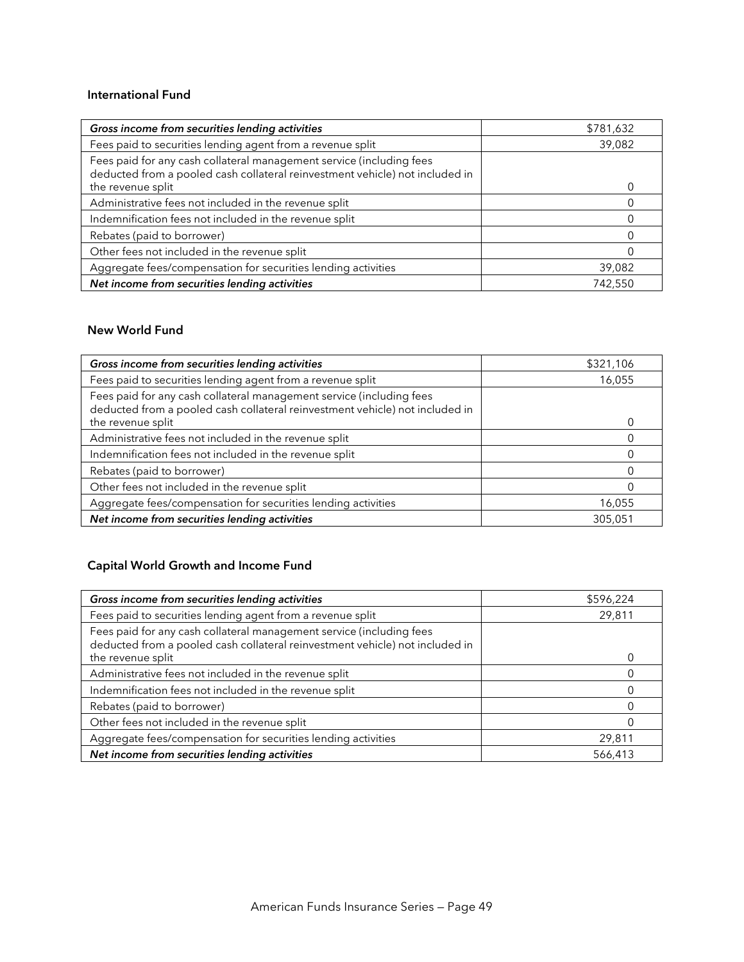#### **International Fund**

| Gross income from securities lending activities                                                                                                      | \$781,632 |
|------------------------------------------------------------------------------------------------------------------------------------------------------|-----------|
| Fees paid to securities lending agent from a revenue split                                                                                           | 39,082    |
| Fees paid for any cash collateral management service (including fees<br>deducted from a pooled cash collateral reinvestment vehicle) not included in |           |
| the revenue split                                                                                                                                    |           |
| Administrative fees not included in the revenue split                                                                                                |           |
| Indemnification fees not included in the revenue split                                                                                               |           |
| Rebates (paid to borrower)                                                                                                                           |           |
| Other fees not included in the revenue split                                                                                                         |           |
| Aggregate fees/compensation for securities lending activities                                                                                        | 39,082    |
| Net income from securities lending activities                                                                                                        | 742,550   |

## **New World Fund**

| Gross income from securities lending activities                                                                                                      | \$321,106 |
|------------------------------------------------------------------------------------------------------------------------------------------------------|-----------|
| Fees paid to securities lending agent from a revenue split                                                                                           | 16,055    |
| Fees paid for any cash collateral management service (including fees<br>deducted from a pooled cash collateral reinvestment vehicle) not included in |           |
| the revenue split                                                                                                                                    |           |
| Administrative fees not included in the revenue split                                                                                                |           |
| Indemnification fees not included in the revenue split                                                                                               |           |
| Rebates (paid to borrower)                                                                                                                           |           |
| Other fees not included in the revenue split                                                                                                         |           |
| Aggregate fees/compensation for securities lending activities                                                                                        | 16,055    |
| Net income from securities lending activities                                                                                                        | 305,051   |

# **Capital World Growth and Income Fund**

| Gross income from securities lending activities                                                                                                      | \$596,224 |
|------------------------------------------------------------------------------------------------------------------------------------------------------|-----------|
| Fees paid to securities lending agent from a revenue split                                                                                           | 29,811    |
| Fees paid for any cash collateral management service (including fees<br>deducted from a pooled cash collateral reinvestment vehicle) not included in |           |
| the revenue split                                                                                                                                    |           |
| Administrative fees not included in the revenue split                                                                                                |           |
| Indemnification fees not included in the revenue split                                                                                               |           |
| Rebates (paid to borrower)                                                                                                                           |           |
| Other fees not included in the revenue split                                                                                                         |           |
| Aggregate fees/compensation for securities lending activities                                                                                        | 29,811    |
| Net income from securities lending activities                                                                                                        | 566,413   |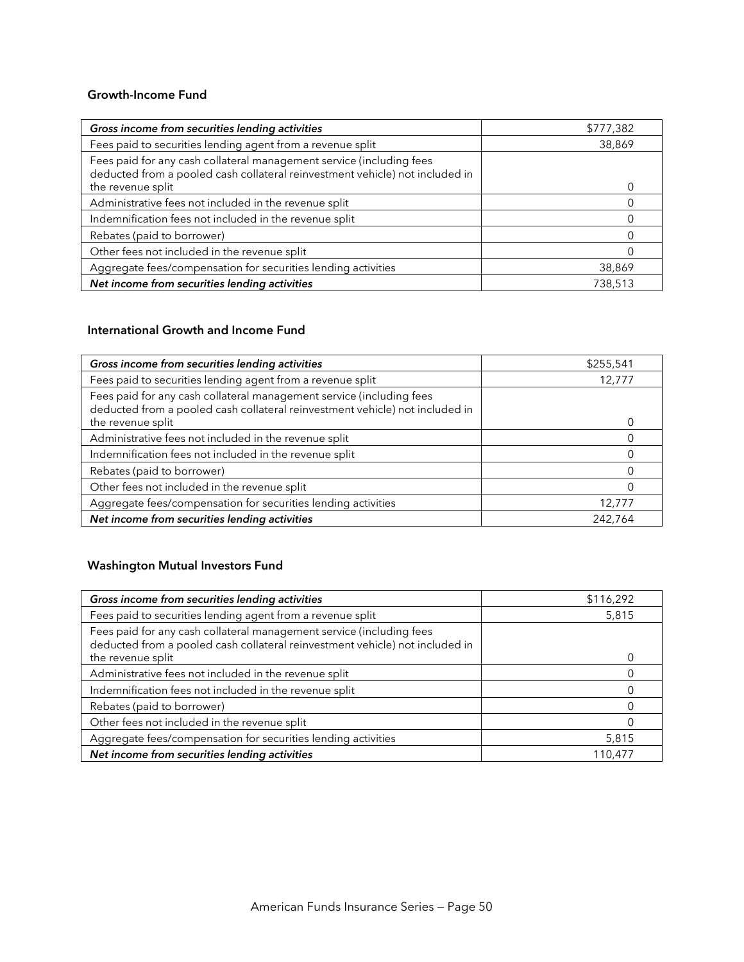### **Growth-Income Fund**

| Gross income from securities lending activities                                                                                                      | \$777,382 |
|------------------------------------------------------------------------------------------------------------------------------------------------------|-----------|
| Fees paid to securities lending agent from a revenue split                                                                                           | 38,869    |
| Fees paid for any cash collateral management service (including fees<br>deducted from a pooled cash collateral reinvestment vehicle) not included in |           |
| the revenue split                                                                                                                                    |           |
| Administrative fees not included in the revenue split                                                                                                |           |
| Indemnification fees not included in the revenue split                                                                                               |           |
| Rebates (paid to borrower)                                                                                                                           |           |
| Other fees not included in the revenue split                                                                                                         |           |
| Aggregate fees/compensation for securities lending activities                                                                                        | 38,869    |
| Net income from securities lending activities                                                                                                        | 738,513   |

## **International Growth and Income Fund**

| Gross income from securities lending activities                                                                                                      | \$255,541 |
|------------------------------------------------------------------------------------------------------------------------------------------------------|-----------|
| Fees paid to securities lending agent from a revenue split                                                                                           | 12,777    |
| Fees paid for any cash collateral management service (including fees<br>deducted from a pooled cash collateral reinvestment vehicle) not included in |           |
| the revenue split                                                                                                                                    |           |
| Administrative fees not included in the revenue split                                                                                                |           |
| Indemnification fees not included in the revenue split                                                                                               |           |
| Rebates (paid to borrower)                                                                                                                           |           |
| Other fees not included in the revenue split                                                                                                         |           |
| Aggregate fees/compensation for securities lending activities                                                                                        | 12,777    |
| Net income from securities lending activities                                                                                                        | 242,764   |

## **Washington Mutual Investors Fund**

| Gross income from securities lending activities                                                                                                      | \$116,292 |
|------------------------------------------------------------------------------------------------------------------------------------------------------|-----------|
| Fees paid to securities lending agent from a revenue split                                                                                           | 5,815     |
| Fees paid for any cash collateral management service (including fees<br>deducted from a pooled cash collateral reinvestment vehicle) not included in |           |
| the revenue split                                                                                                                                    |           |
| Administrative fees not included in the revenue split                                                                                                |           |
| Indemnification fees not included in the revenue split                                                                                               |           |
| Rebates (paid to borrower)                                                                                                                           |           |
| Other fees not included in the revenue split                                                                                                         |           |
| Aggregate fees/compensation for securities lending activities                                                                                        | 5,815     |
| Net income from securities lending activities                                                                                                        | 110,477   |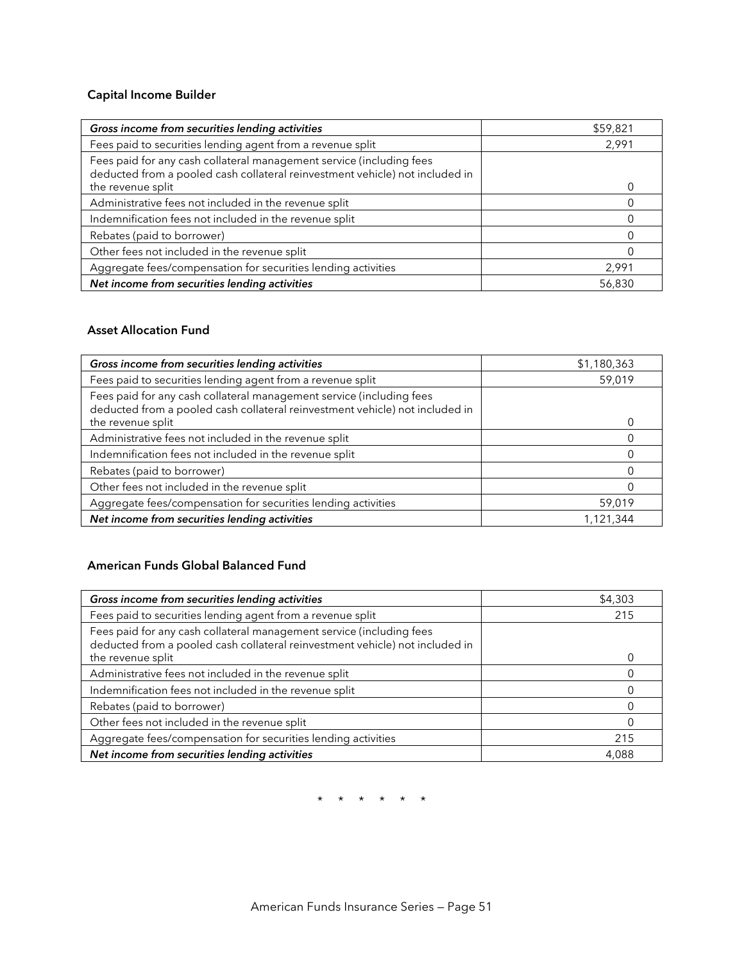## **Capital Income Builder**

| Gross income from securities lending activities                                                                                                      | \$59,821 |
|------------------------------------------------------------------------------------------------------------------------------------------------------|----------|
| Fees paid to securities lending agent from a revenue split                                                                                           | 2,991    |
| Fees paid for any cash collateral management service (including fees<br>deducted from a pooled cash collateral reinvestment vehicle) not included in |          |
| the revenue split                                                                                                                                    |          |
| Administrative fees not included in the revenue split                                                                                                |          |
| Indemnification fees not included in the revenue split                                                                                               |          |
| Rebates (paid to borrower)                                                                                                                           |          |
| Other fees not included in the revenue split                                                                                                         |          |
| Aggregate fees/compensation for securities lending activities                                                                                        | 2,991    |
| Net income from securities lending activities                                                                                                        | 56,830   |

## **Asset Allocation Fund**

| Gross income from securities lending activities                                                                                                      | \$1,180,363 |
|------------------------------------------------------------------------------------------------------------------------------------------------------|-------------|
| Fees paid to securities lending agent from a revenue split                                                                                           | 59,019      |
| Fees paid for any cash collateral management service (including fees<br>deducted from a pooled cash collateral reinvestment vehicle) not included in |             |
| the revenue split                                                                                                                                    |             |
| Administrative fees not included in the revenue split                                                                                                |             |
| Indemnification fees not included in the revenue split                                                                                               |             |
| Rebates (paid to borrower)                                                                                                                           |             |
| Other fees not included in the revenue split                                                                                                         |             |
| Aggregate fees/compensation for securities lending activities                                                                                        | 59,019      |
| Net income from securities lending activities                                                                                                        | 1,121,344   |

## **American Funds Global Balanced Fund**

| Gross income from securities lending activities                                                                                                      | \$4,303 |
|------------------------------------------------------------------------------------------------------------------------------------------------------|---------|
| Fees paid to securities lending agent from a revenue split                                                                                           | 215     |
| Fees paid for any cash collateral management service (including fees<br>deducted from a pooled cash collateral reinvestment vehicle) not included in |         |
| the revenue split                                                                                                                                    |         |
| Administrative fees not included in the revenue split                                                                                                |         |
| Indemnification fees not included in the revenue split                                                                                               |         |
| Rebates (paid to borrower)                                                                                                                           |         |
| Other fees not included in the revenue split                                                                                                         |         |
| Aggregate fees/compensation for securities lending activities                                                                                        | 215     |
| Net income from securities lending activities                                                                                                        | 4,088   |

\* \* \* \* \* \*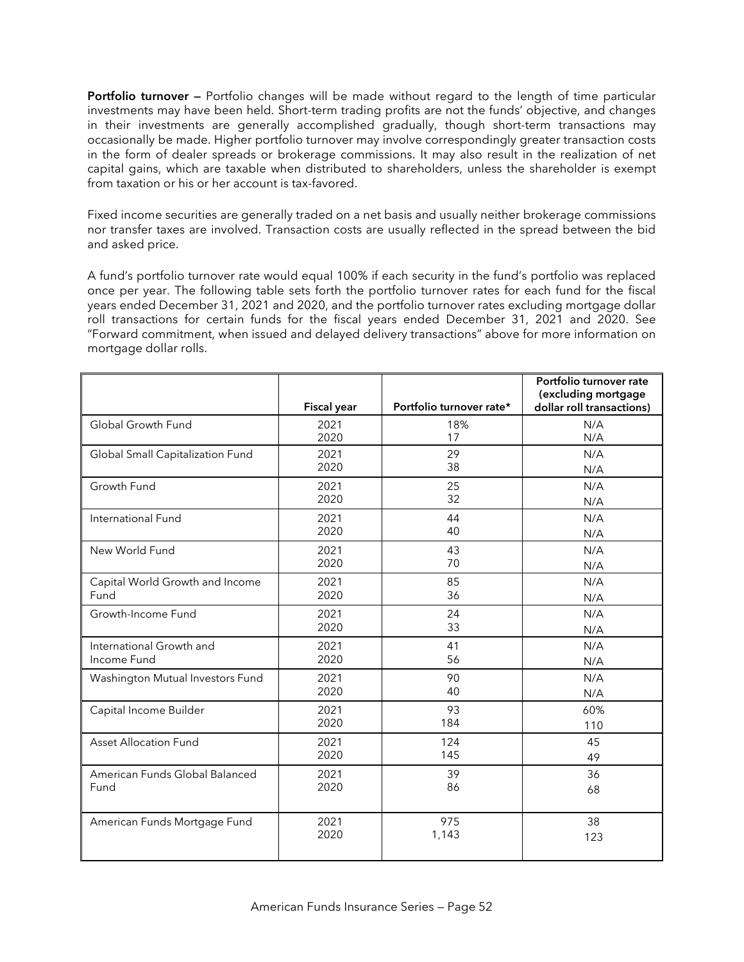**Portfolio turnover —** Portfolio changes will be made without regard to the length of time particular investments may have been held. Short-term trading profits are not the funds' objective, and changes in their investments are generally accomplished gradually, though short-term transactions may occasionally be made. Higher portfolio turnover may involve correspondingly greater transaction costs in the form of dealer spreads or brokerage commissions. It may also result in the realization of net capital gains, which are taxable when distributed to shareholders, unless the shareholder is exempt from taxation or his or her account is tax-favored.

Fixed income securities are generally traded on a net basis and usually neither brokerage commissions nor transfer taxes are involved. Transaction costs are usually reflected in the spread between the bid and asked price.

A fund's portfolio turnover rate would equal 100% if each security in the fund's portfolio was replaced once per year. The following table sets forth the portfolio turnover rates for each fund for the fiscal years ended December 31, 2021 and 2020, and the portfolio turnover rates excluding mortgage dollar roll transactions for certain funds for the fiscal years ended December 31, 2021 and 2020. See "Forward commitment, when issued and delayed delivery transactions" above for more information on mortgage dollar rolls.

|                                  |                    |                          | Portfolio turnover rate<br>(excluding mortgage |
|----------------------------------|--------------------|--------------------------|------------------------------------------------|
|                                  | <b>Fiscal year</b> | Portfolio turnover rate* | dollar roll transactions)                      |
| Global Growth Fund               | 2021               | 18%                      | N/A                                            |
|                                  | 2020               | 17                       | N/A                                            |
| Global Small Capitalization Fund | 2021               | 29                       | N/A                                            |
|                                  | 2020               | 38                       | N/A                                            |
| Growth Fund                      | 2021               | 25                       | N/A                                            |
|                                  | 2020               | 32                       | N/A                                            |
| International Fund               | 2021               | 44                       | N/A                                            |
|                                  | 2020               | 40                       | N/A                                            |
| New World Fund                   | 2021               | 43                       | N/A                                            |
|                                  | 2020               | 70                       | N/A                                            |
| Capital World Growth and Income  | 2021               | 85                       | N/A                                            |
| Fund                             | 2020               | 36                       | N/A                                            |
| Growth-Income Fund               | 2021               | 24                       | N/A                                            |
|                                  | 2020               | 33                       | N/A                                            |
| International Growth and         | 2021               | 41                       | N/A                                            |
| Income Fund                      | 2020               | 56                       | N/A                                            |
| Washington Mutual Investors Fund | 2021               | 90                       | N/A                                            |
|                                  | 2020               | 40                       | N/A                                            |
| Capital Income Builder           | 2021               | 93                       | 60%                                            |
|                                  | 2020               | 184                      | 110                                            |
| <b>Asset Allocation Fund</b>     | 2021               | 124                      | 45                                             |
|                                  | 2020               | 145                      | 49                                             |
| American Funds Global Balanced   | 2021               | 39                       | 36                                             |
| Fund                             | 2020               | 86                       | 68                                             |
|                                  |                    |                          |                                                |
| American Funds Mortgage Fund     | 2021               | 975                      | 38                                             |
|                                  | 2020               | 1,143                    | 123                                            |
|                                  |                    |                          |                                                |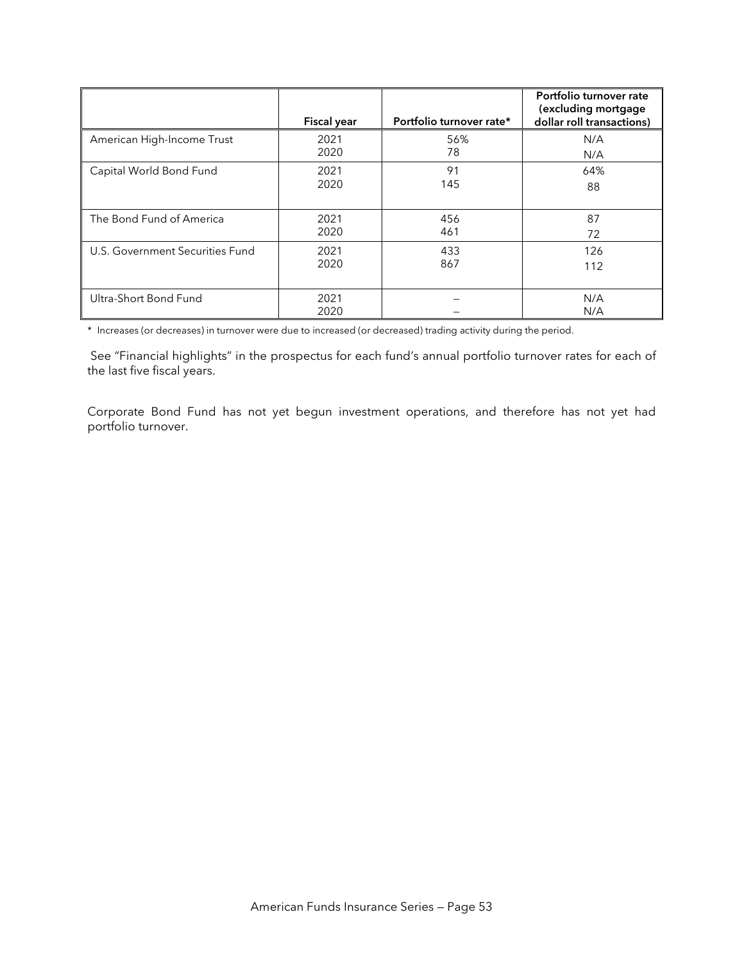|                                 | <b>Fiscal year</b> | Portfolio turnover rate* | Portfolio turnover rate<br>(excluding mortgage<br>dollar roll transactions) |
|---------------------------------|--------------------|--------------------------|-----------------------------------------------------------------------------|
| American High-Income Trust      | 2021               | 56%                      | N/A                                                                         |
|                                 | 2020               | 78                       | N/A                                                                         |
| Capital World Bond Fund         | 2021               | 91                       | 64%                                                                         |
|                                 | 2020               | 145                      | 88                                                                          |
| The Bond Fund of America        | 2021               | 456                      | 87                                                                          |
|                                 | 2020               | 461                      | 72                                                                          |
| U.S. Government Securities Fund | 2021               | 433                      | 126                                                                         |
|                                 | 2020               | 867                      | 112                                                                         |
| Ultra-Short Bond Fund           | 2021<br>2020       |                          | N/A<br>N/A                                                                  |

\* Increases (or decreases) in turnover were due to increased (or decreased) trading activity during the period.

 See "Financial highlights" in the prospectus for each fund's annual portfolio turnover rates for each of the last five fiscal years.

Corporate Bond Fund has not yet begun investment operations, and therefore has not yet had portfolio turnover.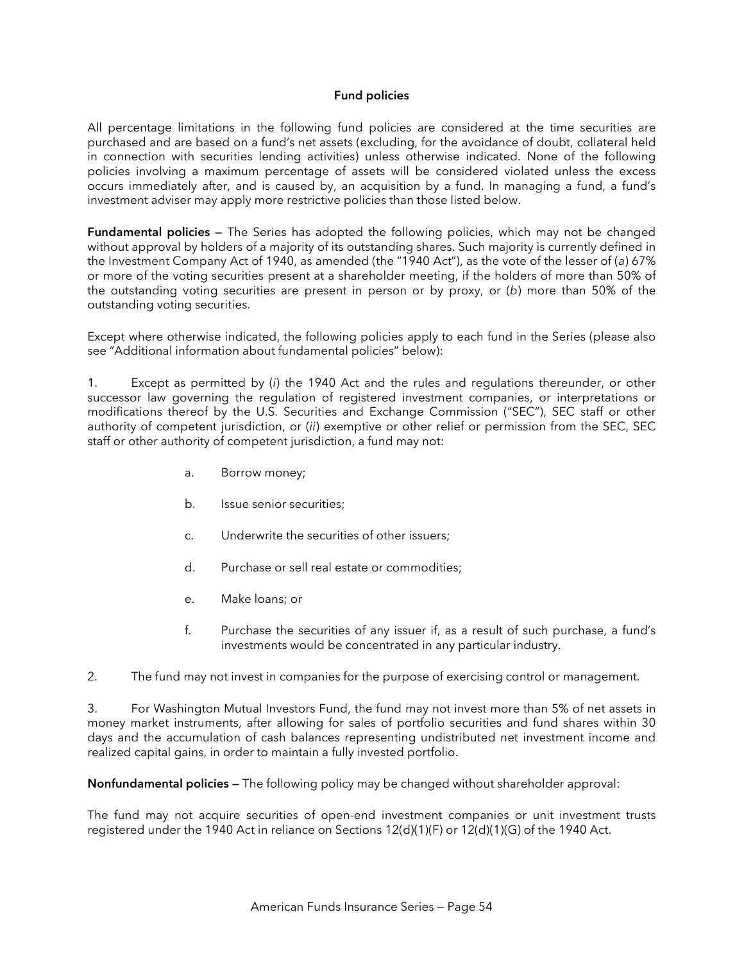#### **Fund policies**

All percentage limitations in the following fund policies are considered at the time securities are purchased and are based on a fund's net assets (excluding, for the avoidance of doubt, collateral held in connection with securities lending activities) unless otherwise indicated. None of the following policies involving a maximum percentage of assets will be considered violated unless the excess occurs immediately after, and is caused by, an acquisition by a fund. In managing a fund, a fund's investment adviser may apply more restrictive policies than those listed below.

**Fundamental policies —** The Series has adopted the following policies, which may not be changed without approval by holders of a majority of its outstanding shares. Such majority is currently defined in the Investment Company Act of 1940, as amended (the "1940 Act"), as the vote of the lesser of (*a*) 67% or more of the voting securities present at a shareholder meeting, if the holders of more than 50% of the outstanding voting securities are present in person or by proxy, or (*b*) more than 50% of the outstanding voting securities.

Except where otherwise indicated, the following policies apply to each fund in the Series (please also see "Additional information about fundamental policies" below):

1. Except as permitted by (*i*) the 1940 Act and the rules and regulations thereunder, or other successor law governing the regulation of registered investment companies, or interpretations or modifications thereof by the U.S. Securities and Exchange Commission ("SEC"), SEC staff or other authority of competent jurisdiction, or (*ii*) exemptive or other relief or permission from the SEC, SEC staff or other authority of competent jurisdiction, a fund may not:

- a. Borrow money;
- b. Issue senior securities;
- c. Underwrite the securities of other issuers;
- d. Purchase or sell real estate or commodities;
- e. Make loans; or
- f. Purchase the securities of any issuer if, as a result of such purchase, a fund's investments would be concentrated in any particular industry.

2. The fund may not invest in companies for the purpose of exercising control or management.

3. For Washington Mutual Investors Fund, the fund may not invest more than 5% of net assets in money market instruments, after allowing for sales of portfolio securities and fund shares within 30 days and the accumulation of cash balances representing undistributed net investment income and realized capital gains, in order to maintain a fully invested portfolio.

**Nonfundamental policies —** The following policy may be changed without shareholder approval:

The fund may not acquire securities of open-end investment companies or unit investment trusts registered under the 1940 Act in reliance on Sections 12(d)(1)(F) or 12(d)(1)(G) of the 1940 Act.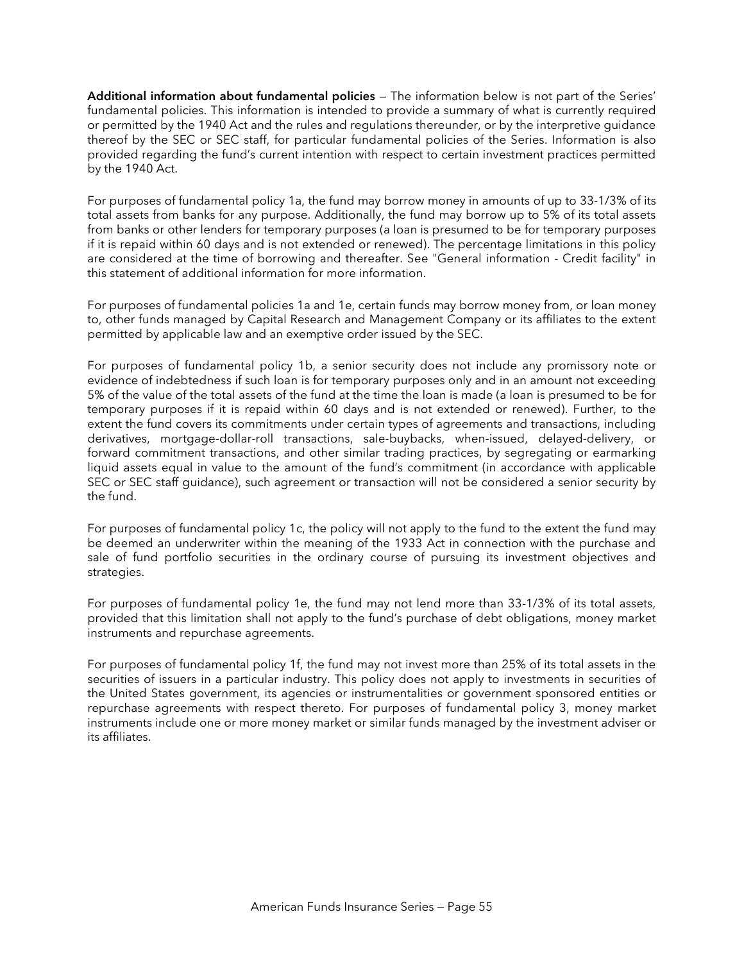**Additional information about fundamental policies** — The information below is not part of the Series' fundamental policies. This information is intended to provide a summary of what is currently required or permitted by the 1940 Act and the rules and regulations thereunder, or by the interpretive guidance thereof by the SEC or SEC staff, for particular fundamental policies of the Series. Information is also provided regarding the fund's current intention with respect to certain investment practices permitted by the 1940 Act.

For purposes of fundamental policy 1a, the fund may borrow money in amounts of up to 33-1/3% of its total assets from banks for any purpose. Additionally, the fund may borrow up to 5% of its total assets from banks or other lenders for temporary purposes (a loan is presumed to be for temporary purposes if it is repaid within 60 days and is not extended or renewed). The percentage limitations in this policy are considered at the time of borrowing and thereafter. See "General information - Credit facility" in this statement of additional information for more information.

For purposes of fundamental policies 1a and 1e, certain funds may borrow money from, or loan money to, other funds managed by Capital Research and Management Company or its affiliates to the extent permitted by applicable law and an exemptive order issued by the SEC.

For purposes of fundamental policy 1b, a senior security does not include any promissory note or evidence of indebtedness if such loan is for temporary purposes only and in an amount not exceeding 5% of the value of the total assets of the fund at the time the loan is made (a loan is presumed to be for temporary purposes if it is repaid within 60 days and is not extended or renewed). Further, to the extent the fund covers its commitments under certain types of agreements and transactions, including derivatives, mortgage-dollar-roll transactions, sale-buybacks, when-issued, delayed-delivery, or forward commitment transactions, and other similar trading practices, by segregating or earmarking liquid assets equal in value to the amount of the fund's commitment (in accordance with applicable SEC or SEC staff guidance), such agreement or transaction will not be considered a senior security by the fund.

For purposes of fundamental policy 1c, the policy will not apply to the fund to the extent the fund may be deemed an underwriter within the meaning of the 1933 Act in connection with the purchase and sale of fund portfolio securities in the ordinary course of pursuing its investment objectives and strategies.

For purposes of fundamental policy 1e, the fund may not lend more than 33-1/3% of its total assets, provided that this limitation shall not apply to the fund's purchase of debt obligations, money market instruments and repurchase agreements.

For purposes of fundamental policy 1f, the fund may not invest more than 25% of its total assets in the securities of issuers in a particular industry. This policy does not apply to investments in securities of the United States government, its agencies or instrumentalities or government sponsored entities or repurchase agreements with respect thereto. For purposes of fundamental policy 3, money market instruments include one or more money market or similar funds managed by the investment adviser or its affiliates.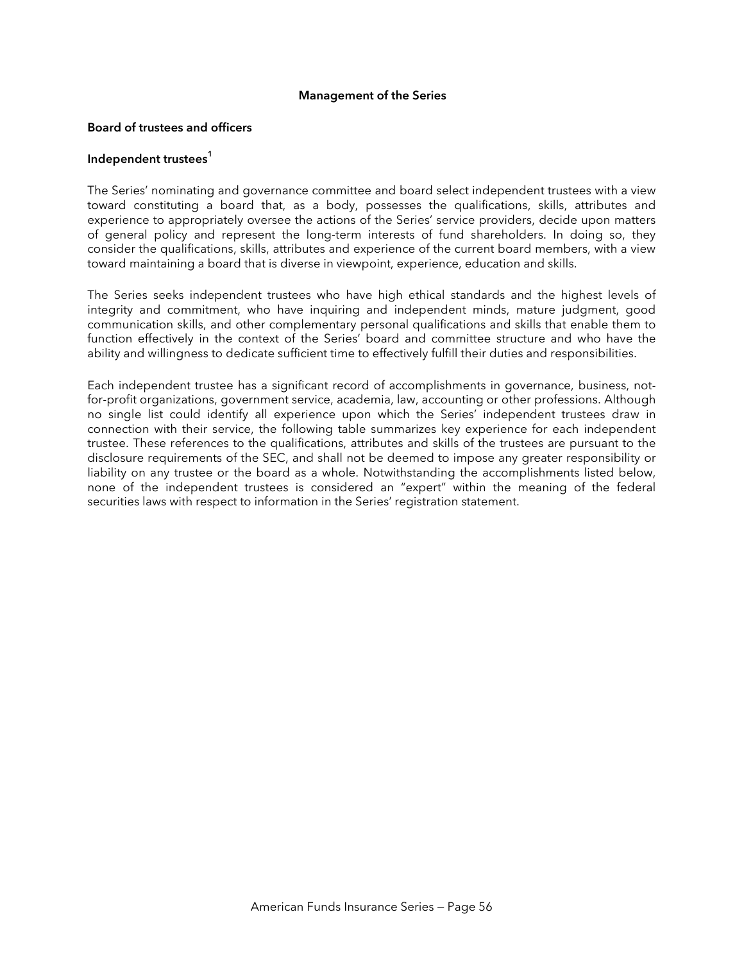#### **Management of the Series**

#### **Board of trustees and officers**

#### **Independent trustees<sup>1</sup>**

The Series' nominating and governance committee and board select independent trustees with a view toward constituting a board that, as a body, possesses the qualifications, skills, attributes and experience to appropriately oversee the actions of the Series' service providers, decide upon matters of general policy and represent the long-term interests of fund shareholders. In doing so, they consider the qualifications, skills, attributes and experience of the current board members, with a view toward maintaining a board that is diverse in viewpoint, experience, education and skills.

The Series seeks independent trustees who have high ethical standards and the highest levels of integrity and commitment, who have inquiring and independent minds, mature judgment, good communication skills, and other complementary personal qualifications and skills that enable them to function effectively in the context of the Series' board and committee structure and who have the ability and willingness to dedicate sufficient time to effectively fulfill their duties and responsibilities.

Each independent trustee has a significant record of accomplishments in governance, business, notfor-profit organizations, government service, academia, law, accounting or other professions. Although no single list could identify all experience upon which the Series' independent trustees draw in connection with their service, the following table summarizes key experience for each independent trustee. These references to the qualifications, attributes and skills of the trustees are pursuant to the disclosure requirements of the SEC, and shall not be deemed to impose any greater responsibility or liability on any trustee or the board as a whole. Notwithstanding the accomplishments listed below, none of the independent trustees is considered an "expert" within the meaning of the federal securities laws with respect to information in the Series' registration statement.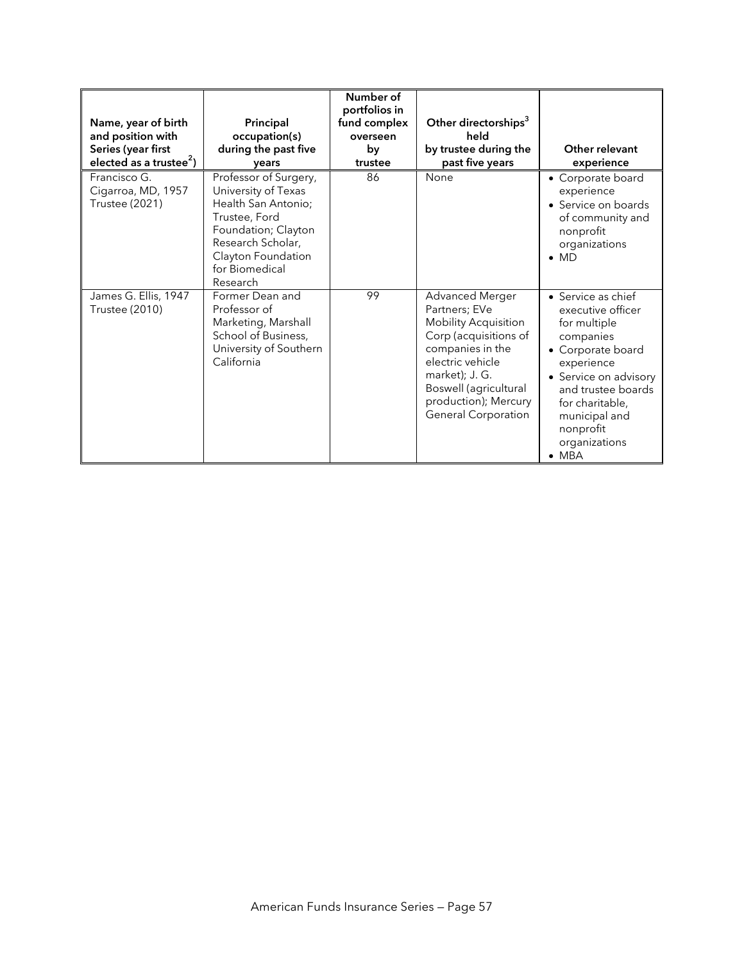|                                                             |                                                                                                                                                                                      | Number of                |                                                                                                                                                                                                                                   |                                                                                                                                                                                                                                           |
|-------------------------------------------------------------|--------------------------------------------------------------------------------------------------------------------------------------------------------------------------------------|--------------------------|-----------------------------------------------------------------------------------------------------------------------------------------------------------------------------------------------------------------------------------|-------------------------------------------------------------------------------------------------------------------------------------------------------------------------------------------------------------------------------------------|
|                                                             |                                                                                                                                                                                      | portfolios in            |                                                                                                                                                                                                                                   |                                                                                                                                                                                                                                           |
| Name, year of birth<br>and position with                    | Principal<br>occupation(s)                                                                                                                                                           | fund complex<br>overseen | Other directorships <sup>3</sup><br>held                                                                                                                                                                                          |                                                                                                                                                                                                                                           |
| Series (year first                                          | during the past five                                                                                                                                                                 | by                       | by trustee during the                                                                                                                                                                                                             | Other relevant                                                                                                                                                                                                                            |
| elected as a trustee <sup>2</sup> )                         | vears                                                                                                                                                                                | trustee                  | past five years                                                                                                                                                                                                                   | experience                                                                                                                                                                                                                                |
| Francisco G.<br>Cigarroa, MD, 1957<br><b>Trustee (2021)</b> | Professor of Surgery,<br>University of Texas<br>Health San Antonio;<br>Trustee, Ford<br>Foundation; Clayton<br>Research Scholar,<br>Clayton Foundation<br>for Biomedical<br>Research | 86                       | None                                                                                                                                                                                                                              | • Corporate board<br>experience<br>• Service on boards<br>of community and<br>nonprofit<br>organizations<br>$\bullet$ MD                                                                                                                  |
| James G. Ellis, 1947<br><b>Trustee (2010)</b>               | Former Dean and<br>Professor of<br>Marketing, Marshall<br>School of Business,<br>University of Southern<br>California                                                                | 99                       | Advanced Merger<br>Partners; EVe<br><b>Mobility Acquisition</b><br>Corp (acquisitions of<br>companies in the<br>electric vehicle<br>market); J. G.<br>Boswell (agricultural<br>production); Mercury<br><b>General Corporation</b> | • Service as chief<br>executive officer<br>for multiple<br>companies<br>• Corporate board<br>experience<br>• Service on advisory<br>and trustee boards<br>for charitable,<br>municipal and<br>nonprofit<br>organizations<br>$\bullet$ MBA |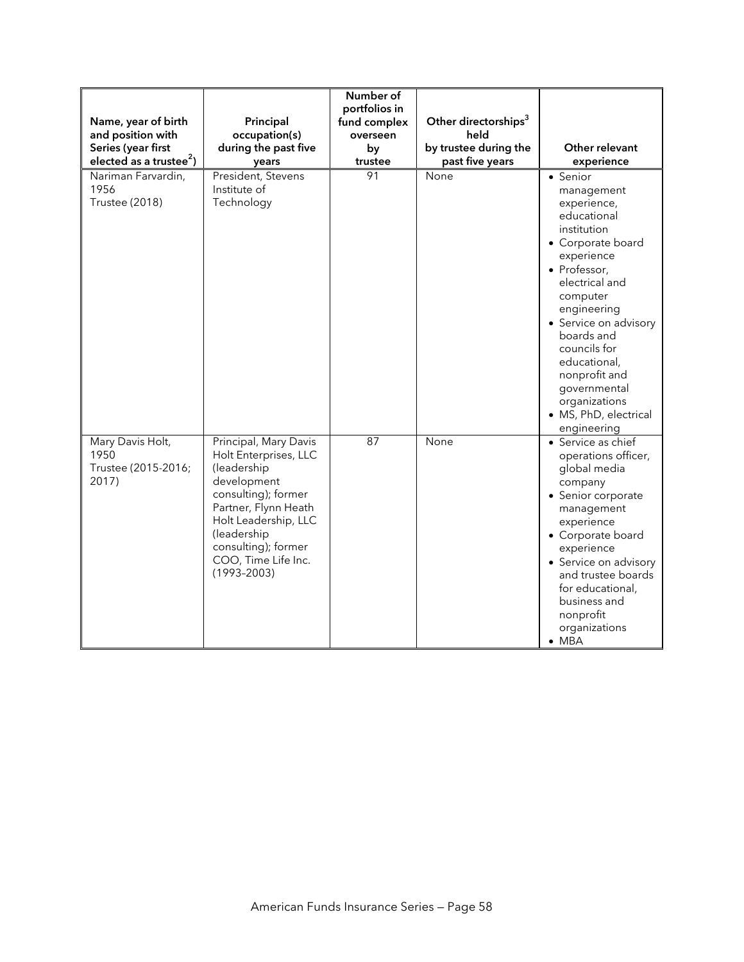| Name, year of birth<br>and position with<br>Series (year first<br>elected as a trustee <sup>2</sup> ) | Principal<br>occupation(s)<br>during the past five<br>years                                                                                                                                                                         | Number of<br>portfolios in<br>fund complex<br>overseen<br>by<br>trustee | Other directorships <sup>3</sup><br>held<br>by trustee during the<br>past five years | Other relevant<br>experience                                                                                                                                                                                                                                                                                                         |
|-------------------------------------------------------------------------------------------------------|-------------------------------------------------------------------------------------------------------------------------------------------------------------------------------------------------------------------------------------|-------------------------------------------------------------------------|--------------------------------------------------------------------------------------|--------------------------------------------------------------------------------------------------------------------------------------------------------------------------------------------------------------------------------------------------------------------------------------------------------------------------------------|
| Nariman Farvardin,<br>1956<br><b>Trustee (2018)</b>                                                   | President, Stevens<br>Institute of<br>Technology                                                                                                                                                                                    | 91                                                                      | None                                                                                 | • Senior<br>management<br>experience,<br>educational<br>institution<br>• Corporate board<br>experience<br>• Professor,<br>electrical and<br>computer<br>engineering<br>• Service on advisory<br>boards and<br>councils for<br>educational,<br>nonprofit and<br>governmental<br>organizations<br>· MS, PhD, electrical<br>engineering |
| Mary Davis Holt,<br>1950<br>Trustee (2015-2016;<br>2017)                                              | Principal, Mary Davis<br>Holt Enterprises, LLC<br>(leadership<br>development<br>consulting); former<br>Partner, Flynn Heath<br>Holt Leadership, LLC<br>(leadership<br>consulting); former<br>COO, Time Life Inc.<br>$(1993 - 2003)$ | 87                                                                      | None                                                                                 | • Service as chief<br>operations officer,<br>global media<br>company<br>• Senior corporate<br>management<br>experience<br>• Corporate board<br>experience<br>• Service on advisory<br>and trustee boards<br>for educational,<br>business and<br>nonprofit<br>organizations<br>$\bullet$ MBA                                          |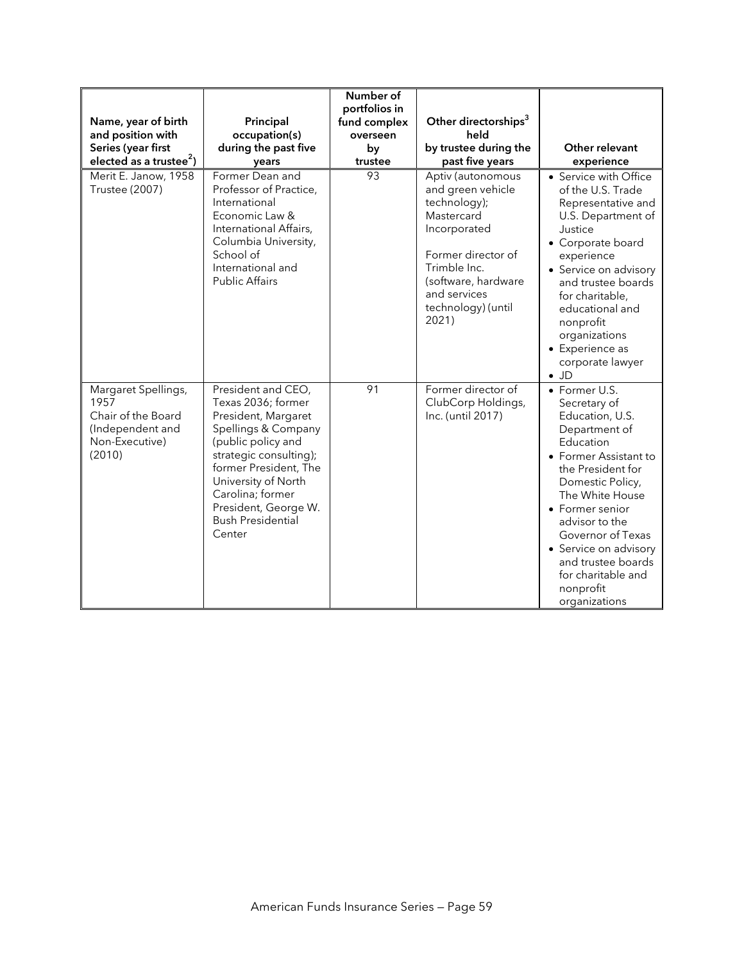| Name, year of birth<br>and position with<br>Series (year first<br>elected as a trustee <sup>2</sup> ) | Principal<br>occupation(s)<br>during the past five<br>years                                                                                                                                                                                                              | Number of<br>portfolios in<br>fund complex<br>overseen<br>by<br>trustee | Other directorships <sup>3</sup><br>held<br>by trustee during the<br>past five years                                                                                                             | Other relevant<br>experience                                                                                                                                                                                                                                                                                                     |
|-------------------------------------------------------------------------------------------------------|--------------------------------------------------------------------------------------------------------------------------------------------------------------------------------------------------------------------------------------------------------------------------|-------------------------------------------------------------------------|--------------------------------------------------------------------------------------------------------------------------------------------------------------------------------------------------|----------------------------------------------------------------------------------------------------------------------------------------------------------------------------------------------------------------------------------------------------------------------------------------------------------------------------------|
| Merit E. Janow, 1958<br>Trustee (2007)                                                                | Former Dean and<br>Professor of Practice,<br>International<br>Economic Law &<br>International Affairs,<br>Columbia University,<br>School of<br>International and<br><b>Public Affairs</b>                                                                                | 93                                                                      | Aptiv (autonomous<br>and green vehicle<br>technology);<br>Mastercard<br>Incorporated<br>Former director of<br>Trimble Inc.<br>(software, hardware<br>and services<br>technology) (until<br>2021) | • Service with Office<br>of the U.S. Trade<br>Representative and<br>U.S. Department of<br>Justice<br>• Corporate board<br>experience<br>• Service on advisory<br>and trustee boards<br>for charitable,<br>educational and<br>nonprofit<br>organizations<br>• Experience as<br>corporate lawyer<br>$\bullet$ JD                   |
| Margaret Spellings,<br>1957<br>Chair of the Board<br>(Independent and<br>Non-Executive)<br>(2010)     | President and CEO,<br>Texas 2036; former<br>President, Margaret<br>Spellings & Company<br>(public policy and<br>strategic consulting);<br>former President, The<br>University of North<br>Carolina; former<br>President, George W.<br><b>Bush Presidential</b><br>Center | 91                                                                      | Former director of<br>ClubCorp Holdings,<br>Inc. (until 2017)                                                                                                                                    | • Former U.S.<br>Secretary of<br>Education, U.S.<br>Department of<br>Education<br>• Former Assistant to<br>the President for<br>Domestic Policy,<br>The White House<br>• Former senior<br>advisor to the<br>Governor of Texas<br>• Service on advisory<br>and trustee boards<br>for charitable and<br>nonprofit<br>organizations |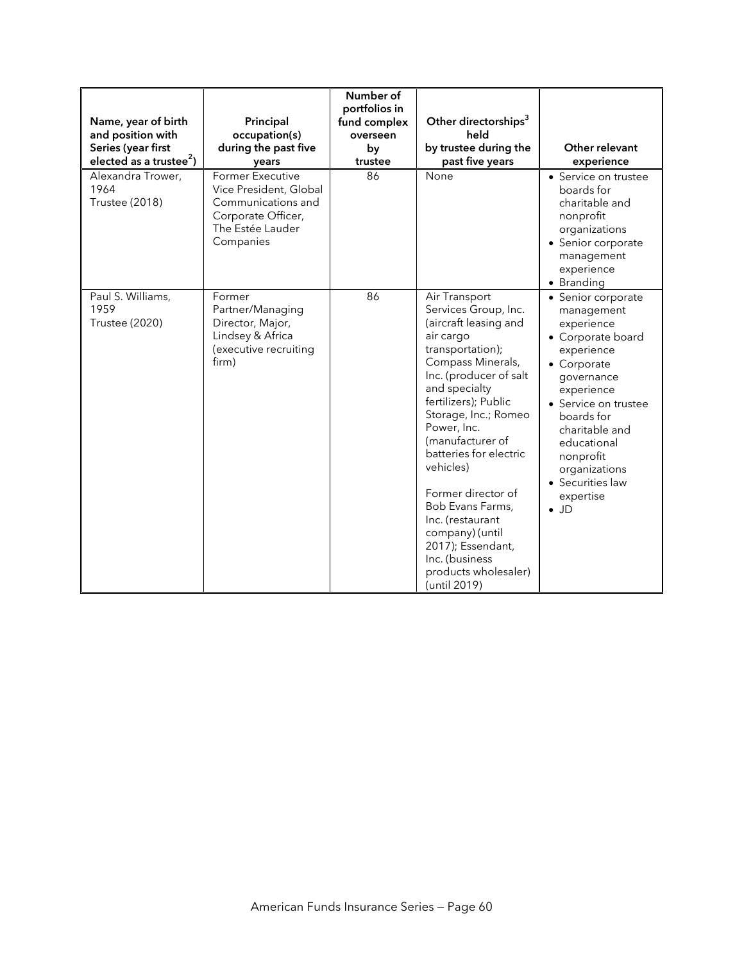| Name, year of birth<br>and position with<br>Series (year first<br>elected as a trustee <sup>2</sup> )<br>Alexandra Trower,<br>1964<br><b>Trustee (2018)</b> | Principal<br>occupation(s)<br>during the past five<br>years<br><b>Former Executive</b><br>Vice President, Global<br>Communications and<br>Corporate Officer,<br>The Estée Lauder<br>Companies | Number of<br>portfolios in<br>fund complex<br>overseen<br>by<br>trustee<br>86 | Other directorships <sup>3</sup><br>held<br>by trustee during the<br>past five years<br>None                                                                                                                                                                                                                                                                                                                                                              | Other relevant<br>experience<br>• Service on trustee<br>boards for<br>charitable and<br>nonprofit<br>organizations<br>• Senior corporate<br>management<br>experience<br>• Branding                                                                                                 |
|-------------------------------------------------------------------------------------------------------------------------------------------------------------|-----------------------------------------------------------------------------------------------------------------------------------------------------------------------------------------------|-------------------------------------------------------------------------------|-----------------------------------------------------------------------------------------------------------------------------------------------------------------------------------------------------------------------------------------------------------------------------------------------------------------------------------------------------------------------------------------------------------------------------------------------------------|------------------------------------------------------------------------------------------------------------------------------------------------------------------------------------------------------------------------------------------------------------------------------------|
| Paul S. Williams,<br>1959<br><b>Trustee (2020)</b>                                                                                                          | Former<br>Partner/Managing<br>Director, Major,<br>Lindsey & Africa<br>(executive recruiting<br>firm)                                                                                          | 86                                                                            | Air Transport<br>Services Group, Inc.<br>(aircraft leasing and<br>air cargo<br>transportation);<br>Compass Minerals,<br>Inc. (producer of salt<br>and specialty<br>fertilizers); Public<br>Storage, Inc.; Romeo<br>Power, Inc.<br>(manufacturer of<br>batteries for electric<br>vehicles)<br>Former director of<br>Bob Evans Farms,<br>Inc. (restaurant<br>company) (until<br>2017); Essendant,<br>Inc. (business<br>products wholesaler)<br>(until 2019) | • Senior corporate<br>management<br>experience<br>• Corporate board<br>experience<br>• Corporate<br>governance<br>experience<br>• Service on trustee<br>boards for<br>charitable and<br>educational<br>nonprofit<br>organizations<br>• Securities law<br>expertise<br>$\bullet$ JD |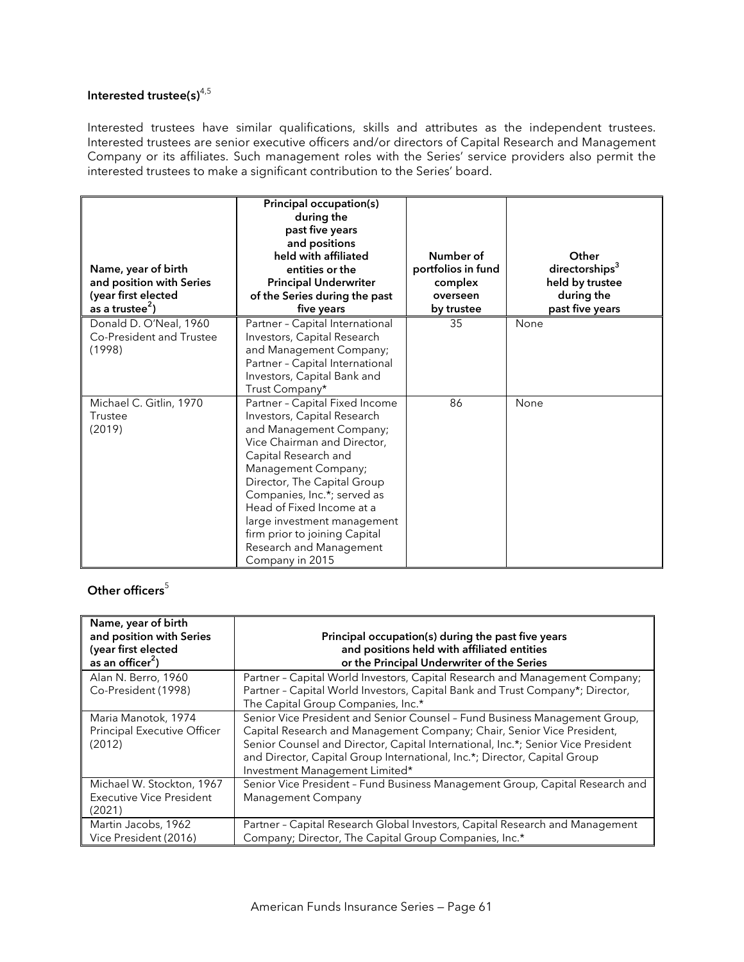# **Interested trustee(s)**4,5

Interested trustees have similar qualifications, skills and attributes as the independent trustees. Interested trustees are senior executive officers and/or directors of Capital Research and Management Company or its affiliates. Such management roles with the Series' service providers also permit the interested trustees to make a significant contribution to the Series' board.

| Name, year of birth<br>and position with Series<br>(year first elected<br>as a trustee <sup>2</sup> ) | Principal occupation(s)<br>during the<br>past five years<br>and positions<br>held with affiliated<br>entities or the<br><b>Principal Underwriter</b><br>of the Series during the past<br>five years                                                                                                                                                                             | Number of<br>portfolios in fund<br>complex<br>overseen<br>by trustee | Other<br>directorships <sup>3</sup><br>held by trustee<br>during the<br>past five years |
|-------------------------------------------------------------------------------------------------------|---------------------------------------------------------------------------------------------------------------------------------------------------------------------------------------------------------------------------------------------------------------------------------------------------------------------------------------------------------------------------------|----------------------------------------------------------------------|-----------------------------------------------------------------------------------------|
| Donald D. O'Neal, 1960<br>Co-President and Trustee<br>(1998)                                          | Partner - Capital International<br>Investors, Capital Research<br>and Management Company;<br>Partner - Capital International<br>Investors, Capital Bank and<br>Trust Company*                                                                                                                                                                                                   | 35                                                                   | None                                                                                    |
| Michael C. Gitlin, 1970<br>Trustee<br>(2019)                                                          | Partner - Capital Fixed Income<br>Investors, Capital Research<br>and Management Company;<br>Vice Chairman and Director,<br>Capital Research and<br>Management Company;<br>Director, The Capital Group<br>Companies, Inc.*; served as<br>Head of Fixed Income at a<br>large investment management<br>firm prior to joining Capital<br>Research and Management<br>Company in 2015 | 86                                                                   | None                                                                                    |

## **Other officers**<sup>5</sup>

| Name, year of birth<br>and position with Series<br>(year first elected<br>as an officer <sup>2</sup> ) | Principal occupation(s) during the past five years<br>and positions held with affiliated entities<br>or the Principal Underwriter of the Series                                                                                                                                                                                                         |
|--------------------------------------------------------------------------------------------------------|---------------------------------------------------------------------------------------------------------------------------------------------------------------------------------------------------------------------------------------------------------------------------------------------------------------------------------------------------------|
| Alan N. Berro, 1960<br>Co-President (1998)                                                             | Partner - Capital World Investors, Capital Research and Management Company;<br>Partner - Capital World Investors, Capital Bank and Trust Company*; Director,<br>The Capital Group Companies, Inc.*                                                                                                                                                      |
| Maria Manotok, 1974<br><b>Principal Executive Officer</b><br>(2012)                                    | Senior Vice President and Senior Counsel - Fund Business Management Group,<br>Capital Research and Management Company; Chair, Senior Vice President,<br>Senior Counsel and Director, Capital International, Inc.*; Senior Vice President<br>and Director, Capital Group International, Inc.*; Director, Capital Group<br>Investment Management Limited* |
| Michael W. Stockton, 1967<br>Executive Vice President<br>(2021)                                        | Senior Vice President - Fund Business Management Group, Capital Research and<br>Management Company                                                                                                                                                                                                                                                      |
| Martin Jacobs, 1962<br>Vice President (2016)                                                           | Partner - Capital Research Global Investors, Capital Research and Management<br>Company; Director, The Capital Group Companies, Inc.*                                                                                                                                                                                                                   |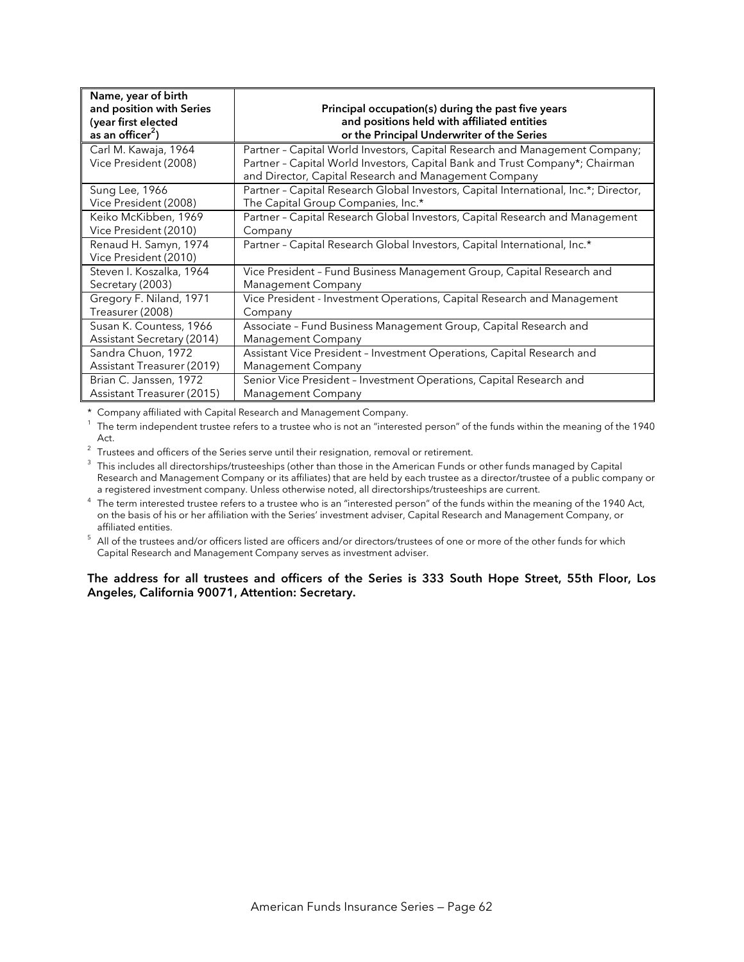| Name, year of birth<br>and position with Series<br>(year first elected<br>as an officer <sup>2</sup> ) | Principal occupation(s) during the past five years<br>and positions held with affiliated entities<br>or the Principal Underwriter of the Series                                                                      |
|--------------------------------------------------------------------------------------------------------|----------------------------------------------------------------------------------------------------------------------------------------------------------------------------------------------------------------------|
| Carl M. Kawaja, 1964<br>Vice President (2008)                                                          | Partner - Capital World Investors, Capital Research and Management Company;<br>Partner - Capital World Investors, Capital Bank and Trust Company*; Chairman<br>and Director, Capital Research and Management Company |
| <b>Sung Lee, 1966</b>                                                                                  | Partner - Capital Research Global Investors, Capital International, Inc.*; Director,                                                                                                                                 |
| Vice President (2008)                                                                                  | The Capital Group Companies, Inc.*                                                                                                                                                                                   |
| Keiko McKibben, 1969                                                                                   | Partner - Capital Research Global Investors, Capital Research and Management                                                                                                                                         |
| Vice President (2010)                                                                                  | Company                                                                                                                                                                                                              |
| Renaud H. Samyn, 1974<br>Vice President (2010)                                                         | Partner - Capital Research Global Investors, Capital International, Inc.*                                                                                                                                            |
| Steven I. Koszalka, 1964                                                                               | Vice President - Fund Business Management Group, Capital Research and                                                                                                                                                |
| Secretary (2003)                                                                                       | Management Company                                                                                                                                                                                                   |
| Gregory F. Niland, 1971                                                                                | Vice President - Investment Operations, Capital Research and Management                                                                                                                                              |
| Treasurer (2008)                                                                                       | Company                                                                                                                                                                                                              |
| Susan K. Countess, 1966                                                                                | Associate - Fund Business Management Group, Capital Research and                                                                                                                                                     |
| Assistant Secretary (2014)                                                                             | Management Company                                                                                                                                                                                                   |
| Sandra Chuon, 1972                                                                                     | Assistant Vice President - Investment Operations, Capital Research and                                                                                                                                               |
| Assistant Treasurer (2019)                                                                             | Management Company                                                                                                                                                                                                   |
| Brian C. Janssen, 1972                                                                                 | Senior Vice President - Investment Operations, Capital Research and                                                                                                                                                  |
| Assistant Treasurer (2015)                                                                             | Management Company                                                                                                                                                                                                   |

\* Company affiliated with Capital Research and Management Company.

 $^{\rm 1}\,$  The term independent trustee refers to a trustee who is not an "interested person" of the funds within the meaning of the 1940

Act. 2 Trustees and officers of the Series serve until their resignation, removal or retirement.

 $3$  This includes all directorships/trusteeships (other than those in the American Funds or other funds managed by Capital Research and Management Company or its affiliates) that are held by each trustee as a director/trustee of a public company or<br>a registered investment company. Unless otherwise noted, all directorships/trusteeships are curr

a registered investment company. Unless otherwise noted, all directorships/trusteeships are current.<br>The term interested trustee refers to a trustee who is an "interested person" of the funds within the meaning of the 1940 on the basis of his or her affiliation with the Series' investment adviser, Capital Research and Management Company, or

affiliated entities.<br><sup>5</sup> All of the trustees and/or officers listed are officers and/or directors/trustees of one or more of the other funds for which Capital Research and Management Company serves as investment adviser.

#### **The address for all trustees and officers of the Series is 333 South Hope Street, 55th Floor, Los Angeles, California 90071, Attention: Secretary.**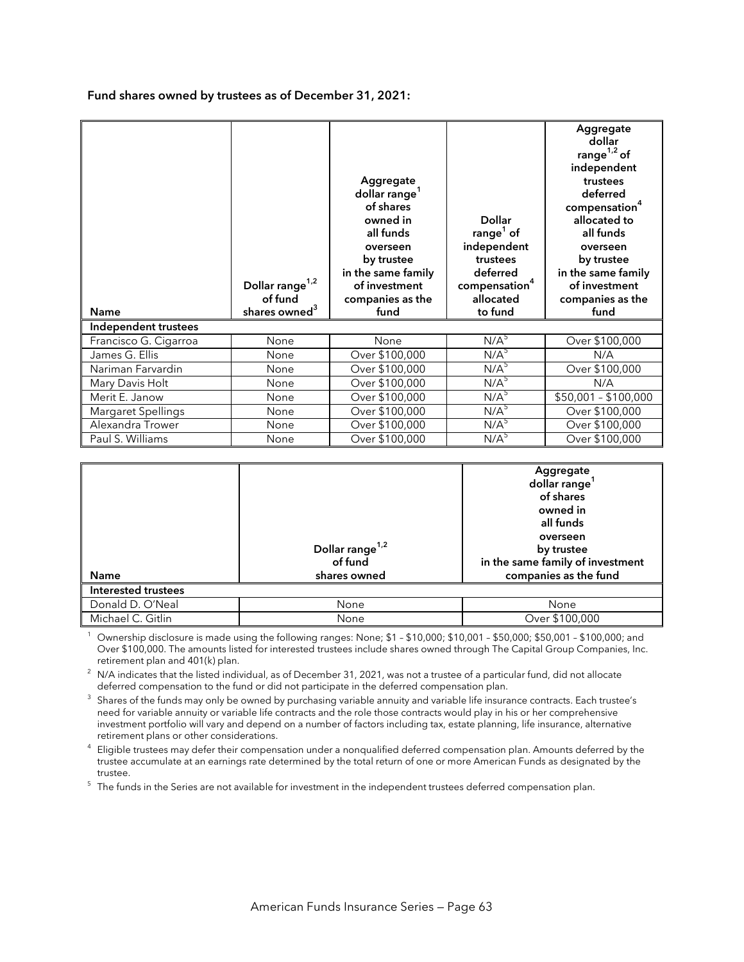**Fund shares owned by trustees as of December 31, 2021:** 

1

| <b>Name</b>           | Dollar range <sup>1,2</sup><br>of fund<br>shares owned <sup>3</sup> | Aggregate<br>dollar range <sup>1</sup><br>of shares<br>owned in<br>all funds<br>overseen<br>by trustee<br>in the same family<br>of investment<br>companies as the<br>fund | <b>Dollar</b><br>range $1$ of<br>independent<br>trustees<br>deferred<br>compensation <sup>4</sup><br>allocated<br>to fund | Aggregate<br>dollar<br>range $1,2$ of<br>independent<br>trustees<br>deferred<br>compensation <sup>4</sup><br>allocated to<br>all funds<br>overseen<br>by trustee<br>in the same family<br>of investment<br>companies as the<br>fund |
|-----------------------|---------------------------------------------------------------------|---------------------------------------------------------------------------------------------------------------------------------------------------------------------------|---------------------------------------------------------------------------------------------------------------------------|-------------------------------------------------------------------------------------------------------------------------------------------------------------------------------------------------------------------------------------|
| Independent trustees  |                                                                     |                                                                                                                                                                           |                                                                                                                           |                                                                                                                                                                                                                                     |
| Francisco G. Cigarroa | None                                                                | None                                                                                                                                                                      | $N/\overline{A}^5$                                                                                                        | Over \$100,000                                                                                                                                                                                                                      |
|                       |                                                                     |                                                                                                                                                                           |                                                                                                                           |                                                                                                                                                                                                                                     |
| James G. Ellis        | None                                                                | Over \$100,000                                                                                                                                                            | N/A <sup>5</sup>                                                                                                          | N/A                                                                                                                                                                                                                                 |
| Nariman Farvardin     | None                                                                | Over \$100,000                                                                                                                                                            | $N/A$ <sup>5</sup>                                                                                                        | Over \$100,000                                                                                                                                                                                                                      |
| Mary Davis Holt       | None                                                                | Over \$100,000                                                                                                                                                            | N/A <sup>5</sup>                                                                                                          | N/A                                                                                                                                                                                                                                 |
| Merit E. Janow        | None                                                                | Over \$100,000                                                                                                                                                            | N/A <sup>5</sup>                                                                                                          | $\overline{$50,001} - $100,000$                                                                                                                                                                                                     |
| Margaret Spellings    | None                                                                | Over \$100,000                                                                                                                                                            | N/A <sup>5</sup>                                                                                                          | Over \$100,000                                                                                                                                                                                                                      |
| Alexandra Trower      | None                                                                | Over \$100,000<br>Over \$100,000                                                                                                                                          | N/A <sup>5</sup><br>N/A <sup>5</sup>                                                                                      | Over \$100,000<br>Over \$100,000                                                                                                                                                                                                    |

| Name<br><b>Interested trustees</b> | Dollar range <sup>1,2</sup><br>of fund<br>shares owned | Aggregate<br>dollar range<br>of shares<br>owned in<br>all funds<br>overseen<br>by trustee<br>in the same family of investment<br>companies as the fund |
|------------------------------------|--------------------------------------------------------|--------------------------------------------------------------------------------------------------------------------------------------------------------|
|                                    |                                                        |                                                                                                                                                        |
| Donald D. O'Neal                   | None                                                   | None                                                                                                                                                   |
| Michael C. Gitlin                  | None                                                   | Over \$100,000                                                                                                                                         |

 Ownership disclosure is made using the following ranges: None; \$1 – \$10,000; \$10,001 – \$50,000; \$50,001 – \$100,000; and Over \$100,000. The amounts listed for interested trustees include shares owned through The Capital Group Companies, Inc.

retirement plan and 401(k) plan.<br><sup>2</sup> N/A indicates that the listed individual, as of December 31, 2021, was not a trustee of a particular fund, did not allocate deferred compensation to the fund or did not participate in the deferred compensation plan.

 $3$  Shares of the funds may only be owned by purchasing variable annuity and variable life insurance contracts. Each trustee's need for variable annuity or variable life contracts and the role those contracts would play in his or her comprehensive investment portfolio will vary and depend on a number of factors including tax, estate planning, life insurance, alternative retirement plans or other considerations. 4

 $4$  Eligible trustees may defer their compensation under a nonqualified deferred compensation plan. Amounts deferred by the trustee accumulate at an earnings rate determined by the total return of one or more American Funds as designated by the

trustee.<br><sup>5</sup> The funds in the Series are not available for investment in the independent trustees deferred compensation plan.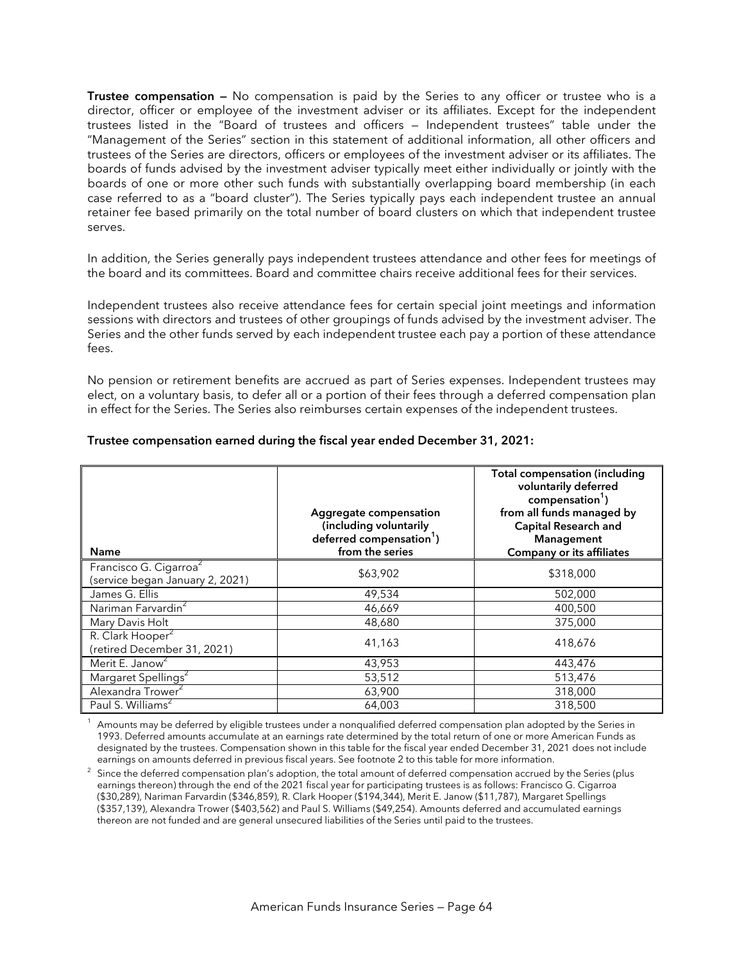**Trustee compensation —** No compensation is paid by the Series to any officer or trustee who is a director, officer or employee of the investment adviser or its affiliates. Except for the independent trustees listed in the "Board of trustees and officers — Independent trustees" table under the "Management of the Series" section in this statement of additional information, all other officers and trustees of the Series are directors, officers or employees of the investment adviser or its affiliates. The boards of funds advised by the investment adviser typically meet either individually or jointly with the boards of one or more other such funds with substantially overlapping board membership (in each case referred to as a "board cluster"). The Series typically pays each independent trustee an annual retainer fee based primarily on the total number of board clusters on which that independent trustee serves.

In addition, the Series generally pays independent trustees attendance and other fees for meetings of the board and its committees. Board and committee chairs receive additional fees for their services.

Independent trustees also receive attendance fees for certain special joint meetings and information sessions with directors and trustees of other groupings of funds advised by the investment adviser. The Series and the other funds served by each independent trustee each pay a portion of these attendance fees.

No pension or retirement benefits are accrued as part of Series expenses. Independent trustees may elect, on a voluntary basis, to defer all or a portion of their fees through a deferred compensation plan in effect for the Series. The Series also reimburses certain expenses of the independent trustees.

| <b>Name</b>                                                           | Aggregate compensation<br>(including voluntarily<br>deferred compensation <sup>1</sup> )<br>from the series | <b>Total compensation (including</b><br>voluntarily deferred<br>compensation <sup>1</sup> )<br>from all funds managed by<br><b>Capital Research and</b><br>Management<br><b>Company or its affiliates</b> |
|-----------------------------------------------------------------------|-------------------------------------------------------------------------------------------------------------|-----------------------------------------------------------------------------------------------------------------------------------------------------------------------------------------------------------|
| Francisco G. Cigarroa <sup>2</sup><br>(service began January 2, 2021) | \$63,902                                                                                                    | \$318,000                                                                                                                                                                                                 |
| James G. Ellis                                                        | 49,534                                                                                                      | 502,000                                                                                                                                                                                                   |
| Nariman Farvardin <sup>2</sup>                                        | 46,669                                                                                                      | 400,500                                                                                                                                                                                                   |
| Mary Davis Holt                                                       | 48,680                                                                                                      | 375,000                                                                                                                                                                                                   |
| R. Clark Hooper <sup>2</sup><br>(retired December 31, 2021)           | 41,163                                                                                                      | 418,676                                                                                                                                                                                                   |
| Merit E. Janow <sup>2</sup>                                           | 43,953                                                                                                      | 443,476                                                                                                                                                                                                   |
| Margaret Spellings <sup>2</sup>                                       | 53,512                                                                                                      | 513,476                                                                                                                                                                                                   |
| Alexandra Trower <sup>2</sup>                                         | 63,900                                                                                                      | 318,000                                                                                                                                                                                                   |
| Paul S. Williams <sup>2</sup>                                         | 64,003                                                                                                      | 318,500                                                                                                                                                                                                   |

#### **Trustee compensation earned during the fiscal year ended December 31, 2021:**

Amounts may be deferred by eligible trustees under a nonqualified deferred compensation plan adopted by the Series in 1993. Deferred amounts accumulate at an earnings rate determined by the total return of one or more American Funds as designated by the trustees. Compensation shown in this table for the fiscal year ended December 31, 2021 does not include earnings on amounts deferred in previous fiscal years. See footnote 2 to this table for more information.<br><sup>2</sup> Since the deferred componentian place odention, the tatel amount of deferred componentian accrued.

 Since the deferred compensation plan's adoption, the total amount of deferred compensation accrued by the Series (plus earnings thereon) through the end of the 2021 fiscal year for participating trustees is as follows: Francisco G. Cigarroa (\$30,289), Nariman Farvardin (\$346,859), R. Clark Hooper (\$194,344), Merit E. Janow (\$11,787), Margaret Spellings (\$357,139), Alexandra Trower (\$403,562) and Paul S. Williams (\$49,254). Amounts deferred and accumulated earnings thereon are not funded and are general unsecured liabilities of the Series until paid to the trustees.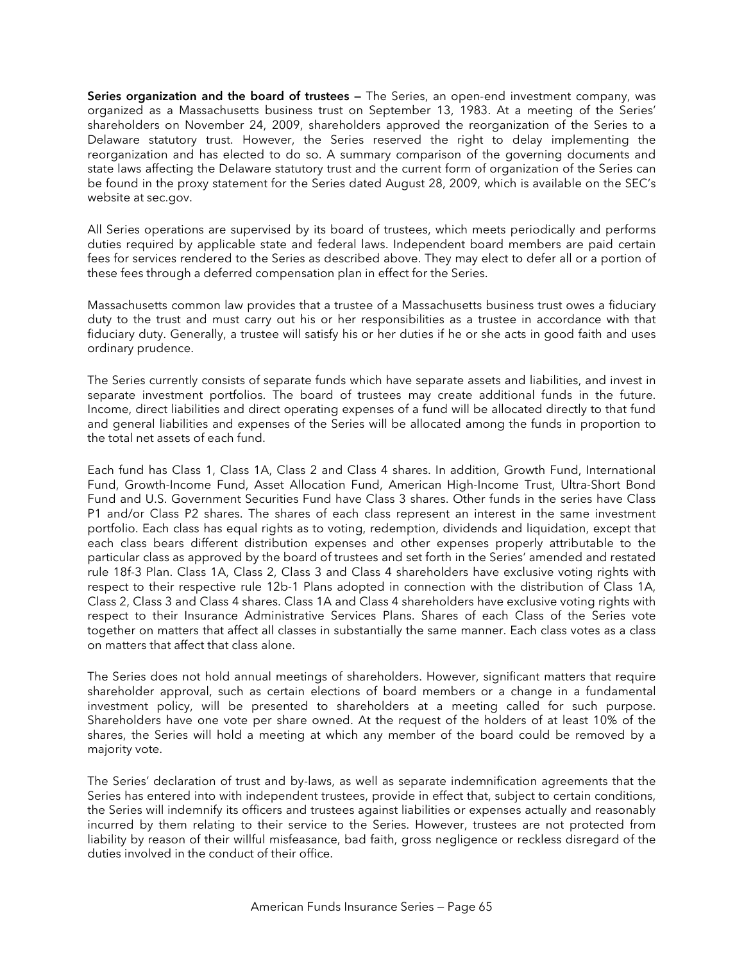**Series organization and the board of trustees —** The Series, an open-end investment company, was organized as a Massachusetts business trust on September 13, 1983. At a meeting of the Series' shareholders on November 24, 2009, shareholders approved the reorganization of the Series to a Delaware statutory trust. However, the Series reserved the right to delay implementing the reorganization and has elected to do so. A summary comparison of the governing documents and state laws affecting the Delaware statutory trust and the current form of organization of the Series can be found in the proxy statement for the Series dated August 28, 2009, which is available on the SEC's website at sec.gov.

All Series operations are supervised by its board of trustees, which meets periodically and performs duties required by applicable state and federal laws. Independent board members are paid certain fees for services rendered to the Series as described above. They may elect to defer all or a portion of these fees through a deferred compensation plan in effect for the Series.

Massachusetts common law provides that a trustee of a Massachusetts business trust owes a fiduciary duty to the trust and must carry out his or her responsibilities as a trustee in accordance with that fiduciary duty. Generally, a trustee will satisfy his or her duties if he or she acts in good faith and uses ordinary prudence.

The Series currently consists of separate funds which have separate assets and liabilities, and invest in separate investment portfolios. The board of trustees may create additional funds in the future. Income, direct liabilities and direct operating expenses of a fund will be allocated directly to that fund and general liabilities and expenses of the Series will be allocated among the funds in proportion to the total net assets of each fund.

Each fund has Class 1, Class 1A, Class 2 and Class 4 shares. In addition, Growth Fund, International Fund, Growth-Income Fund, Asset Allocation Fund, American High-Income Trust, Ultra-Short Bond Fund and U.S. Government Securities Fund have Class 3 shares. Other funds in the series have Class P1 and/or Class P2 shares. The shares of each class represent an interest in the same investment portfolio. Each class has equal rights as to voting, redemption, dividends and liquidation, except that each class bears different distribution expenses and other expenses properly attributable to the particular class as approved by the board of trustees and set forth in the Series' amended and restated rule 18f-3 Plan. Class 1A, Class 2, Class 3 and Class 4 shareholders have exclusive voting rights with respect to their respective rule 12b-1 Plans adopted in connection with the distribution of Class 1A, Class 2, Class 3 and Class 4 shares. Class 1A and Class 4 shareholders have exclusive voting rights with respect to their Insurance Administrative Services Plans. Shares of each Class of the Series vote together on matters that affect all classes in substantially the same manner. Each class votes as a class on matters that affect that class alone.

The Series does not hold annual meetings of shareholders. However, significant matters that require shareholder approval, such as certain elections of board members or a change in a fundamental investment policy, will be presented to shareholders at a meeting called for such purpose. Shareholders have one vote per share owned. At the request of the holders of at least 10% of the shares, the Series will hold a meeting at which any member of the board could be removed by a majority vote.

The Series' declaration of trust and by-laws, as well as separate indemnification agreements that the Series has entered into with independent trustees, provide in effect that, subject to certain conditions, the Series will indemnify its officers and trustees against liabilities or expenses actually and reasonably incurred by them relating to their service to the Series. However, trustees are not protected from liability by reason of their willful misfeasance, bad faith, gross negligence or reckless disregard of the duties involved in the conduct of their office.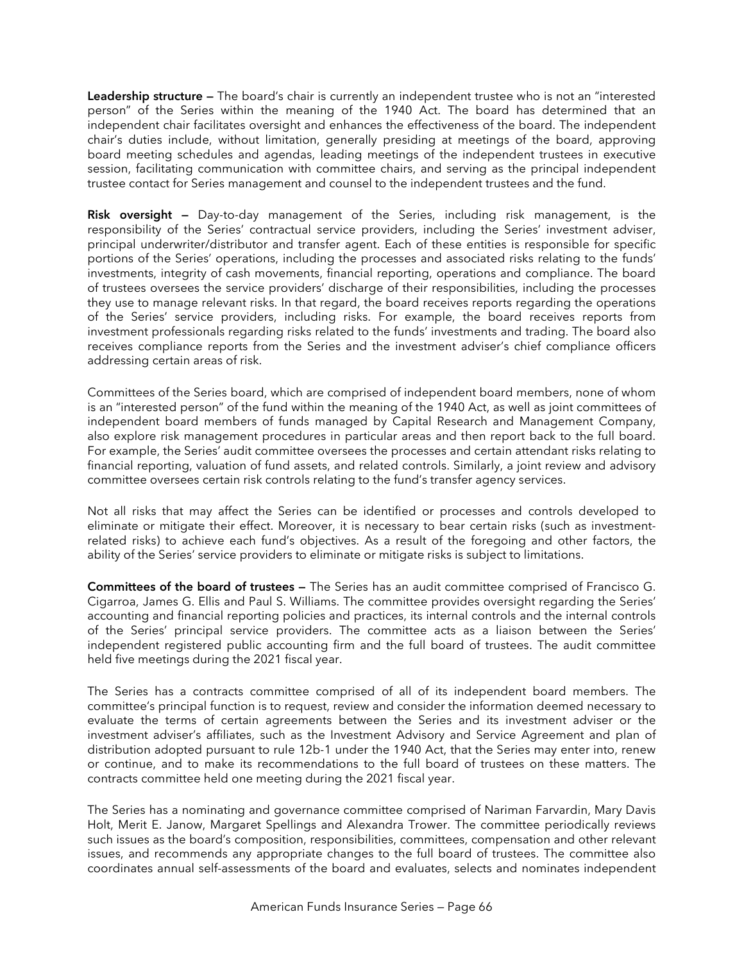**Leadership structure —** The board's chair is currently an independent trustee who is not an "interested person" of the Series within the meaning of the 1940 Act. The board has determined that an independent chair facilitates oversight and enhances the effectiveness of the board. The independent chair's duties include, without limitation, generally presiding at meetings of the board, approving board meeting schedules and agendas, leading meetings of the independent trustees in executive session, facilitating communication with committee chairs, and serving as the principal independent trustee contact for Series management and counsel to the independent trustees and the fund.

**Risk oversight —** Day-to-day management of the Series, including risk management, is the responsibility of the Series' contractual service providers, including the Series' investment adviser, principal underwriter/distributor and transfer agent. Each of these entities is responsible for specific portions of the Series' operations, including the processes and associated risks relating to the funds' investments, integrity of cash movements, financial reporting, operations and compliance. The board of trustees oversees the service providers' discharge of their responsibilities, including the processes they use to manage relevant risks. In that regard, the board receives reports regarding the operations of the Series' service providers, including risks. For example, the board receives reports from investment professionals regarding risks related to the funds' investments and trading. The board also receives compliance reports from the Series and the investment adviser's chief compliance officers addressing certain areas of risk.

Committees of the Series board, which are comprised of independent board members, none of whom is an "interested person" of the fund within the meaning of the 1940 Act, as well as joint committees of independent board members of funds managed by Capital Research and Management Company, also explore risk management procedures in particular areas and then report back to the full board. For example, the Series' audit committee oversees the processes and certain attendant risks relating to financial reporting, valuation of fund assets, and related controls. Similarly, a joint review and advisory committee oversees certain risk controls relating to the fund's transfer agency services.

Not all risks that may affect the Series can be identified or processes and controls developed to eliminate or mitigate their effect. Moreover, it is necessary to bear certain risks (such as investmentrelated risks) to achieve each fund's objectives. As a result of the foregoing and other factors, the ability of the Series' service providers to eliminate or mitigate risks is subject to limitations.

**Committees of the board of trustees —** The Series has an audit committee comprised of Francisco G. Cigarroa, James G. Ellis and Paul S. Williams. The committee provides oversight regarding the Series' accounting and financial reporting policies and practices, its internal controls and the internal controls of the Series' principal service providers. The committee acts as a liaison between the Series' independent registered public accounting firm and the full board of trustees. The audit committee held five meetings during the 2021 fiscal year.

The Series has a contracts committee comprised of all of its independent board members. The committee's principal function is to request, review and consider the information deemed necessary to evaluate the terms of certain agreements between the Series and its investment adviser or the investment adviser's affiliates, such as the Investment Advisory and Service Agreement and plan of distribution adopted pursuant to rule 12b-1 under the 1940 Act, that the Series may enter into, renew or continue, and to make its recommendations to the full board of trustees on these matters. The contracts committee held one meeting during the 2021 fiscal year.

The Series has a nominating and governance committee comprised of Nariman Farvardin, Mary Davis Holt, Merit E. Janow, Margaret Spellings and Alexandra Trower. The committee periodically reviews such issues as the board's composition, responsibilities, committees, compensation and other relevant issues, and recommends any appropriate changes to the full board of trustees. The committee also coordinates annual self-assessments of the board and evaluates, selects and nominates independent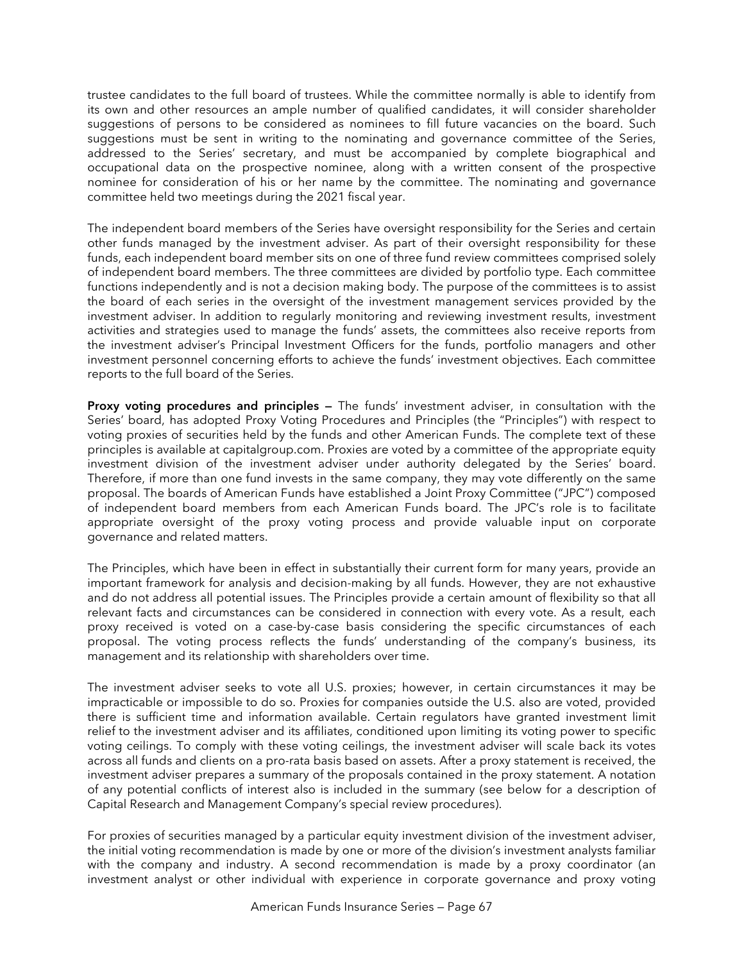trustee candidates to the full board of trustees. While the committee normally is able to identify from its own and other resources an ample number of qualified candidates, it will consider shareholder suggestions of persons to be considered as nominees to fill future vacancies on the board. Such suggestions must be sent in writing to the nominating and governance committee of the Series, addressed to the Series' secretary, and must be accompanied by complete biographical and occupational data on the prospective nominee, along with a written consent of the prospective nominee for consideration of his or her name by the committee. The nominating and governance committee held two meetings during the 2021 fiscal year.

The independent board members of the Series have oversight responsibility for the Series and certain other funds managed by the investment adviser. As part of their oversight responsibility for these funds, each independent board member sits on one of three fund review committees comprised solely of independent board members. The three committees are divided by portfolio type. Each committee functions independently and is not a decision making body. The purpose of the committees is to assist the board of each series in the oversight of the investment management services provided by the investment adviser. In addition to regularly monitoring and reviewing investment results, investment activities and strategies used to manage the funds' assets, the committees also receive reports from the investment adviser's Principal Investment Officers for the funds, portfolio managers and other investment personnel concerning efforts to achieve the funds' investment objectives. Each committee reports to the full board of the Series.

**Proxy voting procedures and principles —** The funds' investment adviser, in consultation with the Series' board, has adopted Proxy Voting Procedures and Principles (the "Principles") with respect to voting proxies of securities held by the funds and other American Funds. The complete text of these principles is available at capitalgroup.com. Proxies are voted by a committee of the appropriate equity investment division of the investment adviser under authority delegated by the Series' board. Therefore, if more than one fund invests in the same company, they may vote differently on the same proposal. The boards of American Funds have established a Joint Proxy Committee ("JPC") composed of independent board members from each American Funds board. The JPC's role is to facilitate appropriate oversight of the proxy voting process and provide valuable input on corporate governance and related matters.

The Principles, which have been in effect in substantially their current form for many years, provide an important framework for analysis and decision-making by all funds. However, they are not exhaustive and do not address all potential issues. The Principles provide a certain amount of flexibility so that all relevant facts and circumstances can be considered in connection with every vote. As a result, each proxy received is voted on a case-by-case basis considering the specific circumstances of each proposal. The voting process reflects the funds' understanding of the company's business, its management and its relationship with shareholders over time.

The investment adviser seeks to vote all U.S. proxies; however, in certain circumstances it may be impracticable or impossible to do so. Proxies for companies outside the U.S. also are voted, provided there is sufficient time and information available. Certain regulators have granted investment limit relief to the investment adviser and its affiliates, conditioned upon limiting its voting power to specific voting ceilings. To comply with these voting ceilings, the investment adviser will scale back its votes across all funds and clients on a pro-rata basis based on assets. After a proxy statement is received, the investment adviser prepares a summary of the proposals contained in the proxy statement. A notation of any potential conflicts of interest also is included in the summary (see below for a description of Capital Research and Management Company's special review procedures).

For proxies of securities managed by a particular equity investment division of the investment adviser, the initial voting recommendation is made by one or more of the division's investment analysts familiar with the company and industry. A second recommendation is made by a proxy coordinator (an investment analyst or other individual with experience in corporate governance and proxy voting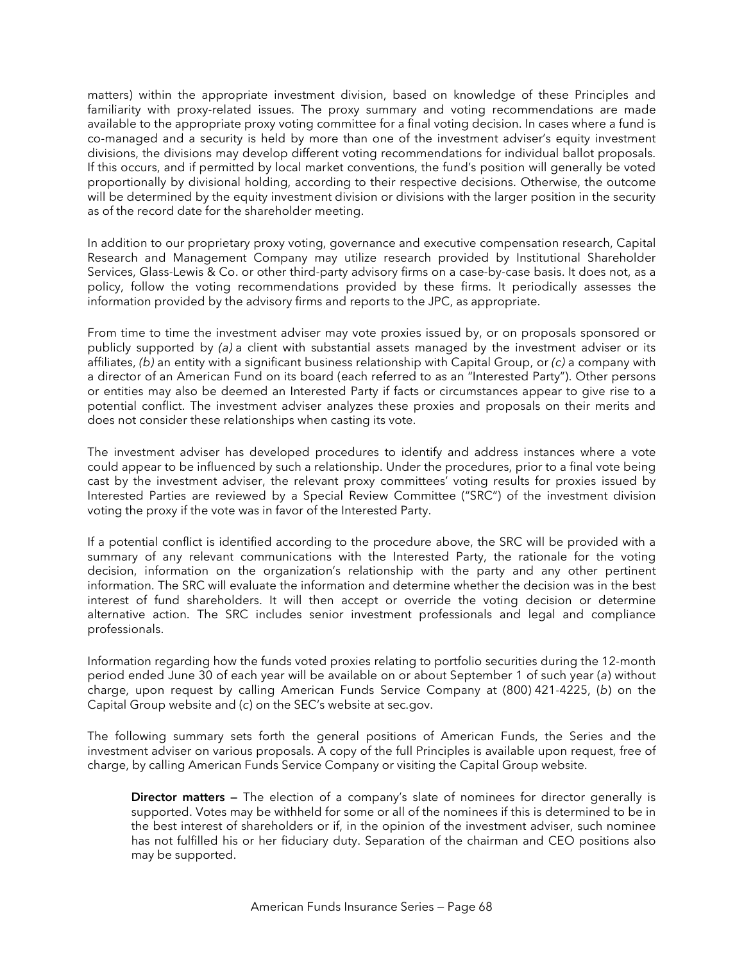matters) within the appropriate investment division, based on knowledge of these Principles and familiarity with proxy-related issues. The proxy summary and voting recommendations are made available to the appropriate proxy voting committee for a final voting decision. In cases where a fund is co-managed and a security is held by more than one of the investment adviser's equity investment divisions, the divisions may develop different voting recommendations for individual ballot proposals. If this occurs, and if permitted by local market conventions, the fund's position will generally be voted proportionally by divisional holding, according to their respective decisions. Otherwise, the outcome will be determined by the equity investment division or divisions with the larger position in the security as of the record date for the shareholder meeting.

In addition to our proprietary proxy voting, governance and executive compensation research, Capital Research and Management Company may utilize research provided by Institutional Shareholder Services, Glass-Lewis & Co. or other third-party advisory firms on a case-by-case basis. It does not, as a policy, follow the voting recommendations provided by these firms. It periodically assesses the information provided by the advisory firms and reports to the JPC, as appropriate.

From time to time the investment adviser may vote proxies issued by, or on proposals sponsored or publicly supported by *(a)* a client with substantial assets managed by the investment adviser or its affiliates, *(b)* an entity with a significant business relationship with Capital Group, or *(c)* a company with a director of an American Fund on its board (each referred to as an "Interested Party"). Other persons or entities may also be deemed an Interested Party if facts or circumstances appear to give rise to a potential conflict. The investment adviser analyzes these proxies and proposals on their merits and does not consider these relationships when casting its vote.

The investment adviser has developed procedures to identify and address instances where a vote could appear to be influenced by such a relationship. Under the procedures, prior to a final vote being cast by the investment adviser, the relevant proxy committees' voting results for proxies issued by Interested Parties are reviewed by a Special Review Committee ("SRC") of the investment division voting the proxy if the vote was in favor of the Interested Party.

If a potential conflict is identified according to the procedure above, the SRC will be provided with a summary of any relevant communications with the Interested Party, the rationale for the voting decision, information on the organization's relationship with the party and any other pertinent information. The SRC will evaluate the information and determine whether the decision was in the best interest of fund shareholders. It will then accept or override the voting decision or determine alternative action. The SRC includes senior investment professionals and legal and compliance professionals.

Information regarding how the funds voted proxies relating to portfolio securities during the 12-month period ended June 30 of each year will be available on or about September 1 of such year (*a*) without charge, upon request by calling American Funds Service Company at (800) 421-4225, (*b*) on the Capital Group website and (*c*) on the SEC's website at sec.gov.

The following summary sets forth the general positions of American Funds, the Series and the investment adviser on various proposals. A copy of the full Principles is available upon request, free of charge, by calling American Funds Service Company or visiting the Capital Group website.

**Director matters —** The election of a company's slate of nominees for director generally is supported. Votes may be withheld for some or all of the nominees if this is determined to be in the best interest of shareholders or if, in the opinion of the investment adviser, such nominee has not fulfilled his or her fiduciary duty. Separation of the chairman and CEO positions also may be supported.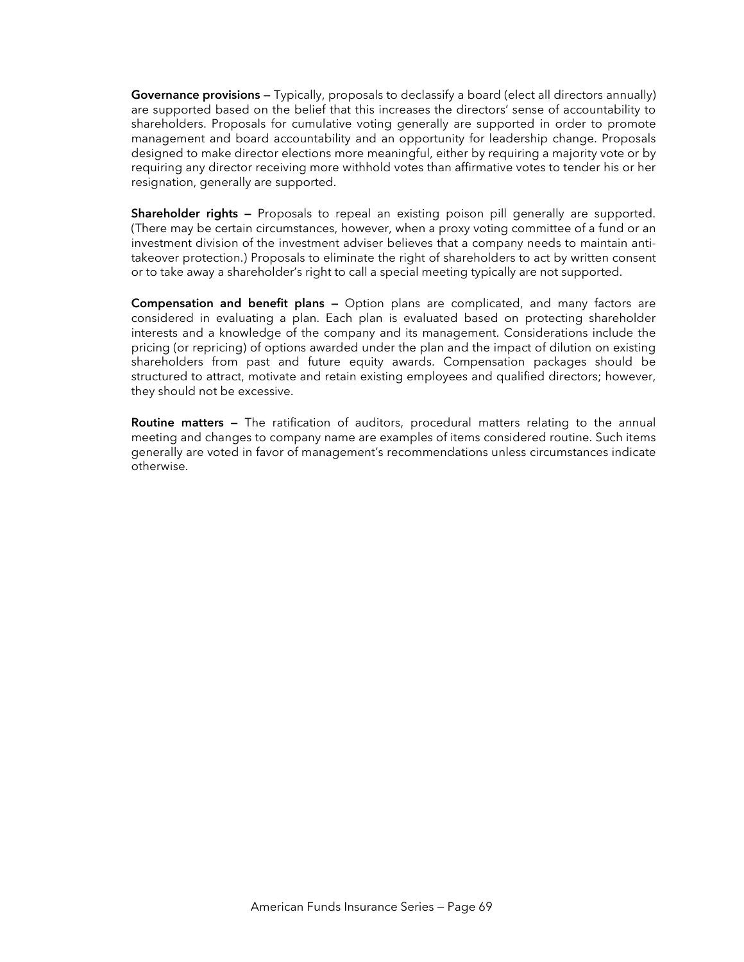**Governance provisions —** Typically, proposals to declassify a board (elect all directors annually) are supported based on the belief that this increases the directors' sense of accountability to shareholders. Proposals for cumulative voting generally are supported in order to promote management and board accountability and an opportunity for leadership change. Proposals designed to make director elections more meaningful, either by requiring a majority vote or by requiring any director receiving more withhold votes than affirmative votes to tender his or her resignation, generally are supported.

**Shareholder rights –** Proposals to repeal an existing poison pill generally are supported. (There may be certain circumstances, however, when a proxy voting committee of a fund or an investment division of the investment adviser believes that a company needs to maintain antitakeover protection.) Proposals to eliminate the right of shareholders to act by written consent or to take away a shareholder's right to call a special meeting typically are not supported.

**Compensation and benefit plans —** Option plans are complicated, and many factors are considered in evaluating a plan. Each plan is evaluated based on protecting shareholder interests and a knowledge of the company and its management. Considerations include the pricing (or repricing) of options awarded under the plan and the impact of dilution on existing shareholders from past and future equity awards. Compensation packages should be structured to attract, motivate and retain existing employees and qualified directors; however, they should not be excessive.

**Routine matters —** The ratification of auditors, procedural matters relating to the annual meeting and changes to company name are examples of items considered routine. Such items generally are voted in favor of management's recommendations unless circumstances indicate otherwise.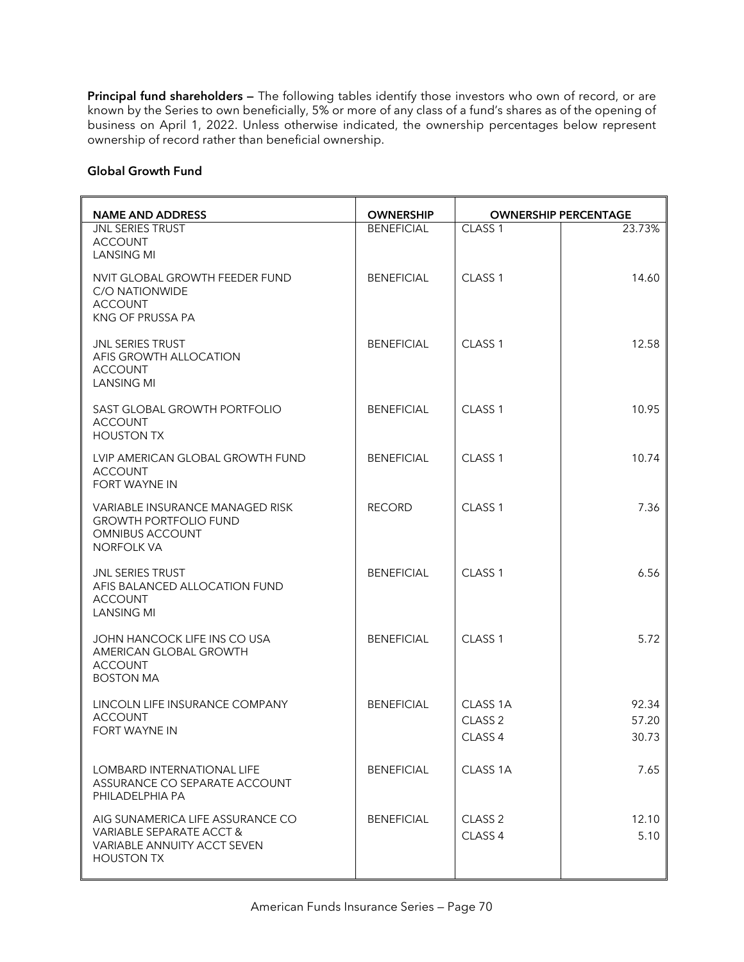**Principal fund shareholders —** The following tables identify those investors who own of record, or are known by the Series to own beneficially, 5% or more of any class of a fund's shares as of the opening of business on April 1, 2022. Unless otherwise indicated, the ownership percentages below represent ownership of record rather than beneficial ownership.

#### **Global Growth Fund**

| <b>NAME AND ADDRESS</b>                                                                                          | <b>OWNERSHIP</b>  |                                                                 | <b>OWNERSHIP PERCENTAGE</b> |
|------------------------------------------------------------------------------------------------------------------|-------------------|-----------------------------------------------------------------|-----------------------------|
| <b>JNL SERIES TRUST</b><br><b>ACCOUNT</b><br><b>LANSING MI</b>                                                   | <b>BENEFICIAL</b> | CLASS <sub>1</sub>                                              | 23.73%                      |
| NVIT GLOBAL GROWTH FEEDER FUND<br>C/O NATIONWIDE<br><b>ACCOUNT</b><br>KNG OF PRUSSA PA                           | <b>BENEFICIAL</b> | CLASS <sub>1</sub>                                              | 14.60                       |
| <b>JNL SERIES TRUST</b><br>AFIS GROWTH ALLOCATION<br><b>ACCOUNT</b><br><b>LANSING MI</b>                         | <b>BENEFICIAL</b> | CLASS <sub>1</sub>                                              | 12.58                       |
| SAST GLOBAL GROWTH PORTFOLIO<br><b>ACCOUNT</b><br><b>HOUSTON TX</b>                                              | <b>BENEFICIAL</b> | CLASS <sub>1</sub>                                              | 10.95                       |
| LVIP AMERICAN GLOBAL GROWTH FUND<br><b>ACCOUNT</b><br><b>FORT WAYNE IN</b>                                       | <b>BENEFICIAL</b> | CLASS <sub>1</sub>                                              | 10.74                       |
| <b>VARIABLE INSURANCE MANAGED RISK</b><br><b>GROWTH PORTFOLIO FUND</b><br><b>OMNIBUS ACCOUNT</b><br>NORFOLK VA   | <b>RECORD</b>     | CLASS <sub>1</sub>                                              | 7.36                        |
| <b>JNL SERIES TRUST</b><br>AFIS BALANCED ALLOCATION FUND<br><b>ACCOUNT</b><br><b>LANSING MI</b>                  | <b>BENEFICIAL</b> | CLASS <sub>1</sub>                                              | 6.56                        |
| JOHN HANCOCK LIFE INS CO USA<br>AMERICAN GLOBAL GROWTH<br><b>ACCOUNT</b><br><b>BOSTON MA</b>                     | <b>BENEFICIAL</b> | CLASS <sub>1</sub>                                              | 5.72                        |
| LINCOLN LIFE INSURANCE COMPANY<br><b>ACCOUNT</b><br>FORT WAYNE IN                                                | <b>BENEFICIAL</b> | CLASS <sub>1A</sub><br>CLASS <sub>2</sub><br>CLASS <sub>4</sub> | 92.34<br>57.20<br>30.73     |
| LOMBARD INTERNATIONAL LIFE<br>ASSURANCE CO SEPARATE ACCOUNT<br>PHILADELPHIA PA                                   | <b>BENEFICIAL</b> | CLASS 1A                                                        | 7.65                        |
| AIG SUNAMERICA LIFE ASSURANCE CO<br>VARIABLE SEPARATE ACCT &<br>VARIABLE ANNUITY ACCT SEVEN<br><b>HOUSTON TX</b> | <b>BENEFICIAL</b> | CLASS <sub>2</sub><br>CLASS 4                                   | 12.10<br>5.10               |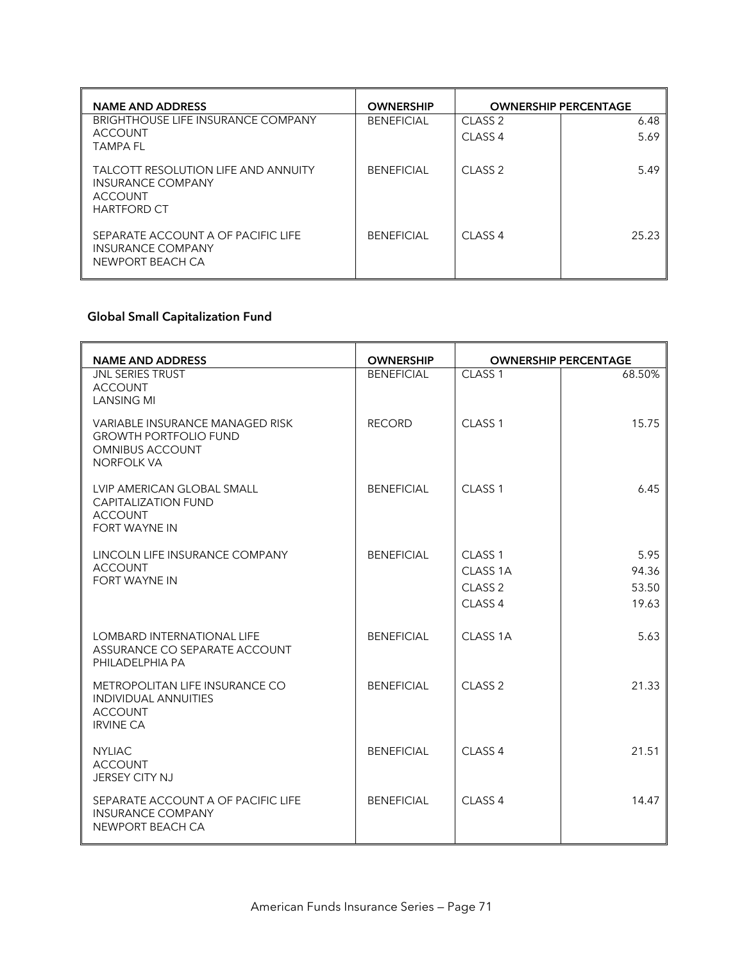| <b>NAME AND ADDRESS</b>                                                                                 | <b>OWNERSHIP</b>  |                    | <b>OWNERSHIP PERCENTAGE</b> |
|---------------------------------------------------------------------------------------------------------|-------------------|--------------------|-----------------------------|
| <b>BRIGHTHOUSE LIFE INSURANCE COMPANY</b><br><b>ACCOUNT</b>                                             | <b>BENEFICIAL</b> | CLASS <sub>2</sub> | 6.48                        |
| <b>TAMPA FL</b>                                                                                         |                   | CLASS <sub>4</sub> | 5.69                        |
| <b>TALCOTT RESOLUTION LIFE AND ANNUITY</b><br>INSURANCE COMPANY<br><b>ACCOUNT</b><br><b>HARTFORD CT</b> | <b>BENFFICIAL</b> | CLASS <sub>2</sub> | 5.49                        |
| SEPARATE ACCOUNT A OF PACIFIC LIFE<br>INSURANCE COMPANY<br>NEWPORT BEACH CA                             | <b>BENFFICIAL</b> | CLASS <sub>4</sub> | 25.23                       |

# **Global Small Capitalization Fund**

| <b>NAME AND ADDRESS</b>                                                                                               | <b>OWNERSHIP</b>  | <b>OWNERSHIP PERCENTAGE</b> |        |
|-----------------------------------------------------------------------------------------------------------------------|-------------------|-----------------------------|--------|
| <b>JNL SERIES TRUST</b><br><b>ACCOUNT</b><br><b>LANSING MI</b>                                                        | <b>BENEFICIAL</b> | CLASS <sub>1</sub>          | 68.50% |
| <b>VARIABLE INSURANCE MANAGED RISK</b><br><b>GROWTH PORTFOLIO FUND</b><br><b>OMNIBUS ACCOUNT</b><br><b>NORFOLK VA</b> | <b>RECORD</b>     | CLASS <sub>1</sub>          | 15.75  |
| LVIP AMERICAN GLOBAL SMALL<br><b>CAPITALIZATION FUND</b><br><b>ACCOUNT</b><br><b>FORT WAYNE IN</b>                    | <b>BENEFICIAL</b> | CLASS <sub>1</sub>          | 6.45   |
| LINCOLN LIFE INSURANCE COMPANY                                                                                        | <b>BENEFICIAL</b> | CLASS <sub>1</sub>          | 5.95   |
| <b>ACCOUNT</b><br><b>FORT WAYNE IN</b>                                                                                |                   | CLASS <sub>1A</sub>         | 94.36  |
|                                                                                                                       |                   | CLASS <sub>2</sub>          | 53.50  |
|                                                                                                                       |                   | CLASS <sub>4</sub>          | 19.63  |
| <b>LOMBARD INTERNATIONAL LIFE</b><br>ASSURANCE CO SEPARATE ACCOUNT<br>PHILADELPHIA PA                                 | <b>BENEFICIAL</b> | CLASS <sub>1A</sub>         | 5.63   |
| METROPOLITAN LIFE INSURANCE CO<br>INDIVIDUAL ANNUITIES<br><b>ACCOUNT</b><br><b>IRVINE CA</b>                          | <b>BENEFICIAL</b> | $CI$ ASS $2$                | 21.33  |
| <b>NYLIAC</b><br><b>ACCOUNT</b><br><b>JERSEY CITY NJ</b>                                                              | <b>BENEFICIAL</b> | CLASS <sub>4</sub>          | 21.51  |
| SEPARATE ACCOUNT A OF PACIFIC LIFE<br><b>INSURANCE COMPANY</b><br>NEWPORT BEACH CA                                    | <b>BENEFICIAL</b> | CLASS <sub>4</sub>          | 14.47  |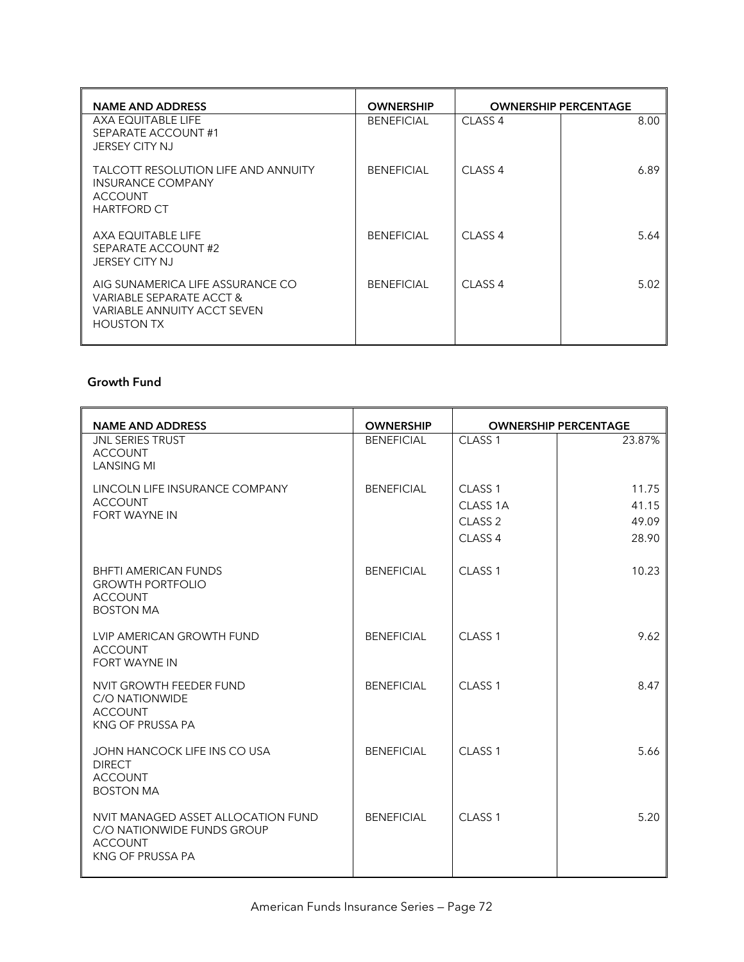| <b>NAME AND ADDRESS</b>                                                                                          | <b>OWNERSHIP</b>  |                    | <b>OWNERSHIP PERCENTAGE</b> |
|------------------------------------------------------------------------------------------------------------------|-------------------|--------------------|-----------------------------|
| AXA EQUITABLE LIFE<br>SEPARATE ACCOUNT#1<br><b>JERSEY CITY NJ</b>                                                | <b>BENEFICIAL</b> | CLASS <sub>4</sub> | 8.00                        |
| <b>TALCOTT RESOLUTION LIFE AND ANNUITY</b><br><b>INSURANCE COMPANY</b><br><b>ACCOUNT</b><br><b>HARTFORD CT</b>   | <b>BENEFICIAL</b> | CLASS <sub>4</sub> | 6.89                        |
| AXA EQUITABLE LIFE<br>SEPARATE ACCOUNT#2<br><b>JERSEY CITY NJ</b>                                                | <b>BENEFICIAL</b> | CLASS <sub>4</sub> | 5.64                        |
| AIG SUNAMERICA LIFE ASSURANCE CO<br>VARIABLE SEPARATE ACCT &<br>VARIABLE ANNUITY ACCT SEVEN<br><b>HOUSTON TX</b> | <b>BENEFICIAL</b> | CLASS <sub>4</sub> | 5.02                        |

# **Growth Fund**

| <b>NAME AND ADDRESS</b>                                                                                | <b>OWNERSHIP</b>  | <b>OWNERSHIP PERCENTAGE</b>                                                |                                  |
|--------------------------------------------------------------------------------------------------------|-------------------|----------------------------------------------------------------------------|----------------------------------|
| <b>JNL SERIES TRUST</b><br><b>ACCOUNT</b><br><b>LANSING MI</b>                                         | <b>BENEFICIAL</b> | CLASS <sub>1</sub>                                                         | 23.87%                           |
| LINCOLN LIFE INSURANCE COMPANY<br><b>ACCOUNT</b><br><b>FORT WAYNE IN</b>                               | <b>BENEFICIAL</b> | CLASS <sub>1</sub><br>CLASS 1A<br>CLASS <sub>2</sub><br>CLASS <sub>4</sub> | 11.75<br>41.15<br>49.09<br>28.90 |
| <b>BHFTI AMERICAN FUNDS</b><br><b>GROWTH PORTFOLIO</b><br><b>ACCOUNT</b><br><b>BOSTON MA</b>           | <b>BENEFICIAL</b> | CLASS <sub>1</sub>                                                         | 10.23                            |
| LVIP AMERICAN GROWTH FUND<br><b>ACCOUNT</b><br><b>FORT WAYNE IN</b>                                    | <b>BENEFICIAL</b> | CLASS <sub>1</sub>                                                         | 9.62                             |
| NVIT GROWTH FEEDER FUND<br>C/O NATIONWIDE<br><b>ACCOUNT</b><br>KNG OF PRUSSA PA                        | <b>BENEFICIAL</b> | CLASS <sub>1</sub>                                                         | 8.47                             |
| JOHN HANCOCK LIFE INS CO USA<br><b>DIRECT</b><br><b>ACCOUNT</b><br><b>BOSTON MA</b>                    | <b>BENEFICIAL</b> | CLASS <sub>1</sub>                                                         | 5.66                             |
| NVIT MANAGED ASSET ALLOCATION FUND<br>C/O NATIONWIDE FUNDS GROUP<br><b>ACCOUNT</b><br>KNG OF PRUSSA PA | <b>BENEFICIAL</b> | CLASS <sub>1</sub>                                                         | 5.20                             |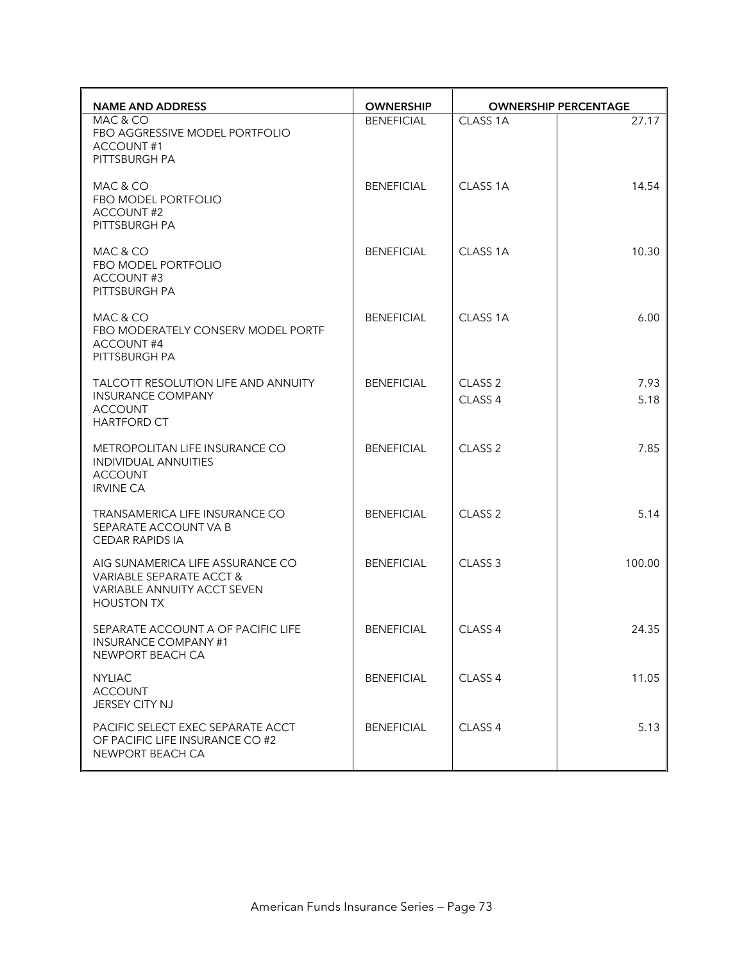| <b>NAME AND ADDRESS</b>                                                                                          | <b>OWNERSHIP</b>  | <b>OWNERSHIP PERCENTAGE</b>              |              |
|------------------------------------------------------------------------------------------------------------------|-------------------|------------------------------------------|--------------|
| MAC & CO<br>FBO AGGRESSIVE MODEL PORTFOLIO<br><b>ACCOUNT#1</b><br>PITTSBURGH PA                                  | <b>BENEFICIAL</b> | CLASS 1A                                 | 27.17        |
| MAC & CO<br>FBO MODEL PORTFOLIO<br><b>ACCOUNT#2</b><br>PITTSBURGH PA                                             | <b>BENEFICIAL</b> | CLASS 1A                                 | 14.54        |
| MAC & CO<br>FBO MODEL PORTFOLIO<br>ACCOUNT#3<br>PITTSBURGH PA                                                    | <b>BENEFICIAL</b> | CLASS 1A                                 | 10.30        |
| MAC & CO<br>FBO MODERATELY CONSERV MODEL PORTF<br>ACCOUNT#4<br>PITTSBURGH PA                                     | <b>BENEFICIAL</b> | CLASS 1A                                 | 6.00         |
| <b>TALCOTT RESOLUTION LIFE AND ANNUITY</b><br><b>INSURANCE COMPANY</b><br><b>ACCOUNT</b><br><b>HARTFORD CT</b>   | <b>BENEFICIAL</b> | CLASS <sub>2</sub><br>CLASS <sub>4</sub> | 7.93<br>5.18 |
| METROPOLITAN LIFE INSURANCE CO<br>INDIVIDUAL ANNUITIES<br><b>ACCOUNT</b><br><b>IRVINE CA</b>                     | <b>BENEFICIAL</b> | CLASS <sub>2</sub>                       | 7.85         |
| TRANSAMERICA LIFE INSURANCE CO<br>SEPARATE ACCOUNT VA B<br><b>CEDAR RAPIDS IA</b>                                | <b>BENEFICIAL</b> | CLASS <sub>2</sub>                       | 5.14         |
| AIG SUNAMERICA LIFE ASSURANCE CO<br>VARIABLE SEPARATE ACCT &<br>VARIABLE ANNUITY ACCT SEVEN<br><b>HOUSTON TX</b> | <b>BENEFICIAL</b> | CLASS <sub>3</sub>                       | 100.00       |
| SEPARATE ACCOUNT A OF PACIFIC LIFE<br><b>INSURANCE COMPANY #1</b><br>NEWPORT BEACH CA                            | <b>BENEFICIAL</b> | CLASS 4                                  | 24.35        |
| <b>NYLIAC</b><br><b>ACCOUNT</b><br>JERSEY CITY NJ                                                                | <b>BENEFICIAL</b> | CLASS <sub>4</sub>                       | 11.05        |
| PACIFIC SELECT EXEC SEPARATE ACCT<br>OF PACIFIC LIFE INSURANCE CO #2<br>NEWPORT BEACH CA                         | <b>BENEFICIAL</b> | CLASS <sub>4</sub>                       | 5.13         |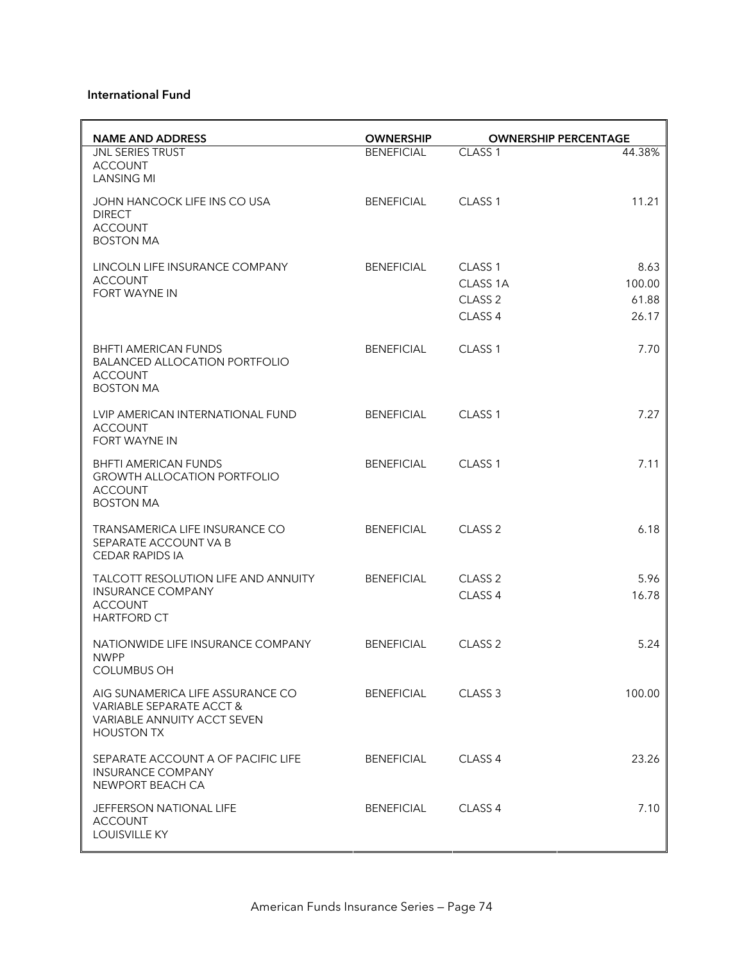#### **International Fund**

| <b>NAME AND ADDRESS</b>                                                                                          | <b>OWNERSHIP</b>  |                                                                            | <b>OWNERSHIP PERCENTAGE</b>      |
|------------------------------------------------------------------------------------------------------------------|-------------------|----------------------------------------------------------------------------|----------------------------------|
| <b>JNL SERIES TRUST</b><br><b>ACCOUNT</b><br><b>LANSING MI</b>                                                   | <b>BENEFICIAL</b> | CLASS <sub>1</sub>                                                         | 44.38%                           |
| JOHN HANCOCK LIFE INS CO USA<br><b>DIRECT</b><br><b>ACCOUNT</b><br><b>BOSTON MA</b>                              | <b>BENEFICIAL</b> | CLASS <sub>1</sub>                                                         | 11.21                            |
| LINCOLN LIFE INSURANCE COMPANY<br><b>ACCOUNT</b><br><b>FORT WAYNE IN</b>                                         | <b>BENEFICIAL</b> | CLASS <sub>1</sub><br>CLASS 1A<br>CLASS <sub>2</sub><br>CLASS <sub>4</sub> | 8.63<br>100.00<br>61.88<br>26.17 |
| <b>BHFTI AMERICAN FUNDS</b><br><b>BALANCED ALLOCATION PORTFOLIO</b><br><b>ACCOUNT</b><br><b>BOSTON MA</b>        | <b>BENEFICIAL</b> | CLASS <sub>1</sub>                                                         | 7.70                             |
| LVIP AMERICAN INTERNATIONAL FUND<br><b>ACCOUNT</b><br><b>FORT WAYNE IN</b>                                       | <b>BENEFICIAL</b> | CLASS <sub>1</sub>                                                         | 7.27                             |
| <b>BHFTI AMERICAN FUNDS</b><br><b>GROWTH ALLOCATION PORTFOLIO</b><br><b>ACCOUNT</b><br><b>BOSTON MA</b>          | <b>BENEFICIAL</b> | CLASS <sub>1</sub>                                                         | 7.11                             |
| TRANSAMERICA LIFE INSURANCE CO<br>SEPARATE ACCOUNT VA B<br><b>CEDAR RAPIDS IA</b>                                | <b>BENEFICIAL</b> | CLASS <sub>2</sub>                                                         | 6.18                             |
| TALCOTT RESOLUTION LIFE AND ANNUITY<br><b>INSURANCE COMPANY</b><br><b>ACCOUNT</b><br><b>HARTFORD CT</b>          | <b>BENEFICIAL</b> | CLASS <sub>2</sub><br>CLASS 4                                              | 5.96<br>16.78                    |
| NATIONWIDE LIFE INSURANCE COMPANY<br><b>NWPP</b><br><b>COLUMBUS OH</b>                                           | <b>BENEFICIAL</b> | CLASS <sub>2</sub>                                                         | 5.24                             |
| AIG SUNAMERICA LIFE ASSURANCE CO<br>VARIABLE SEPARATE ACCT &<br>VARIABLE ANNUITY ACCT SEVEN<br><b>HOUSTON TX</b> | BENEFICIAL        | CLASS <sub>3</sub>                                                         | 100.00                           |
| SEPARATE ACCOUNT A OF PACIFIC LIFE<br><b>INSURANCE COMPANY</b><br>NEWPORT BEACH CA                               | <b>BENEFICIAL</b> | CLASS <sub>4</sub>                                                         | 23.26                            |
| <b>JEFFERSON NATIONAL LIFE</b><br><b>ACCOUNT</b><br>LOUISVILLE KY                                                | <b>BENEFICIAL</b> | CLASS <sub>4</sub>                                                         | 7.10                             |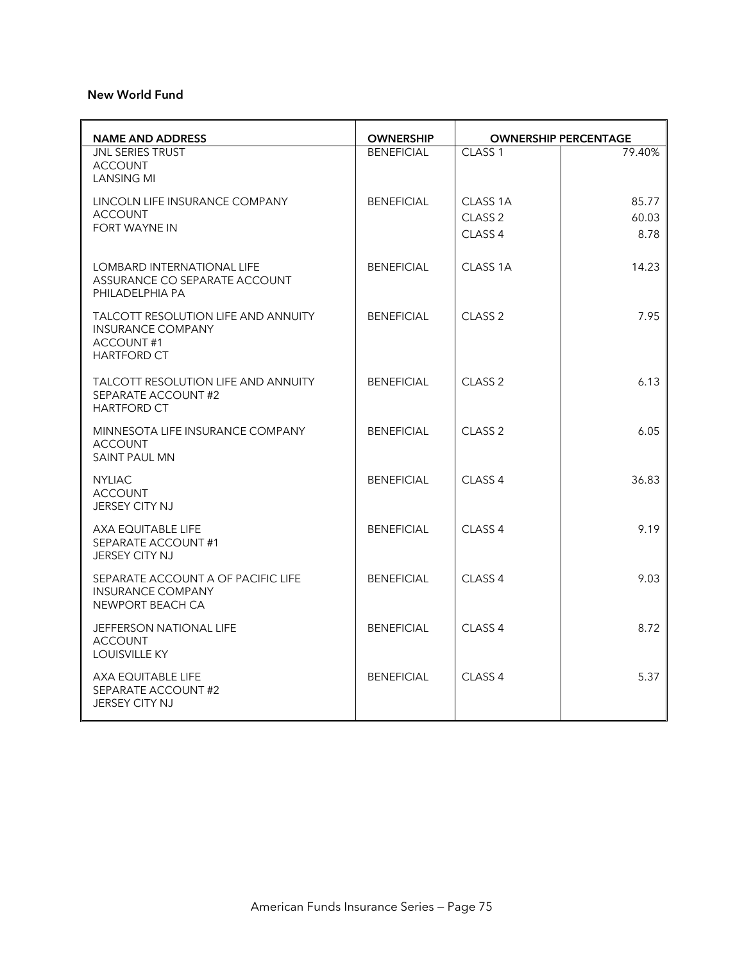#### **New World Fund**

| <b>NAME AND ADDRESS</b>                                                                                   | <b>OWNERSHIP</b>  | <b>OWNERSHIP PERCENTAGE</b>               |                        |
|-----------------------------------------------------------------------------------------------------------|-------------------|-------------------------------------------|------------------------|
| <b>JNL SERIES TRUST</b><br><b>ACCOUNT</b><br><b>LANSING MI</b>                                            | <b>BENEFICIAL</b> | CLASS <sub>1</sub>                        | 79.40%                 |
| LINCOLN LIFE INSURANCE COMPANY<br><b>ACCOUNT</b><br><b>FORT WAYNE IN</b>                                  | <b>BENEFICIAL</b> | CLASS 1A<br>CLASS <sub>2</sub><br>CLASS 4 | 85.77<br>60.03<br>8.78 |
| LOMBARD INTERNATIONAL LIFE<br>ASSURANCE CO SEPARATE ACCOUNT<br>PHILADELPHIA PA                            | <b>BENEFICIAL</b> | CLASS <sub>1A</sub>                       | 14.23                  |
| <b>TALCOTT RESOLUTION LIFE AND ANNUITY</b><br><b>INSURANCE COMPANY</b><br>ACCOUNT#1<br><b>HARTFORD CT</b> | <b>BENEFICIAL</b> | CLASS <sub>2</sub>                        | 7.95                   |
| <b>TALCOTT RESOLUTION LIFE AND ANNUITY</b><br>SEPARATE ACCOUNT #2<br><b>HARTFORD CT</b>                   | <b>BENEFICIAL</b> | CLASS <sub>2</sub>                        | 6.13                   |
| MINNESOTA LIFE INSURANCE COMPANY<br><b>ACCOUNT</b><br><b>SAINT PAUL MN</b>                                | <b>BENEFICIAL</b> | CLASS <sub>2</sub>                        | 6.05                   |
| <b>NYLIAC</b><br><b>ACCOUNT</b><br><b>JERSEY CITY NJ</b>                                                  | <b>BENEFICIAL</b> | CLASS <sub>4</sub>                        | 36.83                  |
| AXA EQUITABLE LIFE<br>SEPARATE ACCOUNT #1<br><b>JERSEY CITY NJ</b>                                        | <b>BENEFICIAL</b> | CLASS <sub>4</sub>                        | 9.19                   |
| SEPARATE ACCOUNT A OF PACIFIC LIFE<br><b>INSURANCE COMPANY</b><br>NEWPORT BEACH CA                        | <b>BENEFICIAL</b> | CLASS <sub>4</sub>                        | 9.03                   |
| <b>JEFFERSON NATIONAL LIFE</b><br><b>ACCOUNT</b><br><b>LOUISVILLE KY</b>                                  | <b>BENEFICIAL</b> | CLASS <sub>4</sub>                        | 8.72                   |
| AXA EQUITABLE LIFE<br><b>SEPARATE ACCOUNT #2</b><br><b>JERSEY CITY NJ</b>                                 | <b>BENEFICIAL</b> | CLASS <sub>4</sub>                        | 5.37                   |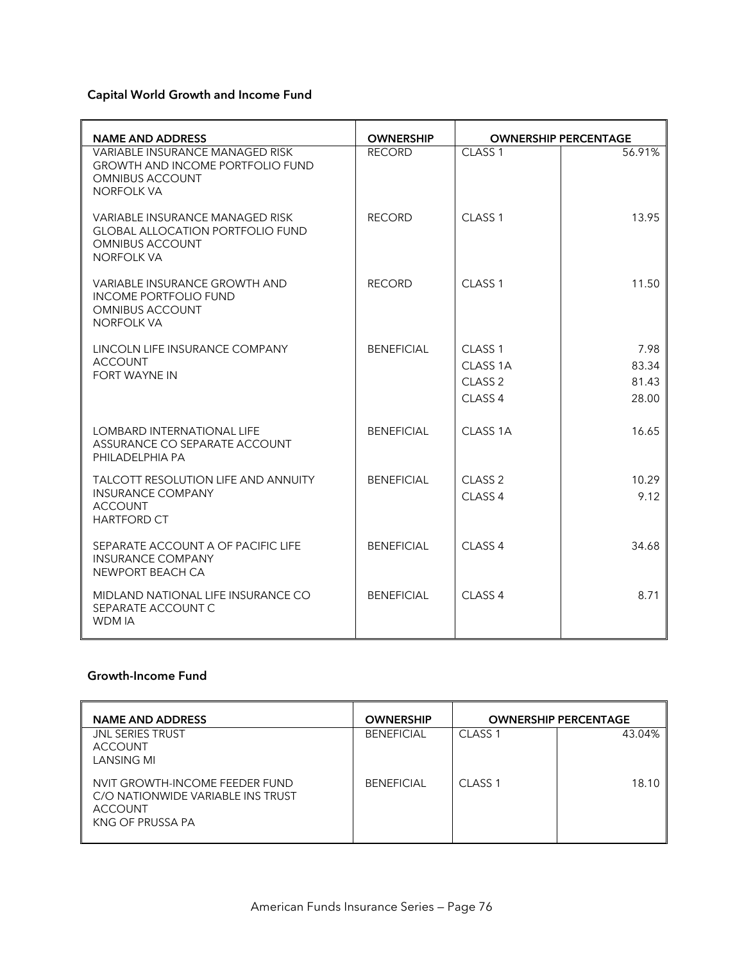# **Capital World Growth and Income Fund**

| <b>NAME AND ADDRESS</b>                                                                                                   | <b>OWNERSHIP</b>  | <b>OWNERSHIP PERCENTAGE</b> |        |
|---------------------------------------------------------------------------------------------------------------------------|-------------------|-----------------------------|--------|
| VARIABLE INSURANCE MANAGED RISK<br><b>GROWTH AND INCOME PORTFOLIO FUND</b><br><b>OMNIBUS ACCOUNT</b><br><b>NORFOLK VA</b> | <b>RECORD</b>     | CLASS <sub>1</sub>          | 56.91% |
| VARIABLE INSURANCE MANAGED RISK<br><b>GLOBAL ALLOCATION PORTFOLIO FUND</b><br><b>OMNIBUS ACCOUNT</b><br><b>NORFOLK VA</b> | <b>RECORD</b>     | CLASS <sub>1</sub>          | 13.95  |
| VARIABLE INSURANCE GROWTH AND<br><b>INCOME PORTFOLIO FUND</b><br><b>OMNIBUS ACCOUNT</b><br><b>NORFOLK VA</b>              | <b>RECORD</b>     | CLASS <sub>1</sub>          | 11.50  |
| LINCOLN LIFE INSURANCE COMPANY                                                                                            | <b>BENEFICIAL</b> | CLASS <sub>1</sub>          | 7.98   |
| <b>ACCOUNT</b><br><b>FORT WAYNE IN</b>                                                                                    |                   | CLASS <sub>1A</sub>         | 83.34  |
|                                                                                                                           |                   | CLASS <sub>2</sub>          | 81.43  |
|                                                                                                                           |                   | CLASS <sub>4</sub>          | 28.00  |
| <b>LOMBARD INTERNATIONAL LIFE</b><br>ASSURANCE CO SEPARATE ACCOUNT<br>PHILADELPHIA PA                                     | <b>BENEFICIAL</b> | CLASS <sub>1A</sub>         | 16.65  |
| TALCOTT RESOLUTION LIFE AND ANNUITY                                                                                       | <b>BENEFICIAL</b> | CLASS <sub>2</sub>          | 10.29  |
| <b>INSURANCE COMPANY</b><br><b>ACCOUNT</b><br><b>HARTFORD CT</b>                                                          |                   | CLASS <sub>4</sub>          | 9.12   |
| SEPARATE ACCOUNT A OF PACIFIC LIFE<br><b>INSURANCE COMPANY</b><br>NEWPORT BEACH CA                                        | <b>BENEFICIAL</b> | CLASS <sub>4</sub>          | 34.68  |
| MIDLAND NATIONAL LIFE INSURANCE CO<br>SEPARATE ACCOUNT C<br><b>WDMIA</b>                                                  | <b>BENEFICIAL</b> | CLASS <sub>4</sub>          | 8.71   |

### **Growth-Income Fund**

| <b>NAME AND ADDRESS</b>                                                                                   | <b>OWNERSHIP</b>  | <b>OWNERSHIP PERCENTAGE</b> |        |
|-----------------------------------------------------------------------------------------------------------|-------------------|-----------------------------|--------|
| <b>JNL SERIES TRUST</b><br><b>ACCOUNT</b><br><b>LANSING MI</b>                                            | <b>BENEFICIAL</b> | CLASS <sub>1</sub>          | 43.04% |
| NVIT GROWTH-INCOME FEEDER FUND<br>C/O NATIONWIDE VARIABLE INS TRUST<br><b>ACCOUNT</b><br>KNG OF PRUSSA PA | <b>BENEFICIAL</b> | CLASS <sub>1</sub>          | 18.10  |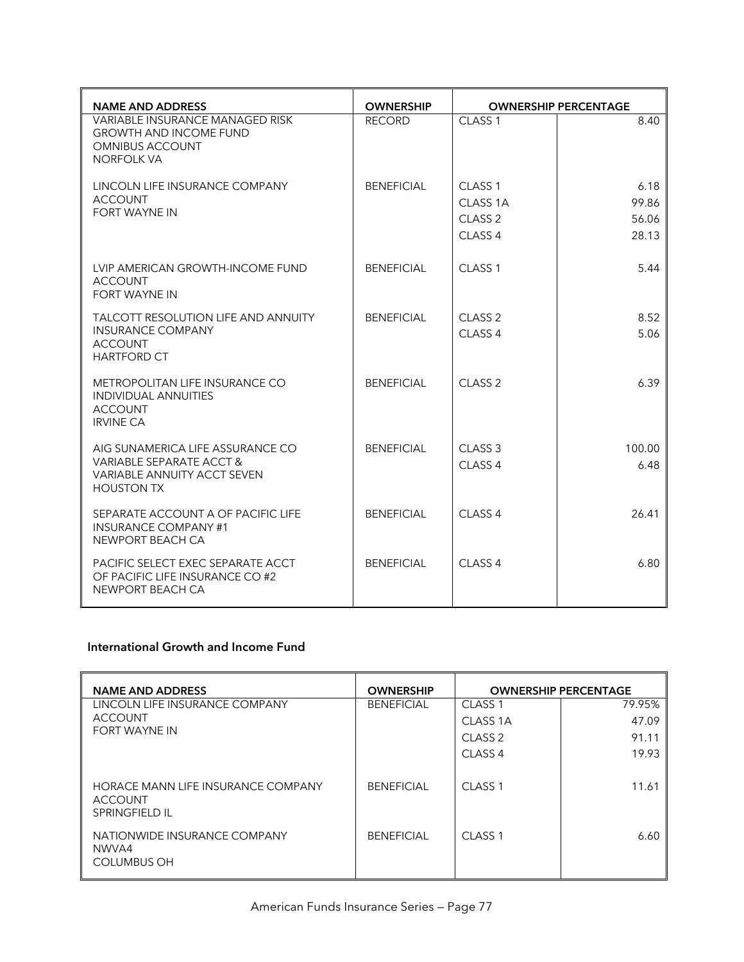| <b>NAME AND ADDRESS</b>                                                                                         | <b>OWNERSHIP</b>  | <b>OWNERSHIP PERCENTAGE</b> |        |
|-----------------------------------------------------------------------------------------------------------------|-------------------|-----------------------------|--------|
| VARIABLE INSURANCE MANAGED RISK<br><b>GROWTH AND INCOME FUND</b><br><b>OMNIBUS ACCOUNT</b><br><b>NORFOLK VA</b> | <b>RECORD</b>     | CLASS <sub>1</sub>          | 8.40   |
| LINCOLN LIFE INSURANCE COMPANY                                                                                  | <b>BENEFICIAL</b> | CLASS <sub>1</sub>          | 6.18   |
| <b>ACCOUNT</b><br><b>FORT WAYNE IN</b>                                                                          |                   | CLASS 1A                    | 99.86  |
|                                                                                                                 |                   | CLASS <sub>2</sub>          | 56.06  |
|                                                                                                                 |                   | CLASS <sub>4</sub>          | 28.13  |
| LVIP AMERICAN GROWTH-INCOME FUND<br><b>ACCOUNT</b><br>FORT WAYNE IN                                             | <b>BENEFICIAL</b> | CLASS <sub>1</sub>          | 5.44   |
| TALCOTT RESOLUTION LIFE AND ANNUITY                                                                             | <b>BENEFICIAL</b> | CLASS <sub>2</sub>          | 8.52   |
| <b>INSURANCE COMPANY</b><br><b>ACCOUNT</b><br><b>HARTFORD CT</b>                                                |                   | CLASS 4                     | 5.06   |
| METROPOLITAN LIFE INSURANCE CO<br><b>INDIVIDUAL ANNUITIES</b><br><b>ACCOUNT</b><br><b>IRVINE CA</b>             | <b>BENEFICIAL</b> | CLASS <sub>2</sub>          | 6.39   |
| AIG SUNAMERICA LIFE ASSURANCE CO                                                                                | <b>BENEFICIAL</b> | CLASS <sub>3</sub>          | 100.00 |
| VARIABLE SEPARATE ACCT &<br><b>VARIABLE ANNUITY ACCT SEVEN</b><br><b>HOUSTON TX</b>                             |                   | CLASS <sub>4</sub>          | 6.48   |
| SEPARATE ACCOUNT A OF PACIFIC LIFE<br><b>INSURANCE COMPANY #1</b><br>NEWPORT BEACH CA                           | <b>BENEFICIAL</b> | CLASS <sub>4</sub>          | 26.41  |
| PACIFIC SELECT EXEC SEPARATE ACCT<br>OF PACIFIC LIFE INSURANCE CO #2<br>NEWPORT BEACH CA                        | <b>BENEFICIAL</b> | CLASS <sub>4</sub>          | 6.80   |

### **International Growth and Income Fund**

| <b>NAME AND ADDRESS</b>                                                | <b>OWNERSHIP</b>  | <b>OWNERSHIP PERCENTAGE</b> |        |
|------------------------------------------------------------------------|-------------------|-----------------------------|--------|
| LINCOLN LIFE INSURANCE COMPANY                                         | <b>BENEFICIAL</b> | CLASS <sub>1</sub>          | 79.95% |
| ACCOUNT                                                                |                   | CLASS 1A                    | 47.09  |
| <b>FORT WAYNE IN</b>                                                   |                   | CLASS <sub>2</sub>          | 91.11  |
|                                                                        |                   | CLASS <sub>4</sub>          | 19.93  |
| HORACE MANN LIFE INSURANCE COMPANY<br>ACCOUNT<br><b>SPRINGFIELD IL</b> | <b>BENEFICIAL</b> | CLASS <sub>1</sub>          | 11.61  |
| NATIONWIDE INSURANCE COMPANY<br>NWVA4<br><b>COLUMBUS OH</b>            | <b>BENEFICIAL</b> | CLASS <sub>1</sub>          | 6.60   |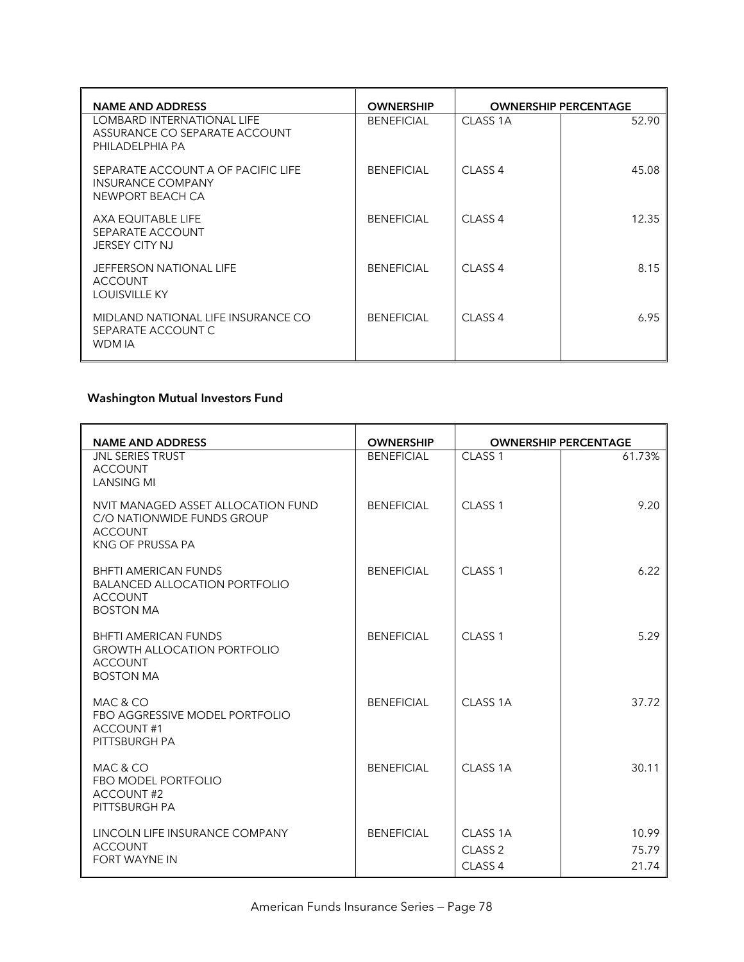| <b>NAME AND ADDRESS</b>                                                        | <b>OWNERSHIP</b>  | <b>OWNERSHIP PERCENTAGE</b> |       |
|--------------------------------------------------------------------------------|-------------------|-----------------------------|-------|
| LOMBARD INTERNATIONAL LIFE<br>ASSURANCE CO SEPARATE ACCOUNT<br>PHILADELPHIA PA | <b>BENEFICIAL</b> | CLASS 1A                    | 52.90 |
| SEPARATE ACCOUNT A OF PACIFIC LIFE<br>INSURANCE COMPANY<br>NEWPORT BEACH CA    | <b>BENEFICIAL</b> | CLASS <sub>4</sub>          | 45.08 |
| AXA EQUITABLE LIFE<br>SEPARATE ACCOUNT<br><b>JERSEY CITY NJ</b>                | <b>BENEFICIAL</b> | CLASS <sub>4</sub>          | 12.35 |
| JEFFERSON NATIONAL LIFE<br><b>ACCOUNT</b><br>LOUISVILLE KY                     | <b>BENEFICIAL</b> | CLASS <sub>4</sub>          | 8.15  |
| MIDLAND NATIONAL LIFE INSURANCE CO<br>SEPARATE ACCOUNT C<br>WDM IA             | <b>BENFFICIAL</b> | $CI$ ASS 4                  | 6.95  |

# **Washington Mutual Investors Fund**

| <b>NAME AND ADDRESS</b>                                                                                   | <b>OWNERSHIP</b>  |                                                                 | <b>OWNERSHIP PERCENTAGE</b> |
|-----------------------------------------------------------------------------------------------------------|-------------------|-----------------------------------------------------------------|-----------------------------|
| <b>JNL SERIES TRUST</b><br><b>ACCOUNT</b><br><b>LANSING MI</b>                                            | <b>BENEFICIAL</b> | CLASS <sub>1</sub>                                              | 61.73%                      |
| NVIT MANAGED ASSET ALLOCATION FUND<br>C/O NATIONWIDE FUNDS GROUP<br><b>ACCOUNT</b><br>KNG OF PRUSSA PA    | <b>BENEFICIAL</b> | CLASS <sub>1</sub>                                              | 9.20                        |
| <b>BHFTI AMERICAN FUNDS</b><br><b>BALANCED ALLOCATION PORTFOLIO</b><br><b>ACCOUNT</b><br><b>BOSTON MA</b> | <b>BENEFICIAL</b> | CLASS <sub>1</sub>                                              | 6.22                        |
| <b>BHFTI AMERICAN FUNDS</b><br><b>GROWTH ALLOCATION PORTFOLIO</b><br><b>ACCOUNT</b><br><b>BOSTON MA</b>   | <b>BENEFICIAL</b> | CLASS <sub>1</sub>                                              | 5.29                        |
| MAC & CO<br>FBO AGGRESSIVE MODEL PORTFOLIO<br><b>ACCOUNT#1</b><br>PITTSBURGH PA                           | <b>BENEFICIAL</b> | CLASS <sub>1A</sub>                                             | 37.72                       |
| MAC & CO<br><b>FBO MODEL PORTFOLIO</b><br><b>ACCOUNT#2</b><br>PITTSBURGH PA                               | <b>BENEFICIAL</b> | CLASS <sub>1A</sub>                                             | 30.11                       |
| LINCOLN LIFE INSURANCE COMPANY<br><b>ACCOUNT</b><br><b>FORT WAYNE IN</b>                                  | <b>BENEFICIAL</b> | CLASS <sub>1A</sub><br>CLASS <sub>2</sub><br>CLASS <sub>4</sub> | 10.99<br>75.79<br>21.74     |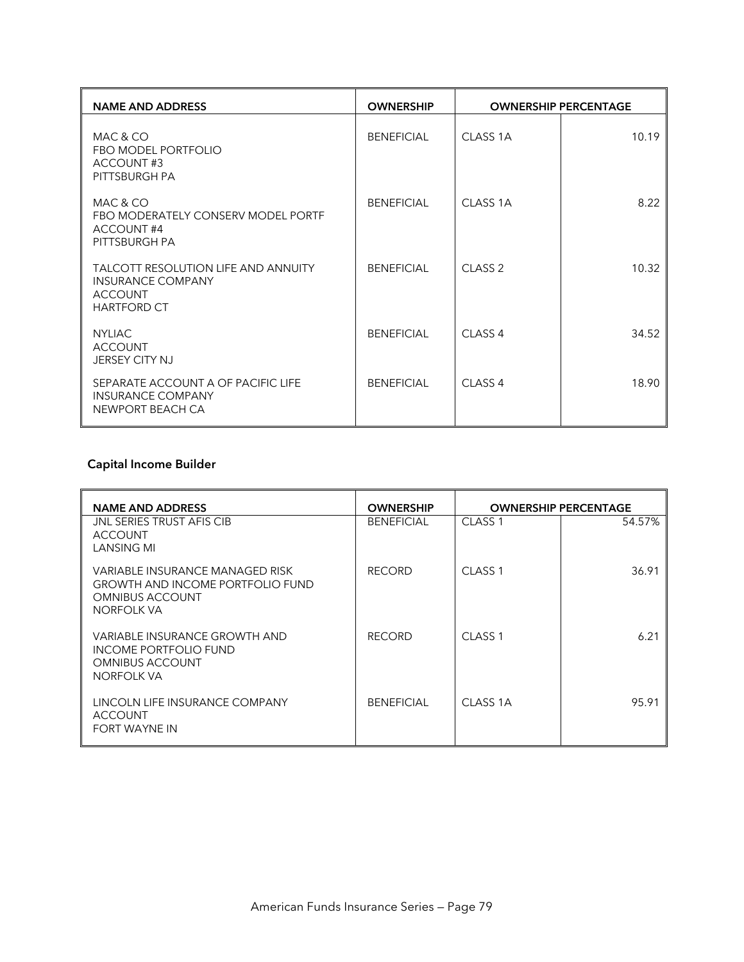| <b>NAME AND ADDRESS</b>                                                                                        | <b>OWNERSHIP</b>  | <b>OWNERSHIP PERCENTAGE</b> |       |
|----------------------------------------------------------------------------------------------------------------|-------------------|-----------------------------|-------|
| MAC & CO<br>FBO MODEL PORTFOLIO<br>ACCOUNT#3<br>PITTSBURGH PA                                                  | <b>BENEFICIAL</b> | CLASS <sub>1A</sub>         | 10.19 |
| MAC & CO<br>FBO MODERATELY CONSERV MODEL PORTF<br><b>ACCOUNT#4</b><br>PITTSBURGH PA                            | <b>BENEFICIAL</b> | CLASS 1A                    | 8.22  |
| <b>TALCOTT RESOLUTION LIFE AND ANNUITY</b><br><b>INSURANCE COMPANY</b><br><b>ACCOUNT</b><br><b>HARTFORD CT</b> | <b>BENEFICIAL</b> | CLASS <sub>2</sub>          | 10.32 |
| <b>NYLIAC</b><br><b>ACCOUNT</b><br><b>JERSEY CITY NJ</b>                                                       | <b>BENFFICIAL</b> | CLASS <sub>4</sub>          | 34.52 |
| SEPARATE ACCOUNT A OF PACIFIC LIFE<br><b>INSURANCE COMPANY</b><br>NEWPORT BEACH CA                             | <b>BENEFICIAL</b> | CLASS <sub>4</sub>          | 18.90 |

# **Capital Income Builder**

| <b>NAME AND ADDRESS</b>                                                                                            | <b>OWNERSHIP</b>  | <b>OWNERSHIP PERCENTAGE</b> |        |
|--------------------------------------------------------------------------------------------------------------------|-------------------|-----------------------------|--------|
| JNL SERIES TRUST AFIS CIB<br><b>ACCOUNT</b><br>LANSING MI                                                          | <b>BENEFICIAL</b> | CLASS <sub>1</sub>          | 54.57% |
| VARIABLE INSURANCE MANAGED RISK<br><b>GROWTH AND INCOME PORTFOLIO FUND</b><br><b>OMNIBUS ACCOUNT</b><br>NORFOLK VA | <b>RECORD</b>     | CLASS <sub>1</sub>          | 36.91  |
| VARIABLE INSURANCE GROWTH AND<br><b>INCOME PORTFOLIO FUND</b><br><b>OMNIBUS ACCOUNT</b><br>NORFOLK VA              | <b>RECORD</b>     | CLASS <sub>1</sub>          | 6.21   |
| LINCOLN LIFE INSURANCE COMPANY<br><b>ACCOUNT</b><br><b>FORT WAYNE IN</b>                                           | <b>BENEFICIAL</b> | CLASS 1A                    | 95.91  |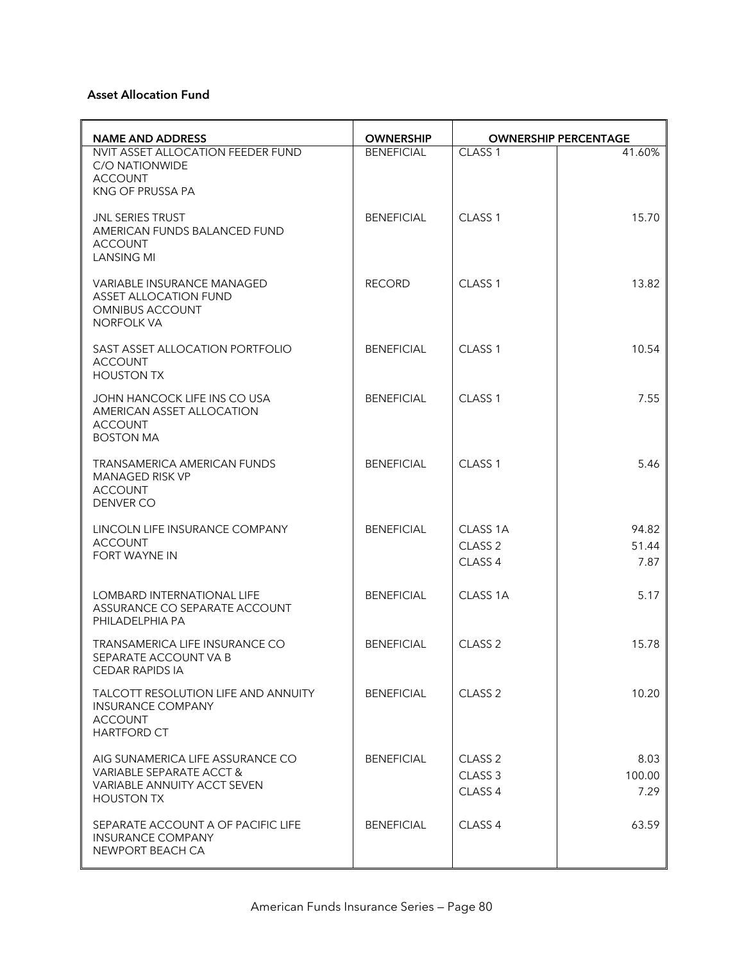#### **Asset Allocation Fund**

| <b>NAME AND ADDRESS</b>                                                                                                 | <b>OWNERSHIP</b>  | <b>OWNERSHIP PERCENTAGE</b>                                    |                        |
|-------------------------------------------------------------------------------------------------------------------------|-------------------|----------------------------------------------------------------|------------------------|
| NVIT ASSET ALLOCATION FEEDER FUND<br>C/O NATIONWIDE<br><b>ACCOUNT</b><br>KNG OF PRUSSA PA                               | <b>BENEFICIAL</b> | CLASS <sub>1</sub>                                             | 41.60%                 |
| JNL SERIES TRUST<br>AMERICAN FUNDS BALANCED FUND<br><b>ACCOUNT</b><br><b>LANSING MI</b>                                 | <b>BENEFICIAL</b> | CLASS <sub>1</sub>                                             | 15.70                  |
| VARIABLE INSURANCE MANAGED<br><b>ASSET ALLOCATION FUND</b><br><b>OMNIBUS ACCOUNT</b><br><b>NORFOLK VA</b>               | <b>RECORD</b>     | CLASS <sub>1</sub>                                             | 13.82                  |
| SAST ASSET ALLOCATION PORTFOLIO<br><b>ACCOUNT</b><br><b>HOUSTON TX</b>                                                  | <b>BENEFICIAL</b> | CLASS <sub>1</sub>                                             | 10.54                  |
| JOHN HANCOCK LIFE INS CO USA<br>AMERICAN ASSET ALLOCATION<br><b>ACCOUNT</b><br><b>BOSTON MA</b>                         | <b>BENEFICIAL</b> | CLASS <sub>1</sub>                                             | 7.55                   |
| <b>TRANSAMERICA AMERICAN FUNDS</b><br><b>MANAGED RISK VP</b><br><b>ACCOUNT</b><br>DENVER CO                             | <b>BENEFICIAL</b> | CLASS <sub>1</sub>                                             | 5.46                   |
| LINCOLN LIFE INSURANCE COMPANY<br><b>ACCOUNT</b><br><b>FORT WAYNE IN</b>                                                | <b>BENEFICIAL</b> | CLASS 1A<br>CLASS <sub>2</sub><br>CLASS 4                      | 94.82<br>51.44<br>7.87 |
| LOMBARD INTERNATIONAL LIFE<br>ASSURANCE CO SEPARATE ACCOUNT<br>PHILADELPHIA PA                                          | <b>BENEFICIAL</b> | CLASS <sub>1A</sub>                                            | 5.17                   |
| TRANSAMERICA LIFE INSURANCE CO<br>SEPARATE ACCOUNT VA B<br><b>CEDAR RAPIDS IA</b>                                       | <b>BENEFICIAL</b> | CLASS <sub>2</sub>                                             | 15.78                  |
| TALCOTT RESOLUTION LIFE AND ANNUITY<br><b>INSURANCE COMPANY</b><br><b>ACCOUNT</b><br><b>HARTFORD CT</b>                 | <b>BENEFICIAL</b> | CLASS <sub>2</sub>                                             | 10.20                  |
| AIG SUNAMERICA LIFE ASSURANCE CO<br>VARIABLE SEPARATE ACCT &<br><b>VARIABLE ANNUITY ACCT SEVEN</b><br><b>HOUSTON TX</b> | <b>BENEFICIAL</b> | CLASS <sub>2</sub><br>CLASS <sub>3</sub><br>CLASS <sub>4</sub> | 8.03<br>100.00<br>7.29 |
| SEPARATE ACCOUNT A OF PACIFIC LIFE<br><b>INSURANCE COMPANY</b><br>NEWPORT BEACH CA                                      | <b>BENEFICIAL</b> | CLASS <sub>4</sub>                                             | 63.59                  |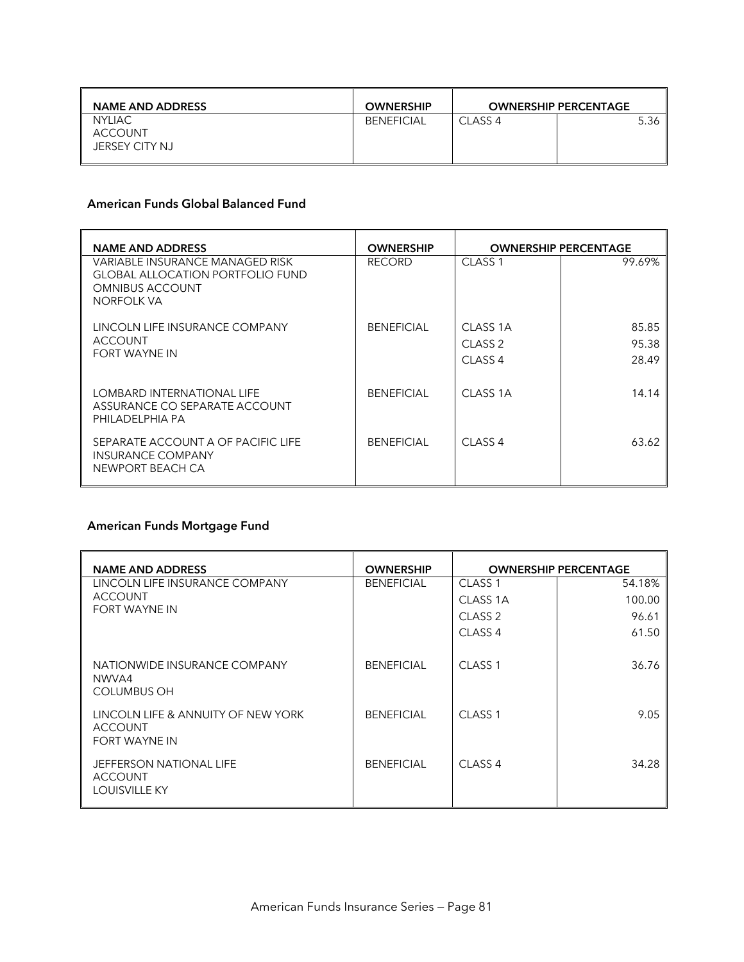| <b>NAME AND ADDRESS</b>                           | <b>OWNERSHIP</b>  |            | <b>OWNERSHIP PERCENTAGE</b> |
|---------------------------------------------------|-------------------|------------|-----------------------------|
| <b>NYLIAC</b><br><b>ACCOUNT</b><br>JERSEY CITY NJ | <b>BENEFICIAL</b> | $CI$ ASS 4 | 5.36                        |

### **American Funds Global Balanced Fund**

| <b>NAME AND ADDRESS</b>                                                                                            | <b>OWNERSHIP</b>  | <b>OWNERSHIP PERCENTAGE</b> |        |
|--------------------------------------------------------------------------------------------------------------------|-------------------|-----------------------------|--------|
| VARIABLE INSURANCE MANAGED RISK<br><b>GLOBAL ALLOCATION PORTFOLIO FUND</b><br><b>OMNIBUS ACCOUNT</b><br>NORFOLK VA | <b>RECORD</b>     | CLASS <sub>1</sub>          | 99.69% |
| LINCOLN LIFE INSURANCE COMPANY                                                                                     | <b>BENEFICIAL</b> | CLASS 1A                    | 85.85  |
| <b>ACCOUNT</b>                                                                                                     |                   | CLASS <sub>2</sub>          | 95.38  |
| FORT WAYNE IN                                                                                                      |                   | CLASS <sub>4</sub>          | 28.49  |
| LOMBARD INTERNATIONAL LIFE<br>ASSURANCE CO SEPARATE ACCOUNT<br>PHILADELPHIA PA                                     | <b>BENEFICIAL</b> | CLASS 1A                    | 14.14  |
| SEPARATE ACCOUNT A OF PACIFIC LIFE<br><b>INSURANCE COMPANY</b><br>NEWPORT BEACH CA                                 | <b>BENEFICIAL</b> | CLASS <sub>4</sub>          | 63.62  |

# **American Funds Mortgage Fund**

| <b>NAME AND ADDRESS</b>                                               | <b>OWNERSHIP</b>  | <b>OWNERSHIP PERCENTAGE</b> |        |
|-----------------------------------------------------------------------|-------------------|-----------------------------|--------|
| LINCOLN LIFE INSURANCE COMPANY                                        | <b>BENEFICIAL</b> | CLASS <sub>1</sub>          | 54.18% |
| <b>ACCOUNT</b>                                                        |                   | CLASS 1A                    | 100.00 |
| FORT WAYNE IN                                                         |                   | CLASS <sub>2</sub>          | 96.61  |
|                                                                       |                   | CLASS <sub>4</sub>          | 61.50  |
| NATIONWIDE INSURANCE COMPANY<br>NWVA4<br><b>COLUMBUS OH</b>           | <b>BENEFICIAL</b> | CLASS <sub>1</sub>          | 36.76  |
| LINCOLN LIFE & ANNUITY OF NEW YORK<br><b>ACCOUNT</b><br>FORT WAYNE IN | <b>BENEFICIAL</b> | CLASS <sub>1</sub>          | 9.05   |
| JEFFERSON NATIONAL LIFE<br><b>ACCOUNT</b><br><b>LOUISVILLE KY</b>     | <b>BENEFICIAL</b> | CLASS <sub>4</sub>          | 34.28  |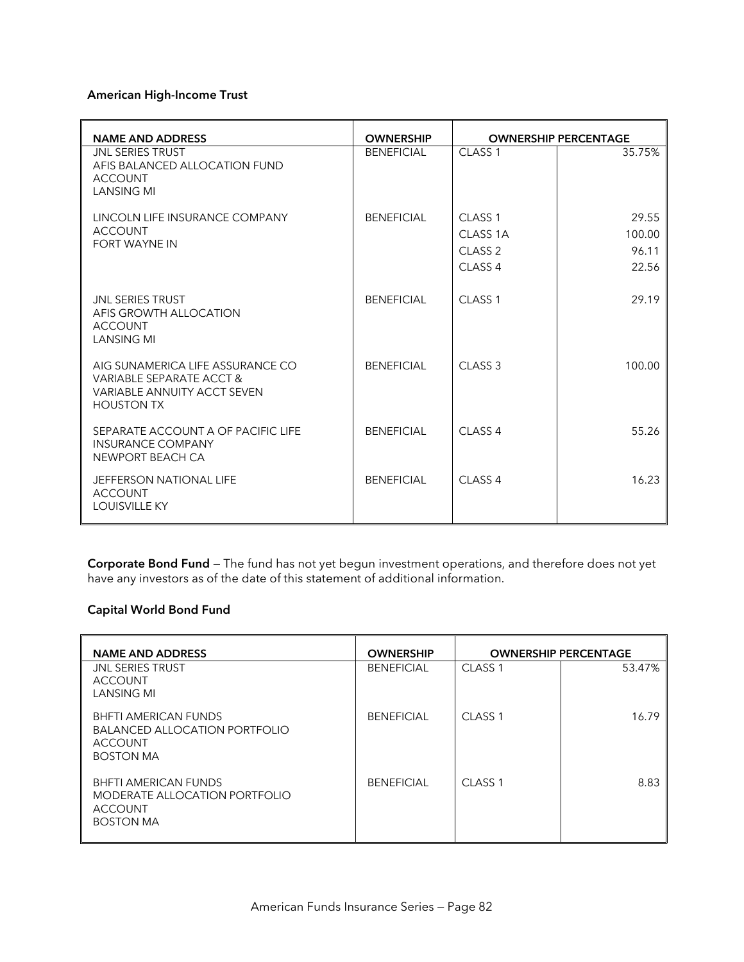#### **American High-Income Trust**

| <b>NAME AND ADDRESS</b>                                                                                          | <b>OWNERSHIP</b>  | <b>OWNERSHIP PERCENTAGE</b> |        |
|------------------------------------------------------------------------------------------------------------------|-------------------|-----------------------------|--------|
| <b>JNL SERIES TRUST</b><br>AFIS BALANCED ALLOCATION FUND<br><b>ACCOUNT</b><br><b>LANSING MI</b>                  | <b>BENEFICIAL</b> | CLASS <sub>1</sub>          | 35.75% |
| LINCOLN LIFE INSURANCE COMPANY                                                                                   | <b>BENFFICIAL</b> | CLASS <sub>1</sub>          | 29.55  |
| <b>ACCOUNT</b>                                                                                                   |                   | CLASS <sub>1A</sub>         | 100.00 |
| <b>FORT WAYNE IN</b>                                                                                             |                   | CLASS <sub>2</sub>          | 96.11  |
|                                                                                                                  |                   | CLASS <sub>4</sub>          | 22.56  |
| <b>JNL SERIES TRUST</b><br>AFIS GROWTH ALLOCATION<br><b>ACCOUNT</b><br><b>LANSING MI</b>                         | <b>BENEFICIAL</b> | CLASS <sub>1</sub>          | 29.19  |
| AIG SUNAMERICA LIFE ASSURANCE CO<br>VARIABLE SEPARATE ACCT &<br>VARIABLE ANNUITY ACCT SEVEN<br><b>HOUSTON TX</b> | <b>BENEFICIAL</b> | CLASS <sub>3</sub>          | 100.00 |
| SEPARATE ACCOUNT A OF PACIFIC LIFE<br><b>INSURANCE COMPANY</b><br>NEWPORT BEACH CA                               | <b>BENEFICIAL</b> | CLASS <sub>4</sub>          | 55.26  |
| <b>JEFFERSON NATIONAL LIFE</b><br><b>ACCOUNT</b><br><b>LOUISVILLE KY</b>                                         | <b>BENFFICIAL</b> | CLASS <sub>4</sub>          | 16.23  |

**Corporate Bond Fund** — The fund has not yet begun investment operations, and therefore does not yet have any investors as of the date of this statement of additional information.

#### **Capital World Bond Fund**

| <b>NAME AND ADDRESS</b>                                                                            | <b>OWNERSHIP</b>  | <b>OWNERSHIP PERCENTAGE</b> |        |
|----------------------------------------------------------------------------------------------------|-------------------|-----------------------------|--------|
| <b>JNL SERIES TRUST</b><br>ACCOUNT<br><b>LANSING MI</b>                                            | <b>BENEFICIAL</b> | CLASS <sub>1</sub>          | 53.47% |
| <b>BHFTI AMERICAN FUNDS</b><br><b>BALANCED ALLOCATION PORTFOLIO</b><br>ACCOUNT<br><b>BOSTON MA</b> | <b>BENEFICIAL</b> | CLASS <sub>1</sub>          | 16.79  |
| <b>BHFTI AMERICAN FUNDS</b><br>MODERATE ALLOCATION PORTFOLIO<br>ACCOUNT<br><b>BOSTON MA</b>        | <b>BENEFICIAL</b> | CLASS <sub>1</sub>          | 8.83   |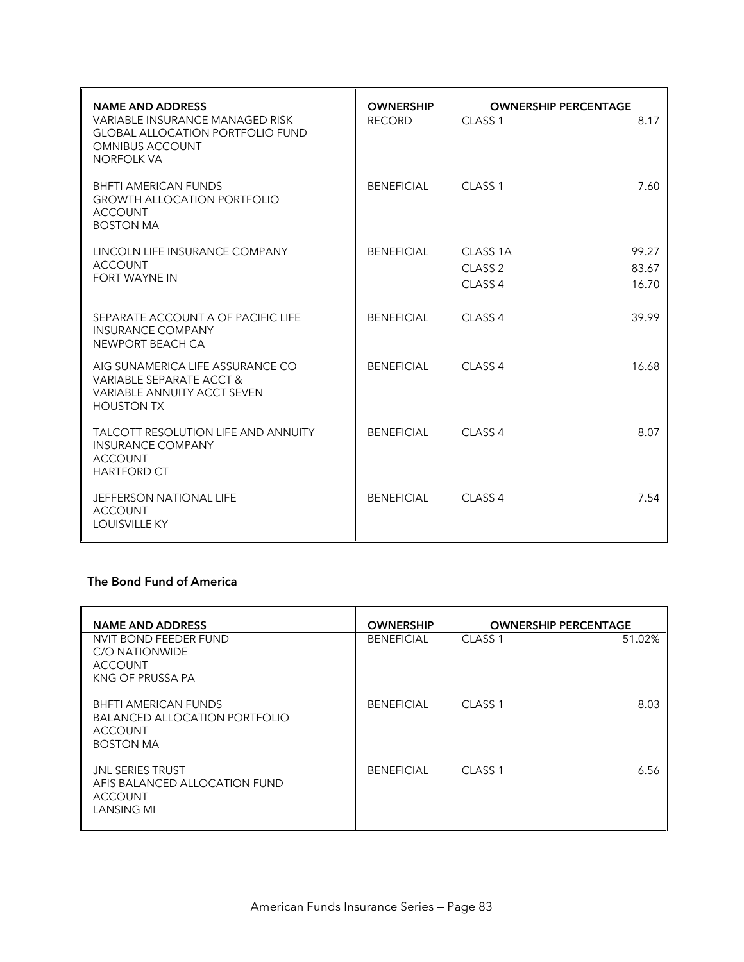| <b>NAME AND ADDRESS</b>                                                                                                          | <b>OWNERSHIP</b>  |                     | <b>OWNERSHIP PERCENTAGE</b> |
|----------------------------------------------------------------------------------------------------------------------------------|-------------------|---------------------|-----------------------------|
| <b>VARIABLE INSURANCE MANAGED RISK</b><br><b>GLOBAL ALLOCATION PORTFOLIO FUND</b><br><b>OMNIBUS ACCOUNT</b><br><b>NORFOLK VA</b> | <b>RECORD</b>     | CLASS <sub>1</sub>  | 8.17                        |
| <b>BHFTI AMERICAN FUNDS</b><br><b>GROWTH ALLOCATION PORTFOLIO</b><br><b>ACCOUNT</b><br><b>BOSTON MA</b>                          | <b>BENEFICIAL</b> | CLASS <sub>1</sub>  | 7.60                        |
| LINCOLN LIFE INSURANCE COMPANY                                                                                                   | <b>BENEFICIAL</b> | CLASS <sub>1A</sub> | 99.27                       |
| <b>ACCOUNT</b>                                                                                                                   |                   | CLASS <sub>2</sub>  | 83.67                       |
| <b>FORT WAYNE IN</b>                                                                                                             |                   | CLASS <sub>4</sub>  | 16.70                       |
| SEPARATE ACCOUNT A OF PACIFIC LIFE<br><b>INSURANCE COMPANY</b><br>NEWPORT BEACH CA                                               | <b>BENEFICIAL</b> | CLASS <sub>4</sub>  | 39.99                       |
| AIG SUNAMERICA LIFE ASSURANCE CO<br>VARIABLE SEPARATE ACCT &<br>VARIABLE ANNUITY ACCT SEVEN<br><b>HOUSTON TX</b>                 | <b>BENEFICIAL</b> | CLASS <sub>4</sub>  | 16.68                       |
| <b>TALCOTT RESOLUTION LIFE AND ANNUITY</b><br><b>INSURANCE COMPANY</b><br><b>ACCOUNT</b><br><b>HARTFORD CT</b>                   | <b>BENFFICIAL</b> | $CI$ ASS 4          | 8.07                        |
| JEFFERSON NATIONAL LIFE<br><b>ACCOUNT</b><br><b>LOUISVILLE KY</b>                                                                | <b>BENEFICIAL</b> | CLASS <sub>4</sub>  | 7.54                        |

### **The Bond Fund of America**

| <b>NAME AND ADDRESS</b>                                                                                   | <b>OWNERSHIP</b>  | <b>OWNERSHIP PERCENTAGE</b> |        |  |
|-----------------------------------------------------------------------------------------------------------|-------------------|-----------------------------|--------|--|
| NVIT BOND FEEDER FUND<br>C/O NATIONWIDE<br><b>ACCOUNT</b><br>KNG OF PRUSSA PA                             | <b>BENEFICIAL</b> | CLASS <sub>1</sub>          | 51.02% |  |
| <b>BHFTI AMERICAN FUNDS</b><br><b>BALANCED ALLOCATION PORTFOLIO</b><br><b>ACCOUNT</b><br><b>BOSTON MA</b> | <b>BENEFICIAL</b> | CLASS <sub>1</sub>          | 8.03   |  |
| <b>JNL SERIES TRUST</b><br>AFIS BALANCED ALLOCATION FUND<br><b>ACCOUNT</b><br><b>LANSING MI</b>           | <b>BENEFICIAL</b> | CLASS <sub>1</sub>          | 6.56   |  |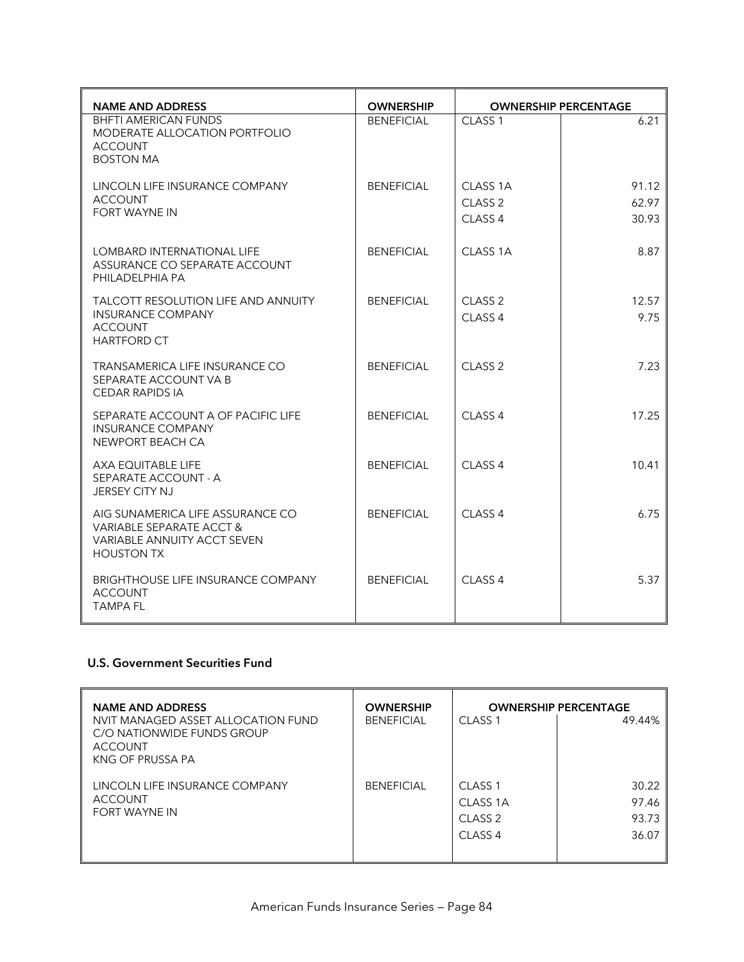| <b>NAME AND ADDRESS</b>                                                                                          | <b>OWNERSHIP</b>  |                                                                 | <b>OWNERSHIP PERCENTAGE</b> |
|------------------------------------------------------------------------------------------------------------------|-------------------|-----------------------------------------------------------------|-----------------------------|
| <b>BHFTI AMERICAN FUNDS</b><br>MODERATE ALLOCATION PORTFOLIO<br><b>ACCOUNT</b><br><b>BOSTON MA</b>               | <b>BENEFICIAL</b> | CLASS <sub>1</sub>                                              | 6.21                        |
| LINCOLN LIFE INSURANCE COMPANY<br><b>ACCOUNT</b><br><b>FORT WAYNE IN</b>                                         | <b>BENEFICIAL</b> | CLASS <sub>1A</sub><br>CLASS <sub>2</sub><br>CLASS <sub>4</sub> | 91.12<br>62.97<br>30.93     |
| <b>LOMBARD INTERNATIONAL LIFE</b><br>ASSURANCE CO SEPARATE ACCOUNT<br>PHILADELPHIA PA                            | <b>BENEFICIAL</b> | CLASS 1A                                                        | 8.87                        |
| TALCOTT RESOLUTION LIFE AND ANNUITY<br><b>INSURANCE COMPANY</b><br><b>ACCOUNT</b><br><b>HARTFORD CT</b>          | <b>BENEFICIAL</b> | CLASS <sub>2</sub><br>CLASS <sub>4</sub>                        | 12.57<br>9.75               |
| TRANSAMERICA LIFE INSURANCE CO<br>SEPARATE ACCOUNT VA B<br><b>CEDAR RAPIDS IA</b>                                | <b>BENEFICIAL</b> | CLASS <sub>2</sub>                                              | 7.23                        |
| SEPARATE ACCOUNT A OF PACIFIC LIFE<br><b>INSURANCE COMPANY</b><br>NEWPORT BEACH CA                               | <b>BENEFICIAL</b> | CLASS <sub>4</sub>                                              | 17.25                       |
| AXA EQUITABLE LIFE<br>SEPARATE ACCOUNT - A<br><b>JERSEY CITY NJ</b>                                              | <b>BENEFICIAL</b> | CLASS <sub>4</sub>                                              | 10.41                       |
| AIG SUNAMERICA LIFE ASSURANCE CO<br>VARIABLE SEPARATE ACCT &<br>VARIABLE ANNUITY ACCT SEVEN<br><b>HOUSTON TX</b> | <b>BENEFICIAL</b> | CLASS <sub>4</sub>                                              | 6.75                        |
| <b>BRIGHTHOUSE LIFE INSURANCE COMPANY</b><br><b>ACCOUNT</b><br><b>TAMPA FL</b>                                   | <b>BENEFICIAL</b> | CLASS <sub>4</sub>                                              | 5.37                        |

# **U.S. Government Securities Fund**

| <b>NAME AND ADDRESS</b>                                                                                | <b>OWNERSHIP</b>  | <b>OWNERSHIP PERCENTAGE</b> |        |  |
|--------------------------------------------------------------------------------------------------------|-------------------|-----------------------------|--------|--|
| NVIT MANAGED ASSET ALLOCATION FUND<br>C/O NATIONWIDE FUNDS GROUP<br><b>ACCOUNT</b><br>KNG OF PRUSSA PA | <b>BENEFICIAL</b> | CLASS <sub>1</sub>          | 49.44% |  |
| LINCOLN LIFE INSURANCE COMPANY                                                                         | <b>BENEFICIAL</b> | CLASS <sub>1</sub>          | 30.22  |  |
| <b>ACCOUNT</b>                                                                                         |                   | CLASS 1A                    | 97.46  |  |
| <b>FORT WAYNE IN</b>                                                                                   |                   | CLASS <sub>2</sub>          | 93.73  |  |
|                                                                                                        |                   | CLASS <sub>4</sub>          | 36.07  |  |
|                                                                                                        |                   |                             |        |  |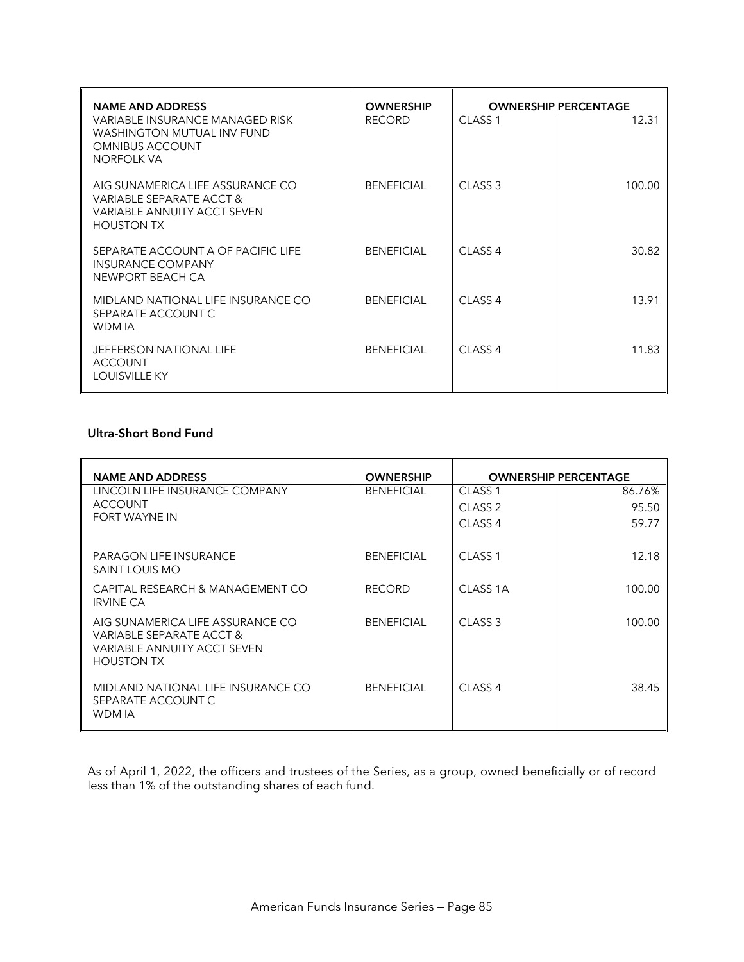| <b>NAME AND ADDRESS</b><br>VARIABLE INSURANCE MANAGED RISK<br>WASHINGTON MUTUAL INV FUND<br><b>OMNIBUS ACCOUNT</b><br><b>NORFOLK VA</b> | <b>OWNERSHIP</b><br><b>RECORD</b> | CLASS <sub>1</sub> | <b>OWNERSHIP PERCENTAGE</b><br>12.31 |
|-----------------------------------------------------------------------------------------------------------------------------------------|-----------------------------------|--------------------|--------------------------------------|
| AIG SUNAMERICA LIFE ASSURANCE CO<br>VARIABLE SEPARATE ACCT &<br><b>VARIABLE ANNUITY ACCT SEVEN</b><br><b>HOUSTON TX</b>                 | <b>BENEFICIAL</b>                 | CLASS <sub>3</sub> | 100.00                               |
| SEPARATE ACCOUNT A OF PACIFIC LIFE<br><b>INSURANCE COMPANY</b><br>NEWPORT BEACH CA                                                      | <b>BENEFICIAL</b>                 | CLASS <sub>4</sub> | 30.82                                |
| MIDLAND NATIONAL LIFE INSURANCE CO<br>SEPARATE ACCOUNT C<br>WDM IA                                                                      | <b>BENEFICIAL</b>                 | CLASS <sub>4</sub> | 13.91                                |
| <b>JEFFERSON NATIONAL LIFE</b><br><b>ACCOUNT</b><br><b>LOUISVILLE KY</b>                                                                | <b>BENEFICIAL</b>                 | CLASS <sub>4</sub> | 11.83                                |

#### **Ultra-Short Bond Fund**

| <b>NAME AND ADDRESS</b>                                                                                          | <b>OWNERSHIP</b>  | <b>OWNERSHIP PERCENTAGE</b> |        |  |
|------------------------------------------------------------------------------------------------------------------|-------------------|-----------------------------|--------|--|
| LINCOLN LIFE INSURANCE COMPANY                                                                                   | <b>BENEFICIAL</b> | CLASS <sub>1</sub>          | 86.76% |  |
| <b>ACCOUNT</b>                                                                                                   |                   | CLASS <sub>2</sub>          | 95.50  |  |
| <b>FORT WAYNE IN</b>                                                                                             |                   | CLASS <sub>4</sub>          | 59.77  |  |
| <b>PARAGON LIFE INSURANCE</b><br>SAINT LOUIS MO                                                                  | <b>BENEFICIAL</b> | CLASS <sub>1</sub>          | 12.18  |  |
| CAPITAL RESEARCH & MANAGEMENT CO<br><b>IRVINE CA</b>                                                             | <b>RECORD</b>     | CLASS 1A                    | 100.00 |  |
| AIG SUNAMERICA LIFE ASSURANCE CO<br>VARIABLE SEPARATE ACCT &<br>VARIABLE ANNUITY ACCT SEVEN<br><b>HOUSTON TX</b> | <b>BENEFICIAL</b> | CLASS <sub>3</sub>          | 100.00 |  |
| MIDLAND NATIONAL LIFE INSURANCE CO<br>SEPARATE ACCOUNT C<br>WDM IA                                               | <b>BENEFICIAL</b> | CLASS <sub>4</sub>          | 38.45  |  |

As of April 1, 2022, the officers and trustees of the Series, as a group, owned beneficially or of record less than 1% of the outstanding shares of each fund.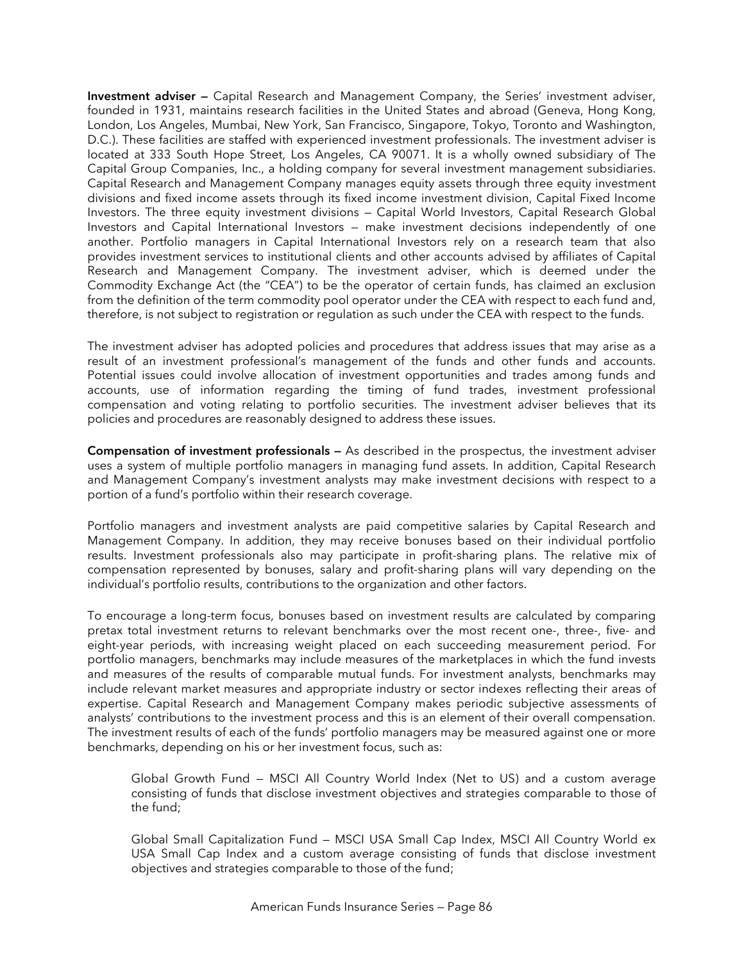**Investment adviser —** Capital Research and Management Company, the Series' investment adviser, founded in 1931, maintains research facilities in the United States and abroad (Geneva, Hong Kong, London, Los Angeles, Mumbai, New York, San Francisco, Singapore, Tokyo, Toronto and Washington, D.C.). These facilities are staffed with experienced investment professionals. The investment adviser is located at 333 South Hope Street, Los Angeles, CA 90071. It is a wholly owned subsidiary of The Capital Group Companies, Inc., a holding company for several investment management subsidiaries. Capital Research and Management Company manages equity assets through three equity investment divisions and fixed income assets through its fixed income investment division, Capital Fixed Income Investors. The three equity investment divisions — Capital World Investors, Capital Research Global Investors and Capital International Investors — make investment decisions independently of one another. Portfolio managers in Capital International Investors rely on a research team that also provides investment services to institutional clients and other accounts advised by affiliates of Capital Research and Management Company. The investment adviser, which is deemed under the Commodity Exchange Act (the "CEA") to be the operator of certain funds, has claimed an exclusion from the definition of the term commodity pool operator under the CEA with respect to each fund and, therefore, is not subject to registration or regulation as such under the CEA with respect to the funds.

The investment adviser has adopted policies and procedures that address issues that may arise as a result of an investment professional's management of the funds and other funds and accounts. Potential issues could involve allocation of investment opportunities and trades among funds and accounts, use of information regarding the timing of fund trades, investment professional compensation and voting relating to portfolio securities. The investment adviser believes that its policies and procedures are reasonably designed to address these issues.

**Compensation of investment professionals —** As described in the prospectus, the investment adviser uses a system of multiple portfolio managers in managing fund assets. In addition, Capital Research and Management Company's investment analysts may make investment decisions with respect to a portion of a fund's portfolio within their research coverage.

Portfolio managers and investment analysts are paid competitive salaries by Capital Research and Management Company. In addition, they may receive bonuses based on their individual portfolio results. Investment professionals also may participate in profit-sharing plans. The relative mix of compensation represented by bonuses, salary and profit-sharing plans will vary depending on the individual's portfolio results, contributions to the organization and other factors.

To encourage a long-term focus, bonuses based on investment results are calculated by comparing pretax total investment returns to relevant benchmarks over the most recent one-, three-, five- and eight-year periods, with increasing weight placed on each succeeding measurement period. For portfolio managers, benchmarks may include measures of the marketplaces in which the fund invests and measures of the results of comparable mutual funds. For investment analysts, benchmarks may include relevant market measures and appropriate industry or sector indexes reflecting their areas of expertise. Capital Research and Management Company makes periodic subjective assessments of analysts' contributions to the investment process and this is an element of their overall compensation. The investment results of each of the funds' portfolio managers may be measured against one or more benchmarks, depending on his or her investment focus, such as:

Global Growth Fund — MSCI All Country World Index (Net to US) and a custom average consisting of funds that disclose investment objectives and strategies comparable to those of the fund;

Global Small Capitalization Fund — MSCI USA Small Cap Index, MSCI All Country World ex USA Small Cap Index and a custom average consisting of funds that disclose investment objectives and strategies comparable to those of the fund;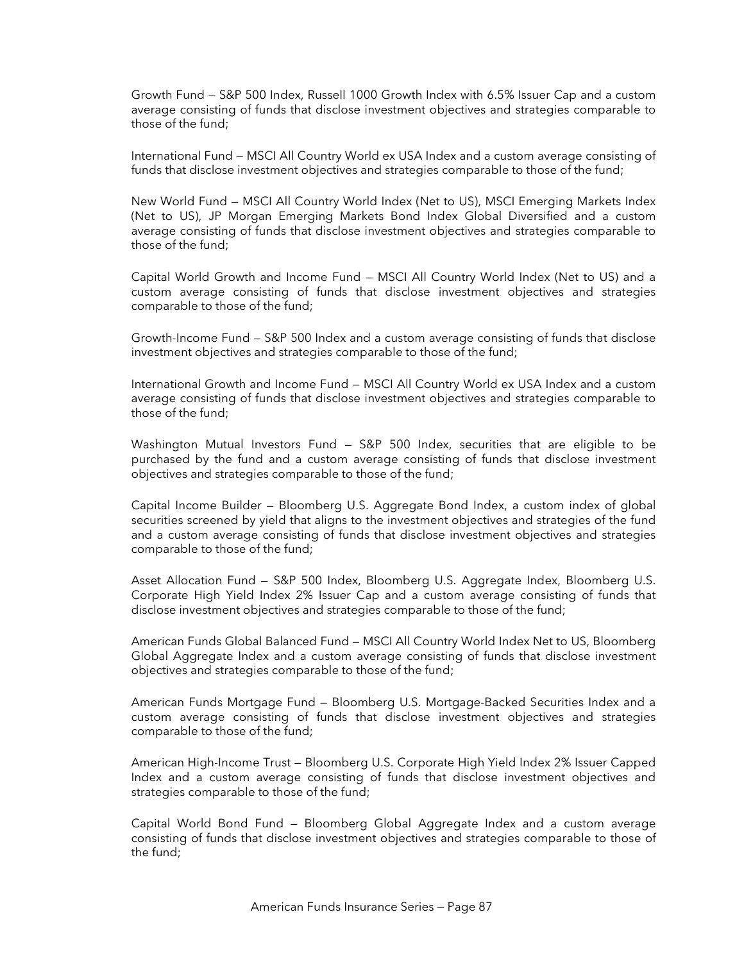Growth Fund — S&P 500 Index, Russell 1000 Growth Index with 6.5% Issuer Cap and a custom average consisting of funds that disclose investment objectives and strategies comparable to those of the fund;

International Fund — MSCI All Country World ex USA Index and a custom average consisting of funds that disclose investment objectives and strategies comparable to those of the fund;

New World Fund — MSCI All Country World Index (Net to US), MSCI Emerging Markets Index (Net to US), JP Morgan Emerging Markets Bond Index Global Diversified and a custom average consisting of funds that disclose investment objectives and strategies comparable to those of the fund;

Capital World Growth and Income Fund — MSCI All Country World Index (Net to US) and a custom average consisting of funds that disclose investment objectives and strategies comparable to those of the fund;

Growth-Income Fund — S&P 500 Index and a custom average consisting of funds that disclose investment objectives and strategies comparable to those of the fund;

International Growth and Income Fund — MSCI All Country World ex USA Index and a custom average consisting of funds that disclose investment objectives and strategies comparable to those of the fund;

Washington Mutual Investors Fund — S&P 500 Index, securities that are eligible to be purchased by the fund and a custom average consisting of funds that disclose investment objectives and strategies comparable to those of the fund;

Capital Income Builder — Bloomberg U.S. Aggregate Bond Index, a custom index of global securities screened by yield that aligns to the investment objectives and strategies of the fund and a custom average consisting of funds that disclose investment objectives and strategies comparable to those of the fund;

Asset Allocation Fund — S&P 500 Index, Bloomberg U.S. Aggregate Index, Bloomberg U.S. Corporate High Yield Index 2% Issuer Cap and a custom average consisting of funds that disclose investment objectives and strategies comparable to those of the fund;

American Funds Global Balanced Fund — MSCI All Country World Index Net to US, Bloomberg Global Aggregate Index and a custom average consisting of funds that disclose investment objectives and strategies comparable to those of the fund;

American Funds Mortgage Fund — Bloomberg U.S. Mortgage-Backed Securities Index and a custom average consisting of funds that disclose investment objectives and strategies comparable to those of the fund;

American High-Income Trust — Bloomberg U.S. Corporate High Yield Index 2% Issuer Capped Index and a custom average consisting of funds that disclose investment objectives and strategies comparable to those of the fund;

Capital World Bond Fund — Bloomberg Global Aggregate Index and a custom average consisting of funds that disclose investment objectives and strategies comparable to those of the fund;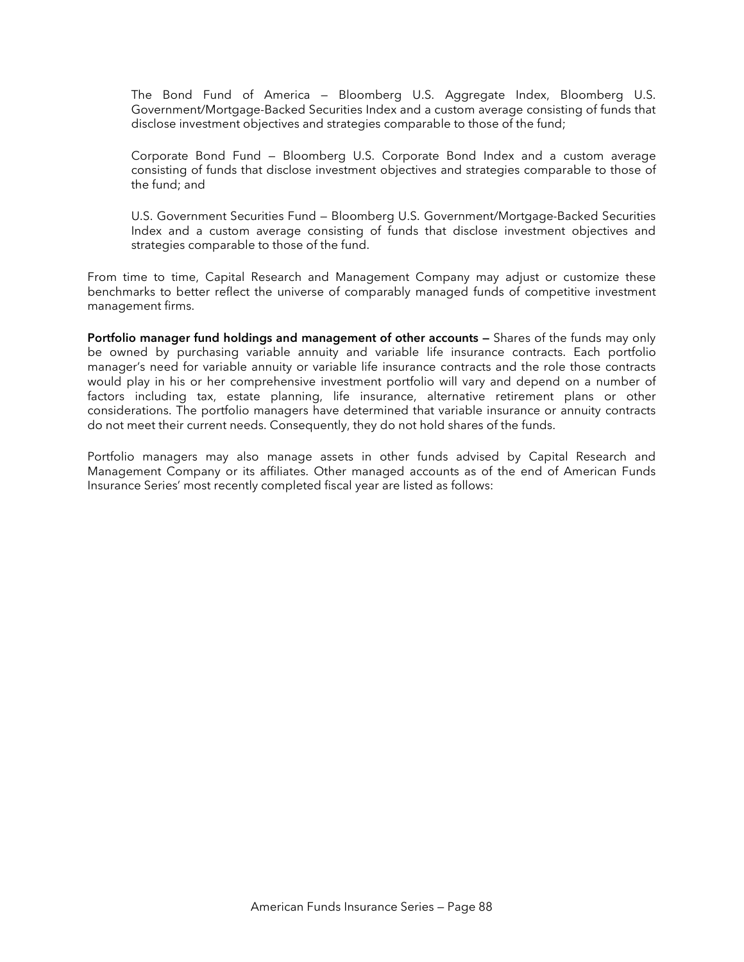The Bond Fund of America — Bloomberg U.S. Aggregate Index, Bloomberg U.S. Government/Mortgage-Backed Securities Index and a custom average consisting of funds that disclose investment objectives and strategies comparable to those of the fund;

Corporate Bond Fund — Bloomberg U.S. Corporate Bond Index and a custom average consisting of funds that disclose investment objectives and strategies comparable to those of the fund; and

U.S. Government Securities Fund — Bloomberg U.S. Government/Mortgage-Backed Securities Index and a custom average consisting of funds that disclose investment objectives and strategies comparable to those of the fund.

From time to time, Capital Research and Management Company may adjust or customize these benchmarks to better reflect the universe of comparably managed funds of competitive investment management firms.

**Portfolio manager fund holdings and management of other accounts —** Shares of the funds may only be owned by purchasing variable annuity and variable life insurance contracts. Each portfolio manager's need for variable annuity or variable life insurance contracts and the role those contracts would play in his or her comprehensive investment portfolio will vary and depend on a number of factors including tax, estate planning, life insurance, alternative retirement plans or other considerations. The portfolio managers have determined that variable insurance or annuity contracts do not meet their current needs. Consequently, they do not hold shares of the funds.

Portfolio managers may also manage assets in other funds advised by Capital Research and Management Company or its affiliates. Other managed accounts as of the end of American Funds Insurance Series' most recently completed fiscal year are listed as follows: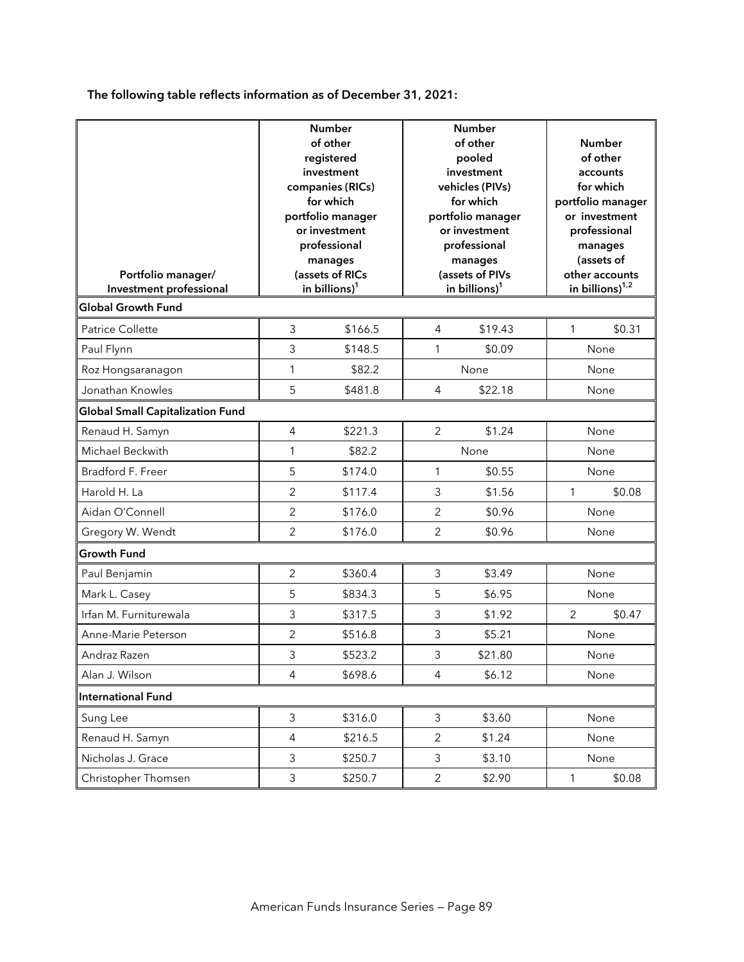**The following table reflects information as of December 31, 2021:** 

| Portfolio manager/<br>Investment professional | <b>Number</b><br>of other<br>registered<br>investment<br>companies (RICs)<br>for which<br>portfolio manager<br>or investment<br>professional<br>manages<br>(assets of RICs<br>in billions) <sup>1</sup> |         | Number<br>of other<br>pooled<br>investment<br>vehicles (PIVs)<br>for which<br>portfolio manager<br>or investment<br>professional<br>manages<br>(assets of PIVs<br>in billions) <sup>1</sup> |         |              | Number<br>of other<br>accounts<br>for which<br>portfolio manager<br>or investment<br>professional<br>manages<br>(assets of<br>other accounts<br>in billions) $1,2$ |  |
|-----------------------------------------------|---------------------------------------------------------------------------------------------------------------------------------------------------------------------------------------------------------|---------|---------------------------------------------------------------------------------------------------------------------------------------------------------------------------------------------|---------|--------------|--------------------------------------------------------------------------------------------------------------------------------------------------------------------|--|
| <b>Global Growth Fund</b>                     |                                                                                                                                                                                                         |         |                                                                                                                                                                                             |         |              |                                                                                                                                                                    |  |
| Patrice Collette                              | 3                                                                                                                                                                                                       | \$166.5 | 4                                                                                                                                                                                           | \$19.43 | 1            | \$0.31                                                                                                                                                             |  |
| Paul Flynn                                    | 3                                                                                                                                                                                                       | \$148.5 | 1                                                                                                                                                                                           | \$0.09  |              | None                                                                                                                                                               |  |
| Roz Hongsaranagon                             | 1                                                                                                                                                                                                       | \$82.2  |                                                                                                                                                                                             | None    |              | None                                                                                                                                                               |  |
| Jonathan Knowles                              | 5                                                                                                                                                                                                       | \$481.8 | $\overline{4}$                                                                                                                                                                              | \$22.18 |              | None                                                                                                                                                               |  |
| <b>Global Small Capitalization Fund</b>       |                                                                                                                                                                                                         |         |                                                                                                                                                                                             |         |              |                                                                                                                                                                    |  |
| Renaud H. Samyn                               | $\overline{4}$                                                                                                                                                                                          | \$221.3 | $\overline{2}$                                                                                                                                                                              | \$1.24  |              | None                                                                                                                                                               |  |
| Michael Beckwith                              | $\mathbf{1}$                                                                                                                                                                                            | \$82.2  |                                                                                                                                                                                             | None    |              | None                                                                                                                                                               |  |
| Bradford F. Freer                             | 5                                                                                                                                                                                                       | \$174.0 | $\mathbf{1}$                                                                                                                                                                                | \$0.55  |              | None                                                                                                                                                               |  |
| Harold H. La                                  | $\overline{2}$                                                                                                                                                                                          | \$117.4 | 3                                                                                                                                                                                           | \$1.56  | $\mathbf{1}$ | \$0.08                                                                                                                                                             |  |
| Aidan O'Connell                               | $\overline{c}$                                                                                                                                                                                          | \$176.0 | $\overline{2}$                                                                                                                                                                              | \$0.96  |              | None                                                                                                                                                               |  |
| Gregory W. Wendt                              | $\overline{2}$                                                                                                                                                                                          | \$176.0 | $\overline{2}$                                                                                                                                                                              | \$0.96  |              | None                                                                                                                                                               |  |
| <b>Growth Fund</b>                            |                                                                                                                                                                                                         |         |                                                                                                                                                                                             |         |              |                                                                                                                                                                    |  |
| Paul Benjamin                                 | $\overline{2}$                                                                                                                                                                                          | \$360.4 | 3                                                                                                                                                                                           | \$3.49  |              | None                                                                                                                                                               |  |
| Mark L. Casey                                 | 5                                                                                                                                                                                                       | \$834.3 | 5                                                                                                                                                                                           | \$6.95  |              | None                                                                                                                                                               |  |
| Irfan M. Furniturewala                        | 3                                                                                                                                                                                                       | \$317.5 | $\mathfrak{Z}$                                                                                                                                                                              | \$1.92  | 2            | \$0.47                                                                                                                                                             |  |
| Anne-Marie Peterson                           | $\overline{2}$                                                                                                                                                                                          | \$516.8 | 3                                                                                                                                                                                           | \$5.21  |              | None                                                                                                                                                               |  |
| Andraz Razen                                  | 3                                                                                                                                                                                                       | \$523.2 | 3                                                                                                                                                                                           | \$21.80 |              | None                                                                                                                                                               |  |
| Alan J. Wilson                                | $\overline{4}$                                                                                                                                                                                          | \$698.6 | $\overline{4}$                                                                                                                                                                              | \$6.12  |              | None                                                                                                                                                               |  |
| <b>International Fund</b>                     |                                                                                                                                                                                                         |         |                                                                                                                                                                                             |         |              |                                                                                                                                                                    |  |
| Sung Lee                                      | 3                                                                                                                                                                                                       | \$316.0 | $\mathfrak{Z}$                                                                                                                                                                              | \$3.60  |              | None                                                                                                                                                               |  |
| Renaud H. Samyn                               | 4                                                                                                                                                                                                       | \$216.5 | $\overline{2}$                                                                                                                                                                              | \$1.24  |              | None                                                                                                                                                               |  |
| Nicholas J. Grace                             | 3                                                                                                                                                                                                       | \$250.7 | 3                                                                                                                                                                                           | \$3.10  |              | None                                                                                                                                                               |  |
| Christopher Thomsen                           | 3                                                                                                                                                                                                       | \$250.7 | $\overline{2}$                                                                                                                                                                              | \$2.90  | $\mathbf{1}$ | \$0.08                                                                                                                                                             |  |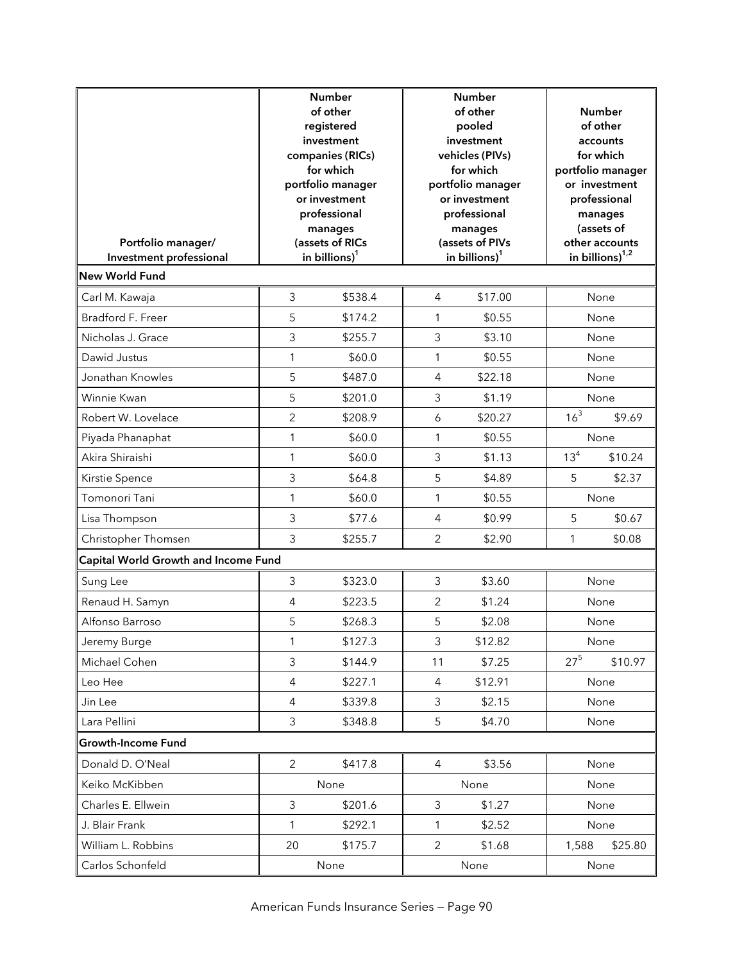| Portfolio manager/<br>Investment professional |                | <b>Number</b><br>of other<br>registered<br>investment<br>companies (RICs)<br>for which<br>portfolio manager<br>or investment<br>professional<br>manages<br>(assets of RICs<br>in billions) <sup>1</sup> |                | <b>Number</b><br>of other<br>pooled<br>investment<br>vehicles (PIVs)<br>for which<br>portfolio manager<br>or investment<br>professional<br>manages<br>(assets of PIVs<br>in billions) <sup>1</sup> |          | <b>Number</b><br>of other<br>accounts<br>for which<br>portfolio manager<br>or investment<br>professional<br>manages<br>(assets of<br>other accounts<br>in billions) <sup>1,2</sup> |
|-----------------------------------------------|----------------|---------------------------------------------------------------------------------------------------------------------------------------------------------------------------------------------------------|----------------|----------------------------------------------------------------------------------------------------------------------------------------------------------------------------------------------------|----------|------------------------------------------------------------------------------------------------------------------------------------------------------------------------------------|
| <b>New World Fund</b>                         |                |                                                                                                                                                                                                         |                |                                                                                                                                                                                                    |          |                                                                                                                                                                                    |
| Carl M. Kawaja                                | 3              | \$538.4                                                                                                                                                                                                 | $\overline{4}$ | \$17.00                                                                                                                                                                                            |          | None                                                                                                                                                                               |
| Bradford F. Freer                             | 5              | \$174.2                                                                                                                                                                                                 | 1              | \$0.55                                                                                                                                                                                             |          | None                                                                                                                                                                               |
| Nicholas J. Grace                             | 3              | \$255.7                                                                                                                                                                                                 | 3              | \$3.10                                                                                                                                                                                             |          | None                                                                                                                                                                               |
| Dawid Justus                                  | 1              | \$60.0                                                                                                                                                                                                  | $\mathbf{1}$   | \$0.55                                                                                                                                                                                             |          | None                                                                                                                                                                               |
| Jonathan Knowles                              | 5              | \$487.0                                                                                                                                                                                                 | 4              | \$22.18                                                                                                                                                                                            |          | None                                                                                                                                                                               |
| Winnie Kwan                                   | 5              | \$201.0                                                                                                                                                                                                 | 3              | \$1.19                                                                                                                                                                                             |          | None                                                                                                                                                                               |
| Robert W. Lovelace                            | $\overline{2}$ | \$208.9                                                                                                                                                                                                 | 6              | \$20.27                                                                                                                                                                                            | $16^{3}$ | \$9.69                                                                                                                                                                             |
| Piyada Phanaphat                              | 1              | \$60.0                                                                                                                                                                                                  | $\mathbf{1}$   | \$0.55                                                                                                                                                                                             |          | None                                                                                                                                                                               |
| Akira Shiraishi                               | 1              | \$60.0                                                                                                                                                                                                  | 3              | \$1.13                                                                                                                                                                                             | $13^{4}$ | \$10.24                                                                                                                                                                            |
| Kirstie Spence                                | 3              | \$64.8                                                                                                                                                                                                  | 5              | \$4.89                                                                                                                                                                                             | 5        | \$2.37                                                                                                                                                                             |
| Tomonori Tani                                 | 1              | \$60.0                                                                                                                                                                                                  | $\mathbf{1}$   | \$0.55                                                                                                                                                                                             |          | None                                                                                                                                                                               |
| Lisa Thompson                                 | 3              | \$77.6                                                                                                                                                                                                  | 4              | \$0.99                                                                                                                                                                                             | 5        | \$0.67                                                                                                                                                                             |
| Christopher Thomsen                           | 3              | \$255.7                                                                                                                                                                                                 | $\overline{2}$ | \$2.90                                                                                                                                                                                             | 1        | \$0.08                                                                                                                                                                             |
| Capital World Growth and Income Fund          |                |                                                                                                                                                                                                         |                |                                                                                                                                                                                                    |          |                                                                                                                                                                                    |
| Sung Lee                                      | 3              | \$323.0                                                                                                                                                                                                 | 3              | \$3.60                                                                                                                                                                                             |          | None                                                                                                                                                                               |
| Renaud H. Samyn                               | 4              | \$223.5                                                                                                                                                                                                 | $\overline{2}$ | \$1.24                                                                                                                                                                                             |          | None                                                                                                                                                                               |
| Alfonso Barroso                               | 5              | \$268.3                                                                                                                                                                                                 | 5              | \$2.08                                                                                                                                                                                             |          | None                                                                                                                                                                               |
| Jeremy Burge                                  | 1              | \$127.3                                                                                                                                                                                                 | $\mathfrak{Z}$ | \$12.82                                                                                                                                                                                            |          | None                                                                                                                                                                               |
| Michael Cohen                                 | 3              | \$144.9                                                                                                                                                                                                 | 11             | \$7.25                                                                                                                                                                                             | $27^{5}$ | \$10.97                                                                                                                                                                            |
| Leo Hee                                       | $\overline{4}$ | \$227.1                                                                                                                                                                                                 | $\overline{4}$ | \$12.91                                                                                                                                                                                            |          | None                                                                                                                                                                               |
| Jin Lee                                       | $\overline{4}$ | \$339.8                                                                                                                                                                                                 | 3              | \$2.15                                                                                                                                                                                             |          | None                                                                                                                                                                               |
| Lara Pellini                                  | $\mathfrak{Z}$ | \$348.8                                                                                                                                                                                                 | 5              | \$4.70                                                                                                                                                                                             |          | None                                                                                                                                                                               |
| <b>Growth-Income Fund</b>                     |                |                                                                                                                                                                                                         |                |                                                                                                                                                                                                    |          |                                                                                                                                                                                    |
| Donald D. O'Neal                              | $\overline{2}$ | \$417.8                                                                                                                                                                                                 | 4              | \$3.56                                                                                                                                                                                             |          | None                                                                                                                                                                               |
| Keiko McKibben                                |                | None                                                                                                                                                                                                    |                | None                                                                                                                                                                                               |          | None                                                                                                                                                                               |
| Charles E. Ellwein                            | 3              | \$201.6                                                                                                                                                                                                 | 3              | \$1.27                                                                                                                                                                                             |          | None                                                                                                                                                                               |
| J. Blair Frank                                | 1              | \$292.1                                                                                                                                                                                                 | $\mathbf{1}$   | \$2.52                                                                                                                                                                                             |          | None                                                                                                                                                                               |
| William L. Robbins                            | 20             | \$175.7                                                                                                                                                                                                 | $\overline{2}$ | \$1.68                                                                                                                                                                                             | 1,588    | \$25.80                                                                                                                                                                            |
| Carlos Schonfeld                              |                | None                                                                                                                                                                                                    |                | None                                                                                                                                                                                               |          | None                                                                                                                                                                               |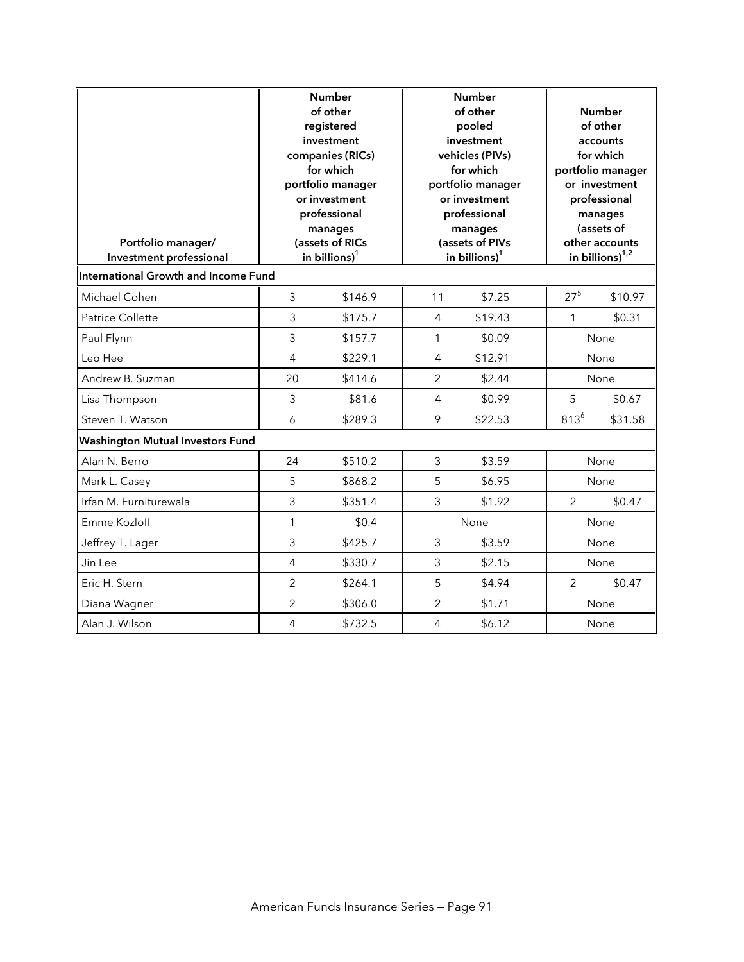| Portfolio manager/<br>Investment professional | <b>Number</b><br>of other<br>registered<br>investment<br>companies (RICs)<br>for which<br>portfolio manager<br>or investment<br>professional<br>manages<br>(assets of RICs<br>in billions) <sup>1</sup> |         | <b>Number</b><br>of other<br>pooled<br>investment<br>vehicles (PIVs)<br>for which<br>portfolio manager<br>or investment<br>professional<br>manages<br>(assets of PIVs<br>in billions) <sup>1</sup> |         | Number<br>of other<br>accounts<br>for which<br>portfolio manager<br>or investment<br>professional<br>manages<br>(assets of<br>other accounts<br>in billions) $1,2$ |         |
|-----------------------------------------------|---------------------------------------------------------------------------------------------------------------------------------------------------------------------------------------------------------|---------|----------------------------------------------------------------------------------------------------------------------------------------------------------------------------------------------------|---------|--------------------------------------------------------------------------------------------------------------------------------------------------------------------|---------|
| International Growth and Income Fund          |                                                                                                                                                                                                         |         |                                                                                                                                                                                                    |         |                                                                                                                                                                    |         |
| Michael Cohen                                 | 3                                                                                                                                                                                                       | \$146.9 | 11                                                                                                                                                                                                 | \$7.25  | $27^{5}$                                                                                                                                                           | \$10.97 |
| <b>Patrice Collette</b>                       | 3                                                                                                                                                                                                       | \$175.7 | $\overline{4}$                                                                                                                                                                                     | \$19.43 | $\mathbf{1}$                                                                                                                                                       | \$0.31  |
| Paul Flynn                                    | 3                                                                                                                                                                                                       | \$157.7 | $\mathbf{1}$                                                                                                                                                                                       | \$0.09  |                                                                                                                                                                    | None    |
| Leo Hee                                       | $\overline{4}$                                                                                                                                                                                          | \$229.1 | $\overline{4}$                                                                                                                                                                                     | \$12.91 |                                                                                                                                                                    | None    |
| Andrew B. Suzman                              | 20                                                                                                                                                                                                      | \$414.6 | $\overline{2}$                                                                                                                                                                                     | \$2.44  |                                                                                                                                                                    | None    |
| Lisa Thompson                                 | 3                                                                                                                                                                                                       | \$81.6  | $\overline{4}$                                                                                                                                                                                     | \$0.99  | 5                                                                                                                                                                  | \$0.67  |
| Steven T. Watson                              | 6                                                                                                                                                                                                       | \$289.3 | 9                                                                                                                                                                                                  | \$22.53 | $813^{6}$                                                                                                                                                          | \$31.58 |
| <b>Washington Mutual Investors Fund</b>       |                                                                                                                                                                                                         |         |                                                                                                                                                                                                    |         |                                                                                                                                                                    |         |
| Alan N. Berro                                 | 24                                                                                                                                                                                                      | \$510.2 | 3                                                                                                                                                                                                  | \$3.59  |                                                                                                                                                                    | None    |
| Mark L. Casey                                 | 5                                                                                                                                                                                                       | \$868.2 | 5                                                                                                                                                                                                  | \$6.95  |                                                                                                                                                                    | None    |
| Irfan M. Furniturewala                        | 3                                                                                                                                                                                                       | \$351.4 | 3                                                                                                                                                                                                  | \$1.92  | $\overline{2}$                                                                                                                                                     | \$0.47  |
| Emme Kozloff                                  | $\mathbf{1}$                                                                                                                                                                                            | \$0.4   |                                                                                                                                                                                                    | None    |                                                                                                                                                                    | None    |
| Jeffrey T. Lager                              | 3                                                                                                                                                                                                       | \$425.7 | 3                                                                                                                                                                                                  | \$3.59  |                                                                                                                                                                    | None    |
| Jin Lee                                       | $\overline{4}$                                                                                                                                                                                          | \$330.7 | 3                                                                                                                                                                                                  | \$2.15  |                                                                                                                                                                    | None    |
| Eric H. Stern                                 | $\overline{2}$                                                                                                                                                                                          | \$264.1 | 5                                                                                                                                                                                                  | \$4.94  | $\overline{2}$                                                                                                                                                     | \$0.47  |
| Diana Wagner                                  | $\overline{2}$                                                                                                                                                                                          | \$306.0 | $\overline{2}$                                                                                                                                                                                     | \$1.71  |                                                                                                                                                                    | None    |
| Alan J. Wilson                                | $\overline{4}$                                                                                                                                                                                          | \$732.5 | $\overline{4}$                                                                                                                                                                                     | \$6.12  |                                                                                                                                                                    | None    |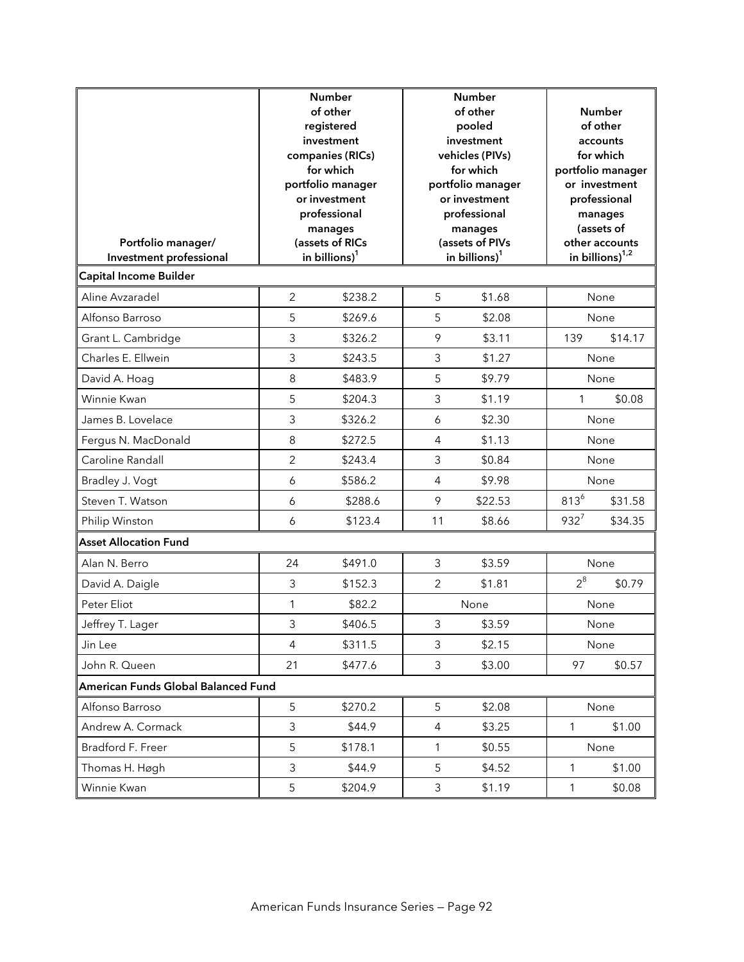| Portfolio manager/<br>Investment professional | <b>Number</b><br>of other<br>registered<br>investment<br>companies (RICs)<br>for which<br>portfolio manager<br>or investment<br>professional<br>manages<br>(assets of RICs<br>in billions) <sup>1</sup> |         | <b>Number</b><br>of other<br>pooled<br>investment<br>vehicles (PIVs)<br>for which<br>portfolio manager<br>or investment<br>professional<br>manages<br>(assets of PIVs<br>in billions) <sup>1</sup> |         | Number<br>of other<br>accounts<br>for which<br>portfolio manager<br>or investment<br>professional<br>manages<br>(assets of<br>other accounts<br>in billions) <sup>1,2</sup> |         |
|-----------------------------------------------|---------------------------------------------------------------------------------------------------------------------------------------------------------------------------------------------------------|---------|----------------------------------------------------------------------------------------------------------------------------------------------------------------------------------------------------|---------|-----------------------------------------------------------------------------------------------------------------------------------------------------------------------------|---------|
| <b>Capital Income Builder</b>                 |                                                                                                                                                                                                         |         |                                                                                                                                                                                                    |         |                                                                                                                                                                             |         |
| Aline Avzaradel                               | 2                                                                                                                                                                                                       | \$238.2 | 5                                                                                                                                                                                                  | \$1.68  |                                                                                                                                                                             | None    |
| Alfonso Barroso                               | 5                                                                                                                                                                                                       | \$269.6 | 5                                                                                                                                                                                                  | \$2.08  |                                                                                                                                                                             | None    |
| Grant L. Cambridge                            | 3                                                                                                                                                                                                       | \$326.2 | 9                                                                                                                                                                                                  | \$3.11  | 139                                                                                                                                                                         | \$14.17 |
| Charles E. Ellwein                            | 3                                                                                                                                                                                                       | \$243.5 | 3                                                                                                                                                                                                  | \$1.27  |                                                                                                                                                                             | None    |
| David A. Hoag                                 | 8                                                                                                                                                                                                       | \$483.9 | 5                                                                                                                                                                                                  | \$9.79  |                                                                                                                                                                             | None    |
| Winnie Kwan                                   | 5                                                                                                                                                                                                       | \$204.3 | 3                                                                                                                                                                                                  | \$1.19  | $\mathbf{1}$                                                                                                                                                                | \$0.08  |
| James B. Lovelace                             | 3                                                                                                                                                                                                       | \$326.2 | 6                                                                                                                                                                                                  | \$2.30  |                                                                                                                                                                             | None    |
| Fergus N. MacDonald                           | 8                                                                                                                                                                                                       | \$272.5 | 4                                                                                                                                                                                                  | \$1.13  |                                                                                                                                                                             | None    |
| Caroline Randall                              | $\overline{2}$                                                                                                                                                                                          | \$243.4 | 3                                                                                                                                                                                                  | \$0.84  |                                                                                                                                                                             | None    |
| Bradley J. Vogt                               | 6                                                                                                                                                                                                       | \$586.2 | 4                                                                                                                                                                                                  | \$9.98  |                                                                                                                                                                             | None    |
| Steven T. Watson                              | 6                                                                                                                                                                                                       | \$288.6 | 9                                                                                                                                                                                                  | \$22.53 | $813^{6}$                                                                                                                                                                   | \$31.58 |
| Philip Winston                                | $\boldsymbol{6}$                                                                                                                                                                                        | \$123.4 | 11                                                                                                                                                                                                 | \$8.66  | $932^7$                                                                                                                                                                     | \$34.35 |
| <b>Asset Allocation Fund</b>                  |                                                                                                                                                                                                         |         |                                                                                                                                                                                                    |         |                                                                                                                                                                             |         |
| Alan N. Berro                                 | 24                                                                                                                                                                                                      | \$491.0 | 3                                                                                                                                                                                                  | \$3.59  |                                                                                                                                                                             | None    |
| David A. Daigle                               | 3                                                                                                                                                                                                       | \$152.3 | $\overline{2}$                                                                                                                                                                                     | \$1.81  | $2^8$                                                                                                                                                                       | \$0.79  |
| Peter Eliot                                   | 1                                                                                                                                                                                                       | \$82.2  |                                                                                                                                                                                                    | None    |                                                                                                                                                                             | None    |
| Jeffrey T. Lager                              | 3                                                                                                                                                                                                       | \$406.5 | 3                                                                                                                                                                                                  | \$3.59  |                                                                                                                                                                             | None    |
| Jin Lee                                       | 4                                                                                                                                                                                                       | \$311.5 | 3                                                                                                                                                                                                  | \$2.15  |                                                                                                                                                                             | None    |
| John R. Queen                                 | 21                                                                                                                                                                                                      | \$477.6 | 3                                                                                                                                                                                                  | \$3.00  | 97                                                                                                                                                                          | \$0.57  |
| American Funds Global Balanced Fund           |                                                                                                                                                                                                         |         |                                                                                                                                                                                                    |         |                                                                                                                                                                             |         |
| Alfonso Barroso                               | 5                                                                                                                                                                                                       | \$270.2 | 5                                                                                                                                                                                                  | \$2.08  |                                                                                                                                                                             | None    |
| Andrew A. Cormack                             | 3                                                                                                                                                                                                       | \$44.9  | $\overline{4}$                                                                                                                                                                                     | \$3.25  | $\mathbf{1}$                                                                                                                                                                | \$1.00  |
| Bradford F. Freer                             | 5                                                                                                                                                                                                       | \$178.1 | $\mathbf{1}$                                                                                                                                                                                       | \$0.55  |                                                                                                                                                                             | None    |
| Thomas H. Høgh                                | 3                                                                                                                                                                                                       | \$44.9  | 5                                                                                                                                                                                                  | \$4.52  | 1                                                                                                                                                                           | \$1.00  |
| Winnie Kwan                                   | 5                                                                                                                                                                                                       | \$204.9 | 3                                                                                                                                                                                                  | \$1.19  | $\mathbf{1}$                                                                                                                                                                | \$0.08  |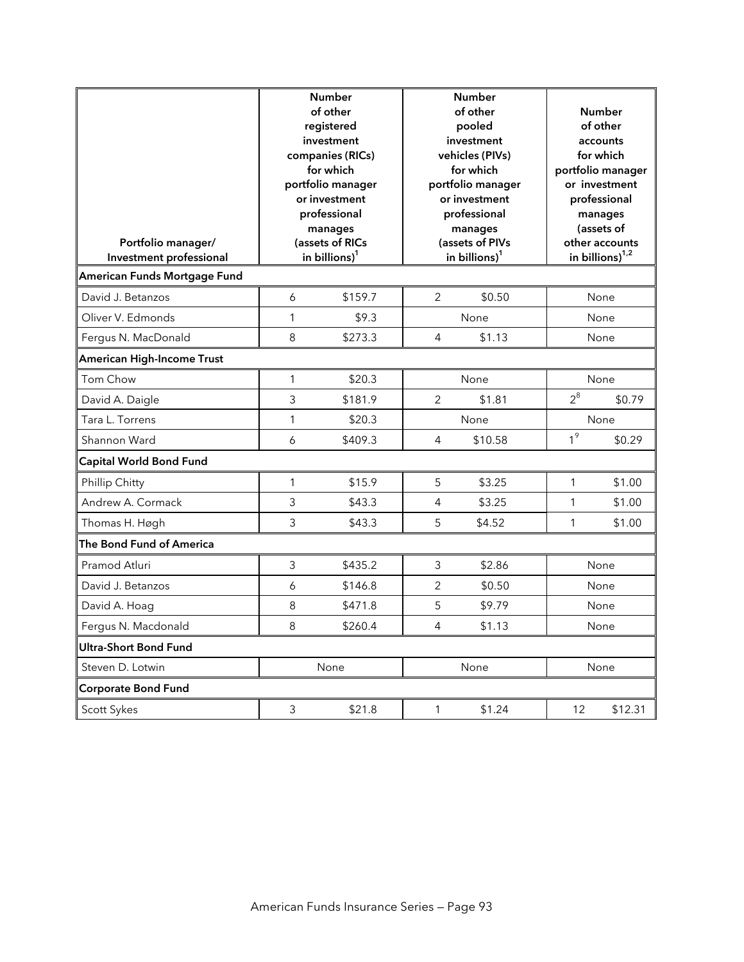| Portfolio manager/<br>Investment professional |                | <b>Number</b><br>of other<br>registered<br>investment<br>companies (RICs)<br>for which<br>portfolio manager<br>or investment<br>professional<br>manages<br>(assets of RICs<br>in billions) <sup>1</sup> |                | <b>Number</b><br>of other<br>pooled<br>investment<br>vehicles (PIVs)<br>for which<br>portfolio manager<br>or investment<br>professional<br>manages<br>(assets of PIVs<br>in billions) $1$ |                | <b>Number</b><br>of other<br>accounts<br>for which<br>portfolio manager<br>or investment<br>professional<br>manages<br>(assets of<br>other accounts<br>in billions) $1,2$ |
|-----------------------------------------------|----------------|---------------------------------------------------------------------------------------------------------------------------------------------------------------------------------------------------------|----------------|-------------------------------------------------------------------------------------------------------------------------------------------------------------------------------------------|----------------|---------------------------------------------------------------------------------------------------------------------------------------------------------------------------|
| American Funds Mortgage Fund                  |                |                                                                                                                                                                                                         |                |                                                                                                                                                                                           |                |                                                                                                                                                                           |
| David J. Betanzos                             | 6              | \$159.7                                                                                                                                                                                                 | 2              | \$0.50                                                                                                                                                                                    |                | None                                                                                                                                                                      |
| Oliver V. Edmonds                             | 1              | \$9.3                                                                                                                                                                                                   |                | None                                                                                                                                                                                      |                | None                                                                                                                                                                      |
| Fergus N. MacDonald                           | 8              | \$273.3                                                                                                                                                                                                 | 4              | \$1.13                                                                                                                                                                                    |                | None                                                                                                                                                                      |
| American High-Income Trust                    |                |                                                                                                                                                                                                         |                |                                                                                                                                                                                           |                |                                                                                                                                                                           |
| Tom Chow                                      | 1              | \$20.3                                                                                                                                                                                                  |                | None                                                                                                                                                                                      | $2^8$          | None                                                                                                                                                                      |
| David A. Daigle                               | 3              | \$181.9                                                                                                                                                                                                 | $\overline{2}$ | \$1.81                                                                                                                                                                                    |                | \$0.79                                                                                                                                                                    |
| Tara L. Torrens                               | 1              | \$20.3                                                                                                                                                                                                  |                | None                                                                                                                                                                                      | 1 <sup>9</sup> | None                                                                                                                                                                      |
| Shannon Ward                                  | 6              | \$409.3                                                                                                                                                                                                 | 4              | \$10.58                                                                                                                                                                                   |                | \$0.29                                                                                                                                                                    |
| Capital World Bond Fund                       |                |                                                                                                                                                                                                         |                |                                                                                                                                                                                           |                |                                                                                                                                                                           |
| Phillip Chitty                                | 1              | \$15.9                                                                                                                                                                                                  | 5              | \$3.25                                                                                                                                                                                    | 1              | \$1.00                                                                                                                                                                    |
| Andrew A. Cormack                             | 3              | \$43.3                                                                                                                                                                                                  | 4              | \$3.25                                                                                                                                                                                    | 1              | \$1.00                                                                                                                                                                    |
| Thomas H. Høgh                                | $\overline{3}$ | \$43.3                                                                                                                                                                                                  | 5              | \$4.52                                                                                                                                                                                    | $\mathbf{1}$   | \$1.00                                                                                                                                                                    |
| The Bond Fund of America                      |                |                                                                                                                                                                                                         |                |                                                                                                                                                                                           |                |                                                                                                                                                                           |
| Pramod Atluri                                 | 3              | \$435.2                                                                                                                                                                                                 | $\mathfrak{Z}$ | \$2.86                                                                                                                                                                                    |                | None                                                                                                                                                                      |
| David J. Betanzos                             | 6              | \$146.8                                                                                                                                                                                                 | 2              | \$0.50                                                                                                                                                                                    |                | None                                                                                                                                                                      |
| David A. Hoag                                 | 8              | \$471.8                                                                                                                                                                                                 | 5              | \$9.79                                                                                                                                                                                    |                | None                                                                                                                                                                      |
| Fergus N. Macdonald                           | 8              | \$260.4                                                                                                                                                                                                 | 4              | \$1.13                                                                                                                                                                                    |                | None                                                                                                                                                                      |
| Ultra-Short Bond Fund                         |                |                                                                                                                                                                                                         |                |                                                                                                                                                                                           |                |                                                                                                                                                                           |
| Steven D. Lotwin                              |                | None                                                                                                                                                                                                    |                | None                                                                                                                                                                                      |                | None                                                                                                                                                                      |
| <b>Corporate Bond Fund</b>                    |                |                                                                                                                                                                                                         |                |                                                                                                                                                                                           |                |                                                                                                                                                                           |
| Scott Sykes                                   | 3              | \$21.8                                                                                                                                                                                                  | 1              | \$1.24                                                                                                                                                                                    | 12             | \$12.31                                                                                                                                                                   |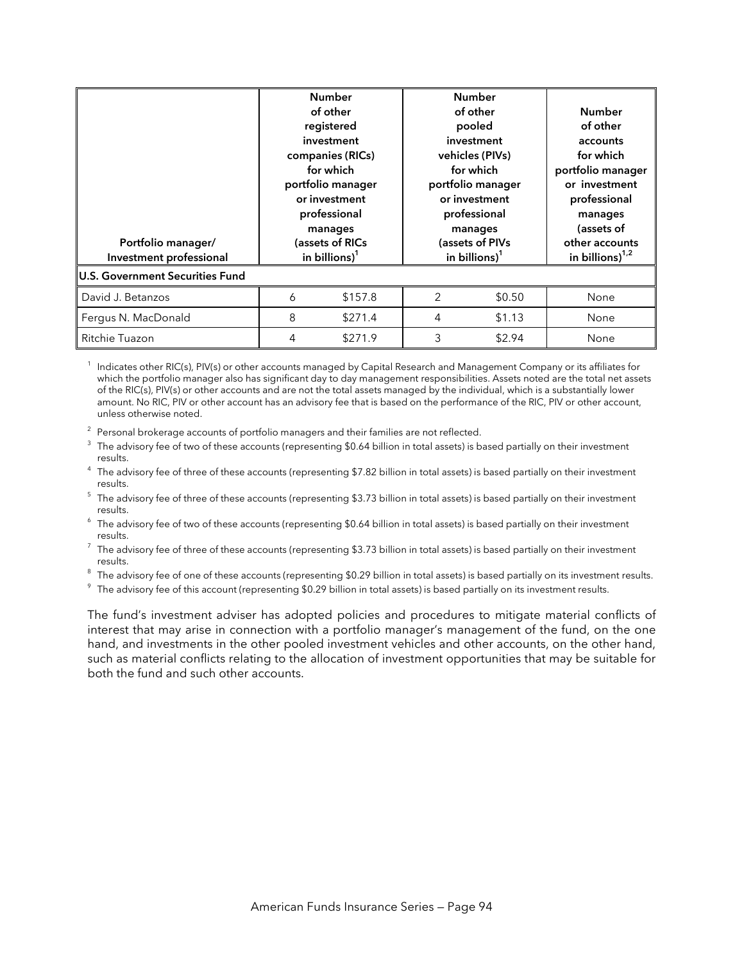| Portfolio manager/<br>Investment professional |   | <b>Number</b><br>of other<br>registered<br>investment<br>companies (RICs)<br>for which<br>portfolio manager<br>or investment<br>professional<br>manages<br>(assets of RICs<br>in billions) $1$ |   | <b>Number</b><br>of other<br>pooled<br>investment<br>vehicles (PIVs)<br>for which<br>portfolio manager<br>or investment<br>professional<br>manages<br>(assets of PIVs<br>in billions) $1$ | <b>Number</b><br>of other<br>accounts<br>for which<br>portfolio manager<br>or investment<br>professional<br>manages<br>(assets of<br>other accounts<br>in billions) $1/2$ |
|-----------------------------------------------|---|------------------------------------------------------------------------------------------------------------------------------------------------------------------------------------------------|---|-------------------------------------------------------------------------------------------------------------------------------------------------------------------------------------------|---------------------------------------------------------------------------------------------------------------------------------------------------------------------------|
| <b>U.S. Government Securities Fund</b>        |   |                                                                                                                                                                                                |   |                                                                                                                                                                                           |                                                                                                                                                                           |
| David J. Betanzos                             | 6 | \$157.8                                                                                                                                                                                        | 2 | \$0.50                                                                                                                                                                                    | None                                                                                                                                                                      |
| Fergus N. MacDonald                           | 8 | \$271.4                                                                                                                                                                                        | 4 | \$1.13                                                                                                                                                                                    | None                                                                                                                                                                      |
| Ritchie Tuazon                                | 4 | \$271.9                                                                                                                                                                                        | 3 | \$2.94                                                                                                                                                                                    | None                                                                                                                                                                      |

Indicates other RIC(s), PIV(s) or other accounts managed by Capital Research and Management Company or its affiliates for which the portfolio manager also has significant day to day management responsibilities. Assets noted are the total net assets of the RIC(s), PIV(s) or other accounts and are not the total assets managed by the individual, which is a substantially lower amount. No RIC, PIV or other account has an advisory fee that is based on the performance of the RIC, PIV or other account, unless otherwise noted.

 $2$  Personal brokerage accounts of portfolio managers and their families are not reflected.

 $3$  The advisory fee of two of these accounts (representing \$0.64 billion in total assets) is based partially on their investment

results. 4 The advisory fee of three of these accounts (representing \$7.82 billion in total assets) is based partially on their investment

results.<br><sup>5</sup> The advisory fee of three of these accounts (representing \$3.73 billion in total assets) is based partially on their investment

results.<br><sup>6</sup> The advisory fee of two of these accounts (representing \$0.64 billion in total assets) is based partially on their investment

results.<br><sup>7</sup> The advisory fee of three of these accounts (representing \$3.73 billion in total assets) is based partially on their investment results.<br><sup>8</sup> The adv

 $^{\circ}$  The advisory fee of one of these accounts (representing \$0.29 billion in total assets) is based partially on its investment results.<br><sup>9</sup> The advisory fee of this asseunt (representing \$0.29 billion in total assets)

 $\degree$  The advisory fee of this account (representing \$0.29 billion in total assets) is based partially on its investment results.

The fund's investment adviser has adopted policies and procedures to mitigate material conflicts of interest that may arise in connection with a portfolio manager's management of the fund, on the one hand, and investments in the other pooled investment vehicles and other accounts, on the other hand, such as material conflicts relating to the allocation of investment opportunities that may be suitable for both the fund and such other accounts.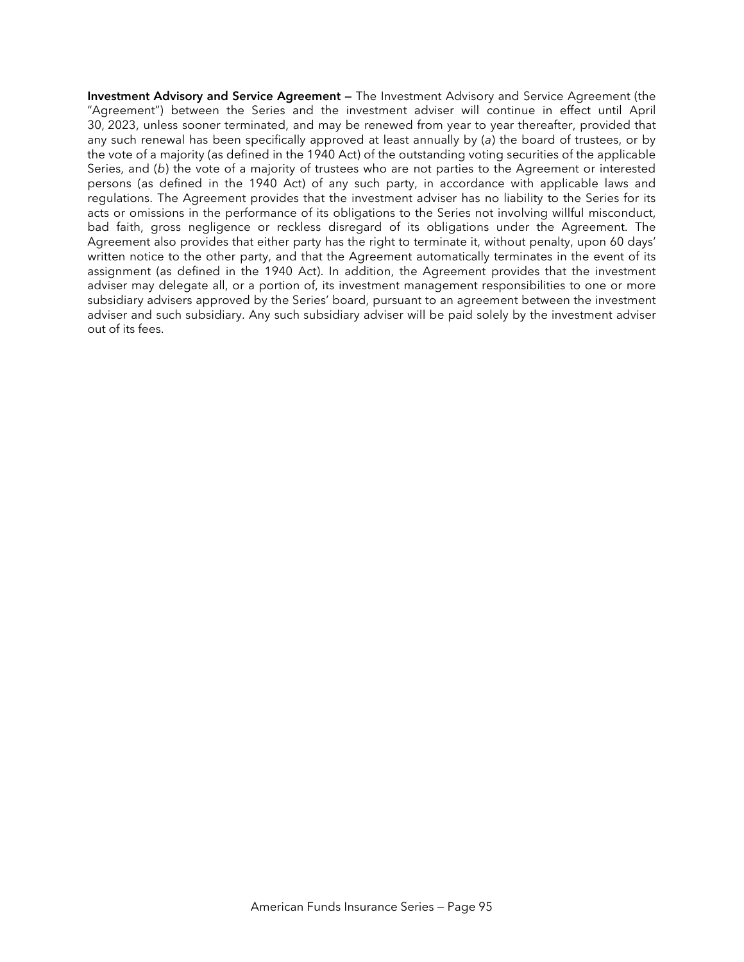**Investment Advisory and Service Agreement —** The Investment Advisory and Service Agreement (the "Agreement") between the Series and the investment adviser will continue in effect until April 30, 2023, unless sooner terminated, and may be renewed from year to year thereafter, provided that any such renewal has been specifically approved at least annually by (*a*) the board of trustees, or by the vote of a majority (as defined in the 1940 Act) of the outstanding voting securities of the applicable Series, and (*b*) the vote of a majority of trustees who are not parties to the Agreement or interested persons (as defined in the 1940 Act) of any such party, in accordance with applicable laws and regulations. The Agreement provides that the investment adviser has no liability to the Series for its acts or omissions in the performance of its obligations to the Series not involving willful misconduct, bad faith, gross negligence or reckless disregard of its obligations under the Agreement. The Agreement also provides that either party has the right to terminate it, without penalty, upon 60 days' written notice to the other party, and that the Agreement automatically terminates in the event of its assignment (as defined in the 1940 Act). In addition, the Agreement provides that the investment adviser may delegate all, or a portion of, its investment management responsibilities to one or more subsidiary advisers approved by the Series' board, pursuant to an agreement between the investment adviser and such subsidiary. Any such subsidiary adviser will be paid solely by the investment adviser out of its fees.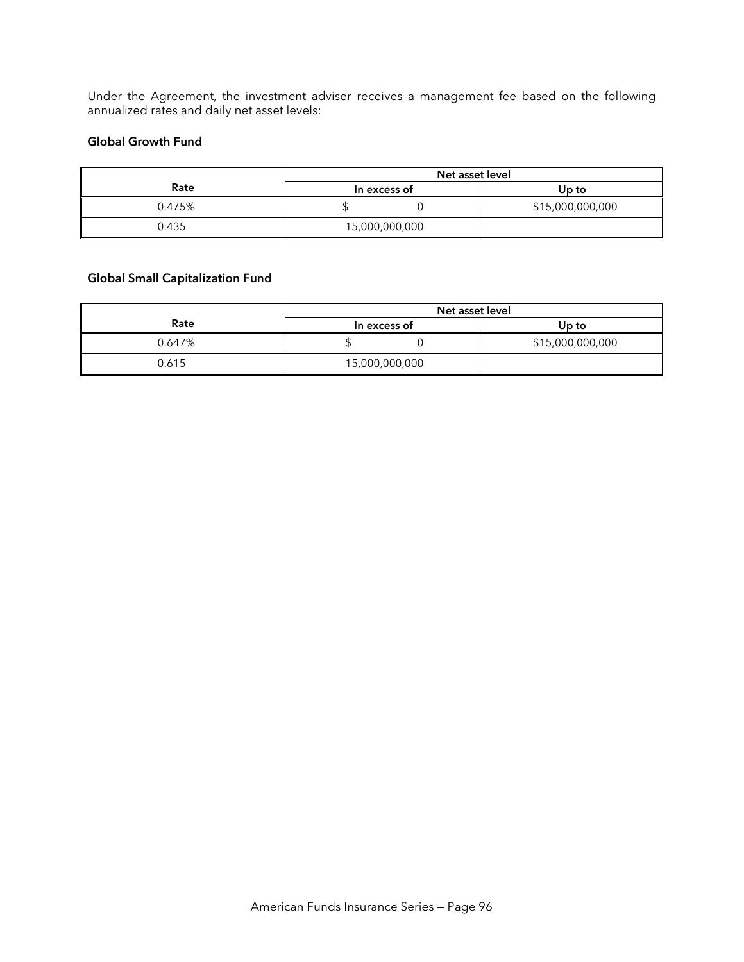Under the Agreement, the investment adviser receives a management fee based on the following annualized rates and daily net asset levels:

#### **Global Growth Fund**

|        | Net asset level |                  |  |  |
|--------|-----------------|------------------|--|--|
| Rate   | In excess of    | Up to            |  |  |
| 0.475% |                 | \$15,000,000,000 |  |  |
| 0.435  | 15,000,000,000  |                  |  |  |

### **Global Small Capitalization Fund**

|        | Net asset level |                  |  |
|--------|-----------------|------------------|--|
| Rate   | In excess of    | Up to            |  |
| 0.647% |                 | \$15,000,000,000 |  |
| 0.615  | 15,000,000,000  |                  |  |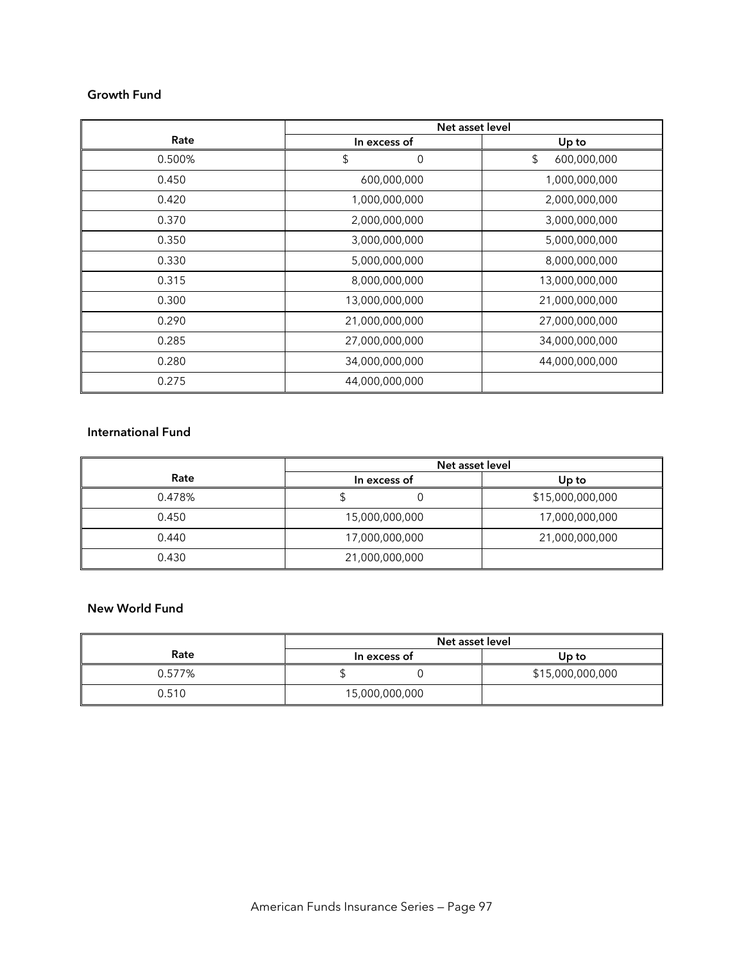#### **Growth Fund**

|        | Net asset level |                   |  |  |
|--------|-----------------|-------------------|--|--|
| Rate   | In excess of    | Up to             |  |  |
| 0.500% | \$<br>0         | \$<br>600,000,000 |  |  |
| 0.450  | 600,000,000     | 1,000,000,000     |  |  |
| 0.420  | 1,000,000,000   | 2,000,000,000     |  |  |
| 0.370  | 2,000,000,000   | 3,000,000,000     |  |  |
| 0.350  | 3,000,000,000   | 5,000,000,000     |  |  |
| 0.330  | 5,000,000,000   | 8,000,000,000     |  |  |
| 0.315  | 8,000,000,000   | 13,000,000,000    |  |  |
| 0.300  | 13,000,000,000  | 21,000,000,000    |  |  |
| 0.290  | 21,000,000,000  | 27,000,000,000    |  |  |
| 0.285  | 27,000,000,000  | 34,000,000,000    |  |  |
| 0.280  | 34,000,000,000  | 44,000,000,000    |  |  |
| 0.275  | 44,000,000,000  |                   |  |  |

#### **International Fund**

|        | Net asset level |                  |  |  |
|--------|-----------------|------------------|--|--|
| Rate   | In excess of    | Up to            |  |  |
| 0.478% |                 | \$15,000,000,000 |  |  |
| 0.450  | 15,000,000,000  | 17,000,000,000   |  |  |
| 0.440  | 17,000,000,000  | 21,000,000,000   |  |  |
| 0.430  | 21,000,000,000  |                  |  |  |

#### **New World Fund**

|        | Net asset level |                  |  |  |
|--------|-----------------|------------------|--|--|
| Rate   | In excess of    | Up to            |  |  |
| 0.577% |                 | \$15,000,000,000 |  |  |
| 0.510  | 15,000,000,000  |                  |  |  |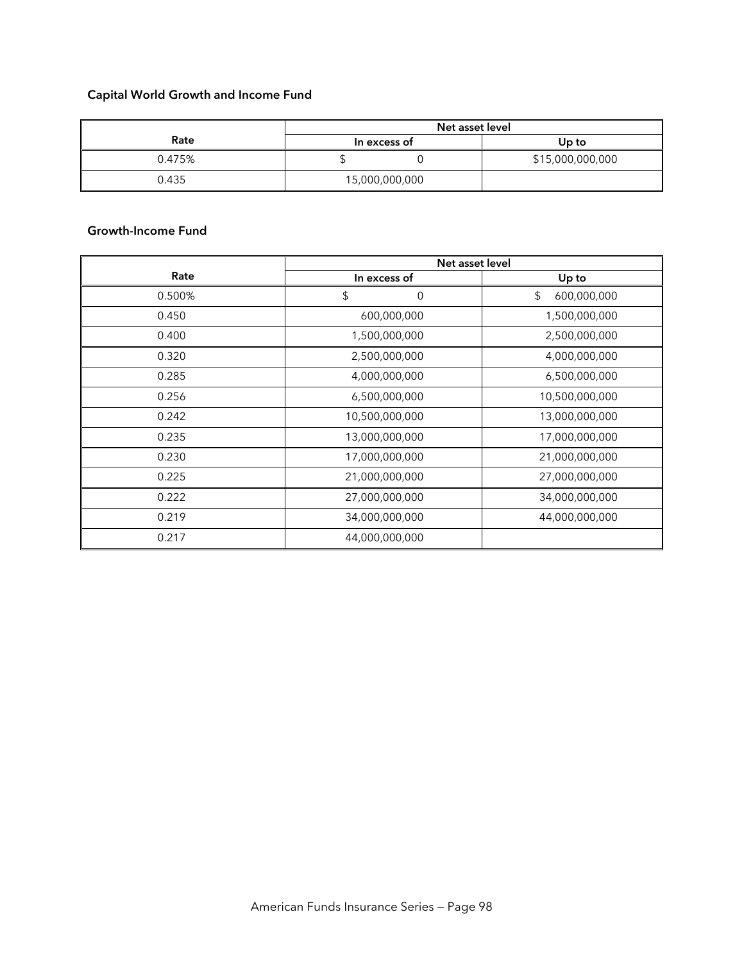# **Capital World Growth and Income Fund**

|        | Net asset level |                  |  |  |
|--------|-----------------|------------------|--|--|
| Rate   | In excess of    | Up to            |  |  |
| 0.475% |                 | \$15,000,000,000 |  |  |
| 0.435  | 15,000,000,000  |                  |  |  |

### **Growth-Income Fund**

|        | Net asset level |                   |  |  |
|--------|-----------------|-------------------|--|--|
| Rate   | In excess of    | Up to             |  |  |
| 0.500% | \$<br>0         | \$<br>600,000,000 |  |  |
| 0.450  | 600,000,000     | 1,500,000,000     |  |  |
| 0.400  | 1,500,000,000   | 2,500,000,000     |  |  |
| 0.320  | 2,500,000,000   | 4,000,000,000     |  |  |
| 0.285  | 4,000,000,000   | 6,500,000,000     |  |  |
| 0.256  | 6,500,000,000   | 10,500,000,000    |  |  |
| 0.242  | 10,500,000,000  | 13,000,000,000    |  |  |
| 0.235  | 13,000,000,000  | 17,000,000,000    |  |  |
| 0.230  | 17,000,000,000  | 21,000,000,000    |  |  |
| 0.225  | 21,000,000,000  | 27,000,000,000    |  |  |
| 0.222  | 27,000,000,000  | 34,000,000,000    |  |  |
| 0.219  | 34,000,000,000  | 44,000,000,000    |  |  |
| 0.217  | 44,000,000,000  |                   |  |  |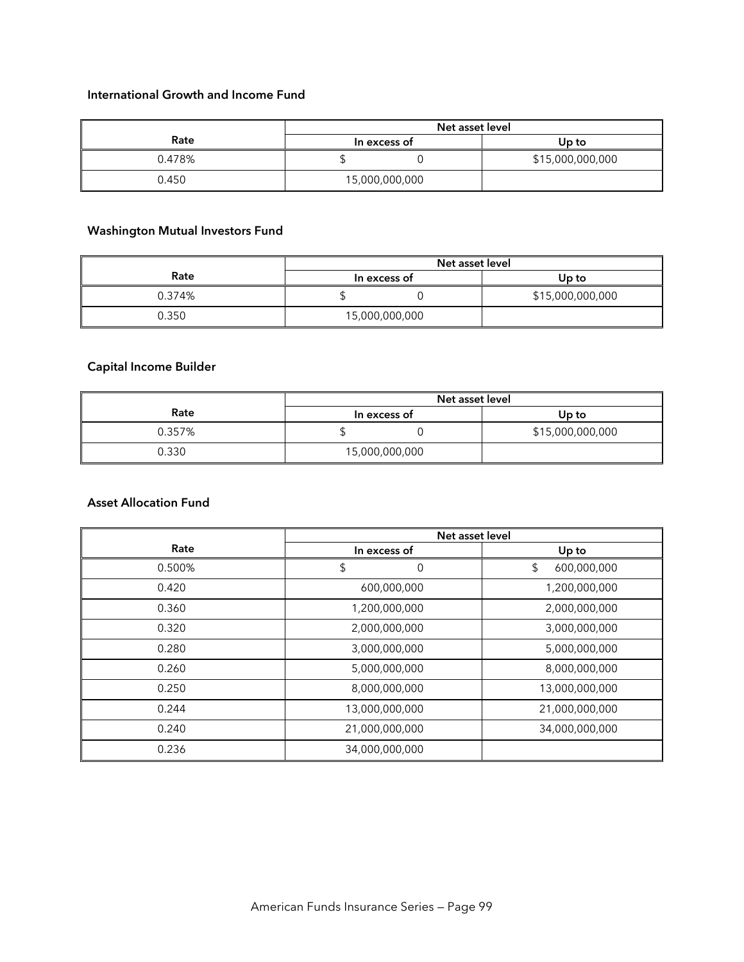#### **International Growth and Income Fund**

|        | Net asset level |                  |
|--------|-----------------|------------------|
| Rate   | In excess of    | Up to            |
| 0.478% |                 | \$15,000,000,000 |
| 0.450  | 15,000,000,000  |                  |

# **Washington Mutual Investors Fund**

|        | Net asset level |                  |
|--------|-----------------|------------------|
| Rate   | In excess of    | Up to            |
| 0.374% |                 | \$15,000,000,000 |
| 0.350  | 15,000,000,000  |                  |

## **Capital Income Builder**

|        | Net asset level |                  |
|--------|-----------------|------------------|
| Rate   | In excess of    | Up to            |
| 0.357% |                 | \$15,000,000,000 |
| 0.330  | 15,000,000,000  |                  |

### **Asset Allocation Fund**

|        | Net asset level |                   |
|--------|-----------------|-------------------|
| Rate   | In excess of    | Up to             |
| 0.500% | \$<br>0         | \$<br>600,000,000 |
| 0.420  | 600,000,000     | 1,200,000,000     |
| 0.360  | 1,200,000,000   | 2,000,000,000     |
| 0.320  | 2,000,000,000   | 3,000,000,000     |
| 0.280  | 3,000,000,000   | 5,000,000,000     |
| 0.260  | 5,000,000,000   | 8,000,000,000     |
| 0.250  | 8,000,000,000   | 13,000,000,000    |
| 0.244  | 13,000,000,000  | 21,000,000,000    |
| 0.240  | 21,000,000,000  | 34,000,000,000    |
| 0.236  | 34,000,000,000  |                   |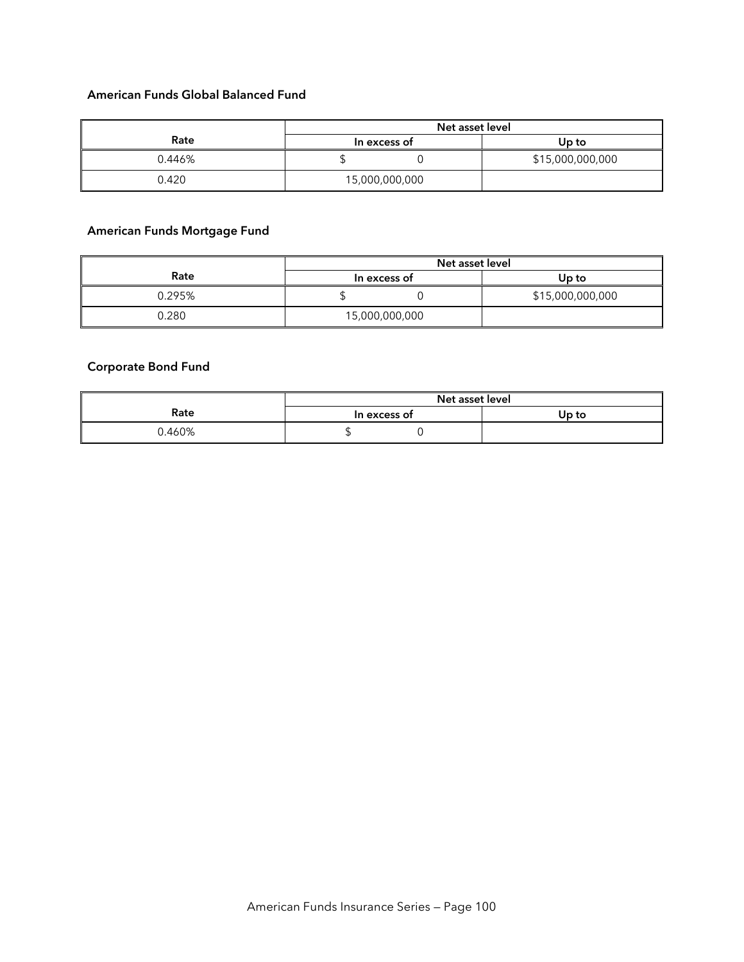#### **American Funds Global Balanced Fund**

|        | Net asset level |                  |
|--------|-----------------|------------------|
| Rate   | In excess of    | Up to            |
| 0.446% |                 | \$15,000,000,000 |
| 0.420  | 15,000,000,000  |                  |

# **American Funds Mortgage Fund**

|        | Net asset level |                  |
|--------|-----------------|------------------|
| Rate   | In excess of    | Up to            |
| 0.295% |                 | \$15,000,000,000 |
| 0.280  | 15,000,000,000  |                  |

### **Corporate Bond Fund**

|       | Net asset level |       |
|-------|-----------------|-------|
| Rate  | In excess of    | Up to |
| .460% |                 |       |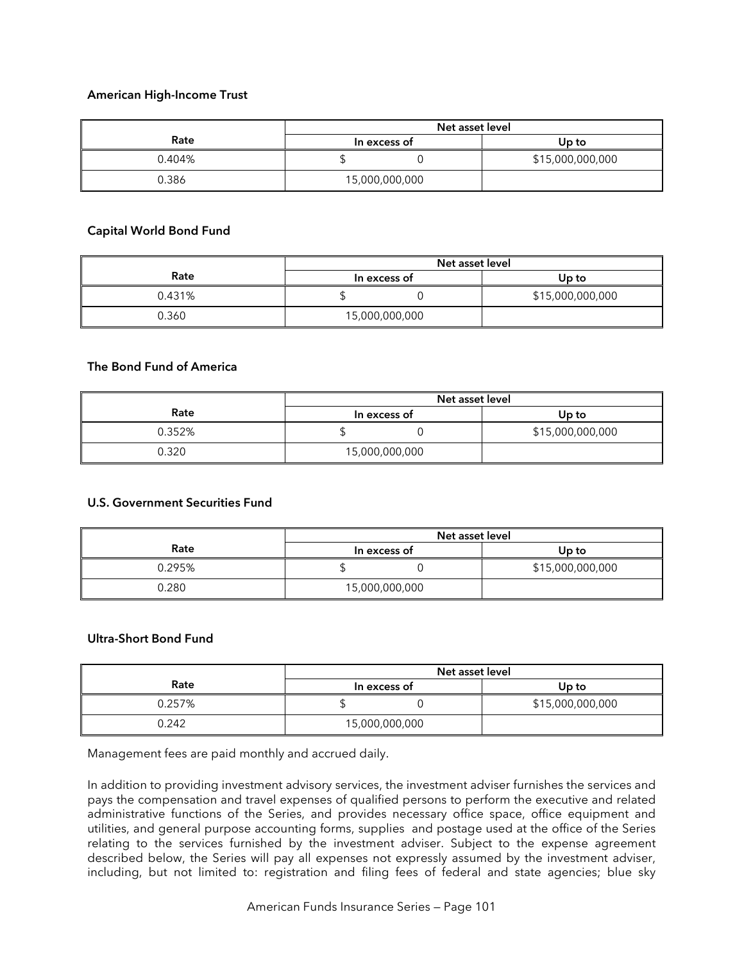#### **American High-Income Trust**

|        | Net asset level |                  |
|--------|-----------------|------------------|
| Rate   | In excess of    | Up to            |
| 0.404% |                 | \$15,000,000,000 |
| 0.386  | 15,000,000,000  |                  |

#### **Capital World Bond Fund**

|        | Net asset level |                  |
|--------|-----------------|------------------|
| Rate   | In excess of    | Up to            |
| 0.431% |                 | \$15,000,000,000 |
| 0.360  | 15,000,000,000  |                  |

#### **The Bond Fund of America**

|        | Net asset level |                  |
|--------|-----------------|------------------|
| Rate   | In excess of    | Up to            |
| 0.352% |                 | \$15,000,000,000 |
| 0.320  | 15,000,000,000  |                  |

#### **U.S. Government Securities Fund**

|        | Net asset level |                  |
|--------|-----------------|------------------|
| Rate   | In excess of    | Up to            |
| 0.295% |                 | \$15,000,000,000 |
| 0.280  | 15,000,000,000  |                  |

#### **Ultra-Short Bond Fund**

|        | Net asset level |                  |
|--------|-----------------|------------------|
| Rate   | In excess of    | Up to            |
| 0.257% |                 | \$15,000,000,000 |
| 0.242  | 15,000,000,000  |                  |

Management fees are paid monthly and accrued daily.

In addition to providing investment advisory services, the investment adviser furnishes the services and pays the compensation and travel expenses of qualified persons to perform the executive and related administrative functions of the Series, and provides necessary office space, office equipment and utilities, and general purpose accounting forms, supplies and postage used at the office of the Series relating to the services furnished by the investment adviser. Subject to the expense agreement described below, the Series will pay all expenses not expressly assumed by the investment adviser, including, but not limited to: registration and filing fees of federal and state agencies; blue sky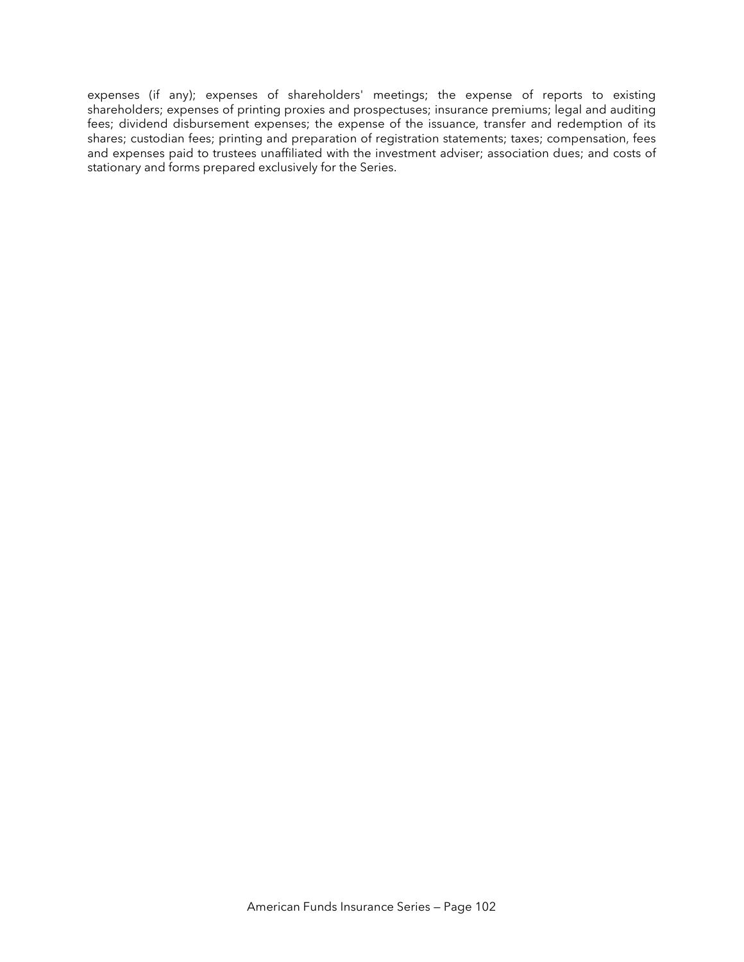expenses (if any); expenses of shareholders' meetings; the expense of reports to existing shareholders; expenses of printing proxies and prospectuses; insurance premiums; legal and auditing fees; dividend disbursement expenses; the expense of the issuance, transfer and redemption of its shares; custodian fees; printing and preparation of registration statements; taxes; compensation, fees and expenses paid to trustees unaffiliated with the investment adviser; association dues; and costs of stationary and forms prepared exclusively for the Series.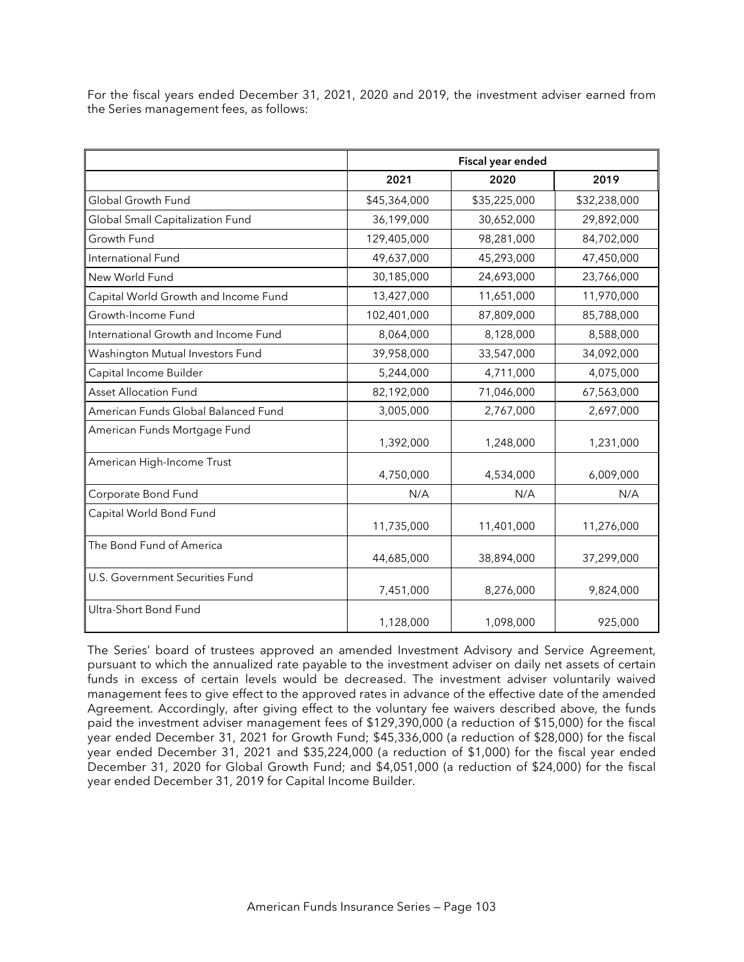| For the fiscal years ended December 31, 2021, 2020 and 2019, the investment adviser earned from |  |  |  |  |  |
|-------------------------------------------------------------------------------------------------|--|--|--|--|--|
| the Series management fees, as follows:                                                         |  |  |  |  |  |

|                                      |              | Fiscal year ended |              |  |  |
|--------------------------------------|--------------|-------------------|--------------|--|--|
|                                      | 2021         | 2020              | 2019         |  |  |
| Global Growth Fund                   | \$45,364,000 | \$35,225,000      | \$32,238,000 |  |  |
| Global Small Capitalization Fund     | 36,199,000   | 30,652,000        | 29,892,000   |  |  |
| Growth Fund                          | 129,405,000  | 98,281,000        | 84,702,000   |  |  |
| International Fund                   | 49,637,000   | 45,293,000        | 47,450,000   |  |  |
| New World Fund                       | 30,185,000   | 24,693,000        | 23,766,000   |  |  |
| Capital World Growth and Income Fund | 13,427,000   | 11,651,000        | 11,970,000   |  |  |
| Growth-Income Fund                   | 102,401,000  | 87,809,000        | 85,788,000   |  |  |
| International Growth and Income Fund | 8,064,000    | 8,128,000         | 8,588,000    |  |  |
| Washington Mutual Investors Fund     | 39,958,000   | 33,547,000        | 34,092,000   |  |  |
| Capital Income Builder               | 5,244,000    | 4,711,000         | 4,075,000    |  |  |
| <b>Asset Allocation Fund</b>         | 82,192,000   | 71,046,000        | 67,563,000   |  |  |
| American Funds Global Balanced Fund  | 3,005,000    | 2,767,000         | 2,697,000    |  |  |
| American Funds Mortgage Fund         | 1,392,000    | 1,248,000         | 1,231,000    |  |  |
| American High-Income Trust           | 4,750,000    | 4,534,000         | 6,009,000    |  |  |
| Corporate Bond Fund                  | N/A          | N/A               | N/A          |  |  |
| Capital World Bond Fund              | 11,735,000   | 11,401,000        | 11,276,000   |  |  |
| The Bond Fund of America             | 44,685,000   | 38,894,000        | 37,299,000   |  |  |
| U.S. Government Securities Fund      | 7,451,000    | 8,276,000         | 9,824,000    |  |  |
| Ultra-Short Bond Fund                | 1,128,000    | 1,098,000         | 925,000      |  |  |

The Series' board of trustees approved an amended Investment Advisory and Service Agreement, pursuant to which the annualized rate payable to the investment adviser on daily net assets of certain funds in excess of certain levels would be decreased. The investment adviser voluntarily waived management fees to give effect to the approved rates in advance of the effective date of the amended Agreement. Accordingly, after giving effect to the voluntary fee waivers described above, the funds paid the investment adviser management fees of \$129,390,000 (a reduction of \$15,000) for the fiscal year ended December 31, 2021 for Growth Fund; \$45,336,000 (a reduction of \$28,000) for the fiscal year ended December 31, 2021 and \$35,224,000 (a reduction of \$1,000) for the fiscal year ended December 31, 2020 for Global Growth Fund; and \$4,051,000 (a reduction of \$24,000) for the fiscal year ended December 31, 2019 for Capital Income Builder.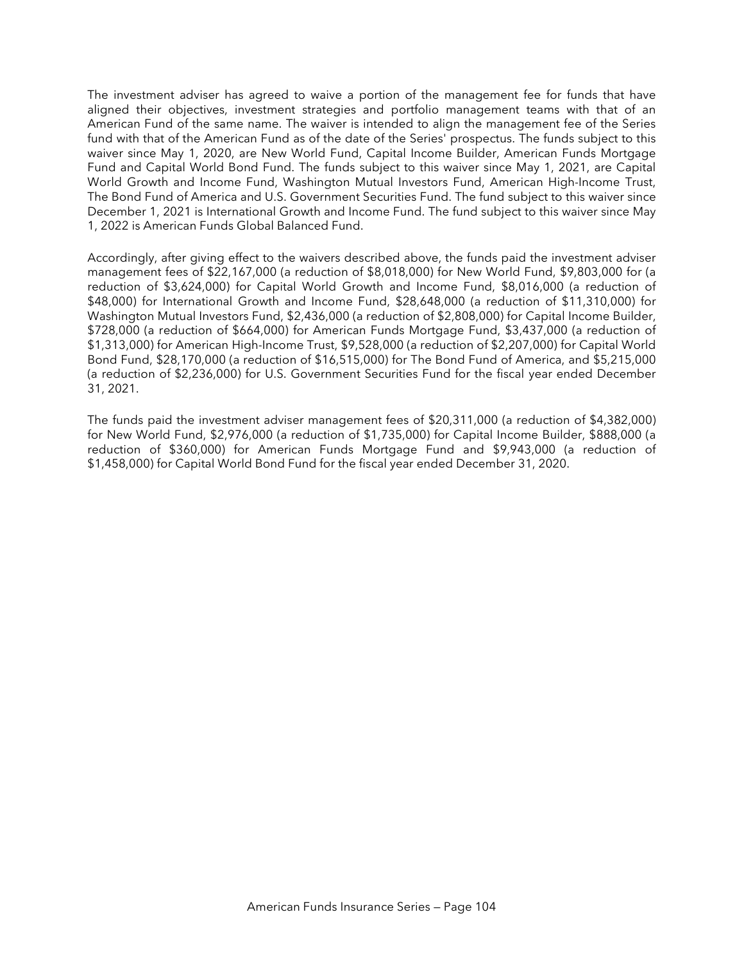The investment adviser has agreed to waive a portion of the management fee for funds that have aligned their objectives, investment strategies and portfolio management teams with that of an American Fund of the same name. The waiver is intended to align the management fee of the Series fund with that of the American Fund as of the date of the Series' prospectus. The funds subject to this waiver since May 1, 2020, are New World Fund, Capital Income Builder, American Funds Mortgage Fund and Capital World Bond Fund. The funds subject to this waiver since May 1, 2021, are Capital World Growth and Income Fund, Washington Mutual Investors Fund, American High-Income Trust, The Bond Fund of America and U.S. Government Securities Fund. The fund subject to this waiver since December 1, 2021 is International Growth and Income Fund. The fund subject to this waiver since May 1, 2022 is American Funds Global Balanced Fund.

Accordingly, after giving effect to the waivers described above, the funds paid the investment adviser management fees of \$22,167,000 (a reduction of \$8,018,000) for New World Fund, \$9,803,000 for (a reduction of \$3,624,000) for Capital World Growth and Income Fund, \$8,016,000 (a reduction of \$48,000) for International Growth and Income Fund, \$28,648,000 (a reduction of \$11,310,000) for Washington Mutual Investors Fund, \$2,436,000 (a reduction of \$2,808,000) for Capital Income Builder, \$728,000 (a reduction of \$664,000) for American Funds Mortgage Fund, \$3,437,000 (a reduction of \$1,313,000) for American High-Income Trust, \$9,528,000 (a reduction of \$2,207,000) for Capital World Bond Fund, \$28,170,000 (a reduction of \$16,515,000) for The Bond Fund of America, and \$5,215,000 (a reduction of \$2,236,000) for U.S. Government Securities Fund for the fiscal year ended December 31, 2021.

The funds paid the investment adviser management fees of \$20,311,000 (a reduction of \$4,382,000) for New World Fund, \$2,976,000 (a reduction of \$1,735,000) for Capital Income Builder, \$888,000 (a reduction of \$360,000) for American Funds Mortgage Fund and \$9,943,000 (a reduction of \$1,458,000) for Capital World Bond Fund for the fiscal year ended December 31, 2020.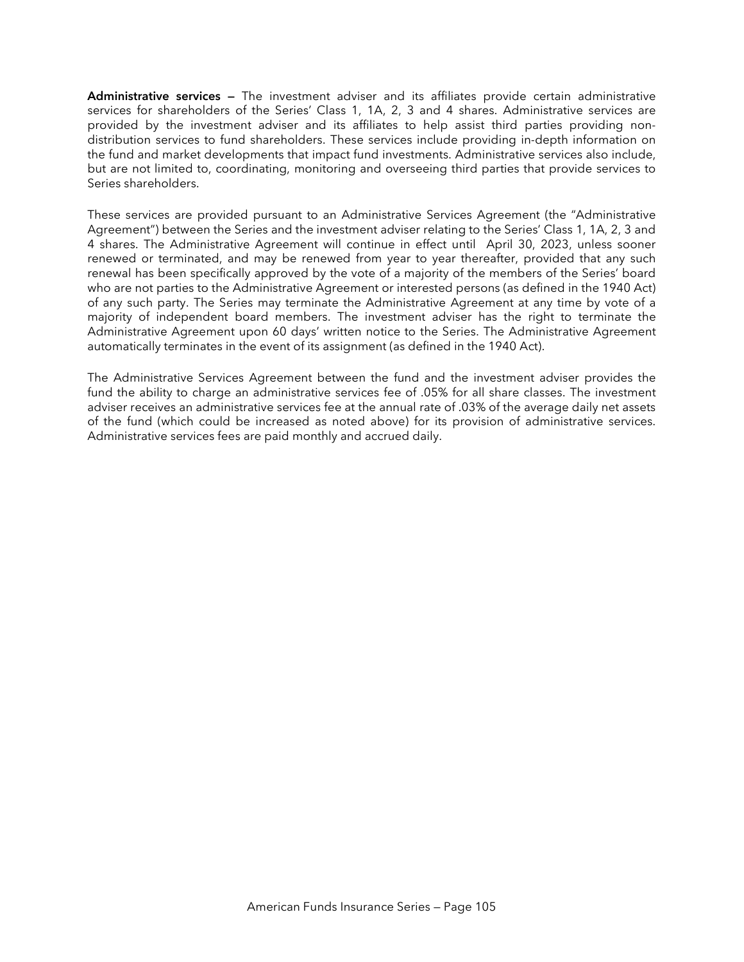**Administrative services —** The investment adviser and its affiliates provide certain administrative services for shareholders of the Series' Class 1, 1A, 2, 3 and 4 shares. Administrative services are provided by the investment adviser and its affiliates to help assist third parties providing nondistribution services to fund shareholders. These services include providing in-depth information on the fund and market developments that impact fund investments. Administrative services also include, but are not limited to, coordinating, monitoring and overseeing third parties that provide services to Series shareholders.

These services are provided pursuant to an Administrative Services Agreement (the "Administrative Agreement") between the Series and the investment adviser relating to the Series' Class 1, 1A, 2, 3 and 4 shares. The Administrative Agreement will continue in effect until April 30, 2023, unless sooner renewed or terminated, and may be renewed from year to year thereafter, provided that any such renewal has been specifically approved by the vote of a majority of the members of the Series' board who are not parties to the Administrative Agreement or interested persons (as defined in the 1940 Act) of any such party. The Series may terminate the Administrative Agreement at any time by vote of a majority of independent board members. The investment adviser has the right to terminate the Administrative Agreement upon 60 days' written notice to the Series. The Administrative Agreement automatically terminates in the event of its assignment (as defined in the 1940 Act).

The Administrative Services Agreement between the fund and the investment adviser provides the fund the ability to charge an administrative services fee of .05% for all share classes. The investment adviser receives an administrative services fee at the annual rate of .03% of the average daily net assets of the fund (which could be increased as noted above) for its provision of administrative services. Administrative services fees are paid monthly and accrued daily.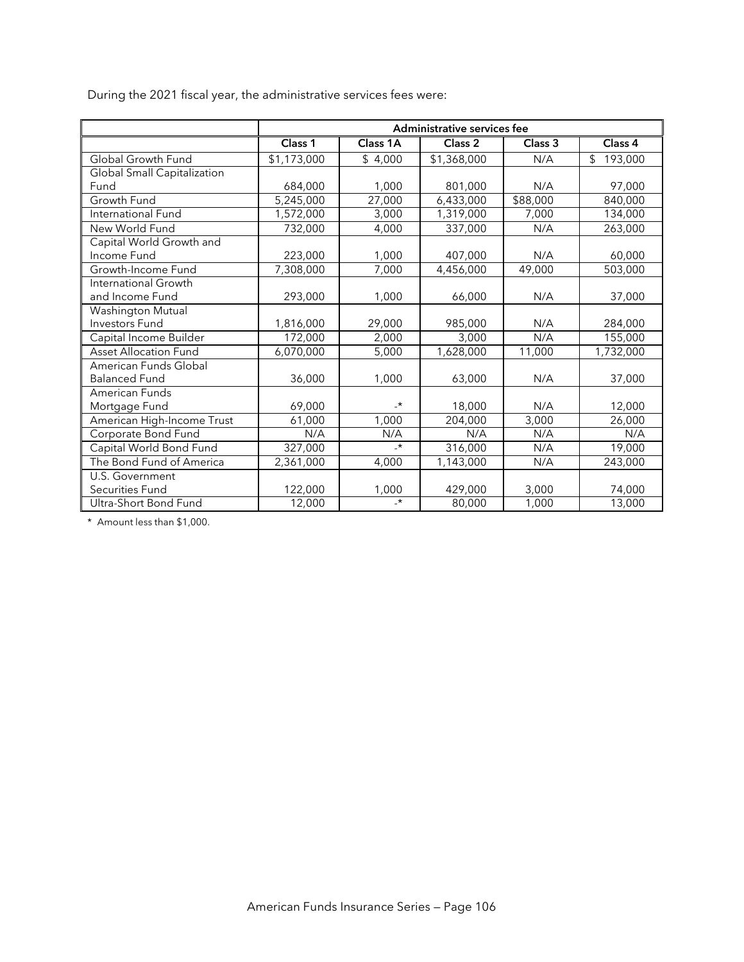During the 2021 fiscal year, the administrative services fees were:

|                             | Administrative services fee |                 |                    |          |                           |  |  |  |
|-----------------------------|-----------------------------|-----------------|--------------------|----------|---------------------------|--|--|--|
|                             | Class 1                     | Class 1A        | Class <sub>2</sub> | Class 3  | Class 4                   |  |  |  |
| Global Growth Fund          | \$1,173,000                 | \$4,000         | \$1,368,000        | N/A      | $\mathfrak{L}$<br>193,000 |  |  |  |
| Global Small Capitalization |                             |                 |                    |          |                           |  |  |  |
| Fund                        | 684,000                     | 1,000           | 801,000            | N/A      | 97,000                    |  |  |  |
| Growth Fund                 | 5,245,000                   | 27,000          | 6,433,000          | \$88,000 | 840,000                   |  |  |  |
| International Fund          | 1,572,000                   | 3,000           | 1,319,000          | 7,000    | 134,000                   |  |  |  |
| New World Fund              | 732,000                     | 4,000           | 337,000            | N/A      | 263,000                   |  |  |  |
| Capital World Growth and    |                             |                 |                    |          |                           |  |  |  |
| Income Fund                 | 223,000                     | 1,000           | 407,000            | N/A      | 60,000                    |  |  |  |
| Growth-Income Fund          | 7,308,000                   | 7,000           | 4,456,000          | 49,000   | 503,000                   |  |  |  |
| International Growth        |                             |                 |                    |          |                           |  |  |  |
| and Income Fund             | 293,000                     | 1,000           | 66,000             | N/A      | 37,000                    |  |  |  |
| Washington Mutual           |                             |                 |                    |          |                           |  |  |  |
| <b>Investors Fund</b>       | 1,816,000                   | 29,000          | 985,000            | N/A      | 284,000                   |  |  |  |
| Capital Income Builder      | 172,000                     | 2,000           | 3,000              | N/A      | 155,000                   |  |  |  |
| Asset Allocation Fund       | 6,070,000                   | 5,000           | 1,628,000          | 11,000   | 1,732,000                 |  |  |  |
| American Funds Global       |                             |                 |                    |          |                           |  |  |  |
| <b>Balanced Fund</b>        | 36,000                      | 1,000           | 63,000             | N/A      | 37,000                    |  |  |  |
| American Funds              |                             |                 |                    |          |                           |  |  |  |
| Mortgage Fund               | 69,000                      | $\cdot^{\star}$ | 18,000             | N/A      | 12,000                    |  |  |  |
| American High-Income Trust  | 61,000                      | 1,000           | 204,000            | 3,000    | 26,000                    |  |  |  |
| Corporate Bond Fund         | N/A                         | N/A             | N/A                | N/A      | N/A                       |  |  |  |
| Capital World Bond Fund     | 327,000                     | $\cdot$         | 316,000            | N/A      | 19,000                    |  |  |  |
| The Bond Fund of America    | 2,361,000                   | 4,000           | 1,143,000          | N/A      | 243,000                   |  |  |  |
| U.S. Government             |                             |                 |                    |          |                           |  |  |  |
| Securities Fund             | 122,000                     | 1,000           | 429,000            | 3,000    | 74,000                    |  |  |  |
| Ultra-Short Bond Fund       | 12,000                      | $\cdot$         | 80,000             | 1,000    | 13,000                    |  |  |  |

\* Amount less than \$1,000.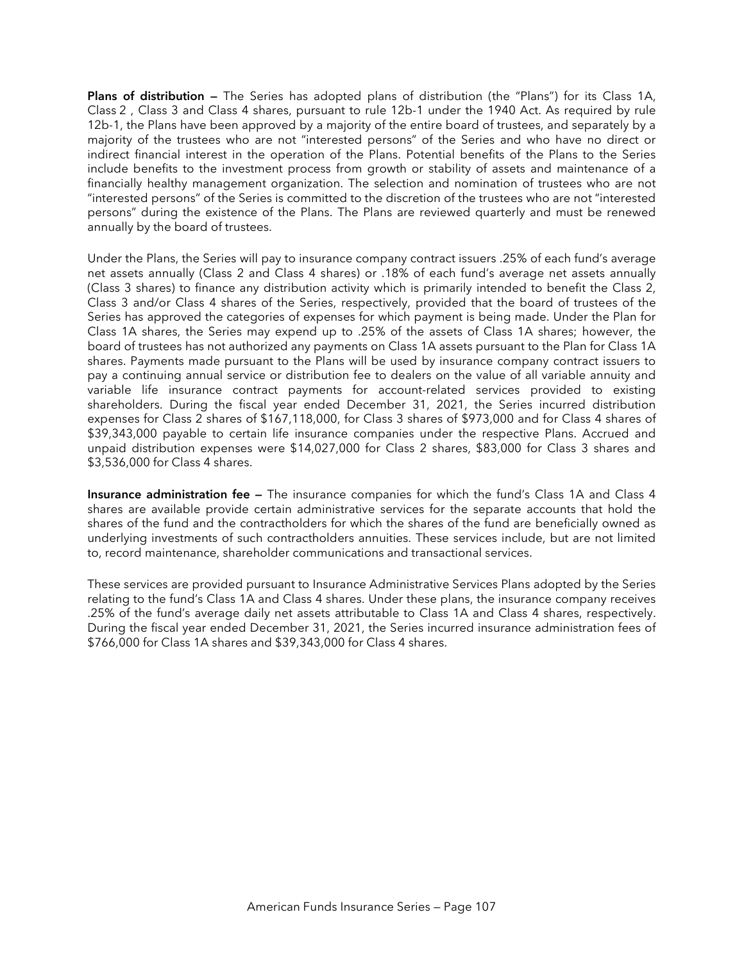**Plans of distribution —** The Series has adopted plans of distribution (the "Plans") for its Class 1A, Class 2 , Class 3 and Class 4 shares, pursuant to rule 12b-1 under the 1940 Act. As required by rule 12b-1, the Plans have been approved by a majority of the entire board of trustees, and separately by a majority of the trustees who are not "interested persons" of the Series and who have no direct or indirect financial interest in the operation of the Plans. Potential benefits of the Plans to the Series include benefits to the investment process from growth or stability of assets and maintenance of a financially healthy management organization. The selection and nomination of trustees who are not "interested persons" of the Series is committed to the discretion of the trustees who are not "interested persons" during the existence of the Plans. The Plans are reviewed quarterly and must be renewed annually by the board of trustees.

Under the Plans, the Series will pay to insurance company contract issuers .25% of each fund's average net assets annually (Class 2 and Class 4 shares) or .18% of each fund's average net assets annually (Class 3 shares) to finance any distribution activity which is primarily intended to benefit the Class 2, Class 3 and/or Class 4 shares of the Series, respectively, provided that the board of trustees of the Series has approved the categories of expenses for which payment is being made. Under the Plan for Class 1A shares, the Series may expend up to .25% of the assets of Class 1A shares; however, the board of trustees has not authorized any payments on Class 1A assets pursuant to the Plan for Class 1A shares. Payments made pursuant to the Plans will be used by insurance company contract issuers to pay a continuing annual service or distribution fee to dealers on the value of all variable annuity and variable life insurance contract payments for account-related services provided to existing shareholders. During the fiscal year ended December 31, 2021, the Series incurred distribution expenses for Class 2 shares of \$167,118,000, for Class 3 shares of \$973,000 and for Class 4 shares of \$39,343,000 payable to certain life insurance companies under the respective Plans. Accrued and unpaid distribution expenses were \$14,027,000 for Class 2 shares, \$83,000 for Class 3 shares and \$3,536,000 for Class 4 shares.

**Insurance administration fee —** The insurance companies for which the fund's Class 1A and Class 4 shares are available provide certain administrative services for the separate accounts that hold the shares of the fund and the contractholders for which the shares of the fund are beneficially owned as underlying investments of such contractholders annuities. These services include, but are not limited to, record maintenance, shareholder communications and transactional services.

These services are provided pursuant to Insurance Administrative Services Plans adopted by the Series relating to the fund's Class 1A and Class 4 shares. Under these plans, the insurance company receives .25% of the fund's average daily net assets attributable to Class 1A and Class 4 shares, respectively. During the fiscal year ended December 31, 2021, the Series incurred insurance administration fees of \$766,000 for Class 1A shares and \$39,343,000 for Class 4 shares.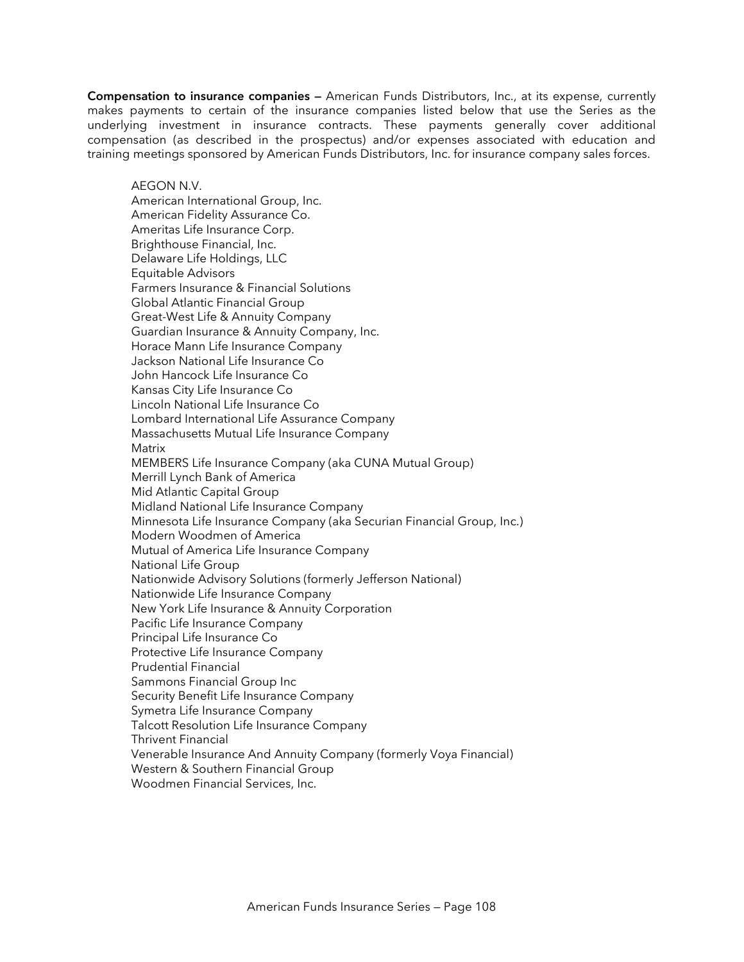**Compensation to insurance companies —** American Funds Distributors, Inc., at its expense, currently makes payments to certain of the insurance companies listed below that use the Series as the underlying investment in insurance contracts. These payments generally cover additional compensation (as described in the prospectus) and/or expenses associated with education and training meetings sponsored by American Funds Distributors, Inc. for insurance company sales forces.

AEGON N.V. American International Group, Inc. American Fidelity Assurance Co. Ameritas Life Insurance Corp. Brighthouse Financial, Inc. Delaware Life Holdings, LLC Equitable Advisors Farmers Insurance & Financial Solutions Global Atlantic Financial Group Great-West Life & Annuity Company Guardian Insurance & Annuity Company, Inc. Horace Mann Life Insurance Company Jackson National Life Insurance Co John Hancock Life Insurance Co Kansas City Life Insurance Co Lincoln National Life Insurance Co Lombard International Life Assurance Company Massachusetts Mutual Life Insurance Company **Matrix** MEMBERS Life Insurance Company (aka CUNA Mutual Group) Merrill Lynch Bank of America Mid Atlantic Capital Group Midland National Life Insurance Company Minnesota Life Insurance Company (aka Securian Financial Group, Inc.) Modern Woodmen of America Mutual of America Life Insurance Company National Life Group Nationwide Advisory Solutions (formerly Jefferson National) Nationwide Life Insurance Company New York Life Insurance & Annuity Corporation Pacific Life Insurance Company Principal Life Insurance Co Protective Life Insurance Company Prudential Financial Sammons Financial Group Inc Security Benefit Life Insurance Company Symetra Life Insurance Company Talcott Resolution Life Insurance Company Thrivent Financial Venerable Insurance And Annuity Company (formerly Voya Financial) Western & Southern Financial Group Woodmen Financial Services, Inc.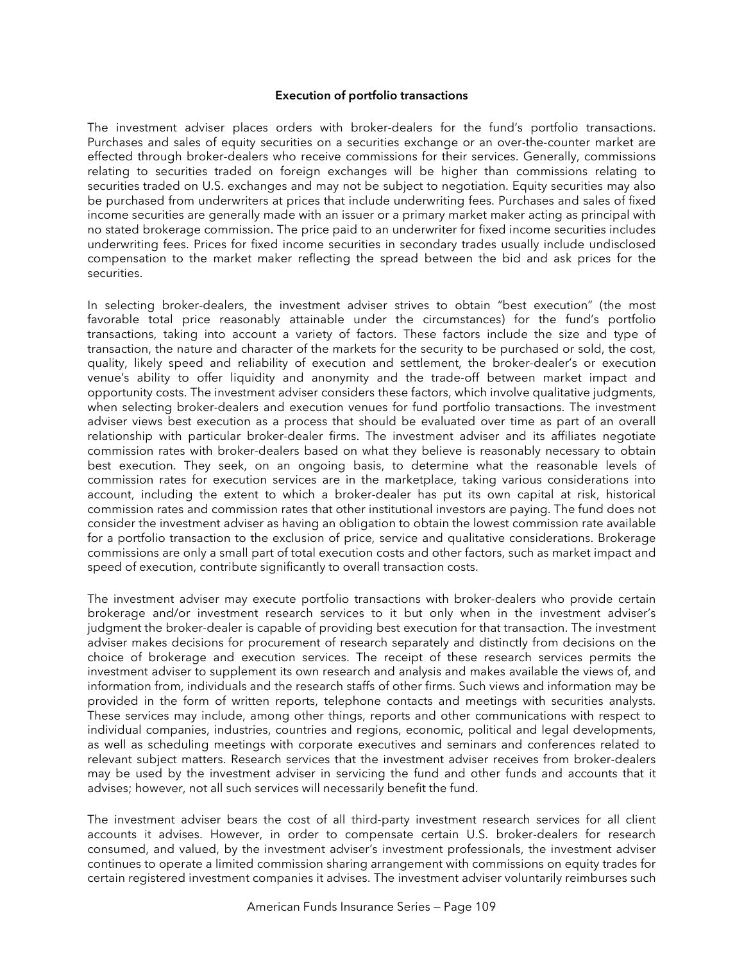#### **Execution of portfolio transactions**

The investment adviser places orders with broker-dealers for the fund's portfolio transactions. Purchases and sales of equity securities on a securities exchange or an over-the-counter market are effected through broker-dealers who receive commissions for their services. Generally, commissions relating to securities traded on foreign exchanges will be higher than commissions relating to securities traded on U.S. exchanges and may not be subject to negotiation. Equity securities may also be purchased from underwriters at prices that include underwriting fees. Purchases and sales of fixed income securities are generally made with an issuer or a primary market maker acting as principal with no stated brokerage commission. The price paid to an underwriter for fixed income securities includes underwriting fees. Prices for fixed income securities in secondary trades usually include undisclosed compensation to the market maker reflecting the spread between the bid and ask prices for the securities.

In selecting broker-dealers, the investment adviser strives to obtain "best execution" (the most favorable total price reasonably attainable under the circumstances) for the fund's portfolio transactions, taking into account a variety of factors. These factors include the size and type of transaction, the nature and character of the markets for the security to be purchased or sold, the cost, quality, likely speed and reliability of execution and settlement, the broker-dealer's or execution venue's ability to offer liquidity and anonymity and the trade-off between market impact and opportunity costs. The investment adviser considers these factors, which involve qualitative judgments, when selecting broker-dealers and execution venues for fund portfolio transactions. The investment adviser views best execution as a process that should be evaluated over time as part of an overall relationship with particular broker-dealer firms. The investment adviser and its affiliates negotiate commission rates with broker-dealers based on what they believe is reasonably necessary to obtain best execution. They seek, on an ongoing basis, to determine what the reasonable levels of commission rates for execution services are in the marketplace, taking various considerations into account, including the extent to which a broker-dealer has put its own capital at risk, historical commission rates and commission rates that other institutional investors are paying. The fund does not consider the investment adviser as having an obligation to obtain the lowest commission rate available for a portfolio transaction to the exclusion of price, service and qualitative considerations. Brokerage commissions are only a small part of total execution costs and other factors, such as market impact and speed of execution, contribute significantly to overall transaction costs.

The investment adviser may execute portfolio transactions with broker-dealers who provide certain brokerage and/or investment research services to it but only when in the investment adviser's judgment the broker-dealer is capable of providing best execution for that transaction. The investment adviser makes decisions for procurement of research separately and distinctly from decisions on the choice of brokerage and execution services. The receipt of these research services permits the investment adviser to supplement its own research and analysis and makes available the views of, and information from, individuals and the research staffs of other firms. Such views and information may be provided in the form of written reports, telephone contacts and meetings with securities analysts. These services may include, among other things, reports and other communications with respect to individual companies, industries, countries and regions, economic, political and legal developments, as well as scheduling meetings with corporate executives and seminars and conferences related to relevant subject matters. Research services that the investment adviser receives from broker-dealers may be used by the investment adviser in servicing the fund and other funds and accounts that it advises; however, not all such services will necessarily benefit the fund.

The investment adviser bears the cost of all third-party investment research services for all client accounts it advises. However, in order to compensate certain U.S. broker-dealers for research consumed, and valued, by the investment adviser's investment professionals, the investment adviser continues to operate a limited commission sharing arrangement with commissions on equity trades for certain registered investment companies it advises. The investment adviser voluntarily reimburses such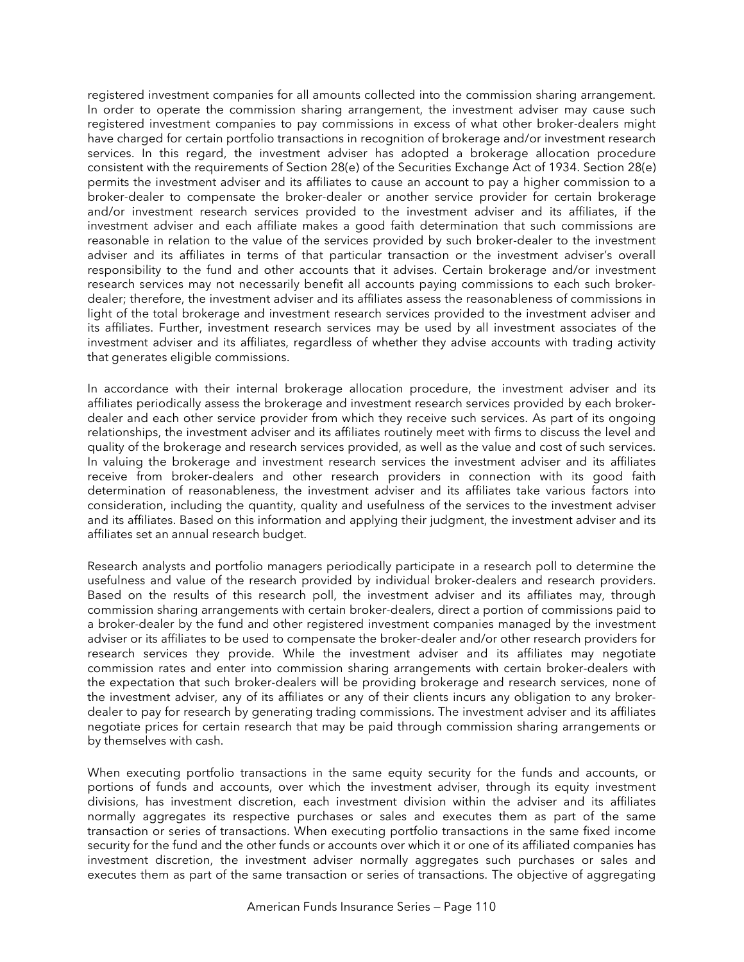registered investment companies for all amounts collected into the commission sharing arrangement. In order to operate the commission sharing arrangement, the investment adviser may cause such registered investment companies to pay commissions in excess of what other broker-dealers might have charged for certain portfolio transactions in recognition of brokerage and/or investment research services. In this regard, the investment adviser has adopted a brokerage allocation procedure consistent with the requirements of Section 28(e) of the Securities Exchange Act of 1934. Section 28(e) permits the investment adviser and its affiliates to cause an account to pay a higher commission to a broker-dealer to compensate the broker-dealer or another service provider for certain brokerage and/or investment research services provided to the investment adviser and its affiliates, if the investment adviser and each affiliate makes a good faith determination that such commissions are reasonable in relation to the value of the services provided by such broker-dealer to the investment adviser and its affiliates in terms of that particular transaction or the investment adviser's overall responsibility to the fund and other accounts that it advises. Certain brokerage and/or investment research services may not necessarily benefit all accounts paying commissions to each such brokerdealer; therefore, the investment adviser and its affiliates assess the reasonableness of commissions in light of the total brokerage and investment research services provided to the investment adviser and its affiliates. Further, investment research services may be used by all investment associates of the investment adviser and its affiliates, regardless of whether they advise accounts with trading activity that generates eligible commissions.

In accordance with their internal brokerage allocation procedure, the investment adviser and its affiliates periodically assess the brokerage and investment research services provided by each brokerdealer and each other service provider from which they receive such services. As part of its ongoing relationships, the investment adviser and its affiliates routinely meet with firms to discuss the level and quality of the brokerage and research services provided, as well as the value and cost of such services. In valuing the brokerage and investment research services the investment adviser and its affiliates receive from broker-dealers and other research providers in connection with its good faith determination of reasonableness, the investment adviser and its affiliates take various factors into consideration, including the quantity, quality and usefulness of the services to the investment adviser and its affiliates. Based on this information and applying their judgment, the investment adviser and its affiliates set an annual research budget.

Research analysts and portfolio managers periodically participate in a research poll to determine the usefulness and value of the research provided by individual broker-dealers and research providers. Based on the results of this research poll, the investment adviser and its affiliates may, through commission sharing arrangements with certain broker-dealers, direct a portion of commissions paid to a broker-dealer by the fund and other registered investment companies managed by the investment adviser or its affiliates to be used to compensate the broker-dealer and/or other research providers for research services they provide. While the investment adviser and its affiliates may negotiate commission rates and enter into commission sharing arrangements with certain broker-dealers with the expectation that such broker-dealers will be providing brokerage and research services, none of the investment adviser, any of its affiliates or any of their clients incurs any obligation to any brokerdealer to pay for research by generating trading commissions. The investment adviser and its affiliates negotiate prices for certain research that may be paid through commission sharing arrangements or by themselves with cash.

When executing portfolio transactions in the same equity security for the funds and accounts, or portions of funds and accounts, over which the investment adviser, through its equity investment divisions, has investment discretion, each investment division within the adviser and its affiliates normally aggregates its respective purchases or sales and executes them as part of the same transaction or series of transactions. When executing portfolio transactions in the same fixed income security for the fund and the other funds or accounts over which it or one of its affiliated companies has investment discretion, the investment adviser normally aggregates such purchases or sales and executes them as part of the same transaction or series of transactions. The objective of aggregating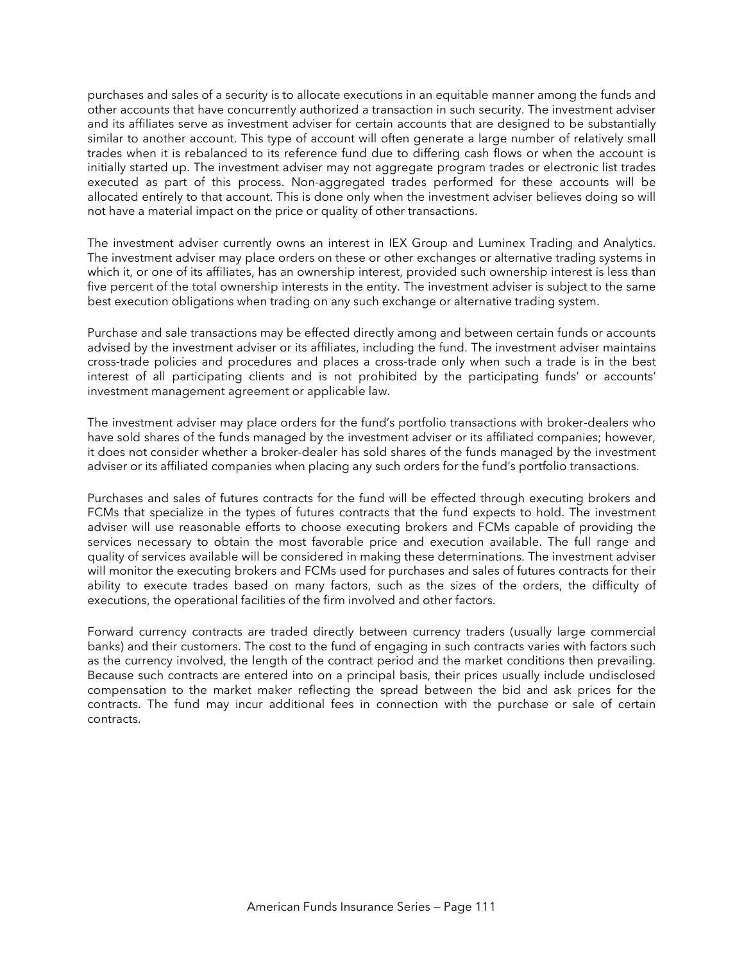purchases and sales of a security is to allocate executions in an equitable manner among the funds and other accounts that have concurrently authorized a transaction in such security. The investment adviser and its affiliates serve as investment adviser for certain accounts that are designed to be substantially similar to another account. This type of account will often generate a large number of relatively small trades when it is rebalanced to its reference fund due to differing cash flows or when the account is initially started up. The investment adviser may not aggregate program trades or electronic list trades executed as part of this process. Non-aggregated trades performed for these accounts will be allocated entirely to that account. This is done only when the investment adviser believes doing so will not have a material impact on the price or quality of other transactions.

The investment adviser currently owns an interest in IEX Group and Luminex Trading and Analytics. The investment adviser may place orders on these or other exchanges or alternative trading systems in which it, or one of its affiliates, has an ownership interest, provided such ownership interest is less than five percent of the total ownership interests in the entity. The investment adviser is subject to the same best execution obligations when trading on any such exchange or alternative trading system.

Purchase and sale transactions may be effected directly among and between certain funds or accounts advised by the investment adviser or its affiliates, including the fund. The investment adviser maintains cross-trade policies and procedures and places a cross-trade only when such a trade is in the best interest of all participating clients and is not prohibited by the participating funds' or accounts' investment management agreement or applicable law.

The investment adviser may place orders for the fund's portfolio transactions with broker-dealers who have sold shares of the funds managed by the investment adviser or its affiliated companies; however, it does not consider whether a broker-dealer has sold shares of the funds managed by the investment adviser or its affiliated companies when placing any such orders for the fund's portfolio transactions.

Purchases and sales of futures contracts for the fund will be effected through executing brokers and FCMs that specialize in the types of futures contracts that the fund expects to hold. The investment adviser will use reasonable efforts to choose executing brokers and FCMs capable of providing the services necessary to obtain the most favorable price and execution available. The full range and quality of services available will be considered in making these determinations. The investment adviser will monitor the executing brokers and FCMs used for purchases and sales of futures contracts for their ability to execute trades based on many factors, such as the sizes of the orders, the difficulty of executions, the operational facilities of the firm involved and other factors.

Forward currency contracts are traded directly between currency traders (usually large commercial banks) and their customers. The cost to the fund of engaging in such contracts varies with factors such as the currency involved, the length of the contract period and the market conditions then prevailing. Because such contracts are entered into on a principal basis, their prices usually include undisclosed compensation to the market maker reflecting the spread between the bid and ask prices for the contracts. The fund may incur additional fees in connection with the purchase or sale of certain contracts.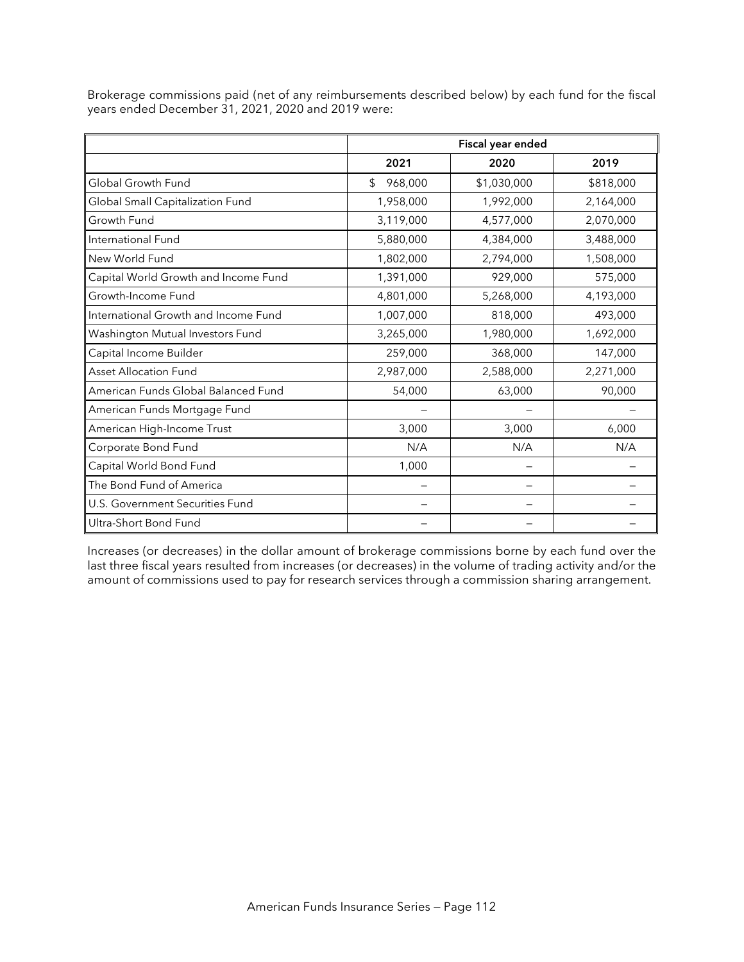|                                      |               | Fiscal year ended |           |  |
|--------------------------------------|---------------|-------------------|-----------|--|
|                                      | 2021          | 2020              | 2019      |  |
| Global Growth Fund                   | \$<br>968,000 | \$1,030,000       | \$818,000 |  |
| Global Small Capitalization Fund     | 1,958,000     | 1,992,000         | 2,164,000 |  |
| Growth Fund                          | 3,119,000     | 4,577,000         | 2,070,000 |  |
| International Fund                   | 5,880,000     | 4,384,000         | 3,488,000 |  |
| New World Fund                       | 1,802,000     | 2,794,000         | 1,508,000 |  |
| Capital World Growth and Income Fund | 1,391,000     | 929,000           | 575,000   |  |
| Growth-Income Fund                   | 4,801,000     | 5,268,000         | 4,193,000 |  |
| International Growth and Income Fund | 1,007,000     | 818,000           | 493,000   |  |
| Washington Mutual Investors Fund     | 3,265,000     | 1,980,000         | 1,692,000 |  |
| Capital Income Builder               | 259,000       | 368,000           | 147,000   |  |
| Asset Allocation Fund                | 2,987,000     | 2,588,000         | 2,271,000 |  |
| American Funds Global Balanced Fund  | 54,000        | 63,000            | 90,000    |  |
| American Funds Mortgage Fund         |               |                   |           |  |
| American High-Income Trust           | 3,000         | 3,000             | 6,000     |  |
| Corporate Bond Fund                  | N/A           | N/A               | N/A       |  |
| Capital World Bond Fund              | 1,000         |                   |           |  |
| The Bond Fund of America             |               |                   |           |  |
| U.S. Government Securities Fund      |               |                   |           |  |
| Ultra-Short Bond Fund                |               |                   |           |  |

Brokerage commissions paid (net of any reimbursements described below) by each fund for the fiscal years ended December 31, 2021, 2020 and 2019 were:

Increases (or decreases) in the dollar amount of brokerage commissions borne by each fund over the last three fiscal years resulted from increases (or decreases) in the volume of trading activity and/or the amount of commissions used to pay for research services through a commission sharing arrangement.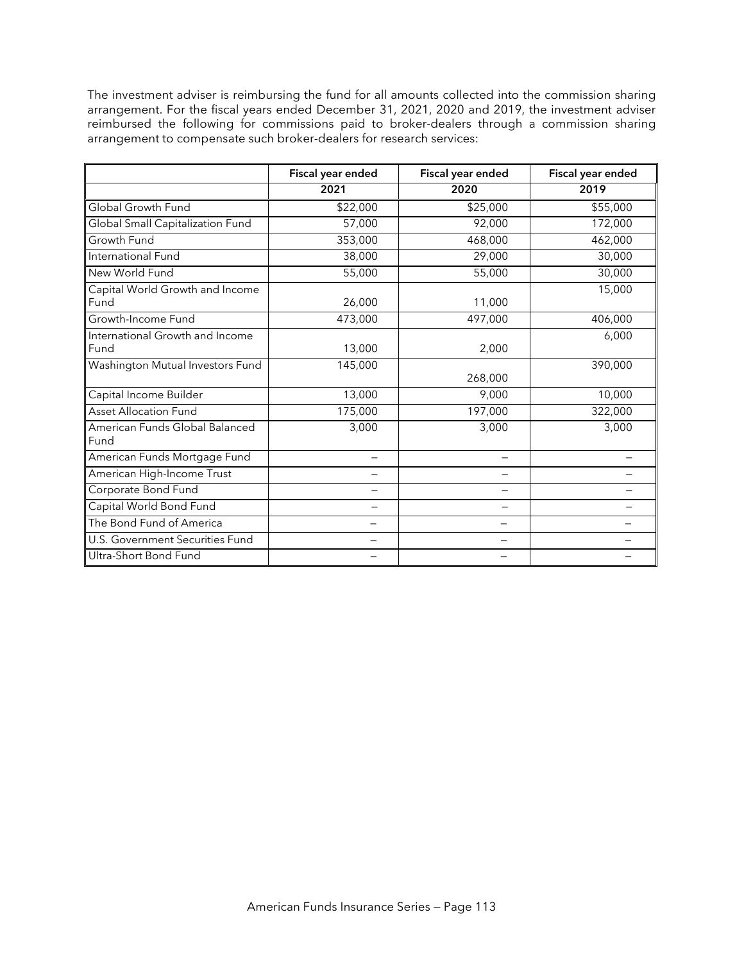The investment adviser is reimbursing the fund for all amounts collected into the commission sharing arrangement. For the fiscal years ended December 31, 2021, 2020 and 2019, the investment adviser reimbursed the following for commissions paid to broker-dealers through a commission sharing arrangement to compensate such broker-dealers for research services:

|                                         | Fiscal year ended | Fiscal year ended | Fiscal year ended |
|-----------------------------------------|-------------------|-------------------|-------------------|
|                                         | 2021              | 2020              | 2019              |
| Global Growth Fund                      | \$22,000          | \$25,000          | \$55,000          |
| Global Small Capitalization Fund        | 57,000            | 92,000            | 172,000           |
| Growth Fund                             | 353,000           | 468,000           | 462,000           |
| International Fund                      | 38,000            | 29,000            | 30,000            |
| New World Fund                          | 55,000            | 55,000            | 30,000            |
| Capital World Growth and Income<br>Fund | 26,000            | 11,000            | 15,000            |
| Growth-Income Fund                      | 473,000           | 497,000           | 406,000           |
| International Growth and Income<br>Fund | 13,000            | 2,000             | 6,000             |
| Washington Mutual Investors Fund        | 145,000           | 268,000           | 390,000           |
| Capital Income Builder                  | 13,000            | 9,000             | 10,000            |
| <b>Asset Allocation Fund</b>            | 175,000           | 197,000           | 322,000           |
| American Funds Global Balanced<br>Fund  | 3,000             | 3,000             | 3,000             |
| American Funds Mortgage Fund            |                   | —                 |                   |
| American High-Income Trust              |                   |                   |                   |
| Corporate Bond Fund                     |                   |                   |                   |
| Capital World Bond Fund                 |                   |                   |                   |
| The Bond Fund of America                |                   |                   |                   |
| U.S. Government Securities Fund         |                   |                   |                   |
| Ultra-Short Bond Fund                   |                   |                   |                   |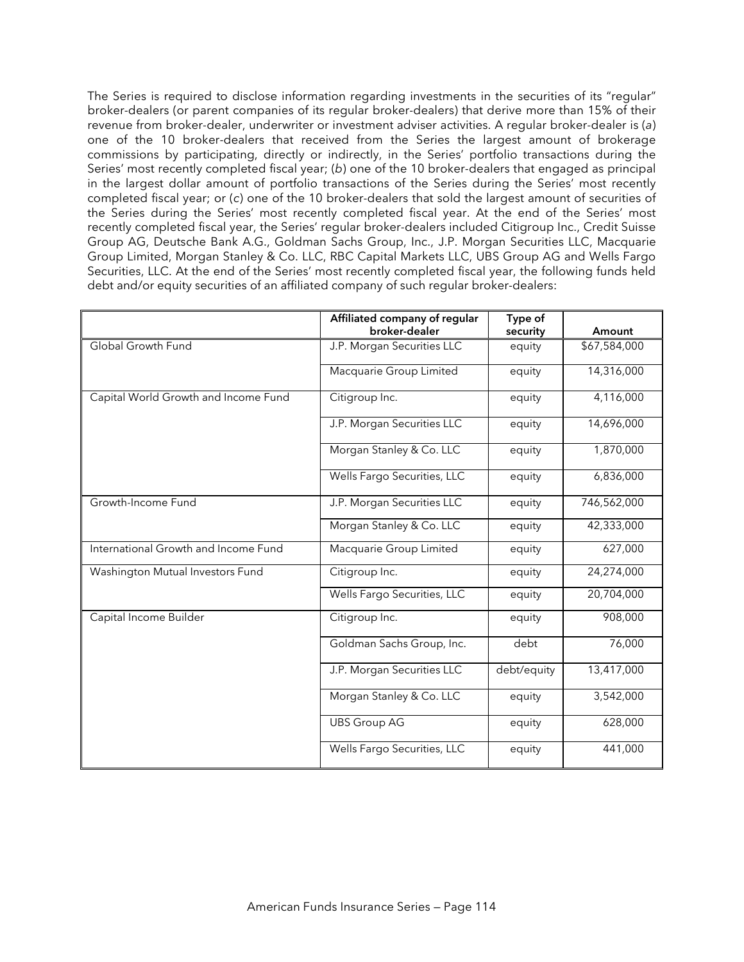The Series is required to disclose information regarding investments in the securities of its "regular" broker-dealers (or parent companies of its regular broker-dealers) that derive more than 15% of their revenue from broker-dealer, underwriter or investment adviser activities. A regular broker-dealer is (*a*) one of the 10 broker-dealers that received from the Series the largest amount of brokerage commissions by participating, directly or indirectly, in the Series' portfolio transactions during the Series' most recently completed fiscal year; (*b*) one of the 10 broker-dealers that engaged as principal in the largest dollar amount of portfolio transactions of the Series during the Series' most recently completed fiscal year; or (*c*) one of the 10 broker-dealers that sold the largest amount of securities of the Series during the Series' most recently completed fiscal year. At the end of the Series' most recently completed fiscal year, the Series' regular broker-dealers included Citigroup Inc., Credit Suisse Group AG, Deutsche Bank A.G., Goldman Sachs Group, Inc., J.P. Morgan Securities LLC, Macquarie Group Limited, Morgan Stanley & Co. LLC, RBC Capital Markets LLC, UBS Group AG and Wells Fargo Securities, LLC. At the end of the Series' most recently completed fiscal year, the following funds held debt and/or equity securities of an affiliated company of such regular broker-dealers:

|                                      | Affiliated company of regular<br>broker-dealer | Type of<br>security | Amount       |
|--------------------------------------|------------------------------------------------|---------------------|--------------|
| Global Growth Fund                   | J.P. Morgan Securities LLC                     | equity              | \$67,584,000 |
|                                      | Macquarie Group Limited                        | equity              | 14,316,000   |
| Capital World Growth and Income Fund | Citigroup Inc.                                 | equity              | 4,116,000    |
|                                      | J.P. Morgan Securities LLC                     | equity              | 14,696,000   |
|                                      | Morgan Stanley & Co. LLC                       | equity              | 1,870,000    |
|                                      | Wells Fargo Securities, LLC                    | equity              | 6,836,000    |
| Growth-Income Fund                   | J.P. Morgan Securities LLC                     | equity              | 746,562,000  |
|                                      | Morgan Stanley & Co. LLC                       | equity              | 42,333,000   |
| International Growth and Income Fund | Macquarie Group Limited                        | equity              | 627,000      |
| Washington Mutual Investors Fund     | Citigroup Inc.                                 | equity              | 24,274,000   |
|                                      | Wells Fargo Securities, LLC                    | equity              | 20,704,000   |
| Capital Income Builder               | Citigroup Inc.                                 | equity              | 908,000      |
|                                      | Goldman Sachs Group, Inc.                      | debt                | 76,000       |
|                                      | J.P. Morgan Securities LLC                     | debt/equity         | 13,417,000   |
|                                      | Morgan Stanley & Co. LLC                       | equity              | 3,542,000    |
|                                      | <b>UBS Group AG</b>                            | equity              | 628,000      |
|                                      | Wells Fargo Securities, LLC                    | equity              | 441,000      |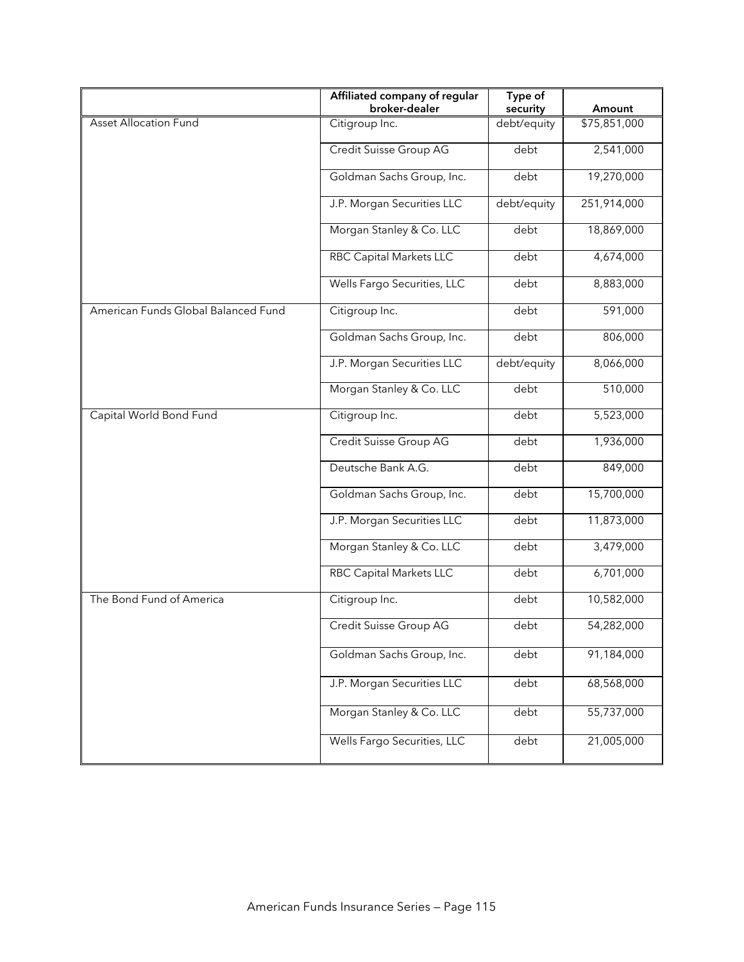|                                     | Affiliated company of regular<br>broker-dealer | Type of<br>security | Amount       |
|-------------------------------------|------------------------------------------------|---------------------|--------------|
| <b>Asset Allocation Fund</b>        | Citigroup Inc.                                 | debt/equity         | \$75,851,000 |
|                                     | Credit Suisse Group AG                         | debt                | 2,541,000    |
|                                     | Goldman Sachs Group, Inc.                      | debt                | 19,270,000   |
|                                     | J.P. Morgan Securities LLC                     | debt/equity         | 251,914,000  |
|                                     | Morgan Stanley & Co. LLC                       | debt                | 18,869,000   |
|                                     | RBC Capital Markets LLC                        | debt                | 4,674,000    |
|                                     | Wells Fargo Securities, LLC                    | debt                | 8,883,000    |
| American Funds Global Balanced Fund | Citigroup Inc.                                 | debt                | 591,000      |
|                                     | Goldman Sachs Group, Inc.                      | debt                | 806,000      |
|                                     | J.P. Morgan Securities LLC                     | debt/equity         | 8,066,000    |
|                                     | Morgan Stanley & Co. LLC                       | debt                | 510,000      |
| Capital World Bond Fund             | Citigroup Inc.                                 | debt                | 5,523,000    |
|                                     | Credit Suisse Group AG                         | debt                | 1,936,000    |
|                                     | Deutsche Bank A.G.                             | debt                | 849,000      |
|                                     | Goldman Sachs Group, Inc.                      | debt                | 15,700,000   |
|                                     | J.P. Morgan Securities LLC                     | debt                | 11,873,000   |
|                                     | Morgan Stanley & Co. LLC                       | debt                | 3,479,000    |
|                                     | <b>RBC Capital Markets LLC</b>                 | debt                | 6,701,000    |
| The Bond Fund of America            | Citigroup Inc.                                 | debt                | 10,582,000   |
|                                     | Credit Suisse Group AG                         | debt                | 54,282,000   |
|                                     | Goldman Sachs Group, Inc.                      | debt                | 91,184,000   |
|                                     | J.P. Morgan Securities LLC                     | debt                | 68,568,000   |
|                                     | Morgan Stanley & Co. LLC                       | debt                | 55,737,000   |
|                                     | Wells Fargo Securities, LLC                    | debt                | 21,005,000   |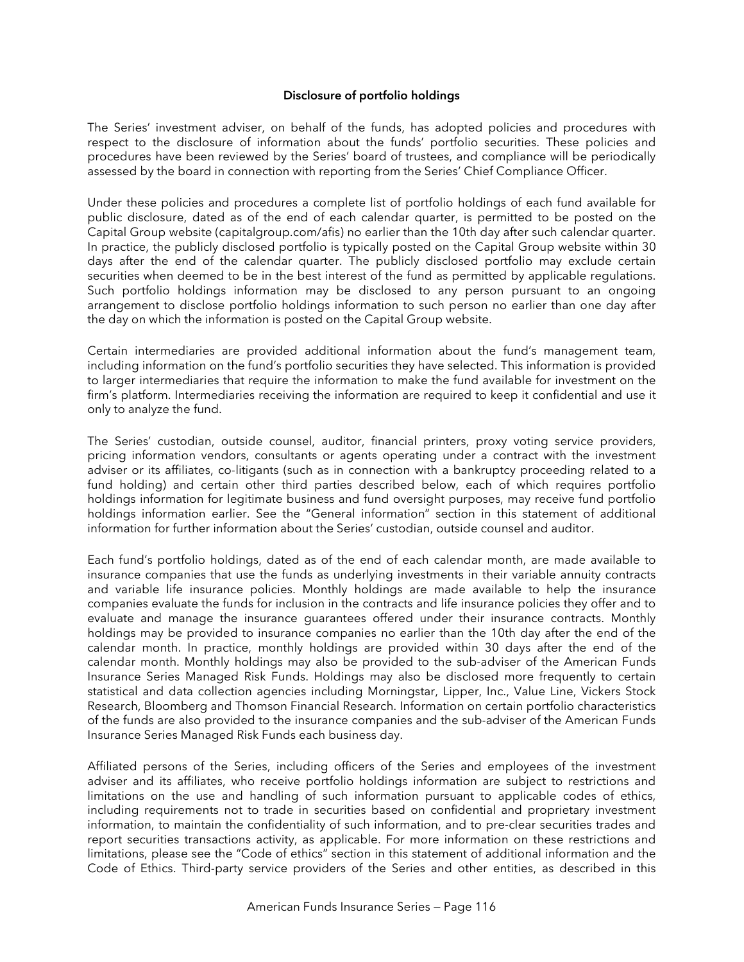#### **Disclosure of portfolio holdings**

The Series' investment adviser, on behalf of the funds, has adopted policies and procedures with respect to the disclosure of information about the funds' portfolio securities. These policies and procedures have been reviewed by the Series' board of trustees, and compliance will be periodically assessed by the board in connection with reporting from the Series' Chief Compliance Officer.

Under these policies and procedures a complete list of portfolio holdings of each fund available for public disclosure, dated as of the end of each calendar quarter, is permitted to be posted on the Capital Group website (capitalgroup.com/afis) no earlier than the 10th day after such calendar quarter. In practice, the publicly disclosed portfolio is typically posted on the Capital Group website within 30 days after the end of the calendar quarter. The publicly disclosed portfolio may exclude certain securities when deemed to be in the best interest of the fund as permitted by applicable regulations. Such portfolio holdings information may be disclosed to any person pursuant to an ongoing arrangement to disclose portfolio holdings information to such person no earlier than one day after the day on which the information is posted on the Capital Group website.

Certain intermediaries are provided additional information about the fund's management team, including information on the fund's portfolio securities they have selected. This information is provided to larger intermediaries that require the information to make the fund available for investment on the firm's platform. Intermediaries receiving the information are required to keep it confidential and use it only to analyze the fund.

The Series' custodian, outside counsel, auditor, financial printers, proxy voting service providers, pricing information vendors, consultants or agents operating under a contract with the investment adviser or its affiliates, co-litigants (such as in connection with a bankruptcy proceeding related to a fund holding) and certain other third parties described below, each of which requires portfolio holdings information for legitimate business and fund oversight purposes, may receive fund portfolio holdings information earlier. See the "General information" section in this statement of additional information for further information about the Series' custodian, outside counsel and auditor.

Each fund's portfolio holdings, dated as of the end of each calendar month, are made available to insurance companies that use the funds as underlying investments in their variable annuity contracts and variable life insurance policies. Monthly holdings are made available to help the insurance companies evaluate the funds for inclusion in the contracts and life insurance policies they offer and to evaluate and manage the insurance guarantees offered under their insurance contracts. Monthly holdings may be provided to insurance companies no earlier than the 10th day after the end of the calendar month. In practice, monthly holdings are provided within 30 days after the end of the calendar month. Monthly holdings may also be provided to the sub-adviser of the American Funds Insurance Series Managed Risk Funds. Holdings may also be disclosed more frequently to certain statistical and data collection agencies including Morningstar, Lipper, Inc., Value Line, Vickers Stock Research, Bloomberg and Thomson Financial Research. Information on certain portfolio characteristics of the funds are also provided to the insurance companies and the sub-adviser of the American Funds Insurance Series Managed Risk Funds each business day.

Affiliated persons of the Series, including officers of the Series and employees of the investment adviser and its affiliates, who receive portfolio holdings information are subject to restrictions and limitations on the use and handling of such information pursuant to applicable codes of ethics, including requirements not to trade in securities based on confidential and proprietary investment information, to maintain the confidentiality of such information, and to pre-clear securities trades and report securities transactions activity, as applicable. For more information on these restrictions and limitations, please see the "Code of ethics" section in this statement of additional information and the Code of Ethics. Third-party service providers of the Series and other entities, as described in this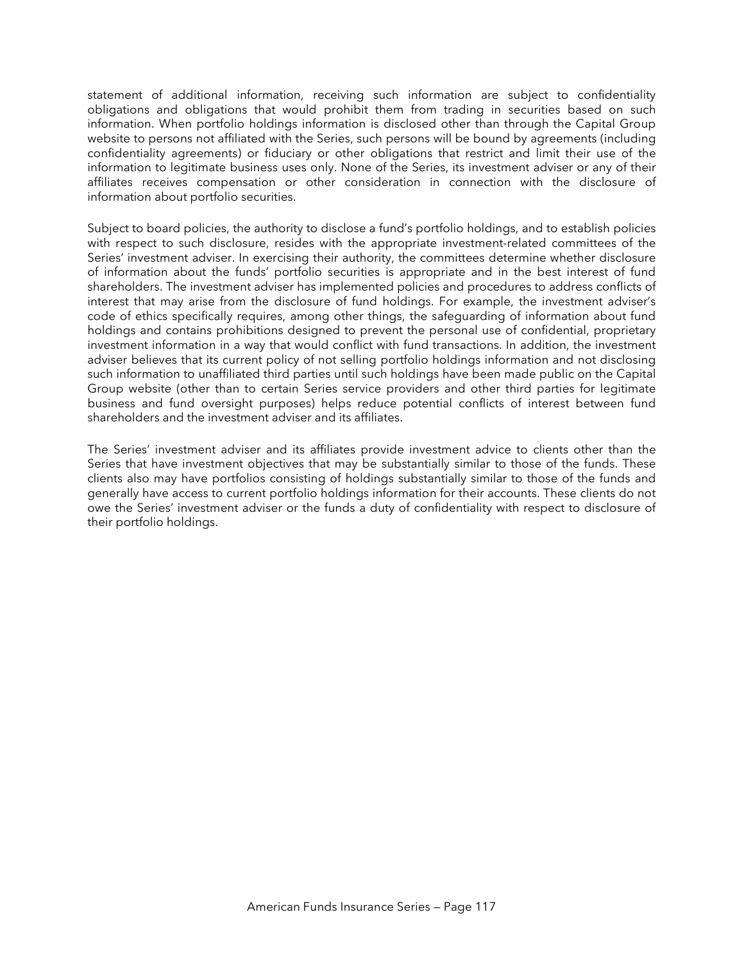statement of additional information, receiving such information are subject to confidentiality obligations and obligations that would prohibit them from trading in securities based on such information. When portfolio holdings information is disclosed other than through the Capital Group website to persons not affiliated with the Series, such persons will be bound by agreements (including confidentiality agreements) or fiduciary or other obligations that restrict and limit their use of the information to legitimate business uses only. None of the Series, its investment adviser or any of their affiliates receives compensation or other consideration in connection with the disclosure of information about portfolio securities.

Subject to board policies, the authority to disclose a fund's portfolio holdings, and to establish policies with respect to such disclosure, resides with the appropriate investment-related committees of the Series' investment adviser. In exercising their authority, the committees determine whether disclosure of information about the funds' portfolio securities is appropriate and in the best interest of fund shareholders. The investment adviser has implemented policies and procedures to address conflicts of interest that may arise from the disclosure of fund holdings. For example, the investment adviser's code of ethics specifically requires, among other things, the safeguarding of information about fund holdings and contains prohibitions designed to prevent the personal use of confidential, proprietary investment information in a way that would conflict with fund transactions. In addition, the investment adviser believes that its current policy of not selling portfolio holdings information and not disclosing such information to unaffiliated third parties until such holdings have been made public on the Capital Group website (other than to certain Series service providers and other third parties for legitimate business and fund oversight purposes) helps reduce potential conflicts of interest between fund shareholders and the investment adviser and its affiliates.

The Series' investment adviser and its affiliates provide investment advice to clients other than the Series that have investment objectives that may be substantially similar to those of the funds. These clients also may have portfolios consisting of holdings substantially similar to those of the funds and generally have access to current portfolio holdings information for their accounts. These clients do not owe the Series' investment adviser or the funds a duty of confidentiality with respect to disclosure of their portfolio holdings.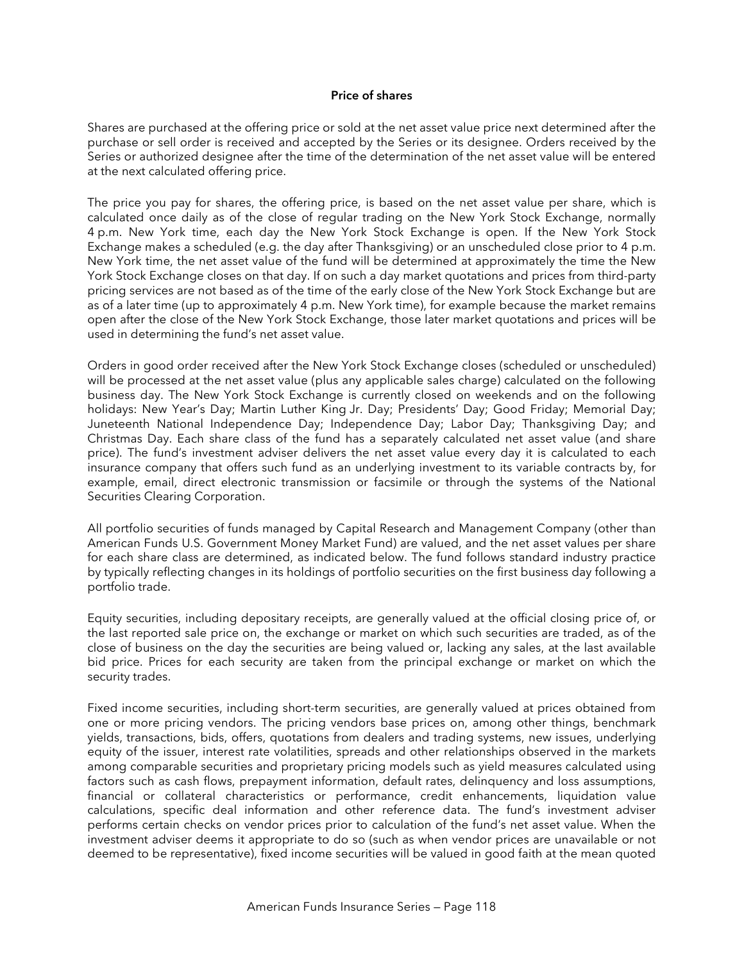#### **Price of shares**

Shares are purchased at the offering price or sold at the net asset value price next determined after the purchase or sell order is received and accepted by the Series or its designee. Orders received by the Series or authorized designee after the time of the determination of the net asset value will be entered at the next calculated offering price.

The price you pay for shares, the offering price, is based on the net asset value per share, which is calculated once daily as of the close of regular trading on the New York Stock Exchange, normally 4 p.m. New York time, each day the New York Stock Exchange is open. If the New York Stock Exchange makes a scheduled (e.g. the day after Thanksgiving) or an unscheduled close prior to 4 p.m. New York time, the net asset value of the fund will be determined at approximately the time the New York Stock Exchange closes on that day. If on such a day market quotations and prices from third-party pricing services are not based as of the time of the early close of the New York Stock Exchange but are as of a later time (up to approximately 4 p.m. New York time), for example because the market remains open after the close of the New York Stock Exchange, those later market quotations and prices will be used in determining the fund's net asset value.

Orders in good order received after the New York Stock Exchange closes (scheduled or unscheduled) will be processed at the net asset value (plus any applicable sales charge) calculated on the following business day. The New York Stock Exchange is currently closed on weekends and on the following holidays: New Year's Day; Martin Luther King Jr. Day; Presidents' Day; Good Friday; Memorial Day; Juneteenth National Independence Day; Independence Day; Labor Day; Thanksgiving Day; and Christmas Day. Each share class of the fund has a separately calculated net asset value (and share price). The fund's investment adviser delivers the net asset value every day it is calculated to each insurance company that offers such fund as an underlying investment to its variable contracts by, for example, email, direct electronic transmission or facsimile or through the systems of the National Securities Clearing Corporation.

All portfolio securities of funds managed by Capital Research and Management Company (other than American Funds U.S. Government Money Market Fund) are valued, and the net asset values per share for each share class are determined, as indicated below. The fund follows standard industry practice by typically reflecting changes in its holdings of portfolio securities on the first business day following a portfolio trade.

Equity securities, including depositary receipts, are generally valued at the official closing price of, or the last reported sale price on, the exchange or market on which such securities are traded, as of the close of business on the day the securities are being valued or, lacking any sales, at the last available bid price. Prices for each security are taken from the principal exchange or market on which the security trades.

Fixed income securities, including short-term securities, are generally valued at prices obtained from one or more pricing vendors. The pricing vendors base prices on, among other things, benchmark yields, transactions, bids, offers, quotations from dealers and trading systems, new issues, underlying equity of the issuer, interest rate volatilities, spreads and other relationships observed in the markets among comparable securities and proprietary pricing models such as yield measures calculated using factors such as cash flows, prepayment information, default rates, delinquency and loss assumptions, financial or collateral characteristics or performance, credit enhancements, liquidation value calculations, specific deal information and other reference data. The fund's investment adviser performs certain checks on vendor prices prior to calculation of the fund's net asset value. When the investment adviser deems it appropriate to do so (such as when vendor prices are unavailable or not deemed to be representative), fixed income securities will be valued in good faith at the mean quoted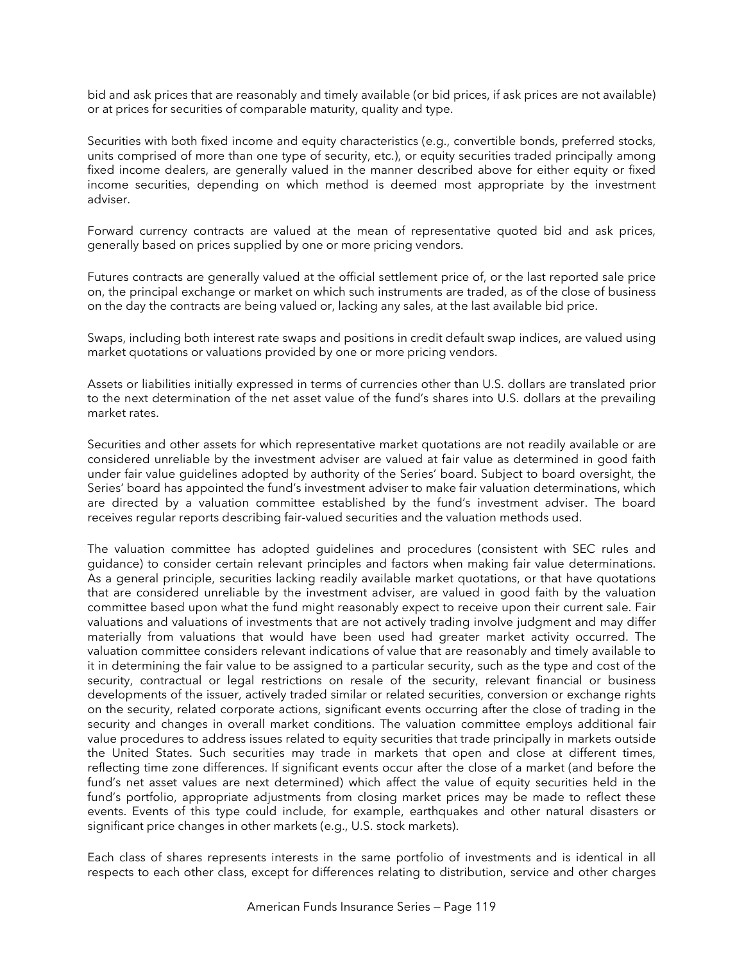bid and ask prices that are reasonably and timely available (or bid prices, if ask prices are not available) or at prices for securities of comparable maturity, quality and type.

Securities with both fixed income and equity characteristics (e.g., convertible bonds, preferred stocks, units comprised of more than one type of security, etc.), or equity securities traded principally among fixed income dealers, are generally valued in the manner described above for either equity or fixed income securities, depending on which method is deemed most appropriate by the investment adviser.

Forward currency contracts are valued at the mean of representative quoted bid and ask prices, generally based on prices supplied by one or more pricing vendors.

Futures contracts are generally valued at the official settlement price of, or the last reported sale price on, the principal exchange or market on which such instruments are traded, as of the close of business on the day the contracts are being valued or, lacking any sales, at the last available bid price.

Swaps, including both interest rate swaps and positions in credit default swap indices, are valued using market quotations or valuations provided by one or more pricing vendors.

Assets or liabilities initially expressed in terms of currencies other than U.S. dollars are translated prior to the next determination of the net asset value of the fund's shares into U.S. dollars at the prevailing market rates.

Securities and other assets for which representative market quotations are not readily available or are considered unreliable by the investment adviser are valued at fair value as determined in good faith under fair value guidelines adopted by authority of the Series' board. Subject to board oversight, the Series' board has appointed the fund's investment adviser to make fair valuation determinations, which are directed by a valuation committee established by the fund's investment adviser. The board receives regular reports describing fair-valued securities and the valuation methods used.

The valuation committee has adopted guidelines and procedures (consistent with SEC rules and guidance) to consider certain relevant principles and factors when making fair value determinations. As a general principle, securities lacking readily available market quotations, or that have quotations that are considered unreliable by the investment adviser, are valued in good faith by the valuation committee based upon what the fund might reasonably expect to receive upon their current sale. Fair valuations and valuations of investments that are not actively trading involve judgment and may differ materially from valuations that would have been used had greater market activity occurred. The valuation committee considers relevant indications of value that are reasonably and timely available to it in determining the fair value to be assigned to a particular security, such as the type and cost of the security, contractual or legal restrictions on resale of the security, relevant financial or business developments of the issuer, actively traded similar or related securities, conversion or exchange rights on the security, related corporate actions, significant events occurring after the close of trading in the security and changes in overall market conditions. The valuation committee employs additional fair value procedures to address issues related to equity securities that trade principally in markets outside the United States. Such securities may trade in markets that open and close at different times, reflecting time zone differences. If significant events occur after the close of a market (and before the fund's net asset values are next determined) which affect the value of equity securities held in the fund's portfolio, appropriate adjustments from closing market prices may be made to reflect these events. Events of this type could include, for example, earthquakes and other natural disasters or significant price changes in other markets (e.g., U.S. stock markets).

Each class of shares represents interests in the same portfolio of investments and is identical in all respects to each other class, except for differences relating to distribution, service and other charges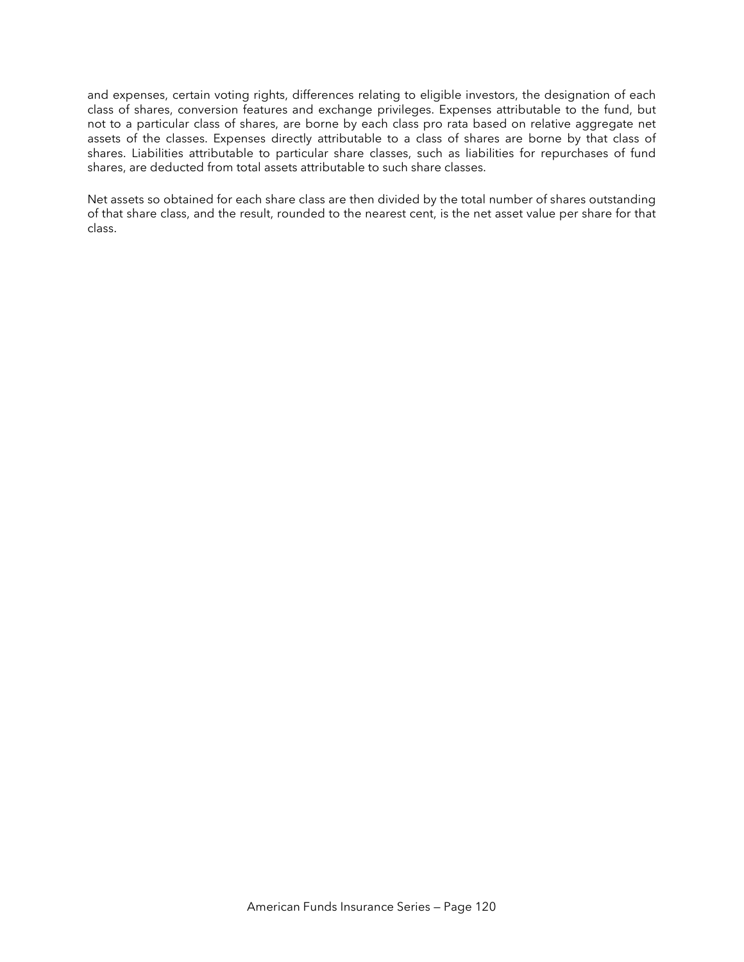and expenses, certain voting rights, differences relating to eligible investors, the designation of each class of shares, conversion features and exchange privileges. Expenses attributable to the fund, but not to a particular class of shares, are borne by each class pro rata based on relative aggregate net assets of the classes. Expenses directly attributable to a class of shares are borne by that class of shares. Liabilities attributable to particular share classes, such as liabilities for repurchases of fund shares, are deducted from total assets attributable to such share classes.

Net assets so obtained for each share class are then divided by the total number of shares outstanding of that share class, and the result, rounded to the nearest cent, is the net asset value per share for that class.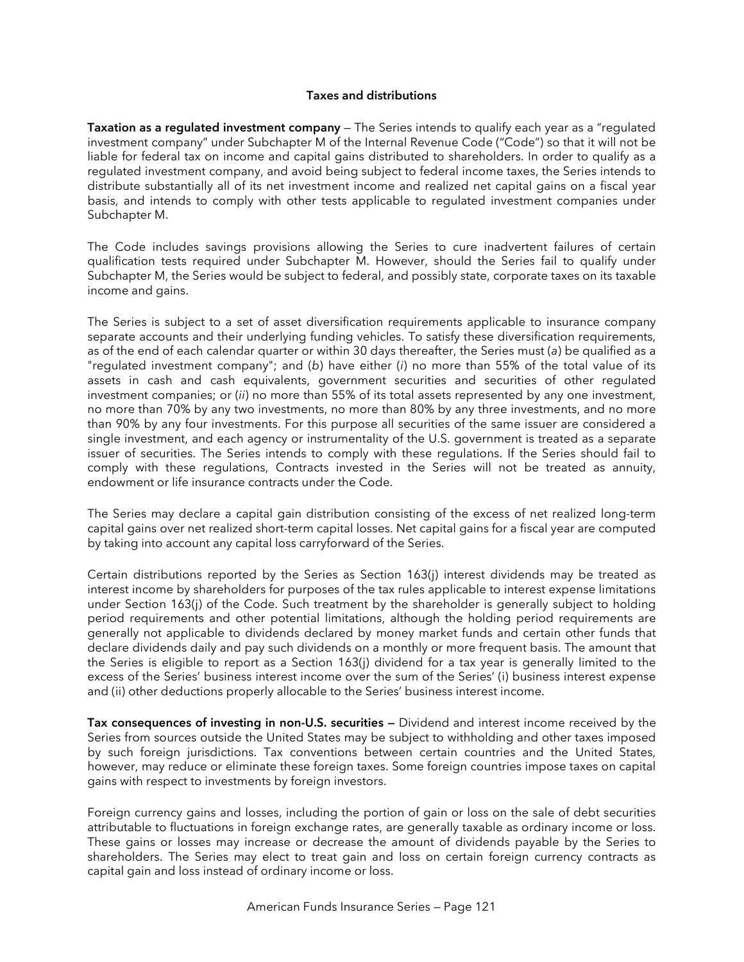#### **Taxes and distributions**

**Taxation as a regulated investment company** — The Series intends to qualify each year as a "regulated investment company" under Subchapter M of the Internal Revenue Code ("Code") so that it will not be liable for federal tax on income and capital gains distributed to shareholders. In order to qualify as a regulated investment company, and avoid being subject to federal income taxes, the Series intends to distribute substantially all of its net investment income and realized net capital gains on a fiscal year basis, and intends to comply with other tests applicable to regulated investment companies under Subchapter M.

The Code includes savings provisions allowing the Series to cure inadvertent failures of certain qualification tests required under Subchapter M. However, should the Series fail to qualify under Subchapter M, the Series would be subject to federal, and possibly state, corporate taxes on its taxable income and gains.

The Series is subject to a set of asset diversification requirements applicable to insurance company separate accounts and their underlying funding vehicles. To satisfy these diversification requirements, as of the end of each calendar quarter or within 30 days thereafter, the Series must (*a*) be qualified as a "regulated investment company"; and (*b*) have either (*i*) no more than 55% of the total value of its assets in cash and cash equivalents, government securities and securities of other regulated investment companies; or (*ii*) no more than 55% of its total assets represented by any one investment, no more than 70% by any two investments, no more than 80% by any three investments, and no more than 90% by any four investments. For this purpose all securities of the same issuer are considered a single investment, and each agency or instrumentality of the U.S. government is treated as a separate issuer of securities. The Series intends to comply with these regulations. If the Series should fail to comply with these regulations, Contracts invested in the Series will not be treated as annuity, endowment or life insurance contracts under the Code.

The Series may declare a capital gain distribution consisting of the excess of net realized long-term capital gains over net realized short-term capital losses. Net capital gains for a fiscal year are computed by taking into account any capital loss carryforward of the Series.

Certain distributions reported by the Series as Section 163(j) interest dividends may be treated as interest income by shareholders for purposes of the tax rules applicable to interest expense limitations under Section 163(j) of the Code. Such treatment by the shareholder is generally subject to holding period requirements and other potential limitations, although the holding period requirements are generally not applicable to dividends declared by money market funds and certain other funds that declare dividends daily and pay such dividends on a monthly or more frequent basis. The amount that the Series is eligible to report as a Section 163(j) dividend for a tax year is generally limited to the excess of the Series' business interest income over the sum of the Series' (i) business interest expense and (ii) other deductions properly allocable to the Series' business interest income.

**Tax consequences of investing in non-U.S. securities —** Dividend and interest income received by the Series from sources outside the United States may be subject to withholding and other taxes imposed by such foreign jurisdictions. Tax conventions between certain countries and the United States, however, may reduce or eliminate these foreign taxes. Some foreign countries impose taxes on capital gains with respect to investments by foreign investors.

Foreign currency gains and losses, including the portion of gain or loss on the sale of debt securities attributable to fluctuations in foreign exchange rates, are generally taxable as ordinary income or loss. These gains or losses may increase or decrease the amount of dividends payable by the Series to shareholders. The Series may elect to treat gain and loss on certain foreign currency contracts as capital gain and loss instead of ordinary income or loss.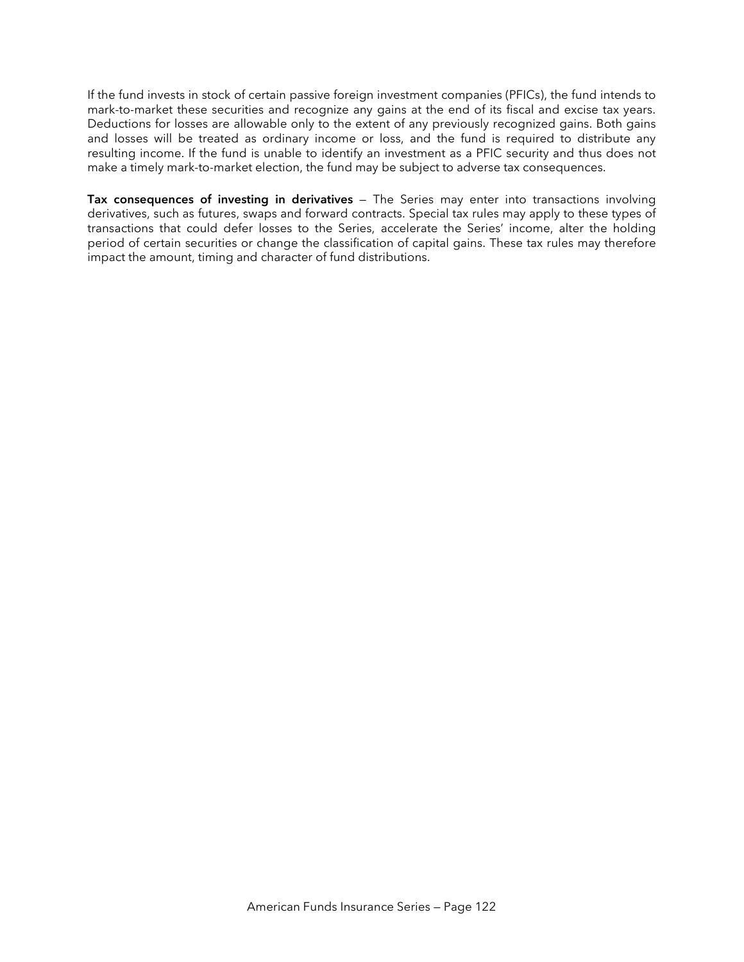If the fund invests in stock of certain passive foreign investment companies (PFICs), the fund intends to mark-to-market these securities and recognize any gains at the end of its fiscal and excise tax years. Deductions for losses are allowable only to the extent of any previously recognized gains. Both gains and losses will be treated as ordinary income or loss, and the fund is required to distribute any resulting income. If the fund is unable to identify an investment as a PFIC security and thus does not make a timely mark-to-market election, the fund may be subject to adverse tax consequences.

**Tax consequences of investing in derivatives** — The Series may enter into transactions involving derivatives, such as futures, swaps and forward contracts. Special tax rules may apply to these types of transactions that could defer losses to the Series, accelerate the Series' income, alter the holding period of certain securities or change the classification of capital gains. These tax rules may therefore impact the amount, timing and character of fund distributions.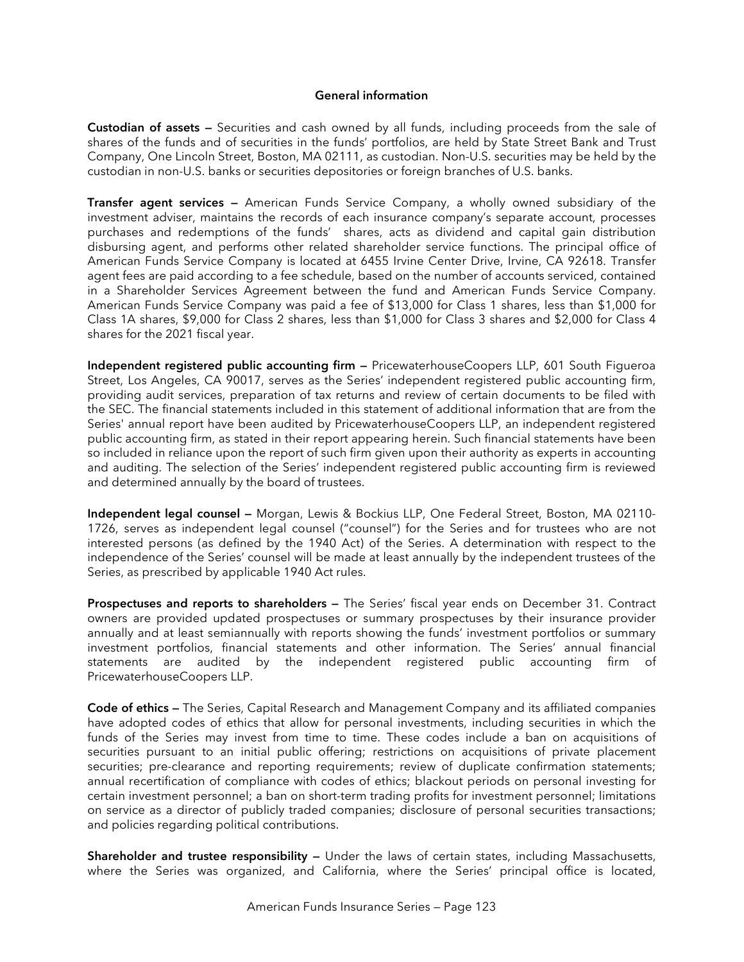#### **General information**

**Custodian of assets —** Securities and cash owned by all funds, including proceeds from the sale of shares of the funds and of securities in the funds' portfolios, are held by State Street Bank and Trust Company, One Lincoln Street, Boston, MA 02111, as custodian. Non-U.S. securities may be held by the custodian in non-U.S. banks or securities depositories or foreign branches of U.S. banks.

**Transfer agent services —** American Funds Service Company, a wholly owned subsidiary of the investment adviser, maintains the records of each insurance company's separate account, processes purchases and redemptions of the funds' shares, acts as dividend and capital gain distribution disbursing agent, and performs other related shareholder service functions. The principal office of American Funds Service Company is located at 6455 Irvine Center Drive, Irvine, CA 92618. Transfer agent fees are paid according to a fee schedule, based on the number of accounts serviced, contained in a Shareholder Services Agreement between the fund and American Funds Service Company. American Funds Service Company was paid a fee of \$13,000 for Class 1 shares, less than \$1,000 for Class 1A shares, \$9,000 for Class 2 shares, less than \$1,000 for Class 3 shares and \$2,000 for Class 4 shares for the 2021 fiscal year.

**Independent registered public accounting firm —** PricewaterhouseCoopers LLP, 601 South Figueroa Street, Los Angeles, CA 90017, serves as the Series' independent registered public accounting firm, providing audit services, preparation of tax returns and review of certain documents to be filed with the SEC. The financial statements included in this statement of additional information that are from the Series' annual report have been audited by PricewaterhouseCoopers LLP, an independent registered public accounting firm, as stated in their report appearing herein. Such financial statements have been so included in reliance upon the report of such firm given upon their authority as experts in accounting and auditing. The selection of the Series' independent registered public accounting firm is reviewed and determined annually by the board of trustees.

**Independent legal counsel —** Morgan, Lewis & Bockius LLP, One Federal Street, Boston, MA 02110- 1726, serves as independent legal counsel ("counsel") for the Series and for trustees who are not interested persons (as defined by the 1940 Act) of the Series. A determination with respect to the independence of the Series' counsel will be made at least annually by the independent trustees of the Series, as prescribed by applicable 1940 Act rules.

**Prospectuses and reports to shareholders —** The Series' fiscal year ends on December 31. Contract owners are provided updated prospectuses or summary prospectuses by their insurance provider annually and at least semiannually with reports showing the funds' investment portfolios or summary investment portfolios, financial statements and other information. The Series' annual financial statements are audited by the independent registered public accounting firm of PricewaterhouseCoopers LLP.

**Code of ethics —** The Series, Capital Research and Management Company and its affiliated companies have adopted codes of ethics that allow for personal investments, including securities in which the funds of the Series may invest from time to time. These codes include a ban on acquisitions of securities pursuant to an initial public offering; restrictions on acquisitions of private placement securities; pre-clearance and reporting requirements; review of duplicate confirmation statements; annual recertification of compliance with codes of ethics; blackout periods on personal investing for certain investment personnel; a ban on short-term trading profits for investment personnel; limitations on service as a director of publicly traded companies; disclosure of personal securities transactions; and policies regarding political contributions.

**Shareholder and trustee responsibility —** Under the laws of certain states, including Massachusetts, where the Series was organized, and California, where the Series' principal office is located,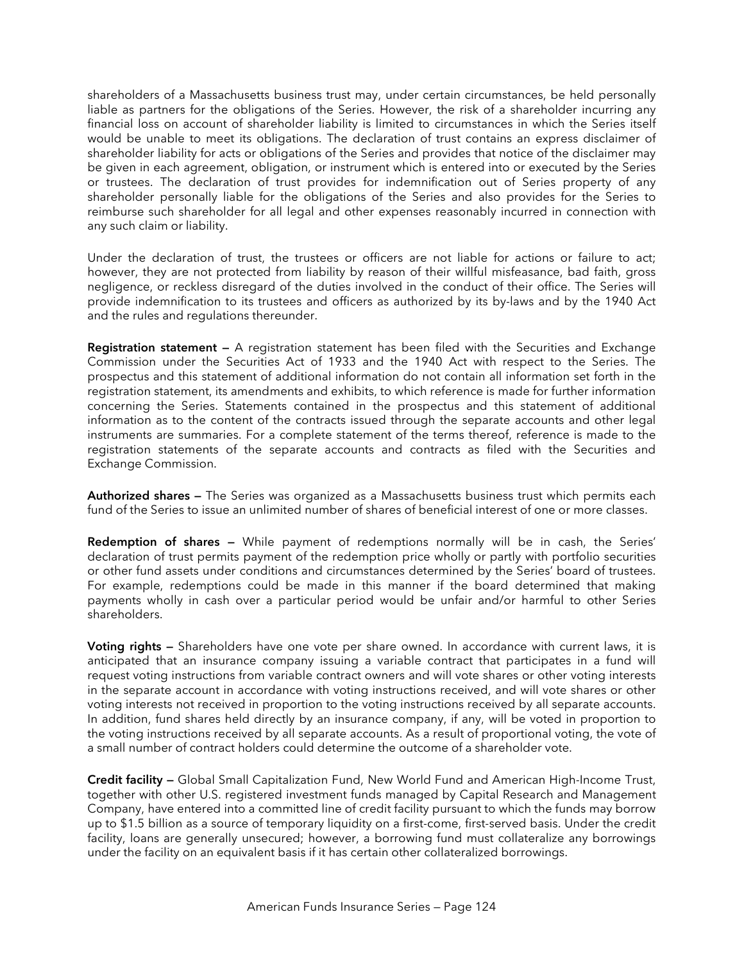shareholders of a Massachusetts business trust may, under certain circumstances, be held personally liable as partners for the obligations of the Series. However, the risk of a shareholder incurring any financial loss on account of shareholder liability is limited to circumstances in which the Series itself would be unable to meet its obligations. The declaration of trust contains an express disclaimer of shareholder liability for acts or obligations of the Series and provides that notice of the disclaimer may be given in each agreement, obligation, or instrument which is entered into or executed by the Series or trustees. The declaration of trust provides for indemnification out of Series property of any shareholder personally liable for the obligations of the Series and also provides for the Series to reimburse such shareholder for all legal and other expenses reasonably incurred in connection with any such claim or liability.

Under the declaration of trust, the trustees or officers are not liable for actions or failure to act; however, they are not protected from liability by reason of their willful misfeasance, bad faith, gross negligence, or reckless disregard of the duties involved in the conduct of their office. The Series will provide indemnification to its trustees and officers as authorized by its by-laws and by the 1940 Act and the rules and regulations thereunder.

**Registration statement —** A registration statement has been filed with the Securities and Exchange Commission under the Securities Act of 1933 and the 1940 Act with respect to the Series. The prospectus and this statement of additional information do not contain all information set forth in the registration statement, its amendments and exhibits, to which reference is made for further information concerning the Series. Statements contained in the prospectus and this statement of additional information as to the content of the contracts issued through the separate accounts and other legal instruments are summaries. For a complete statement of the terms thereof, reference is made to the registration statements of the separate accounts and contracts as filed with the Securities and Exchange Commission.

**Authorized shares —** The Series was organized as a Massachusetts business trust which permits each fund of the Series to issue an unlimited number of shares of beneficial interest of one or more classes.

**Redemption of shares —** While payment of redemptions normally will be in cash, the Series' declaration of trust permits payment of the redemption price wholly or partly with portfolio securities or other fund assets under conditions and circumstances determined by the Series' board of trustees. For example, redemptions could be made in this manner if the board determined that making payments wholly in cash over a particular period would be unfair and/or harmful to other Series shareholders.

**Voting rights —** Shareholders have one vote per share owned. In accordance with current laws, it is anticipated that an insurance company issuing a variable contract that participates in a fund will request voting instructions from variable contract owners and will vote shares or other voting interests in the separate account in accordance with voting instructions received, and will vote shares or other voting interests not received in proportion to the voting instructions received by all separate accounts. In addition, fund shares held directly by an insurance company, if any, will be voted in proportion to the voting instructions received by all separate accounts. As a result of proportional voting, the vote of a small number of contract holders could determine the outcome of a shareholder vote.

**Credit facility —** Global Small Capitalization Fund, New World Fund and American High-Income Trust, together with other U.S. registered investment funds managed by Capital Research and Management Company, have entered into a committed line of credit facility pursuant to which the funds may borrow up to \$1.5 billion as a source of temporary liquidity on a first-come, first-served basis. Under the credit facility, loans are generally unsecured; however, a borrowing fund must collateralize any borrowings under the facility on an equivalent basis if it has certain other collateralized borrowings.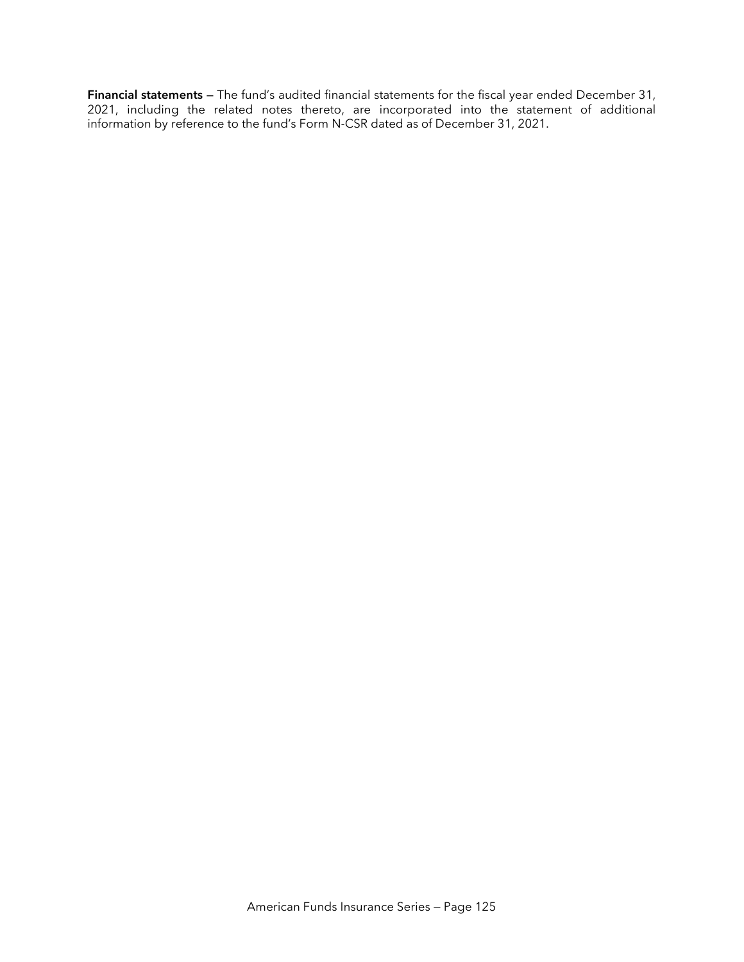**Financial statements —** The fund's audited financial statements for the fiscal year ended December 31, 2021, including the related notes thereto, are incorporated into the statement of additional information by reference to the fund's Form N-CSR dated as of December 31, 2021.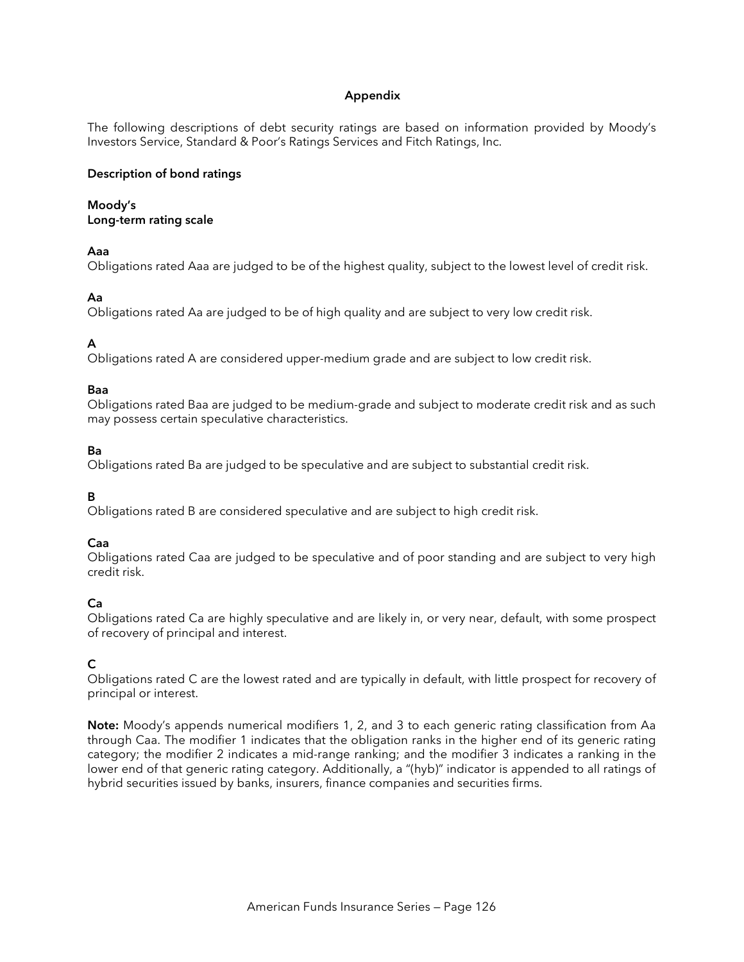# **Appendix**

The following descriptions of debt security ratings are based on information provided by Moody's Investors Service, Standard & Poor's Ratings Services and Fitch Ratings, Inc.

#### **Description of bond ratings**

# **Moody's**

**Long-term rating scale**

## **Aaa**

Obligations rated Aaa are judged to be of the highest quality, subject to the lowest level of credit risk.

# **Aa**

Obligations rated Aa are judged to be of high quality and are subject to very low credit risk.

# **A**

Obligations rated A are considered upper-medium grade and are subject to low credit risk.

## **Baa**

Obligations rated Baa are judged to be medium-grade and subject to moderate credit risk and as such may possess certain speculative characteristics.

## **Ba**

Obligations rated Ba are judged to be speculative and are subject to substantial credit risk.

# **B**

Obligations rated B are considered speculative and are subject to high credit risk.

## **Caa**

Obligations rated Caa are judged to be speculative and of poor standing and are subject to very high credit risk.

# **Ca**

Obligations rated Ca are highly speculative and are likely in, or very near, default, with some prospect of recovery of principal and interest.

# **C**

Obligations rated C are the lowest rated and are typically in default, with little prospect for recovery of principal or interest.

**Note:** Moody's appends numerical modifiers 1, 2, and 3 to each generic rating classification from Aa through Caa. The modifier 1 indicates that the obligation ranks in the higher end of its generic rating category; the modifier 2 indicates a mid-range ranking; and the modifier 3 indicates a ranking in the lower end of that generic rating category. Additionally, a "(hyb)" indicator is appended to all ratings of hybrid securities issued by banks, insurers, finance companies and securities firms.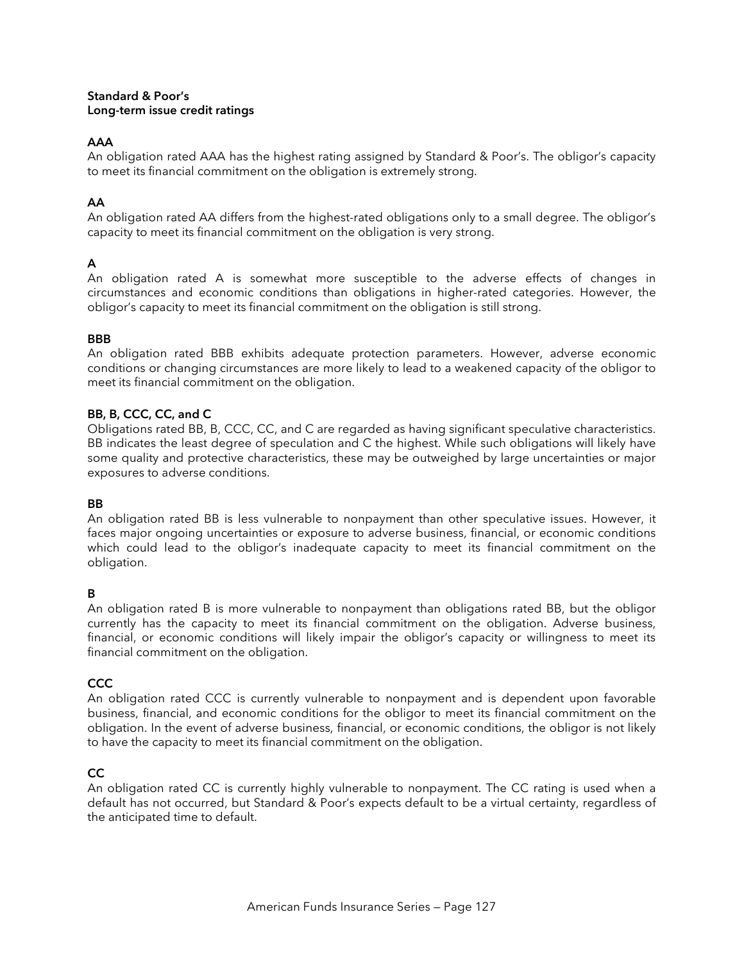#### **Standard & Poor's Long-term issue credit ratings**

# **AAA**

An obligation rated AAA has the highest rating assigned by Standard & Poor's. The obligor's capacity to meet its financial commitment on the obligation is extremely strong.

# **AA**

An obligation rated AA differs from the highest-rated obligations only to a small degree. The obligor's capacity to meet its financial commitment on the obligation is very strong.

# **A**

An obligation rated A is somewhat more susceptible to the adverse effects of changes in circumstances and economic conditions than obligations in higher-rated categories. However, the obligor's capacity to meet its financial commitment on the obligation is still strong.

## **BBB**

An obligation rated BBB exhibits adequate protection parameters. However, adverse economic conditions or changing circumstances are more likely to lead to a weakened capacity of the obligor to meet its financial commitment on the obligation.

# **BB, B, CCC, CC, and C**

Obligations rated BB, B, CCC, CC, and C are regarded as having significant speculative characteristics. BB indicates the least degree of speculation and C the highest. While such obligations will likely have some quality and protective characteristics, these may be outweighed by large uncertainties or major exposures to adverse conditions.

## **BB**

An obligation rated BB is less vulnerable to nonpayment than other speculative issues. However, it faces major ongoing uncertainties or exposure to adverse business, financial, or economic conditions which could lead to the obligor's inadequate capacity to meet its financial commitment on the obligation.

# **B**

An obligation rated B is more vulnerable to nonpayment than obligations rated BB, but the obligor currently has the capacity to meet its financial commitment on the obligation. Adverse business, financial, or economic conditions will likely impair the obligor's capacity or willingness to meet its financial commitment on the obligation.

# **CCC**

An obligation rated CCC is currently vulnerable to nonpayment and is dependent upon favorable business, financial, and economic conditions for the obligor to meet its financial commitment on the obligation. In the event of adverse business, financial, or economic conditions, the obligor is not likely to have the capacity to meet its financial commitment on the obligation.

# **CC**

An obligation rated CC is currently highly vulnerable to nonpayment. The CC rating is used when a default has not occurred, but Standard & Poor's expects default to be a virtual certainty, regardless of the anticipated time to default.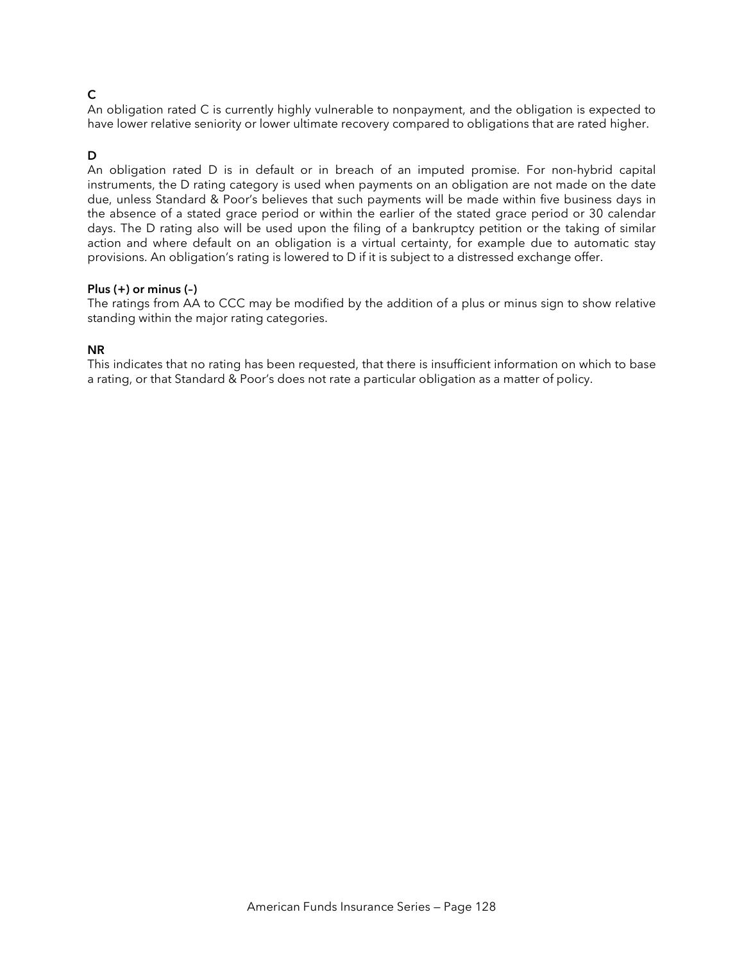# **C**

An obligation rated C is currently highly vulnerable to nonpayment, and the obligation is expected to have lower relative seniority or lower ultimate recovery compared to obligations that are rated higher.

## **D**

An obligation rated D is in default or in breach of an imputed promise. For non-hybrid capital instruments, the D rating category is used when payments on an obligation are not made on the date due, unless Standard & Poor's believes that such payments will be made within five business days in the absence of a stated grace period or within the earlier of the stated grace period or 30 calendar days. The D rating also will be used upon the filing of a bankruptcy petition or the taking of similar action and where default on an obligation is a virtual certainty, for example due to automatic stay provisions. An obligation's rating is lowered to D if it is subject to a distressed exchange offer.

#### **Plus (+) or minus (–)**

The ratings from AA to CCC may be modified by the addition of a plus or minus sign to show relative standing within the major rating categories.

#### **NR**

This indicates that no rating has been requested, that there is insufficient information on which to base a rating, or that Standard & Poor's does not rate a particular obligation as a matter of policy.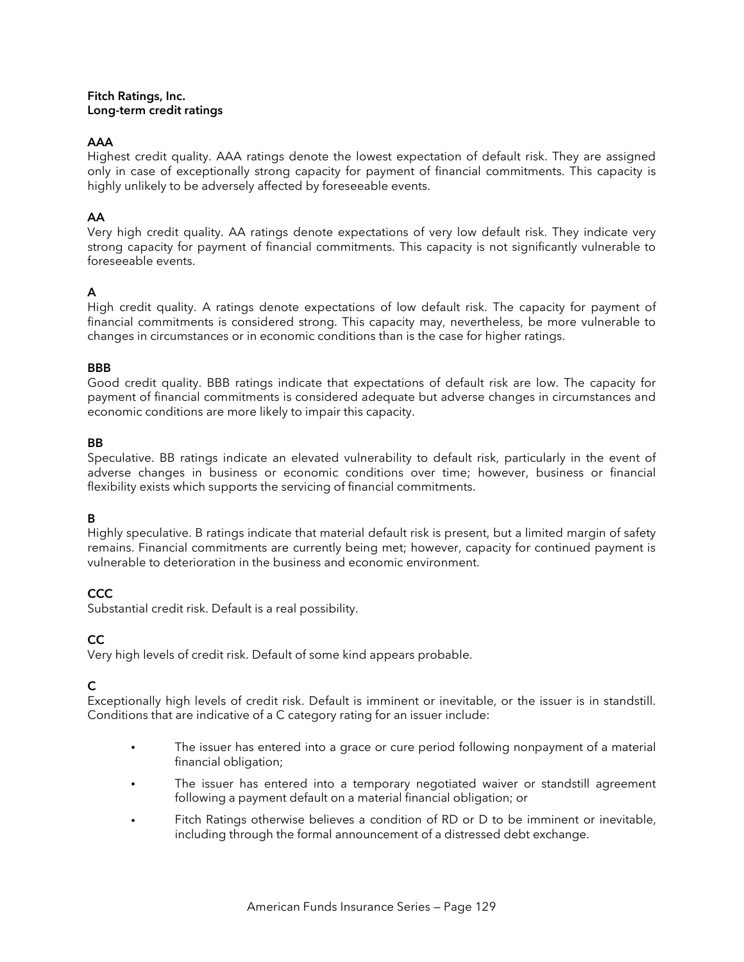#### **Fitch Ratings, Inc. Long-term credit ratings**

## **AAA**

Highest credit quality. AAA ratings denote the lowest expectation of default risk. They are assigned only in case of exceptionally strong capacity for payment of financial commitments. This capacity is highly unlikely to be adversely affected by foreseeable events.

## **AA**

Very high credit quality. AA ratings denote expectations of very low default risk. They indicate very strong capacity for payment of financial commitments. This capacity is not significantly vulnerable to foreseeable events.

## **A**

High credit quality. A ratings denote expectations of low default risk. The capacity for payment of financial commitments is considered strong. This capacity may, nevertheless, be more vulnerable to changes in circumstances or in economic conditions than is the case for higher ratings.

#### **BBB**

Good credit quality. BBB ratings indicate that expectations of default risk are low. The capacity for payment of financial commitments is considered adequate but adverse changes in circumstances and economic conditions are more likely to impair this capacity.

## **BB**

Speculative. BB ratings indicate an elevated vulnerability to default risk, particularly in the event of adverse changes in business or economic conditions over time; however, business or financial flexibility exists which supports the servicing of financial commitments.

## **B**

Highly speculative. B ratings indicate that material default risk is present, but a limited margin of safety remains. Financial commitments are currently being met; however, capacity for continued payment is vulnerable to deterioration in the business and economic environment.

# **CCC**

Substantial credit risk. Default is a real possibility.

# **CC**

Very high levels of credit risk. Default of some kind appears probable.

## **C**

Exceptionally high levels of credit risk. Default is imminent or inevitable, or the issuer is in standstill. Conditions that are indicative of a C category rating for an issuer include:

- The issuer has entered into a grace or cure period following nonpayment of a material financial obligation;
- The issuer has entered into a temporary negotiated waiver or standstill agreement following a payment default on a material financial obligation; or
- Fitch Ratings otherwise believes a condition of RD or D to be imminent or inevitable, including through the formal announcement of a distressed debt exchange.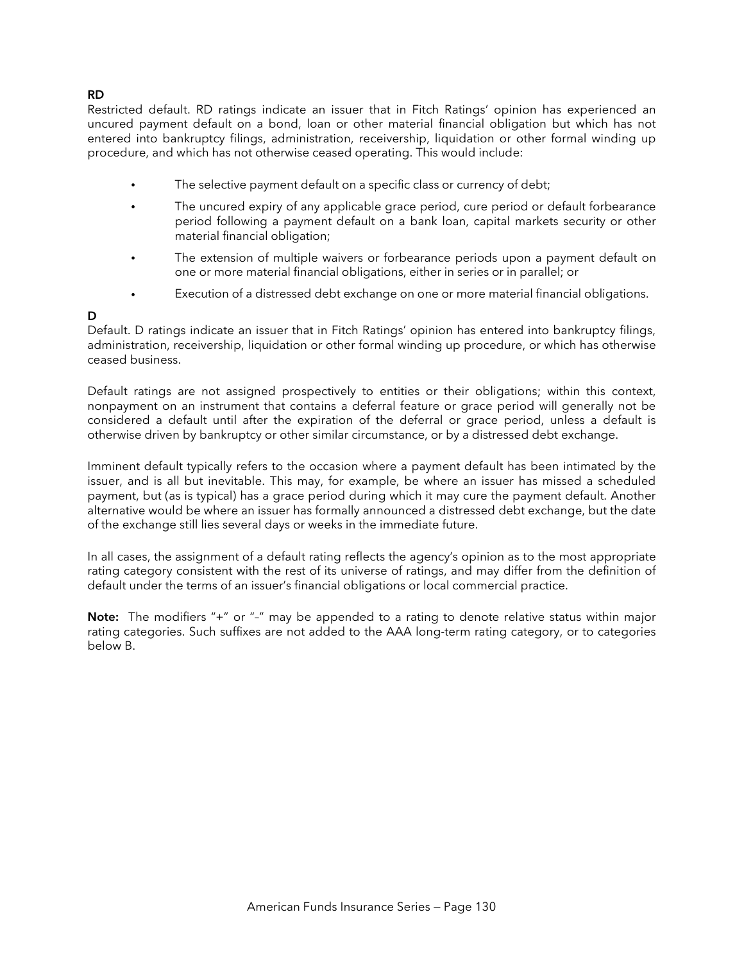## **RD**

Restricted default. RD ratings indicate an issuer that in Fitch Ratings' opinion has experienced an uncured payment default on a bond, loan or other material financial obligation but which has not entered into bankruptcy filings, administration, receivership, liquidation or other formal winding up procedure, and which has not otherwise ceased operating. This would include:

- The selective payment default on a specific class or currency of debt;
- The uncured expiry of any applicable grace period, cure period or default forbearance period following a payment default on a bank loan, capital markets security or other material financial obligation;
- The extension of multiple waivers or forbearance periods upon a payment default on one or more material financial obligations, either in series or in parallel; or
- Execution of a distressed debt exchange on one or more material financial obligations.

#### **D**

Default. D ratings indicate an issuer that in Fitch Ratings' opinion has entered into bankruptcy filings, administration, receivership, liquidation or other formal winding up procedure, or which has otherwise ceased business.

Default ratings are not assigned prospectively to entities or their obligations; within this context, nonpayment on an instrument that contains a deferral feature or grace period will generally not be considered a default until after the expiration of the deferral or grace period, unless a default is otherwise driven by bankruptcy or other similar circumstance, or by a distressed debt exchange.

Imminent default typically refers to the occasion where a payment default has been intimated by the issuer, and is all but inevitable. This may, for example, be where an issuer has missed a scheduled payment, but (as is typical) has a grace period during which it may cure the payment default. Another alternative would be where an issuer has formally announced a distressed debt exchange, but the date of the exchange still lies several days or weeks in the immediate future.

In all cases, the assignment of a default rating reflects the agency's opinion as to the most appropriate rating category consistent with the rest of its universe of ratings, and may differ from the definition of default under the terms of an issuer's financial obligations or local commercial practice.

**Note:** The modifiers "+" or "–" may be appended to a rating to denote relative status within major rating categories. Such suffixes are not added to the AAA long-term rating category, or to categories below B.